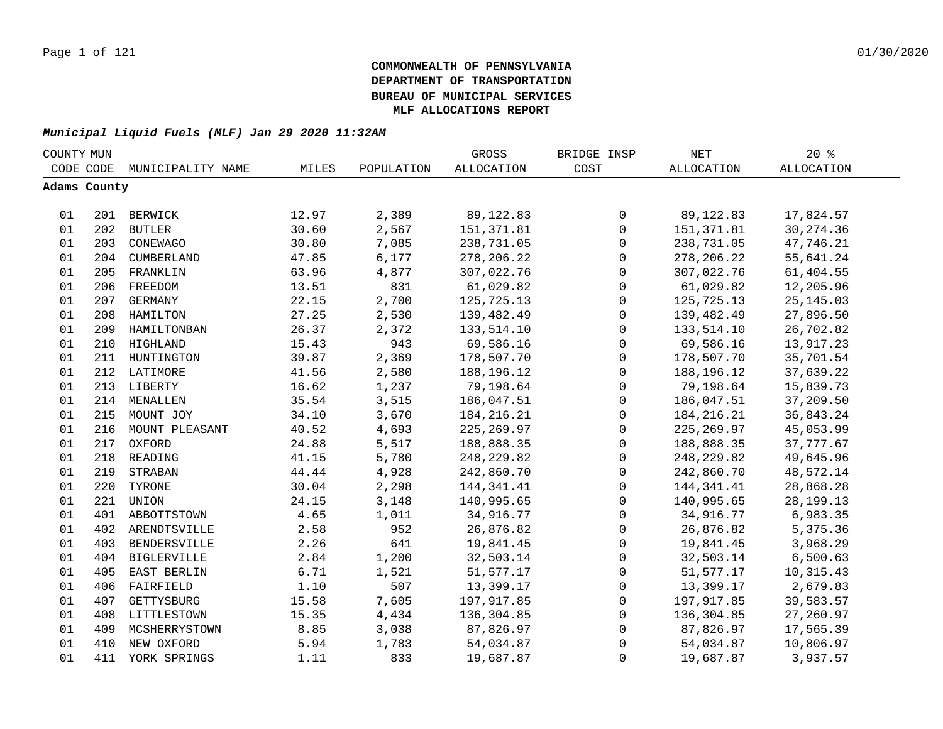| COUNTY MUN |              |                    |       |            | GROSS             | BRIDGE INSP         | $\operatorname{NET}$ | $20*$             |  |
|------------|--------------|--------------------|-------|------------|-------------------|---------------------|----------------------|-------------------|--|
|            | CODE CODE    | MUNICIPALITY NAME  | MILES | POPULATION | <b>ALLOCATION</b> | COST                | <b>ALLOCATION</b>    | <b>ALLOCATION</b> |  |
|            | Adams County |                    |       |            |                   |                     |                      |                   |  |
|            |              |                    |       |            |                   |                     |                      |                   |  |
| 01         |              | 201 BERWICK        | 12.97 | 2,389      | 89, 122.83        | $\mathsf{O}$        | 89, 122.83           | 17,824.57         |  |
| 01         |              | 202 BUTLER         | 30.60 | 2,567      | 151, 371.81       | $\mathsf{O}\xspace$ | 151,371.81           | 30, 274.36        |  |
| 01         | 203          | CONEWAGO           | 30.80 | 7,085      | 238,731.05        | $\mathsf{O}\xspace$ | 238,731.05           | 47,746.21         |  |
| 01         |              | 204 CUMBERLAND     | 47.85 | 6,177      | 278, 206. 22      | $\mathsf{O}\xspace$ | 278, 206. 22         | 55,641.24         |  |
| 01         |              | 205 FRANKLIN       | 63.96 | 4,877      | 307,022.76        | $\mathbf 0$         | 307,022.76           | 61,404.55         |  |
| 01         | 206          | FREEDOM            | 13.51 | 831        | 61,029.82         | $\mathbf 0$         | 61,029.82            | 12,205.96         |  |
| 01         | 207          | GERMANY            | 22.15 | 2,700      | 125,725.13        | $\mathbf 0$         | 125,725.13           | 25, 145.03        |  |
| 01         | 208          | HAMILTON           | 27.25 | 2,530      | 139,482.49        | $\mathbf 0$         | 139,482.49           | 27,896.50         |  |
| 01         | 209          | HAMILTONBAN        | 26.37 | 2,372      | 133,514.10        | $\mathbf 0$         | 133,514.10           | 26,702.82         |  |
| 01         | 210          | HIGHLAND           | 15.43 | 943        | 69,586.16         | $\mathsf{O}$        | 69,586.16            | 13,917.23         |  |
| 01         |              | 211 HUNTINGTON     | 39.87 | 2,369      | 178,507.70        | $\mathsf{O}$        | 178,507.70           | 35,701.54         |  |
| 01         |              | 212 LATIMORE       | 41.56 | 2,580      | 188,196.12        | $\mathsf{O}\xspace$ | 188,196.12           | 37,639.22         |  |
| 01         |              | 213 LIBERTY        | 16.62 | 1,237      | 79,198.64         | $\mathbf 0$         | 79,198.64            | 15,839.73         |  |
| 01         | 214          | MENALLEN           | 35.54 | 3,515      | 186,047.51        | $\mathsf 0$         | 186,047.51           | 37,209.50         |  |
| 01         |              | 215 MOUNT JOY      | 34.10 | 3,670      | 184, 216. 21      | $\mathbf 0$         | 184, 216. 21         | 36,843.24         |  |
| 01         |              | 216 MOUNT PLEASANT | 40.52 | 4,693      | 225, 269.97       | 0                   | 225, 269.97          | 45,053.99         |  |
| 01         |              | 217 OXFORD         | 24.88 | 5,517      | 188,888.35        | 0                   | 188,888.35           | 37,777.67         |  |
| 01         |              | 218 READING        | 41.15 | 5,780      | 248, 229.82       | $\mathsf{O}\xspace$ | 248, 229.82          | 49,645.96         |  |
| 01         | 219          | STRABAN            | 44.44 | 4,928      | 242,860.70        | $\mathsf{O}\xspace$ | 242,860.70           | 48,572.14         |  |
| 01         | 220          | TYRONE             | 30.04 | 2,298      | 144, 341.41       | $\mathsf{O}$        | 144,341.41           | 28,868.28         |  |
| 01         |              | 221 UNION          | 24.15 | 3,148      | 140,995.65        | $\mathsf{O}$        | 140,995.65           | 28, 199. 13       |  |
| 01         |              | 401 ABBOTTSTOWN    | 4.65  | 1,011      | 34,916.77         | $\mathbf 0$         | 34,916.77            | 6,983.35          |  |
| 01         | 402          | ARENDTSVILLE       | 2.58  | 952        | 26,876.82         | $\mathbf 0$         | 26,876.82            | 5,375.36          |  |
| 01         | 403          | BENDERSVILLE       | 2.26  | 641        | 19,841.45         | $\mathsf{O}$        | 19,841.45            | 3,968.29          |  |
| 01         | 404          | <b>BIGLERVILLE</b> | 2.84  | 1,200      | 32,503.14         | $\mathbf 0$         | 32,503.14            | 6,500.63          |  |
| 01         | 405          | EAST BERLIN        | 6.71  | 1,521      | 51,577.17         | $\mathsf{O}$        | 51,577.17            | 10,315.43         |  |
| 01         | 406          | FAIRFIELD          | 1.10  | 507        | 13,399.17         | $\mathsf{O}$        | 13,399.17            | 2,679.83          |  |
| 01         | 407          | GETTYSBURG         | 15.58 | 7,605      | 197,917.85        | $\mathsf{O}$        | 197,917.85           | 39,583.57         |  |
| 01         | 408          | LITTLESTOWN        | 15.35 | 4,434      | 136,304.85        | $\mathsf{O}$        | 136,304.85           | 27,260.97         |  |
| 01         | 409          | MCSHERRYSTOWN      | 8.85  | 3,038      | 87,826.97         | 0                   | 87,826.97            | 17,565.39         |  |
| 01         | 410          | NEW OXFORD         | 5.94  | 1,783      | 54,034.87         | 0                   | 54,034.87            | 10,806.97         |  |
| 01         | 411          | YORK SPRINGS       | 1.11  | 833        | 19,687.87         | $\mathsf 0$         | 19,687.87            | 3,937.57          |  |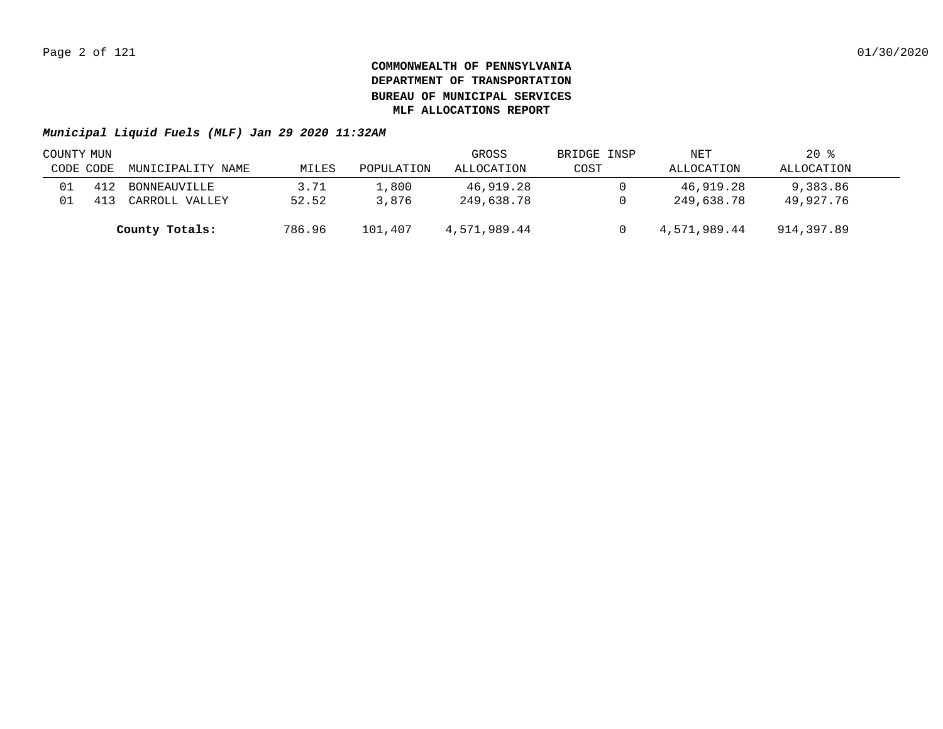| COUNTY MUN |     |                   |        |            | GROSS        | BRIDGE INSP | NET          | $20*$      |  |
|------------|-----|-------------------|--------|------------|--------------|-------------|--------------|------------|--|
| CODE CODE  |     | MUNICIPALITY NAME | MILES  | POPULATION | ALLOCATION   | COST        | ALLOCATION   | ALLOCATION |  |
|            | 412 | BONNEAUVILLE      | 3.71   | 1,800      | 46,919.28    |             | 46,919.28    | 9,383.86   |  |
|            | 411 | CARROLL VALLEY    | 52.52  | 3,876      | 249,638.78   |             | 249,638.78   | 49,927.76  |  |
|            |     | County Totals:    | 786.96 | 101,407    | 4,571,989.44 |             | 4,571,989.44 | 914,397.89 |  |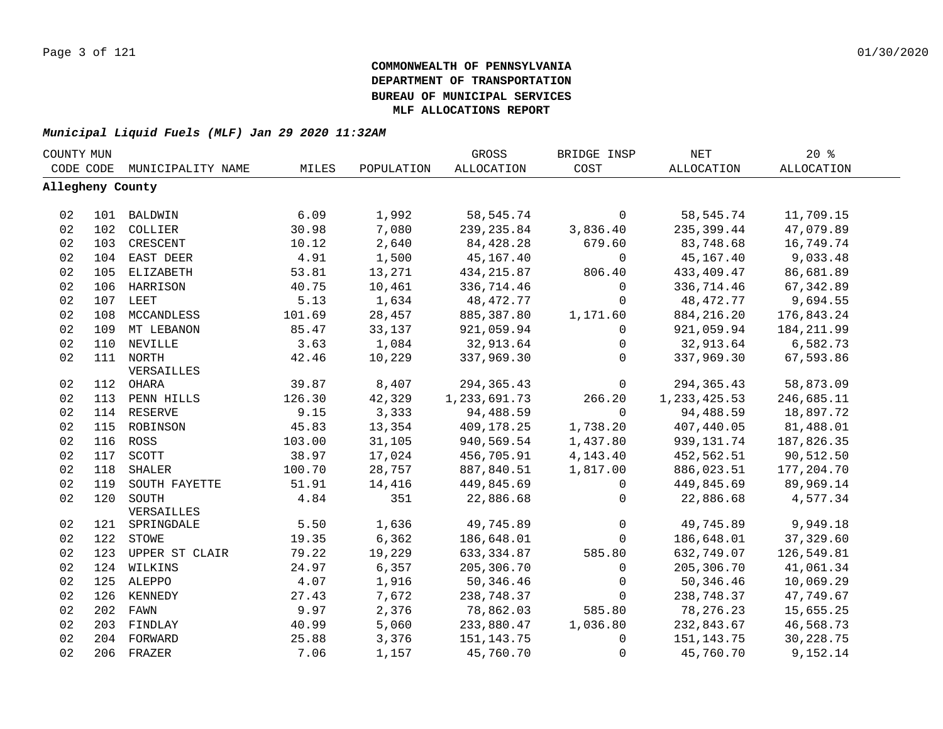| COUNTY MUN       |     |                    |        |            | GROSS        | BRIDGE INSP  | <b>NET</b>     | 20%               |  |
|------------------|-----|--------------------|--------|------------|--------------|--------------|----------------|-------------------|--|
| CODE CODE        |     | MUNICIPALITY NAME  | MILES  | POPULATION | ALLOCATION   | COST         | ALLOCATION     | <b>ALLOCATION</b> |  |
| Allegheny County |     |                    |        |            |              |              |                |                   |  |
| 02               |     | 101 BALDWIN        | 6.09   | 1,992      | 58,545.74    | $\mathbf 0$  | 58,545.74      | 11,709.15         |  |
| 02               |     | 102 COLLIER        | 30.98  | 7,080      | 239,235.84   | 3,836.40     | 235,399.44     | 47,079.89         |  |
| 02               | 103 | CRESCENT           | 10.12  | 2,640      | 84,428.28    | 679.60       | 83,748.68      | 16,749.74         |  |
| 02               |     | 104 EAST DEER      | 4.91   | 1,500      | 45,167.40    | 0            | 45,167.40      | 9,033.48          |  |
| 02               | 105 | ELIZABETH          | 53.81  | 13,271     | 434,215.87   | 806.40       | 433,409.47     | 86,681.89         |  |
| 02               |     | 106 HARRISON       | 40.75  | 10,461     | 336,714.46   | 0            | 336,714.46     | 67,342.89         |  |
| 02               |     | 107 LEET           | 5.13   | 1,634      | 48,472.77    | $\mathbf 0$  | 48,472.77      | 9,694.55          |  |
| 02               | 108 | MCCANDLESS         | 101.69 | 28,457     | 885,387.80   | 1,171.60     | 884,216.20     | 176,843.24        |  |
| 02               |     | 109 MT LEBANON     | 85.47  | 33,137     | 921,059.94   | $\mathbf 0$  | 921,059.94     | 184, 211.99       |  |
| 02               | 110 | NEVILLE            | 3.63   | 1,084      | 32,913.64    | $\mathbf 0$  | 32,913.64      | 6,582.73          |  |
| 02               |     | 111 NORTH          | 42.46  | 10,229     | 337,969.30   | $\Omega$     | 337,969.30     | 67,593.86         |  |
|                  |     | VERSAILLES         |        |            |              |              |                |                   |  |
| 02               |     | 112 OHARA          | 39.87  | 8,407      | 294, 365.43  | 0            | 294,365.43     | 58,873.09         |  |
| 02               |     | 113 PENN HILLS     | 126.30 | 42,329     | 1,233,691.73 | 266.20       | 1, 233, 425.53 | 246,685.11        |  |
| 02               |     | 114 RESERVE        | 9.15   | 3,333      | 94,488.59    | $\mathbf 0$  | 94,488.59      | 18,897.72         |  |
| 02               |     | 115 ROBINSON       | 45.83  | 13,354     | 409,178.25   | 1,738.20     | 407,440.05     | 81,488.01         |  |
| 02               |     | 116 ROSS           | 103.00 | 31,105     | 940,569.54   | 1,437.80     | 939,131.74     | 187,826.35        |  |
| 02               |     | 117 SCOTT          | 38.97  | 17,024     | 456,705.91   | 4,143.40     | 452,562.51     | 90,512.50         |  |
| 02               | 118 | SHALER             | 100.70 | 28,757     | 887,840.51   | 1,817.00     | 886,023.51     | 177,204.70        |  |
| 02               |     | 119 SOUTH FAYETTE  | 51.91  | 14,416     | 449,845.69   | 0            | 449,845.69     | 89,969.14         |  |
| 02               |     | 120 SOUTH          | 4.84   | 351        | 22,886.68    | 0            | 22,886.68      | 4,577.34          |  |
|                  |     | VERSAILLES         |        |            |              |              |                |                   |  |
| 02               |     | 121 SPRINGDALE     | 5.50   | 1,636      | 49,745.89    | $\mathsf{O}$ | 49,745.89      | 9,949.18          |  |
| 02               |     | 122 STOWE          | 19.35  | 6,362      | 186,648.01   | 0            | 186,648.01     | 37,329.60         |  |
| 02               |     | 123 UPPER ST CLAIR | 79.22  | 19,229     | 633, 334.87  | 585.80       | 632,749.07     | 126,549.81        |  |
| 02               |     | 124 WILKINS        | 24.97  | 6,357      | 205,306.70   | $\mathbf 0$  | 205,306.70     | 41,061.34         |  |
| 02               |     | 125 ALEPPO         | 4.07   | 1,916      | 50,346.46    | 0            | 50,346.46      | 10,069.29         |  |
| 02               |     | 126 KENNEDY        | 27.43  | 7,672      | 238,748.37   | $\mathbf 0$  | 238,748.37     | 47,749.67         |  |
| 02               |     | 202 FAWN           | 9.97   | 2,376      | 78,862.03    | 585.80       | 78,276.23      | 15,655.25         |  |
| 02               |     | 203 FINDLAY        | 40.99  | 5,060      | 233,880.47   | 1,036.80     | 232,843.67     | 46,568.73         |  |
| 02               |     | 204 FORWARD        | 25.88  | 3,376      | 151, 143. 75 | $\mathbf 0$  | 151,143.75     | 30,228.75         |  |
| 02               |     | 206 FRAZER         | 7.06   | 1,157      | 45,760.70    | 0            | 45,760.70      | 9,152.14          |  |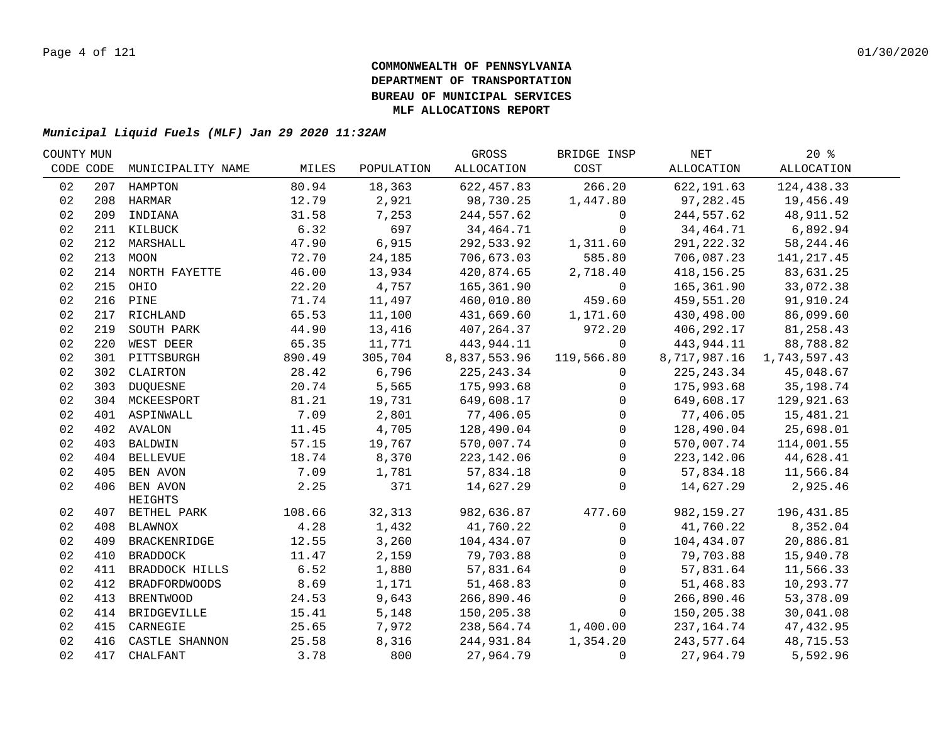| COUNTY MUN |     |                         |        |            | GROSS        | BRIDGE INSP  | NET          | $20*$        |  |
|------------|-----|-------------------------|--------|------------|--------------|--------------|--------------|--------------|--|
| CODE CODE  |     | MUNICIPALITY NAME       | MILES  | POPULATION | ALLOCATION   | COST         | ALLOCATION   | ALLOCATION   |  |
| 02         |     | 207 HAMPTON             | 80.94  | 18,363     | 622, 457.83  | 266.20       | 622,191.63   | 124,438.33   |  |
| 02         |     | 208 HARMAR              | 12.79  | 2,921      | 98,730.25    | 1,447.80     | 97,282.45    | 19,456.49    |  |
| 02         |     | 209 INDIANA             | 31.58  | 7,253      | 244,557.62   | $\mathbf 0$  | 244,557.62   | 48,911.52    |  |
| 02         |     | 211 KILBUCK             | 6.32   | 697        | 34,464.71    | $\Omega$     | 34,464.71    | 6,892.94     |  |
| 02         |     | 212 MARSHALL            | 47.90  | 6,915      | 292,533.92   | 1,311.60     | 291, 222.32  | 58, 244.46   |  |
| 02         |     | 213 MOON                | 72.70  | 24,185     | 706,673.03   | 585.80       | 706,087.23   | 141, 217.45  |  |
| 02         |     | 214 NORTH FAYETTE       | 46.00  | 13,934     | 420,874.65   | 2,718.40     | 418,156.25   | 83,631.25    |  |
| 02         |     | 215 OHIO                | 22.20  | 4,757      | 165,361.90   | $\mathsf{O}$ | 165,361.90   | 33,072.38    |  |
| 02         |     | 216 PINE                | 71.74  | 11,497     | 460,010.80   | 459.60       | 459,551.20   | 91,910.24    |  |
| 02         | 217 | RICHLAND                | 65.53  | 11,100     | 431,669.60   | 1,171.60     | 430,498.00   | 86,099.60    |  |
| 02         | 219 | SOUTH PARK              | 44.90  | 13,416     | 407,264.37   | 972.20       | 406,292.17   | 81,258.43    |  |
| 02         | 220 | WEST DEER               | 65.35  | 11,771     | 443,944.11   | $\Omega$     | 443,944.11   | 88,788.82    |  |
| 02         |     | 301 PITTSBURGH          | 890.49 | 305,704    | 8,837,553.96 | 119,566.80   | 8,717,987.16 | 1,743,597.43 |  |
| 02         |     | 302 CLAIRTON            | 28.42  | 6,796      | 225, 243.34  | $\mathbf{0}$ | 225, 243.34  | 45,048.67    |  |
| 02         | 303 | DUQUESNE                | 20.74  | 5,565      | 175,993.68   | $\mathbf{0}$ | 175,993.68   | 35, 198. 74  |  |
| 02         |     | 304 MCKEESPORT          | 81.21  | 19,731     | 649,608.17   | $\mathbf 0$  | 649,608.17   | 129,921.63   |  |
| 02         |     | 401 ASPINWALL           | 7.09   | 2,801      | 77,406.05    | $\mathbf 0$  | 77,406.05    | 15,481.21    |  |
| 02         |     | 402 AVALON              | 11.45  | 4,705      | 128,490.04   | $\mathbf 0$  | 128,490.04   | 25,698.01    |  |
| 02         |     | 403 BALDWIN             | 57.15  | 19,767     | 570,007.74   | $\mathbf 0$  | 570,007.74   | 114,001.55   |  |
| 02         |     | 404 BELLEVUE            | 18.74  | 8,370      | 223, 142.06  | $\mathbf 0$  | 223, 142.06  | 44,628.41    |  |
| 02         |     | 405 BEN AVON            | 7.09   | 1,781      | 57,834.18    | $\mathbf 0$  | 57,834.18    | 11,566.84    |  |
| 02         |     | 406 BEN AVON<br>HEIGHTS | 2.25   | 371        | 14,627.29    | $\Omega$     | 14,627.29    | 2,925.46     |  |
| 02         |     | 407 BETHEL PARK         | 108.66 | 32,313     | 982,636.87   | 477.60       | 982,159.27   | 196,431.85   |  |
| 02         |     | 408 BLAWNOX             | 4.28   | 1,432      | 41,760.22    | $\mathsf{O}$ | 41,760.22    | 8,352.04     |  |
| 02         |     | 409 BRACKENRIDGE        | 12.55  | 3,260      | 104,434.07   | $\mathbf{0}$ | 104,434.07   | 20,886.81    |  |
| 02         |     | 410 BRADDOCK            | 11.47  | 2,159      | 79,703.88    | $\mathbf{0}$ | 79,703.88    | 15,940.78    |  |
| 02         |     | 411 BRADDOCK HILLS      | 6.52   | 1,880      | 57,831.64    | $\mathbf 0$  | 57,831.64    | 11,566.33    |  |
| 02         | 412 | <b>BRADFORDWOODS</b>    | 8.69   | 1,171      | 51,468.83    | $\Omega$     | 51,468.83    | 10,293.77    |  |
| 02         |     | 413 BRENTWOOD           | 24.53  | 9,643      | 266,890.46   | $\mathbf{0}$ | 266,890.46   | 53,378.09    |  |
| 02         |     | 414 BRIDGEVILLE         | 15.41  | 5,148      | 150,205.38   | $\Omega$     | 150,205.38   | 30,041.08    |  |
| 02         |     | 415 CARNEGIE            | 25.65  | 7,972      | 238,564.74   | 1,400.00     | 237,164.74   | 47,432.95    |  |
| 02         |     | 416 CASTLE SHANNON      | 25.58  | 8,316      | 244,931.84   | 1,354.20     | 243,577.64   | 48,715.53    |  |
| 02         |     | 417 CHALFANT            | 3.78   | 800        | 27,964.79    | $\mathbf{0}$ | 27,964.79    | 5,592.96     |  |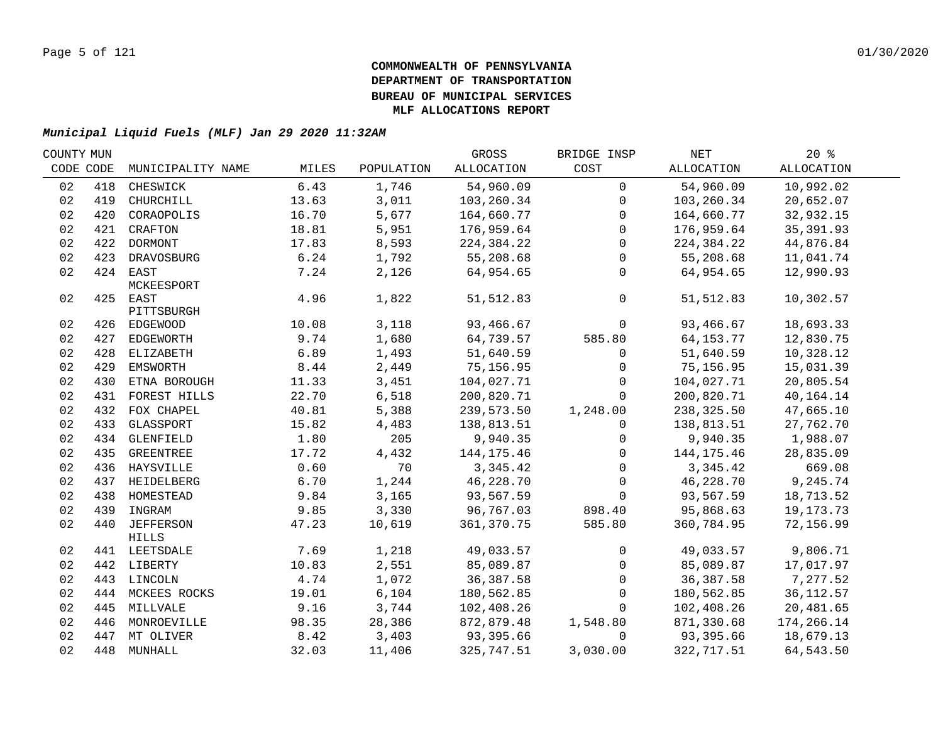| COUNTY MUN |           |                                   |        |            | GROSS       | BRIDGE INSP    | NET          | 20%         |  |
|------------|-----------|-----------------------------------|--------|------------|-------------|----------------|--------------|-------------|--|
|            | CODE CODE | MUNICIPALITY NAME                 | MILES  | POPULATION | ALLOCATION  | COST           | ALLOCATION   | ALLOCATION  |  |
| 02         | 418       | CHESWICK                          | 6.43   | 1,746      | 54,960.09   | $\Omega$       | 54,960.09    | 10,992.02   |  |
| 02         | 419       | CHURCHILL                         | 13.63  | 3,011      | 103,260.34  | $\mathbf 0$    | 103,260.34   | 20,652.07   |  |
| 02         | 420       | CORAOPOLIS                        | 16.70  | 5,677      | 164,660.77  | $\mathbf 0$    | 164,660.77   | 32,932.15   |  |
| 02         |           | 421 CRAFTON                       | 18.81  | 5,951      | 176,959.64  | $\mathbf 0$    | 176,959.64   | 35, 391.93  |  |
| 02         |           | 422 DORMONT                       | 17.83  | 8,593      | 224,384.22  | $\mathbf 0$    | 224,384.22   | 44,876.84   |  |
| 02         | 423       | DRAVOSBURG                        | 6.24   | 1,792      | 55,208.68   | $\mathbf 0$    | 55,208.68    | 11,041.74   |  |
| 02         |           | 424 EAST<br>MCKEESPORT            | 7.24   | 2,126      | 64,954.65   | $\overline{0}$ | 64,954.65    | 12,990.93   |  |
| 02         |           | 425 EAST<br>PITTSBURGH            | 4.96   | 1,822      | 51, 512.83  | $\mathsf{O}$   | 51,512.83    | 10,302.57   |  |
| 02         |           | 426 EDGEWOOD                      | 10.08  | 3,118      | 93,466.67   | $\mathbf 0$    | 93,466.67    | 18,693.33   |  |
| 02         |           | 427 EDGEWORTH                     | 9.74   | 1,680      | 64,739.57   | 585.80         | 64, 153. 77  | 12,830.75   |  |
| 02         |           | 428 ELIZABETH                     | 6.89   | 1,493      | 51,640.59   | $\mathsf{O}$   | 51,640.59    | 10,328.12   |  |
| 02         | 429       | EMSWORTH                          | $8.44$ | 2,449      | 75,156.95   | $\overline{0}$ | 75,156.95    | 15,031.39   |  |
| 02         | 430       | ETNA BOROUGH                      | 11.33  | 3,451      | 104,027.71  | $\mathbf{0}$   | 104,027.71   | 20,805.54   |  |
| 02         | 431       | FOREST HILLS                      | 22.70  | 6,518      | 200,820.71  | $\Omega$       | 200,820.71   | 40,164.14   |  |
| 02         | 432       | FOX CHAPEL                        | 40.81  | 5,388      | 239,573.50  | 1,248.00       | 238,325.50   | 47,665.10   |  |
| 02         | 433       | GLASSPORT                         | 15.82  | 4,483      | 138,813.51  | $\Omega$       | 138,813.51   | 27,762.70   |  |
| 02         |           | 434 GLENFIELD                     | 1.80   | 205        | 9,940.35    | $\Omega$       | 9,940.35     | 1,988.07    |  |
| 02         |           | 435 GREENTREE                     | 17.72  | 4,432      | 144, 175.46 | $\Omega$       | 144, 175. 46 | 28,835.09   |  |
| 02         |           | 436 HAYSVILLE                     | 0.60   | 70         | 3,345.42    | $\mathbf 0$    | 3,345.42     | 669.08      |  |
| 02         |           | 437 HEIDELBERG                    | 6.70   | 1,244      | 46,228.70   | $\mathbf 0$    | 46,228.70    | 9,245.74    |  |
| 02         |           | 438 HOMESTEAD                     | 9.84   | 3,165      | 93,567.59   | $\mathbf 0$    | 93,567.59    | 18,713.52   |  |
| 02         |           | 439 INGRAM                        | 9.85   | 3,330      | 96,767.03   | 898.40         | 95,868.63    | 19, 173. 73 |  |
| 02         | 440       | <b>JEFFERSON</b><br>${\tt HILLS}$ | 47.23  | 10,619     | 361,370.75  | 585.80         | 360,784.95   | 72,156.99   |  |
| 02         |           | 441 LEETSDALE                     | 7.69   | 1,218      | 49,033.57   | $\mathsf{O}$   | 49,033.57    | 9,806.71    |  |
| 02         |           | 442 LIBERTY                       | 10.83  | 2,551      | 85,089.87   | $\overline{0}$ | 85,089.87    | 17,017.97   |  |
| 02         |           | 443 LINCOLN                       | 4.74   | 1,072      | 36,387.58   | $\overline{0}$ | 36, 387.58   | 7,277.52    |  |
| 02         |           | 444 MCKEES ROCKS                  | 19.01  | 6,104      | 180,562.85  | $\Omega$       | 180,562.85   | 36, 112.57  |  |
| 02         | 445       | MILLVALE                          | 9.16   | 3,744      | 102,408.26  | $\mathbf{0}$   | 102,408.26   | 20,481.65   |  |
| 02         | 446       | MONROEVILLE                       | 98.35  | 28,386     | 872,879.48  | 1,548.80       | 871,330.68   | 174,266.14  |  |
| 02         | 447       | MT OLIVER                         | 8.42   | 3,403      | 93,395.66   | $\mathbf 0$    | 93,395.66    | 18,679.13   |  |
| 02         |           | 448 MUNHALL                       | 32.03  | 11,406     | 325,747.51  | 3,030.00       | 322,717.51   | 64,543.50   |  |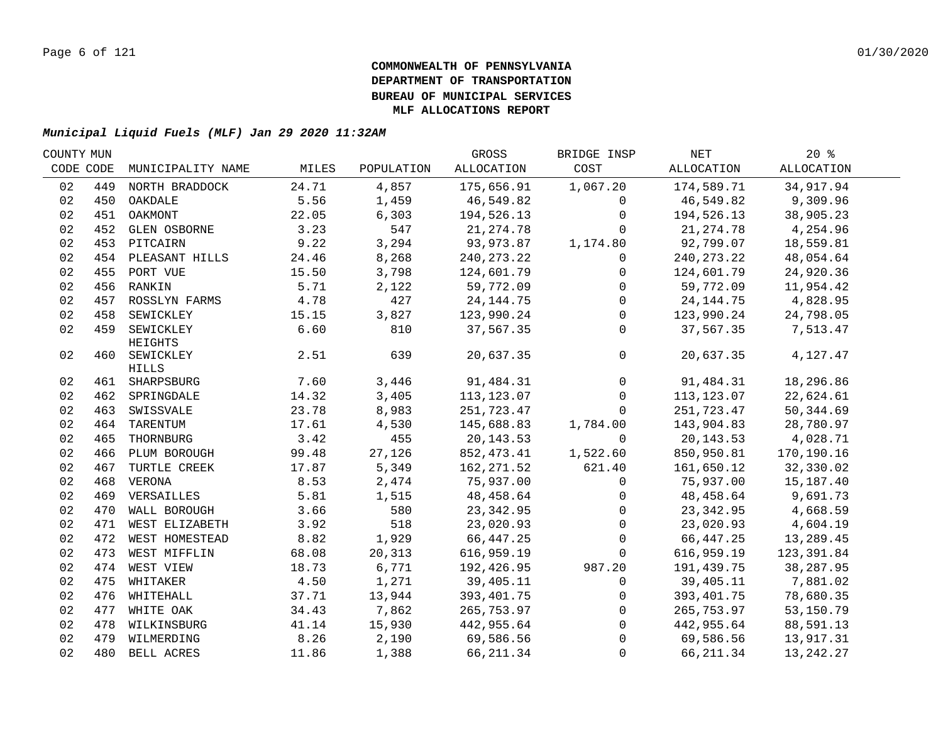| COUNTY MUN |     |                    |       |            | GROSS        | BRIDGE INSP    | NET          | $20*$             |  |
|------------|-----|--------------------|-------|------------|--------------|----------------|--------------|-------------------|--|
| CODE CODE  |     | MUNICIPALITY NAME  | MILES | POPULATION | ALLOCATION   | COST           | ALLOCATION   | <b>ALLOCATION</b> |  |
| 02         | 449 | NORTH BRADDOCK     | 24.71 | 4,857      | 175,656.91   | 1,067.20       | 174,589.71   | 34, 917.94        |  |
| 02         | 450 | OAKDALE            | 5.56  | 1,459      | 46,549.82    | $\mathbf 0$    | 46,549.82    | 9,309.96          |  |
| 02         | 451 | OAKMONT            | 22.05 | 6,303      | 194,526.13   | $\mathbf 0$    | 194,526.13   | 38,905.23         |  |
| 02         |     | 452 GLEN OSBORNE   | 3.23  | 547        | 21, 274.78   | $\Omega$       | 21, 274.78   | 4,254.96          |  |
| 02         |     | 453 PITCAIRN       | 9.22  | 3,294      | 93,973.87    | 1,174.80       | 92,799.07    | 18,559.81         |  |
| 02         |     | 454 PLEASANT HILLS | 24.46 | 8,268      | 240, 273. 22 | 0              | 240, 273. 22 | 48,054.64         |  |
| 02         |     | 455 PORT VUE       | 15.50 | 3,798      | 124,601.79   | $\mathsf{O}$   | 124,601.79   | 24,920.36         |  |
| 02         |     | 456 RANKIN         | 5.71  | 2,122      | 59,772.09    | $\overline{0}$ | 59,772.09    | 11,954.42         |  |
| 02         | 457 | ROSSLYN FARMS      | 4.78  | 427        | 24, 144. 75  | $\overline{0}$ | 24, 144. 75  | 4,828.95          |  |
| 02         | 458 | SEWICKLEY          | 15.15 | 3,827      | 123,990.24   | $\mathsf{O}$   | 123,990.24   | 24,798.05         |  |
| 02         | 459 | SEWICKLEY          | 6.60  | 810        | 37,567.35    | $\Omega$       | 37,567.35    | 7,513.47          |  |
|            |     | HEIGHTS            |       |            |              |                |              |                   |  |
| 02         |     | 460 SEWICKLEY      | 2.51  | 639        | 20,637.35    | $\mathsf{O}$   | 20,637.35    | 4,127.47          |  |
|            |     | HILLS              |       |            |              |                |              |                   |  |
| 02         |     | 461 SHARPSBURG     | 7.60  | 3,446      | 91,484.31    | $\mathbf 0$    | 91,484.31    | 18,296.86         |  |
| 02         |     | 462 SPRINGDALE     | 14.32 | 3,405      | 113, 123.07  | $\overline{0}$ | 113,123.07   | 22,624.61         |  |
| 02         | 463 | SWISSVALE          | 23.78 | 8,983      | 251,723.47   | $\mathbf{0}$   | 251,723.47   | 50, 344.69        |  |
| 02         | 464 | TARENTUM           | 17.61 | 4,530      | 145,688.83   | 1,784.00       | 143,904.83   | 28,780.97         |  |
| 02         | 465 | THORNBURG          | 3.42  | 455        | 20, 143.53   | $\mathbf 0$    | 20,143.53    | 4,028.71          |  |
| 02         |     | 466 PLUM BOROUGH   | 99.48 | 27,126     | 852,473.41   | 1,522.60       | 850,950.81   | 170,190.16        |  |
| 02         | 467 | TURTLE CREEK       | 17.87 | 5,349      | 162, 271.52  | 621.40         | 161,650.12   | 32,330.02         |  |
| 02         |     | 468 VERONA         | 8.53  | 2,474      | 75,937.00    | $\mathbf 0$    | 75,937.00    | 15,187.40         |  |
| 02         |     | 469 VERSAILLES     | 5.81  | 1,515      | 48,458.64    | 0              | 48,458.64    | 9,691.73          |  |
| 02         |     | 470 WALL BOROUGH   | 3.66  | 580        | 23, 342.95   | $\mathsf{O}$   | 23, 342.95   | 4,668.59          |  |
| 02         |     | 471 WEST ELIZABETH | 3.92  | 518        | 23,020.93    | $\mathsf{O}$   | 23,020.93    | 4,604.19          |  |
| 02         |     | 472 WEST HOMESTEAD | 8.82  | 1,929      | 66, 447.25   | $\mathsf{O}$   | 66,447.25    | 13,289.45         |  |
| 02         |     | 473 WEST MIFFLIN   | 68.08 | 20,313     | 616,959.19   | $\mathbf 0$    | 616,959.19   | 123,391.84        |  |
| 02         |     | 474 WEST VIEW      | 18.73 | 6,771      | 192,426.95   | 987.20         | 191,439.75   | 38,287.95         |  |
| 02         |     | 475 WHITAKER       | 4.50  | 1,271      | 39,405.11    | $\mathbf 0$    | 39,405.11    | 7,881.02          |  |
| 02         |     | 476 WHITEHALL      | 37.71 | 13,944     | 393,401.75   | $\mathsf{O}$   | 393,401.75   | 78,680.35         |  |
| 02         |     | 477 WHITE OAK      | 34.43 | 7,862      | 265,753.97   | $\mathsf{O}$   | 265,753.97   | 53,150.79         |  |
| 02         |     | 478 WILKINSBURG    | 41.14 | 15,930     | 442,955.64   | $\overline{0}$ | 442,955.64   | 88,591.13         |  |
| 02         |     | 479 WILMERDING     | 8.26  | 2,190      | 69,586.56    | $\Omega$       | 69,586.56    | 13,917.31         |  |
| 02         |     | 480 BELL ACRES     | 11.86 | 1,388      | 66, 211.34   | $\mathbf 0$    | 66,211.34    | 13, 242. 27       |  |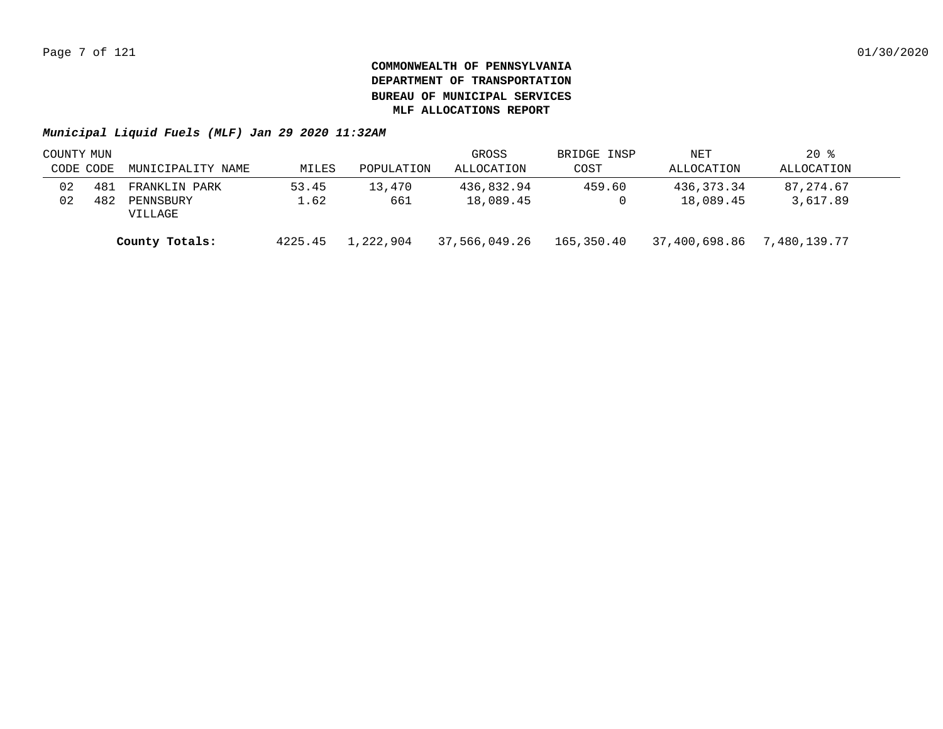|           | COUNTY MUN |                      |         |            | GROSS         | BRIDGE INSP | NET           | $20*$        |  |
|-----------|------------|----------------------|---------|------------|---------------|-------------|---------------|--------------|--|
| CODE CODE |            | MUNICIPALITY NAME    | MILES   | POPULATION | ALLOCATION    | COST        | ALLOCATION    | ALLOCATION   |  |
| 02        | 481        | FRANKLIN PARK        | 53.45   | 13,470     | 436,832.94    | 459.60      | 436,373.34    | 87,274.67    |  |
| 02        | 482        | PENNSBURY<br>VILLAGE | 1.62    | 661        | 18,089.45     |             | 18,089.45     | 3,617.89     |  |
|           |            | County Totals:       | 4225.45 | 1,222,904  | 37,566,049.26 | 165,350.40  | 37,400,698.86 | 7,480,139.77 |  |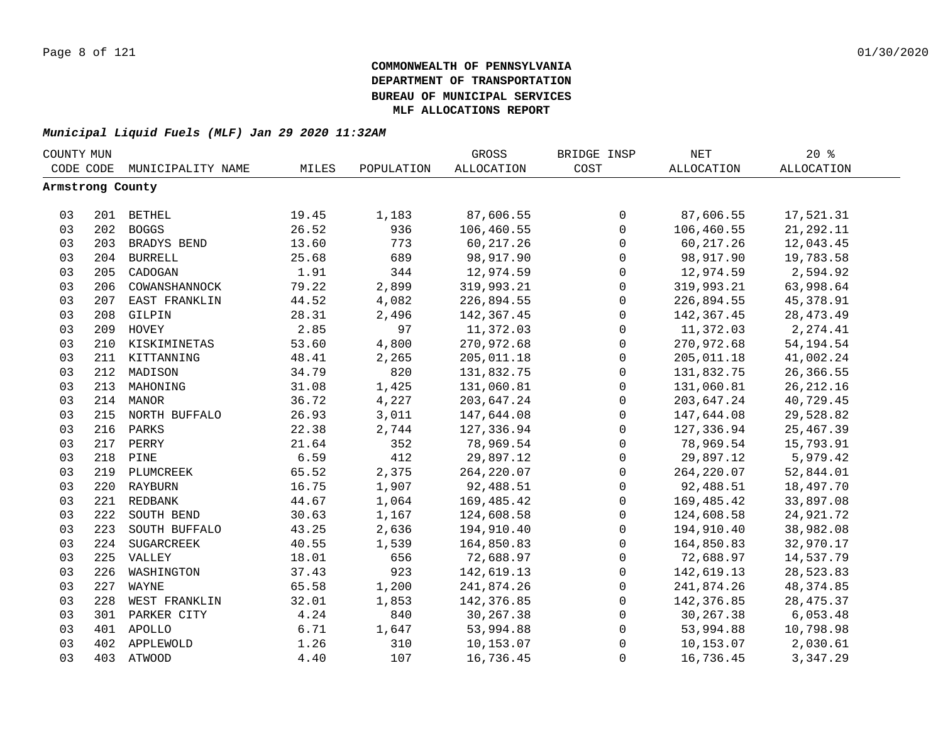| COUNTY MUN       |     |                   |       |            | GROSS             | BRIDGE INSP         | <b>NET</b>        | $20*$             |  |
|------------------|-----|-------------------|-------|------------|-------------------|---------------------|-------------------|-------------------|--|
| CODE CODE        |     | MUNICIPALITY NAME | MILES | POPULATION | <b>ALLOCATION</b> | COST                | <b>ALLOCATION</b> | <b>ALLOCATION</b> |  |
| Armstrong County |     |                   |       |            |                   |                     |                   |                   |  |
|                  |     |                   |       |            |                   |                     |                   |                   |  |
| 03               |     | 201 BETHEL        | 19.45 | 1,183      | 87,606.55         | 0                   | 87,606.55         | 17,521.31         |  |
| 03               | 202 | <b>BOGGS</b>      | 26.52 | 936        | 106,460.55        | $\mathsf{O}$        | 106,460.55        | 21, 292.11        |  |
| 03               |     | 203 BRADYS BEND   | 13.60 | 773        | 60, 217.26        | $\mathsf{O}$        | 60, 217.26        | 12,043.45         |  |
| 03               |     | 204 BURRELL       | 25.68 | 689        | 98,917.90         | $\mathsf{O}\xspace$ | 98,917.90         | 19,783.58         |  |
| 03               | 205 | CADOGAN           | 1.91  | 344        | 12,974.59         | 0                   | 12,974.59         | 2,594.92          |  |
| 03               | 206 | COWANSHANNOCK     | 79.22 | 2,899      | 319,993.21        | 0                   | 319,993.21        | 63,998.64         |  |
| 03               | 207 | EAST FRANKLIN     | 44.52 | 4,082      | 226,894.55        | $\mathsf{O}$        | 226,894.55        | 45, 378.91        |  |
| 03               | 208 | GILPIN            | 28.31 | 2,496      | 142,367.45        | $\mathbf 0$         | 142,367.45        | 28, 473. 49       |  |
| 03               | 209 | HOVEY             | 2.85  | 97         | 11,372.03         | $\mathbf 0$         | 11,372.03         | 2, 274.41         |  |
| 03               | 210 | KISKIMINETAS      | 53.60 | 4,800      | 270,972.68        | $\mathsf{O}\xspace$ | 270,972.68        | 54, 194. 54       |  |
| 03               |     | 211 KITTANNING    | 48.41 | 2,265      | 205,011.18        | $\mathbf 0$         | 205,011.18        | 41,002.24         |  |
| 03               | 212 | MADISON           | 34.79 | 820        | 131,832.75        | $\mathsf{O}\xspace$ | 131,832.75        | 26, 366.55        |  |
| 03               | 213 | MAHONING          | 31.08 | 1,425      | 131,060.81        | $\mathbf 0$         | 131,060.81        | 26, 212.16        |  |
| 03               |     | 214 MANOR         | 36.72 | 4,227      | 203,647.24        | $\mathsf 0$         | 203,647.24        | 40,729.45         |  |
| 03               |     | 215 NORTH BUFFALO | 26.93 | 3,011      | 147,644.08        | $\mathbf 0$         | 147,644.08        | 29,528.82         |  |
| 03               |     | 216 PARKS         | 22.38 | 2,744      | 127,336.94        | $\mathbf 0$         | 127,336.94        | 25, 467.39        |  |
| 03               |     | 217 PERRY         | 21.64 | 352        | 78,969.54         | 0                   | 78,969.54         | 15,793.91         |  |
| 03               |     | 218 PINE          | 6.59  | 412        | 29,897.12         | $\mathbf 0$         | 29,897.12         | 5,979.42          |  |
| 03               |     | 219 PLUMCREEK     | 65.52 | 2,375      | 264, 220.07       | $\mathsf{O}\xspace$ | 264, 220.07       | 52,844.01         |  |
| 03               |     | 220 RAYBURN       | 16.75 | 1,907      | 92,488.51         | $\mathbf 0$         | 92,488.51         | 18,497.70         |  |
| 03               |     | 221 REDBANK       | 44.67 | 1,064      | 169,485.42        | $\mathsf{O}$        | 169,485.42        | 33,897.08         |  |
| 03               | 222 | SOUTH BEND        | 30.63 | 1,167      | 124,608.58        | $\mathsf{O}$        | 124,608.58        | 24,921.72         |  |
| 03               | 223 | SOUTH BUFFALO     | 43.25 | 2,636      | 194,910.40        | $\mathbf 0$         | 194,910.40        | 38,982.08         |  |
| 03               | 224 | SUGARCREEK        | 40.55 | 1,539      | 164,850.83        | $\mathsf{O}$        | 164,850.83        | 32,970.17         |  |
| 03               |     | 225 VALLEY        | 18.01 | 656        | 72,688.97         | $\mathsf{O}$        | 72,688.97         | 14,537.79         |  |
| 03               | 226 | WASHINGTON        | 37.43 | 923        | 142,619.13        | $\mathsf{O}$        | 142,619.13        | 28,523.83         |  |
| 03               | 227 | WAYNE             | 65.58 | 1,200      | 241,874.26        | $\mathsf{O}$        | 241,874.26        | 48, 374.85        |  |
| 03               | 228 | WEST FRANKLIN     | 32.01 | 1,853      | 142,376.85        | $\mathsf{O}$        | 142,376.85        | 28, 475.37        |  |
| 03               | 301 | PARKER CITY       | 4.24  | 840        | 30,267.38         | $\mathsf{O}$        | 30,267.38         | 6,053.48          |  |
| 03               |     | 401 APOLLO        | 6.71  | 1,647      | 53,994.88         | $\mathsf 0$         | 53,994.88         | 10,798.98         |  |
| 03               | 402 | APPLEWOLD         | 1.26  | 310        | 10,153.07         | 0                   | 10,153.07         | 2,030.61          |  |
| 03               |     | 403 ATWOOD        | 4.40  | 107        | 16,736.45         | $\mathbf 0$         | 16,736.45         | 3,347.29          |  |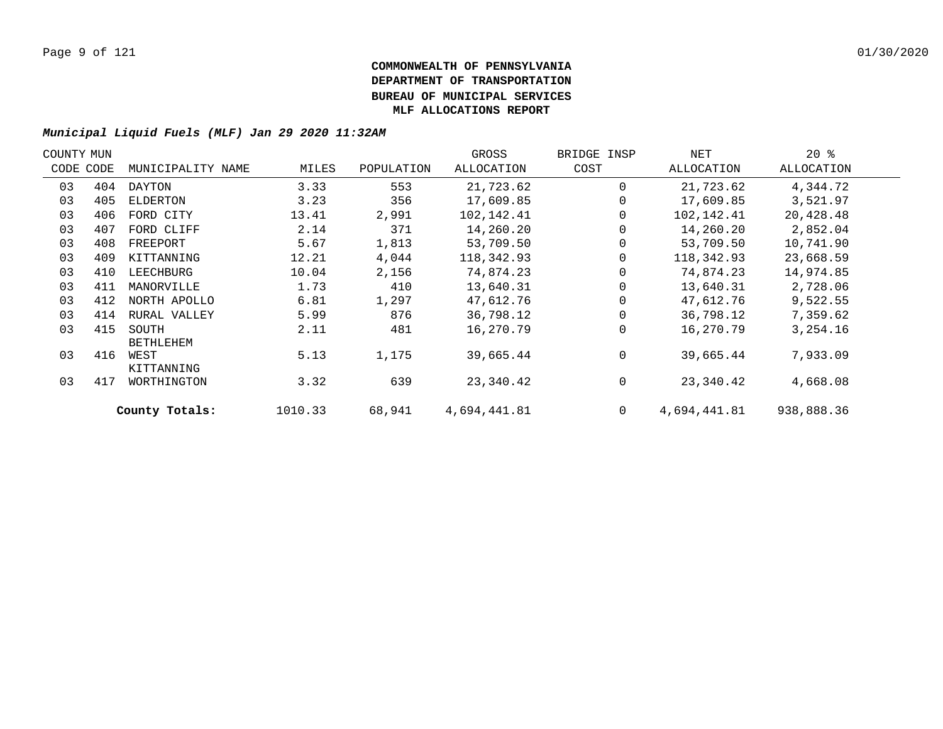| COUNTY MUN |           |                           |         |            | GROSS        | BRIDGE INSP  | NET          | $20*$      |  |
|------------|-----------|---------------------------|---------|------------|--------------|--------------|--------------|------------|--|
|            | CODE CODE | MUNICIPALITY NAME         | MILES   | POPULATION | ALLOCATION   | COST         | ALLOCATION   | ALLOCATION |  |
| 03         | 404       | DAYTON                    | 3.33    | 553        | 21,723.62    | $\Omega$     | 21,723.62    | 4,344.72   |  |
| 03         | 405       | ELDERTON                  | 3.23    | 356        | 17,609.85    |              | 17,609.85    | 3,521.97   |  |
| 03         | 406       | FORD CITY                 | 13.41   | 2,991      | 102,142.41   |              | 102,142.41   | 20,428.48  |  |
| 03         | 407       | FORD CLIFF                | 2.14    | 371        | 14,260.20    |              | 14,260.20    | 2,852.04   |  |
| 03         | 408       | FREEPORT                  | 5.67    | 1,813      | 53,709.50    |              | 53,709.50    | 10,741.90  |  |
| 03         | 409       | KITTANNING                | 12.21   | 4,044      | 118,342.93   |              | 118,342.93   | 23,668.59  |  |
| 03         | 410       | LEECHBURG                 | 10.04   | 2,156      | 74,874.23    |              | 74,874.23    | 14,974.85  |  |
| 03         | 411       | MANORVILLE                | 1.73    | 410        | 13,640.31    |              | 13,640.31    | 2,728.06   |  |
| 03         | 412       | NORTH APOLLO              | 6.81    | 1,297      | 47,612.76    |              | 47,612.76    | 9,522.55   |  |
| 03         | 414       | RURAL VALLEY              | 5.99    | 876        | 36,798.12    |              | 36,798.12    | 7,359.62   |  |
| 03         | 415       | SOUTH<br><b>BETHLEHEM</b> | 2.11    | 481        | 16,270.79    | $\Omega$     | 16,270.79    | 3,254.16   |  |
| 03         | 416       | WEST<br>KITTANNING        | 5.13    | 1,175      | 39,665.44    | $\Omega$     | 39,665.44    | 7,933.09   |  |
| 03         | 417       | WORTHINGTON               | 3.32    | 639        | 23,340.42    | 0            | 23,340.42    | 4,668.08   |  |
|            |           | County Totals:            | 1010.33 | 68,941     | 4,694,441.81 | $\mathbf{0}$ | 4,694,441.81 | 938,888.36 |  |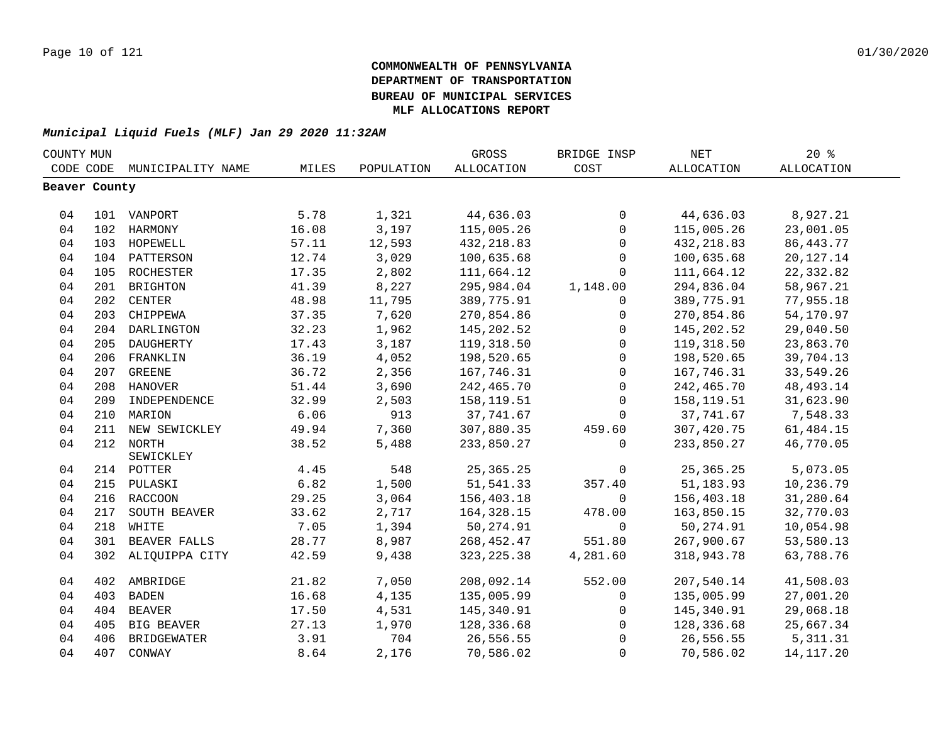| CODE CODE<br><b>ALLOCATION</b><br>COST<br>ALLOCATION<br>ALLOCATION<br>MUNICIPALITY NAME<br>MILES<br>POPULATION<br>Beaver County<br>5.78<br>1,321<br>44,636.03<br>0<br>44,636.03<br>8,927.21<br>101 VANPORT<br>04<br>3,197<br>115,005.26<br>04<br>102 HARMONY<br>16.08<br>$\mathbf 0$<br>115,005.26<br>23,001.05<br>04<br>57.11<br>12,593<br>432, 218.83<br>432, 218.83<br>86, 443. 77<br>103 HOPEWELL<br>$\mathbf 0$<br>12.74<br>3,029<br>100,635.68<br>04<br>104 PATTERSON<br>100,635.68<br>20, 127. 14<br>$\mathbf 0$<br>04<br>ROCHESTER<br>17.35<br>2,802<br>111,664.12<br>111,664.12<br>22,332.82<br>105<br>$\Omega$<br>8,227<br>04<br>41.39<br>1,148.00<br>294,836.04<br>58,967.21<br>201<br><b>BRIGHTON</b><br>295,984.04<br>04<br>48.98<br>202<br>CENTER<br>11,795<br>389,775.91<br>389,775.91<br>77,955.18<br>$\mathbf 0$<br>7,620<br>04<br>203<br>CHIPPEWA<br>37.35<br>270,854.86<br>270,854.86<br>54,170.97<br>$\mathbf 0$<br>04<br>DARLINGTON<br>32.23<br>1,962<br>145,202.52<br>29,040.50<br>204<br>145,202.52<br>$\mathbf 0$<br>04<br>17.43<br>3,187<br>205<br>DAUGHERTY<br>119,318.50<br>$\mathbf 0$<br>119,318.50<br>23,863.70<br>4,052<br>04<br>206 FRANKLIN<br>36.19<br>198,520.65<br>$\mathbf 0$<br>198,520.65<br>39,704.13<br>04<br>36.72<br>2,356<br>167,746.31<br>167,746.31<br>33,549.26<br>207 GREENE<br>$\mathbf 0$<br>04<br>3,690<br>48, 493. 14<br>208 HANOVER<br>51.44<br>242,465.70<br>0<br>242,465.70<br>04<br>32.99<br>2,503<br>158,119.51<br>158, 119.51<br>31,623.90<br>209<br>INDEPENDENCE<br>$\mathbf 0$<br>04<br>6.06<br>913<br>37,741.67<br>37,741.67<br>7,548.33<br>210 MARION<br>$\Omega$<br>04<br>7,360<br>211<br>NEW SEWICKLEY<br>49.94<br>307,880.35<br>459.60<br>307,420.75<br>61,484.15<br>04<br>212 NORTH<br>38.52<br>5,488<br>233,850.27<br>$\Omega$<br>233,850.27<br>46,770.05<br>SEWICKLEY<br>214 POTTER |    |  |      |     |             | BRIDGE INSP |             | 20%      |  |
|---------------------------------------------------------------------------------------------------------------------------------------------------------------------------------------------------------------------------------------------------------------------------------------------------------------------------------------------------------------------------------------------------------------------------------------------------------------------------------------------------------------------------------------------------------------------------------------------------------------------------------------------------------------------------------------------------------------------------------------------------------------------------------------------------------------------------------------------------------------------------------------------------------------------------------------------------------------------------------------------------------------------------------------------------------------------------------------------------------------------------------------------------------------------------------------------------------------------------------------------------------------------------------------------------------------------------------------------------------------------------------------------------------------------------------------------------------------------------------------------------------------------------------------------------------------------------------------------------------------------------------------------------------------------------------------------------------------------------------------------------------------------------------------------------------------------------------------------------------|----|--|------|-----|-------------|-------------|-------------|----------|--|
|                                                                                                                                                                                                                                                                                                                                                                                                                                                                                                                                                                                                                                                                                                                                                                                                                                                                                                                                                                                                                                                                                                                                                                                                                                                                                                                                                                                                                                                                                                                                                                                                                                                                                                                                                                                                                                                         |    |  |      |     |             |             |             |          |  |
|                                                                                                                                                                                                                                                                                                                                                                                                                                                                                                                                                                                                                                                                                                                                                                                                                                                                                                                                                                                                                                                                                                                                                                                                                                                                                                                                                                                                                                                                                                                                                                                                                                                                                                                                                                                                                                                         |    |  |      |     |             |             |             |          |  |
|                                                                                                                                                                                                                                                                                                                                                                                                                                                                                                                                                                                                                                                                                                                                                                                                                                                                                                                                                                                                                                                                                                                                                                                                                                                                                                                                                                                                                                                                                                                                                                                                                                                                                                                                                                                                                                                         |    |  |      |     |             |             |             |          |  |
|                                                                                                                                                                                                                                                                                                                                                                                                                                                                                                                                                                                                                                                                                                                                                                                                                                                                                                                                                                                                                                                                                                                                                                                                                                                                                                                                                                                                                                                                                                                                                                                                                                                                                                                                                                                                                                                         |    |  |      |     |             |             |             |          |  |
|                                                                                                                                                                                                                                                                                                                                                                                                                                                                                                                                                                                                                                                                                                                                                                                                                                                                                                                                                                                                                                                                                                                                                                                                                                                                                                                                                                                                                                                                                                                                                                                                                                                                                                                                                                                                                                                         |    |  |      |     |             |             |             |          |  |
|                                                                                                                                                                                                                                                                                                                                                                                                                                                                                                                                                                                                                                                                                                                                                                                                                                                                                                                                                                                                                                                                                                                                                                                                                                                                                                                                                                                                                                                                                                                                                                                                                                                                                                                                                                                                                                                         |    |  |      |     |             |             |             |          |  |
|                                                                                                                                                                                                                                                                                                                                                                                                                                                                                                                                                                                                                                                                                                                                                                                                                                                                                                                                                                                                                                                                                                                                                                                                                                                                                                                                                                                                                                                                                                                                                                                                                                                                                                                                                                                                                                                         |    |  |      |     |             |             |             |          |  |
|                                                                                                                                                                                                                                                                                                                                                                                                                                                                                                                                                                                                                                                                                                                                                                                                                                                                                                                                                                                                                                                                                                                                                                                                                                                                                                                                                                                                                                                                                                                                                                                                                                                                                                                                                                                                                                                         |    |  |      |     |             |             |             |          |  |
|                                                                                                                                                                                                                                                                                                                                                                                                                                                                                                                                                                                                                                                                                                                                                                                                                                                                                                                                                                                                                                                                                                                                                                                                                                                                                                                                                                                                                                                                                                                                                                                                                                                                                                                                                                                                                                                         |    |  |      |     |             |             |             |          |  |
|                                                                                                                                                                                                                                                                                                                                                                                                                                                                                                                                                                                                                                                                                                                                                                                                                                                                                                                                                                                                                                                                                                                                                                                                                                                                                                                                                                                                                                                                                                                                                                                                                                                                                                                                                                                                                                                         |    |  |      |     |             |             |             |          |  |
|                                                                                                                                                                                                                                                                                                                                                                                                                                                                                                                                                                                                                                                                                                                                                                                                                                                                                                                                                                                                                                                                                                                                                                                                                                                                                                                                                                                                                                                                                                                                                                                                                                                                                                                                                                                                                                                         |    |  |      |     |             |             |             |          |  |
|                                                                                                                                                                                                                                                                                                                                                                                                                                                                                                                                                                                                                                                                                                                                                                                                                                                                                                                                                                                                                                                                                                                                                                                                                                                                                                                                                                                                                                                                                                                                                                                                                                                                                                                                                                                                                                                         |    |  |      |     |             |             |             |          |  |
|                                                                                                                                                                                                                                                                                                                                                                                                                                                                                                                                                                                                                                                                                                                                                                                                                                                                                                                                                                                                                                                                                                                                                                                                                                                                                                                                                                                                                                                                                                                                                                                                                                                                                                                                                                                                                                                         |    |  |      |     |             |             |             |          |  |
|                                                                                                                                                                                                                                                                                                                                                                                                                                                                                                                                                                                                                                                                                                                                                                                                                                                                                                                                                                                                                                                                                                                                                                                                                                                                                                                                                                                                                                                                                                                                                                                                                                                                                                                                                                                                                                                         |    |  |      |     |             |             |             |          |  |
|                                                                                                                                                                                                                                                                                                                                                                                                                                                                                                                                                                                                                                                                                                                                                                                                                                                                                                                                                                                                                                                                                                                                                                                                                                                                                                                                                                                                                                                                                                                                                                                                                                                                                                                                                                                                                                                         |    |  |      |     |             |             |             |          |  |
|                                                                                                                                                                                                                                                                                                                                                                                                                                                                                                                                                                                                                                                                                                                                                                                                                                                                                                                                                                                                                                                                                                                                                                                                                                                                                                                                                                                                                                                                                                                                                                                                                                                                                                                                                                                                                                                         |    |  |      |     |             |             |             |          |  |
|                                                                                                                                                                                                                                                                                                                                                                                                                                                                                                                                                                                                                                                                                                                                                                                                                                                                                                                                                                                                                                                                                                                                                                                                                                                                                                                                                                                                                                                                                                                                                                                                                                                                                                                                                                                                                                                         |    |  |      |     |             |             |             |          |  |
|                                                                                                                                                                                                                                                                                                                                                                                                                                                                                                                                                                                                                                                                                                                                                                                                                                                                                                                                                                                                                                                                                                                                                                                                                                                                                                                                                                                                                                                                                                                                                                                                                                                                                                                                                                                                                                                         |    |  |      |     |             |             |             |          |  |
|                                                                                                                                                                                                                                                                                                                                                                                                                                                                                                                                                                                                                                                                                                                                                                                                                                                                                                                                                                                                                                                                                                                                                                                                                                                                                                                                                                                                                                                                                                                                                                                                                                                                                                                                                                                                                                                         |    |  |      |     |             |             |             |          |  |
|                                                                                                                                                                                                                                                                                                                                                                                                                                                                                                                                                                                                                                                                                                                                                                                                                                                                                                                                                                                                                                                                                                                                                                                                                                                                                                                                                                                                                                                                                                                                                                                                                                                                                                                                                                                                                                                         |    |  |      |     |             |             |             |          |  |
|                                                                                                                                                                                                                                                                                                                                                                                                                                                                                                                                                                                                                                                                                                                                                                                                                                                                                                                                                                                                                                                                                                                                                                                                                                                                                                                                                                                                                                                                                                                                                                                                                                                                                                                                                                                                                                                         |    |  |      |     |             |             |             |          |  |
|                                                                                                                                                                                                                                                                                                                                                                                                                                                                                                                                                                                                                                                                                                                                                                                                                                                                                                                                                                                                                                                                                                                                                                                                                                                                                                                                                                                                                                                                                                                                                                                                                                                                                                                                                                                                                                                         | 04 |  | 4.45 | 548 | 25, 365. 25 | $\mathbf 0$ | 25, 365. 25 | 5,073.05 |  |
| 6.82<br>04<br>1,500<br>51,541.33<br>51, 183.93<br>10,236.79<br>215 PULASKI<br>357.40                                                                                                                                                                                                                                                                                                                                                                                                                                                                                                                                                                                                                                                                                                                                                                                                                                                                                                                                                                                                                                                                                                                                                                                                                                                                                                                                                                                                                                                                                                                                                                                                                                                                                                                                                                    |    |  |      |     |             |             |             |          |  |
| 29.25<br>156,403.18<br>04<br>216 RACCOON<br>3,064<br>156,403.18<br>31,280.64<br>$\Omega$                                                                                                                                                                                                                                                                                                                                                                                                                                                                                                                                                                                                                                                                                                                                                                                                                                                                                                                                                                                                                                                                                                                                                                                                                                                                                                                                                                                                                                                                                                                                                                                                                                                                                                                                                                |    |  |      |     |             |             |             |          |  |
| 04<br>33.62<br>2,717<br>478.00<br>32,770.03<br>217<br>SOUTH BEAVER<br>164,328.15<br>163,850.15                                                                                                                                                                                                                                                                                                                                                                                                                                                                                                                                                                                                                                                                                                                                                                                                                                                                                                                                                                                                                                                                                                                                                                                                                                                                                                                                                                                                                                                                                                                                                                                                                                                                                                                                                          |    |  |      |     |             |             |             |          |  |
| 04<br>218 WHITE<br>7.05<br>50,274.91<br>50,274.91<br>1,394<br>$\mathbf 0$<br>10,054.98                                                                                                                                                                                                                                                                                                                                                                                                                                                                                                                                                                                                                                                                                                                                                                                                                                                                                                                                                                                                                                                                                                                                                                                                                                                                                                                                                                                                                                                                                                                                                                                                                                                                                                                                                                  |    |  |      |     |             |             |             |          |  |
| 04<br>301 BEAVER FALLS<br>28.77<br>8,987<br>268,452.47<br>267,900.67<br>53,580.13<br>551.80                                                                                                                                                                                                                                                                                                                                                                                                                                                                                                                                                                                                                                                                                                                                                                                                                                                                                                                                                                                                                                                                                                                                                                                                                                                                                                                                                                                                                                                                                                                                                                                                                                                                                                                                                             |    |  |      |     |             |             |             |          |  |
| 04<br>302 ALIQUIPPA CITY<br>9,438<br>4,281.60<br>42.59<br>323, 225.38<br>318,943.78<br>63,788.76                                                                                                                                                                                                                                                                                                                                                                                                                                                                                                                                                                                                                                                                                                                                                                                                                                                                                                                                                                                                                                                                                                                                                                                                                                                                                                                                                                                                                                                                                                                                                                                                                                                                                                                                                        |    |  |      |     |             |             |             |          |  |
| 21.82<br>7,050<br>208,092.14<br>552.00<br>207,540.14<br>41,508.03<br>04<br>402 AMBRIDGE                                                                                                                                                                                                                                                                                                                                                                                                                                                                                                                                                                                                                                                                                                                                                                                                                                                                                                                                                                                                                                                                                                                                                                                                                                                                                                                                                                                                                                                                                                                                                                                                                                                                                                                                                                 |    |  |      |     |             |             |             |          |  |
| 04<br>16.68<br>4,135<br>135,005.99<br>135,005.99<br>27,001.20<br>403<br><b>BADEN</b><br>$\mathbf 0$                                                                                                                                                                                                                                                                                                                                                                                                                                                                                                                                                                                                                                                                                                                                                                                                                                                                                                                                                                                                                                                                                                                                                                                                                                                                                                                                                                                                                                                                                                                                                                                                                                                                                                                                                     |    |  |      |     |             |             |             |          |  |
| 04<br>4,531<br>404<br><b>BEAVER</b><br>17.50<br>145,340.91<br>145,340.91<br>29,068.18<br>$\mathbf 0$                                                                                                                                                                                                                                                                                                                                                                                                                                                                                                                                                                                                                                                                                                                                                                                                                                                                                                                                                                                                                                                                                                                                                                                                                                                                                                                                                                                                                                                                                                                                                                                                                                                                                                                                                    |    |  |      |     |             |             |             |          |  |
| 04<br>27.13<br>1,970<br>128,336.68<br>128,336.68<br>25,667.34<br>405<br>BIG BEAVER<br>$\mathbf 0$                                                                                                                                                                                                                                                                                                                                                                                                                                                                                                                                                                                                                                                                                                                                                                                                                                                                                                                                                                                                                                                                                                                                                                                                                                                                                                                                                                                                                                                                                                                                                                                                                                                                                                                                                       |    |  |      |     |             |             |             |          |  |
| 04<br>3.91<br>704<br>26,556.55<br>5, 311.31<br>406<br><b>BRIDGEWATER</b><br>$\Omega$<br>26,556.55                                                                                                                                                                                                                                                                                                                                                                                                                                                                                                                                                                                                                                                                                                                                                                                                                                                                                                                                                                                                                                                                                                                                                                                                                                                                                                                                                                                                                                                                                                                                                                                                                                                                                                                                                       |    |  |      |     |             |             |             |          |  |
| 04<br>407 CONWAY<br>8.64<br>2,176<br>70,586.02<br>$\mathbf 0$<br>70,586.02<br>14, 117. 20                                                                                                                                                                                                                                                                                                                                                                                                                                                                                                                                                                                                                                                                                                                                                                                                                                                                                                                                                                                                                                                                                                                                                                                                                                                                                                                                                                                                                                                                                                                                                                                                                                                                                                                                                               |    |  |      |     |             |             |             |          |  |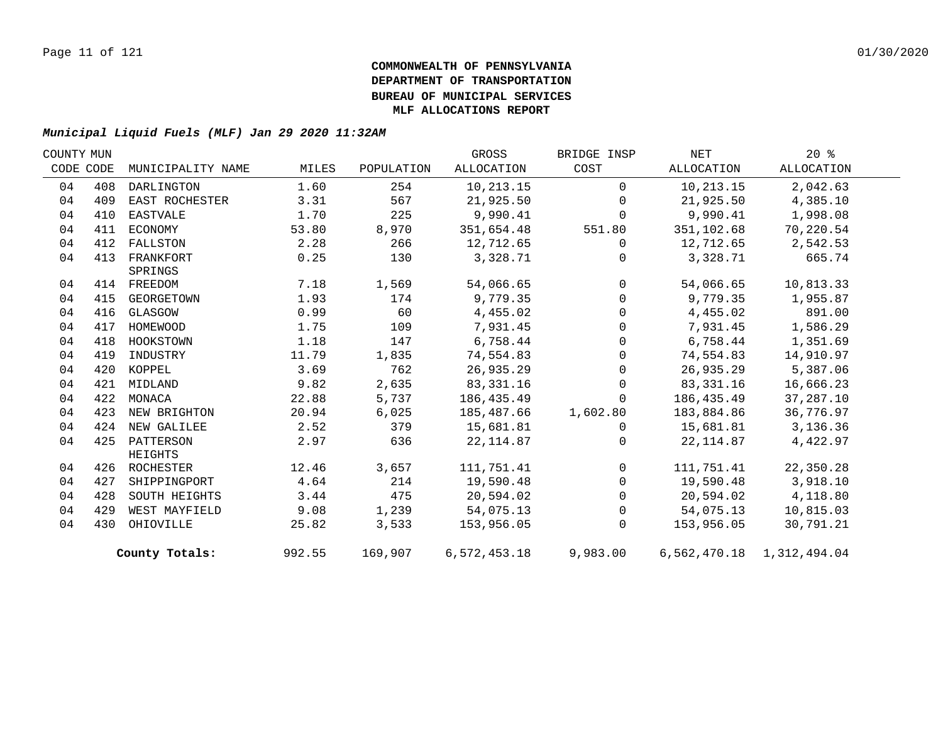| COUNTY MUN |           |                   |        |            | GROSS        | BRIDGE INSP | NET        | $20*$                     |  |
|------------|-----------|-------------------|--------|------------|--------------|-------------|------------|---------------------------|--|
|            | CODE CODE | MUNICIPALITY NAME | MILES  | POPULATION | ALLOCATION   | COST        | ALLOCATION | ALLOCATION                |  |
| 04         | 408       | DARLINGTON        | 1.60   | 254        | 10,213.15    | $\Omega$    | 10,213.15  | 2,042.63                  |  |
| 04         | 409       | EAST ROCHESTER    | 3.31   | 567        | 21,925.50    | $\Omega$    | 21,925.50  | 4,385.10                  |  |
| 04         | 410       | EASTVALE          | 1.70   | 225        | 9,990.41     | $\Omega$    | 9,990.41   | 1,998.08                  |  |
| 04         | 411       | ECONOMY           | 53.80  | 8,970      | 351,654.48   | 551.80      | 351,102.68 | 70,220.54                 |  |
| 04         | 412       | FALLSTON          | 2.28   | 266        | 12,712.65    | $\Omega$    | 12,712.65  | 2,542.53                  |  |
| 04         | 413       | FRANKFORT         | 0.25   | 130        | 3,328.71     | $\mathbf 0$ | 3,328.71   | 665.74                    |  |
|            |           | SPRINGS           |        |            |              |             |            |                           |  |
| 04         |           | 414 FREEDOM       | 7.18   | 1,569      | 54,066.65    | $\mathbf 0$ | 54,066.65  | 10,813.33                 |  |
| 04         | 415       | GEORGETOWN        | 1.93   | 174        | 9,779.35     | $\Omega$    | 9,779.35   | 1,955.87                  |  |
| 04         | 416       | GLASGOW           | 0.99   | 60         | 4,455.02     | $\mathbf 0$ | 4,455.02   | 891.00                    |  |
| 04         | 417       | HOMEWOOD          | 1.75   | 109        | 7,931.45     | $\mathsf 0$ | 7,931.45   | 1,586.29                  |  |
| 04         | 418       | HOOKSTOWN         | 1.18   | 147        | 6,758.44     | $\mathbf 0$ | 6,758.44   | 1,351.69                  |  |
| 04         | 419       | INDUSTRY          | 11.79  | 1,835      | 74,554.83    | $\mathbf 0$ | 74,554.83  | 14,910.97                 |  |
| 04         | 420       | KOPPEL            | 3.69   | 762        | 26,935.29    | $\mathbf 0$ | 26,935.29  | 5,387.06                  |  |
| 04         | 421       | MIDLAND           | 9.82   | 2,635      | 83,331.16    | $\Omega$    | 83,331.16  | 16,666.23                 |  |
| 04         | 422       | MONACA            | 22.88  | 5,737      | 186,435.49   | $\Omega$    | 186,435.49 | 37,287.10                 |  |
| 04         | 423       | NEW BRIGHTON      | 20.94  | 6,025      | 185,487.66   | 1,602.80    | 183,884.86 | 36,776.97                 |  |
| 04         | 424       | NEW GALILEE       | 2.52   | 379        | 15,681.81    | $\Omega$    | 15,681.81  | 3,136.36                  |  |
| 04         | 425       | PATTERSON         | 2.97   | 636        | 22, 114.87   | $\Omega$    | 22,114.87  | 4,422.97                  |  |
|            |           | HEIGHTS           |        |            |              |             |            |                           |  |
| 04         |           | 426 ROCHESTER     | 12.46  | 3,657      | 111,751.41   | $\Omega$    | 111,751.41 | 22,350.28                 |  |
| 04         | 427       | SHIPPINGPORT      | 4.64   | 214        | 19,590.48    | $\Omega$    | 19,590.48  | 3,918.10                  |  |
| 04         | 428       | SOUTH HEIGHTS     | 3.44   | 475        | 20,594.02    | $\mathbf 0$ | 20,594.02  | 4,118.80                  |  |
| 04         | 429       | WEST MAYFIELD     | 9.08   | 1,239      | 54,075.13    | $\mathbf 0$ | 54,075.13  | 10,815.03                 |  |
| 04         | 430       | OHIOVILLE         | 25.82  | 3,533      | 153,956.05   | $\mathbf 0$ | 153,956.05 | 30,791.21                 |  |
|            |           | County Totals:    | 992.55 | 169,907    | 6,572,453.18 | 9,983.00    |            | 6,562,470.18 1,312,494.04 |  |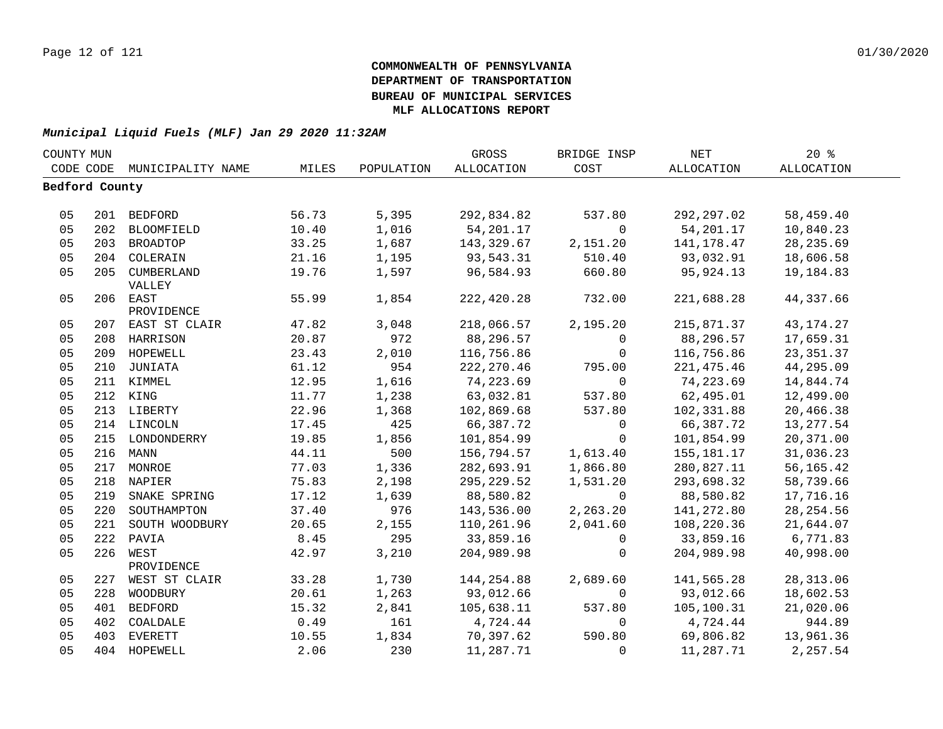| COUNTY MUN     |     |                             |       |            | GROSS       | BRIDGE INSP    | <b>NET</b>  | 20%         |  |
|----------------|-----|-----------------------------|-------|------------|-------------|----------------|-------------|-------------|--|
|                |     | CODE CODE MUNICIPALITY NAME | MILES | POPULATION | ALLOCATION  | COST           | ALLOCATION  | ALLOCATION  |  |
| Bedford County |     |                             |       |            |             |                |             |             |  |
|                |     |                             |       |            |             |                |             |             |  |
| 05             |     | 201 BEDFORD                 | 56.73 | 5,395      | 292,834.82  | 537.80         | 292,297.02  | 58,459.40   |  |
| 05             |     | 202 BLOOMFIELD              | 10.40 | 1,016      | 54,201.17   | $\overline{0}$ | 54,201.17   | 10,840.23   |  |
| 05             |     | 203 BROADTOP                | 33.25 | 1,687      | 143,329.67  | 2,151.20       | 141,178.47  | 28, 235.69  |  |
| 05             |     | 204 COLERAIN                | 21.16 | 1,195      | 93,543.31   | 510.40         | 93,032.91   | 18,606.58   |  |
| 05             | 205 | CUMBERLAND                  | 19.76 | 1,597      | 96,584.93   | 660.80         | 95,924.13   | 19,184.83   |  |
|                |     | VALLEY                      |       |            |             |                |             |             |  |
| 05             |     | 206 EAST                    | 55.99 | 1,854      | 222,420.28  | 732.00         | 221,688.28  | 44,337.66   |  |
|                |     | PROVIDENCE                  |       |            |             |                |             |             |  |
| 05             |     | 207 EAST ST CLAIR           | 47.82 | 3,048      | 218,066.57  | 2,195.20       | 215,871.37  | 43, 174. 27 |  |
| 05             |     | 208 HARRISON                | 20.87 | 972        | 88,296.57   | $\overline{0}$ | 88,296.57   | 17,659.31   |  |
| 05             |     | 209 HOPEWELL                | 23.43 | 2,010      | 116,756.86  | $\mathbf 0$    | 116,756.86  | 23, 351.37  |  |
| 05             | 210 | JUNIATA                     | 61.12 | 954        | 222, 270.46 | 795.00         | 221, 475.46 | 44,295.09   |  |
| 05             |     | 211 KIMMEL                  | 12.95 | 1,616      | 74,223.69   | $\Omega$       | 74,223.69   | 14,844.74   |  |
| 05             |     | 212 KING                    | 11.77 | 1,238      | 63,032.81   | 537.80         | 62,495.01   | 12,499.00   |  |
| 05             |     | 213 LIBERTY                 | 22.96 | 1,368      | 102,869.68  | 537.80         | 102,331.88  | 20,466.38   |  |
| 05             |     | 214 LINCOLN                 | 17.45 | 425        | 66,387.72   | $\mathbf 0$    | 66,387.72   | 13, 277.54  |  |
| 05             |     | 215 LONDONDERRY             | 19.85 | 1,856      | 101,854.99  | $\Omega$       | 101,854.99  | 20,371.00   |  |
| 05             |     | 216 MANN                    | 44.11 | 500        | 156,794.57  | 1,613.40       | 155,181.17  | 31,036.23   |  |
| 05             |     | 217 MONROE                  | 77.03 | 1,336      | 282,693.91  | 1,866.80       | 280,827.11  | 56,165.42   |  |
| 05             |     | 218 NAPIER                  | 75.83 | 2,198      | 295, 229.52 | 1,531.20       | 293,698.32  | 58,739.66   |  |
| 05             | 219 | SNAKE SPRING                | 17.12 | 1,639      | 88,580.82   | $\overline{0}$ | 88,580.82   | 17,716.16   |  |
| 05             | 220 | SOUTHAMPTON                 | 37.40 | 976        | 143,536.00  | 2,263.20       | 141,272.80  | 28, 254.56  |  |
| 05             | 221 | SOUTH WOODBURY              | 20.65 | 2,155      | 110,261.96  | 2,041.60       | 108,220.36  | 21,644.07   |  |
| 05             | 222 | PAVIA                       | 8.45  | 295        | 33,859.16   | $\Omega$       | 33,859.16   | 6,771.83    |  |
| 05             | 226 | WEST                        | 42.97 | 3,210      | 204,989.98  | $\mathbf 0$    | 204,989.98  | 40,998.00   |  |
|                |     | PROVIDENCE                  |       |            |             |                |             |             |  |
| 05             |     | 227 WEST ST CLAIR           | 33.28 | 1,730      | 144,254.88  | 2,689.60       | 141,565.28  | 28, 313.06  |  |
| 05             | 228 | WOODBURY                    | 20.61 | 1,263      | 93,012.66   | $\overline{0}$ | 93,012.66   | 18,602.53   |  |
| 05             | 401 | <b>BEDFORD</b>              | 15.32 | 2,841      | 105,638.11  | 537.80         | 105,100.31  | 21,020.06   |  |
| 05             | 402 | COALDALE                    | 0.49  | 161        | 4,724.44    | $\mathbf 0$    | 4,724.44    | 944.89      |  |
| 05             | 403 | <b>EVERETT</b>              | 10.55 | 1,834      | 70,397.62   | 590.80         | 69,806.82   | 13,961.36   |  |
| 0 <sub>5</sub> |     | 404 HOPEWELL                | 2.06  | 230        | 11,287.71   | $\Omega$       | 11,287.71   | 2,257.54    |  |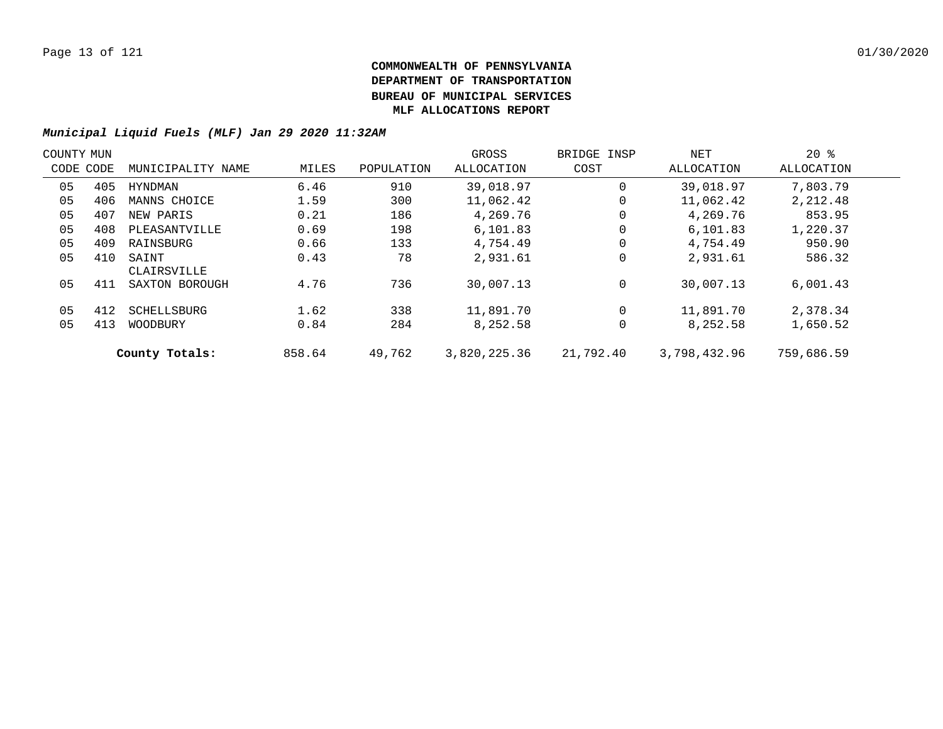| COUNTY MUN |           |                      |        |            | GROSS        | BRIDGE INSP | NET          | $20*$      |  |
|------------|-----------|----------------------|--------|------------|--------------|-------------|--------------|------------|--|
|            | CODE CODE | MUNICIPALITY NAME    | MILES  | POPULATION | ALLOCATION   | COST        | ALLOCATION   | ALLOCATION |  |
| 05         | 405       | HYNDMAN              | 6.46   | 910        | 39,018.97    | 0           | 39,018.97    | 7,803.79   |  |
| 05         | 406       | MANNS CHOICE         | 1.59   | 300        | 11,062.42    | 0           | 11,062.42    | 2,212.48   |  |
| 05         | 407       | NEW PARIS            | 0.21   | 186        | 4,269.76     | 0           | 4,269.76     | 853.95     |  |
| 05         | 408       | PLEASANTVILLE        | 0.69   | 198        | 6,101.83     | 0           | 6,101.83     | 1,220.37   |  |
| 05         | 409       | RAINSBURG            | 0.66   | 133        | 4,754.49     | 0           | 4,754.49     | 950.90     |  |
| 05         | 410       | SAINT<br>CLAIRSVILLE | 0.43   | 78         | 2,931.61     | 0           | 2,931.61     | 586.32     |  |
| 05         | 411       | SAXTON BOROUGH       | 4.76   | 736        | 30,007.13    | 0           | 30,007.13    | 6,001.43   |  |
| 05         | 412       | SCHELLSBURG          | 1.62   | 338        | 11,891.70    | 0           | 11,891.70    | 2,378.34   |  |
| 05         | 413       | WOODBURY             | 0.84   | 284        | 8,252.58     | 0           | 8,252.58     | 1,650.52   |  |
|            |           | County Totals:       | 858.64 | 49,762     | 3,820,225.36 | 21,792.40   | 3,798,432.96 | 759,686.59 |  |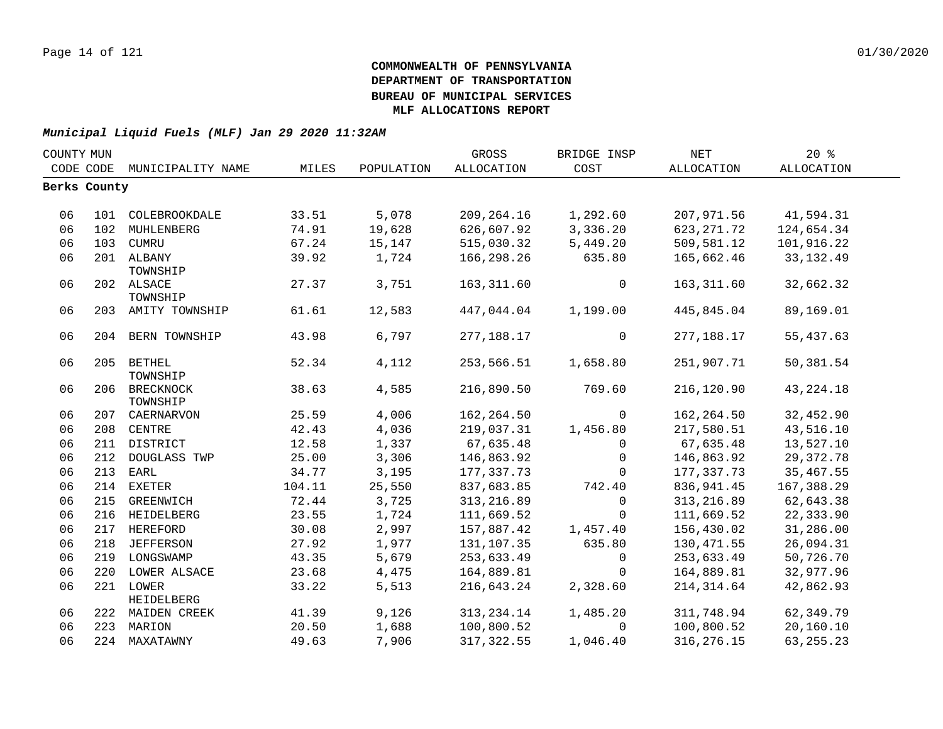| COUNTY MUN   |     |                                |                 |            | GROSS                     | BRIDGE INSP                | NET                      | 20%         |  |
|--------------|-----|--------------------------------|-----------------|------------|---------------------------|----------------------------|--------------------------|-------------|--|
|              |     | CODE CODE MUNICIPALITY NAME    | MILES           | POPULATION | ALLOCATION                | COST                       | ALLOCATION               | ALLOCATION  |  |
| Berks County |     |                                |                 |            |                           |                            |                          |             |  |
|              |     |                                |                 |            |                           |                            |                          |             |  |
| 06           |     | 101 COLEBROOKDALE              | 33.51           | 5,078      | 209,264.16                | 1,292.60                   | 207,971.56               | 41,594.31   |  |
| 06           | 102 | MUHLENBERG                     | 74.91           | 19,628     | 626,607.92                | 3,336.20                   | 623, 271.72              | 124,654.34  |  |
| 06           |     | 103 CUMRU                      | 67.24           | 15,147     | 515,030.32                | 5,449.20                   | 509,581.12               | 101,916.22  |  |
| 06           |     | 201 ALBANY                     | 39.92           | 1,724      | 166,298.26                | 635.80                     | 165,662.46               | 33, 132.49  |  |
|              |     | TOWNSHIP                       |                 |            |                           |                            |                          |             |  |
| 06           |     | 202 ALSACE                     | 27.37           | 3,751      | 163, 311.60               | $\Omega$                   | 163,311.60               | 32,662.32   |  |
|              |     | TOWNSHIP                       |                 |            |                           |                            |                          |             |  |
| 06           |     | 203 AMITY TOWNSHIP             | 61.61           | 12,583     | 447,044.04                | 1,199.00                   | 445,845.04               | 89,169.01   |  |
| 06           |     | 204 BERN TOWNSHIP              | 43.98           | 6,797      | 277,188.17                | $\overline{0}$             | 277,188.17               | 55,437.63   |  |
|              |     |                                |                 |            |                           |                            |                          |             |  |
| 06           |     | 205 BETHEL                     | 52.34           | 4,112      | 253,566.51                | 1,658.80                   | 251,907.71               | 50,381.54   |  |
|              |     | TOWNSHIP                       |                 |            |                           |                            |                          |             |  |
| 06           |     | 206 BRECKNOCK                  | 38.63           | 4,585      | 216,890.50                | 769.60                     | 216,120.90               | 43, 224. 18 |  |
|              |     | TOWNSHIP                       |                 |            |                           |                            |                          |             |  |
| 06           |     | 207 CAERNARVON                 | 25.59           | 4,006      | 162,264.50                | $\mathsf{O}$               | 162,264.50               | 32,452.90   |  |
| 06           |     | 208 CENTRE                     | 42.43           | 4,036      | 219,037.31                | 1,456.80                   | 217,580.51               | 43,516.10   |  |
| 06<br>06     |     | 211 DISTRICT                   | 12.58           | 1,337      | 67,635.48<br>146,863.92   | $\Omega$<br>$\overline{0}$ | 67,635.48                | 13,527.10   |  |
|              | 212 | DOUGLASS TWP<br>213 EARL       | 25.00           | 3,306      |                           |                            | 146,863.92               | 29, 372. 78 |  |
| 06<br>06     |     |                                | 34.77           | 3,195      | 177,337.73                | $\Omega$<br>742.40         | 177,337.73<br>836,941.45 | 35,467.55   |  |
| 06           |     | 214 EXETER<br>215 GREENWICH    | 104.11<br>72.44 | 25,550     | 837,683.85<br>313, 216.89 |                            | 313,216.89               | 167,388.29  |  |
| 06           |     |                                | 23.55           | 3,725      |                           | $\mathbf 0$<br>$\Omega$    | 111,669.52               | 62,643.38   |  |
|              |     | 216 HEIDELBERG                 |                 | 1,724      | 111,669.52                |                            |                          | 22,333.90   |  |
| 06<br>06     |     | 217 HEREFORD                   | 30.08           | 2,997      | 157,887.42                | 1,457.40                   | 156,430.02               | 31,286.00   |  |
|              |     | 218 JEFFERSON                  | 27.92           | 1,977      | 131,107.35                | 635.80                     | 130, 471.55              | 26,094.31   |  |
| 06           |     | 219 LONGSWAMP                  | 43.35           | 5,679      | 253,633.49                | $\overline{0}$             | 253,633.49               | 50,726.70   |  |
| 06           |     | 220 LOWER ALSACE               | 23.68           | 4,475      | 164,889.81                | $\mathbf 0$                | 164,889.81               | 32,977.96   |  |
| 06           |     | 221 LOWER<br><b>HEIDELBERG</b> | 33.22           | 5,513      | 216,643.24                | 2,328.60                   | 214,314.64               | 42,862.93   |  |
| 06           |     | 222 MAIDEN CREEK               | 41.39           | 9,126      | 313, 234.14               | 1,485.20                   | 311,748.94               | 62,349.79   |  |
| 06           |     | 223 MARION                     | 20.50           | 1,688      | 100,800.52                | $\Omega$                   | 100,800.52               | 20,160.10   |  |
| 06           |     | 224 MAXATAWNY                  | 49.63           | 7,906      | 317, 322.55               | 1,046.40                   | 316, 276. 15             | 63, 255. 23 |  |
|              |     |                                |                 |            |                           |                            |                          |             |  |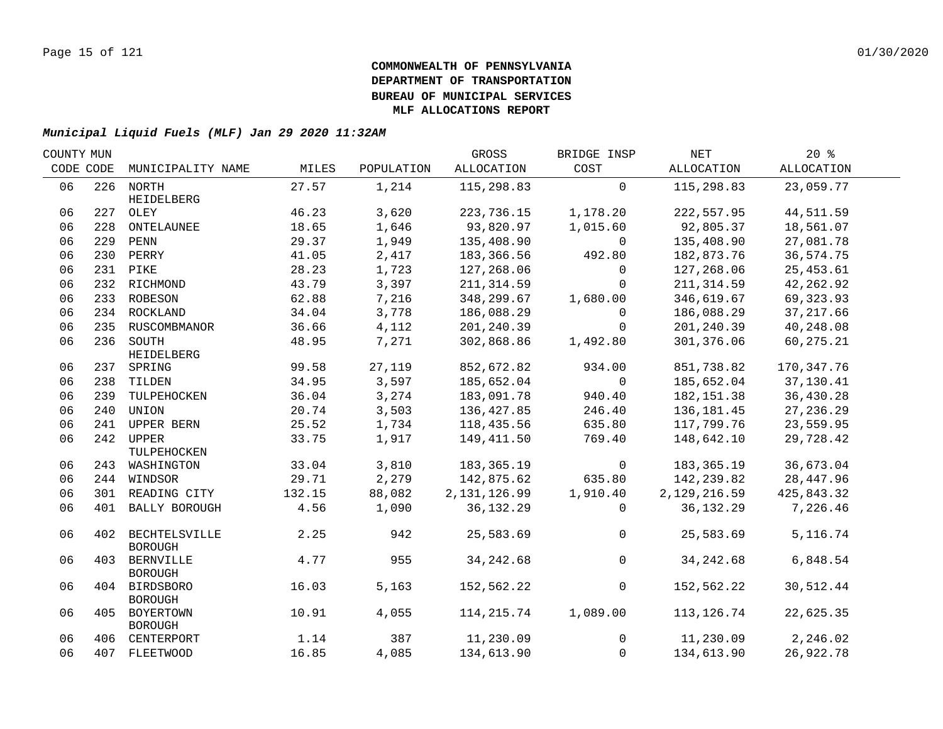| COUNTY MUN |           |                                     |        |            | GROSS          | BRIDGE INSP    | NET          | 20%        |  |
|------------|-----------|-------------------------------------|--------|------------|----------------|----------------|--------------|------------|--|
|            | CODE CODE | MUNICIPALITY NAME                   | MILES  | POPULATION | ALLOCATION     | COST           | ALLOCATION   | ALLOCATION |  |
| 06         |           | 226 NORTH                           | 27.57  | 1,214      | 115,298.83     | $\Omega$       | 115,298.83   | 23,059.77  |  |
| 06         |           | HEIDELBERG<br>227 OLEY              | 46.23  | 3,620      | 223,736.15     | 1,178.20       | 222,557.95   | 44,511.59  |  |
| 06         | 228       | ONTELAUNEE                          | 18.65  | 1,646      | 93,820.97      | 1,015.60       | 92,805.37    | 18,561.07  |  |
| 06         |           | 229 PENN                            | 29.37  | 1,949      | 135,408.90     | $\overline{0}$ | 135,408.90   | 27,081.78  |  |
| 06         |           | 230 PERRY                           | 41.05  | 2,417      | 183,366.56     | 492.80         | 182,873.76   | 36,574.75  |  |
| 06         |           | 231 PIKE                            | 28.23  | 1,723      | 127,268.06     | $\Omega$       | 127,268.06   | 25, 453.61 |  |
| 06         |           | 232 RICHMOND                        | 43.79  | 3,397      | 211,314.59     | $\Omega$       | 211, 314.59  | 42,262.92  |  |
| 06         |           | 233 ROBESON                         | 62.88  | 7,216      | 348,299.67     | 1,680.00       | 346,619.67   | 69,323.93  |  |
| 06         |           |                                     | 34.04  | 3,778      | 186,088.29     | $\mathbf 0$    | 186,088.29   | 37, 217.66 |  |
|            |           | 234 ROCKLAND                        |        |            |                |                |              |            |  |
| 06<br>06   |           | 235 RUSCOMBMANOR                    | 36.66  | 4,112      | 201,240.39     | $\mathbf 0$    | 201,240.39   | 40,248.08  |  |
|            |           | 236 SOUTH<br>HEIDELBERG             | 48.95  | 7,271      | 302,868.86     | 1,492.80       | 301,376.06   | 60,275.21  |  |
| 06         |           | 237 SPRING                          | 99.58  | 27,119     | 852,672.82     | 934.00         | 851,738.82   | 170,347.76 |  |
| 06         |           | 238 TILDEN                          | 34.95  | 3,597      | 185,652.04     | $\overline{0}$ | 185,652.04   | 37,130.41  |  |
| 06         | 239       | TULPEHOCKEN                         | 36.04  | 3,274      | 183,091.78     | 940.40         | 182, 151.38  | 36,430.28  |  |
| 06         | 240       | UNION                               | 20.74  | 3,503      | 136,427.85     | 246.40         | 136, 181.45  | 27, 236.29 |  |
| 06         | 241       | UPPER BERN                          | 25.52  | 1,734      | 118,435.56     | 635.80         | 117,799.76   | 23,559.95  |  |
| 06         | 242       | <b>UPPER</b>                        | 33.75  | 1,917      | 149,411.50     | 769.40         | 148,642.10   | 29,728.42  |  |
|            |           | TULPEHOCKEN                         |        |            |                |                |              |            |  |
| 06         |           | 243 WASHINGTON                      | 33.04  | 3,810      | 183,365.19     | $\overline{0}$ | 183,365.19   | 36,673.04  |  |
| 06         |           | 244 WINDSOR                         | 29.71  | 2,279      | 142,875.62     | 635.80         | 142,239.82   | 28,447.96  |  |
| 06         |           | 301 READING CITY                    | 132.15 | 88,082     | 2, 131, 126.99 | 1,910.40       | 2,129,216.59 | 425,843.32 |  |
| 06         |           | 401 BALLY BOROUGH                   | 4.56   | 1,090      | 36, 132. 29    | $\Omega$       | 36,132.29    | 7,226.46   |  |
| 06         |           | 402 BECHTELSVILLE<br><b>BOROUGH</b> | 2.25   | 942        | 25,583.69      | $\overline{0}$ | 25,583.69    | 5,116.74   |  |
| 06         | 403       | <b>BERNVILLE</b><br><b>BOROUGH</b>  | 4.77   | 955        | 34, 242.68     | $\overline{0}$ | 34, 242.68   | 6,848.54   |  |
| 06         |           | 404 BIRDSBORO<br><b>BOROUGH</b>     | 16.03  | 5,163      | 152,562.22     | $\overline{0}$ | 152,562.22   | 30,512.44  |  |
| 06         |           | 405 BOYERTOWN<br><b>BOROUGH</b>     | 10.91  | 4,055      | 114,215.74     | 1,089.00       | 113,126.74   | 22,625.35  |  |
| 06         |           | 406 CENTERPORT                      | 1.14   | 387        | 11,230.09      | $\Omega$       | 11,230.09    | 2,246.02   |  |
| 06         |           | 407 FLEETWOOD                       | 16.85  | 4,085      | 134,613.90     | $\mathbf 0$    | 134,613.90   | 26,922.78  |  |
|            |           |                                     |        |            |                |                |              |            |  |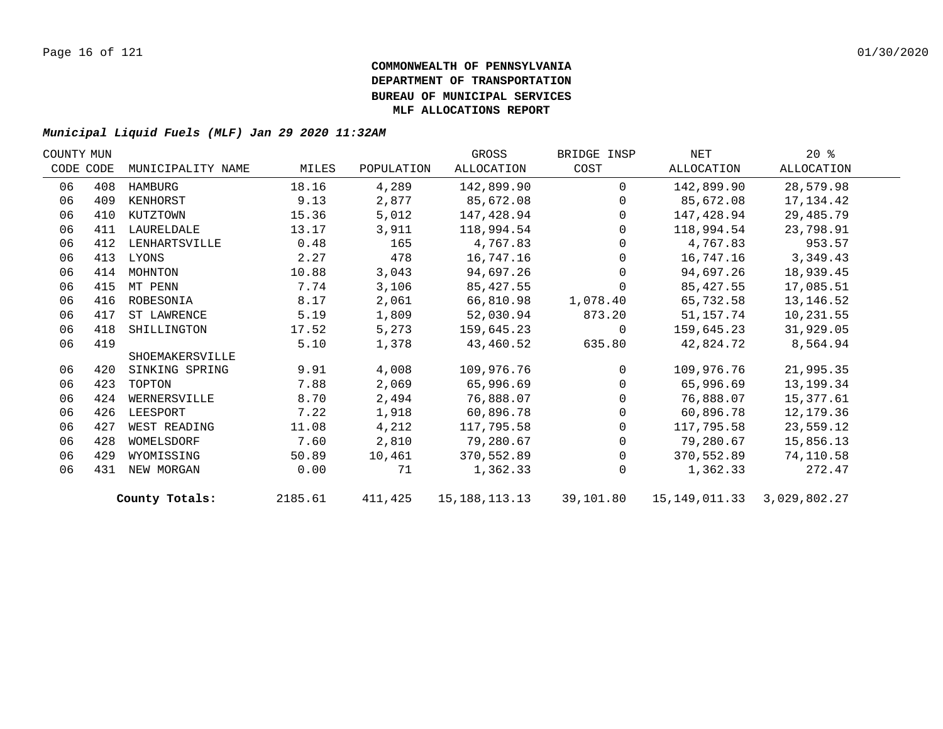| COUNTY MUN |           |                   |         |            | GROSS         | BRIDGE INSP    | NET                                    | $20*$      |  |
|------------|-----------|-------------------|---------|------------|---------------|----------------|----------------------------------------|------------|--|
|            | CODE CODE | MUNICIPALITY NAME | MILES   | POPULATION | ALLOCATION    | COST           | ALLOCATION                             | ALLOCATION |  |
| 06         | 408       | HAMBURG           | 18.16   | 4,289      | 142,899.90    | $\Omega$       | 142,899.90                             | 28,579.98  |  |
| 06         | 409       | KENHORST          | 9.13    | 2,877      | 85,672.08     | $\overline{0}$ | 85,672.08                              | 17,134.42  |  |
| 06         | 410       | KUTZTOWN          | 15.36   | 5,012      | 147,428.94    | $\overline{0}$ | 147,428.94                             | 29,485.79  |  |
| 06         | 411       | LAURELDALE        | 13.17   | 3,911      | 118,994.54    | $\mathbf{0}$   | 118,994.54                             | 23,798.91  |  |
| 06         | 412       | LENHARTSVILLE     | 0.48    | 165        | 4,767.83      | $\mathbf{0}$   | 4,767.83                               | 953.57     |  |
| 06         | 413       | LYONS             | 2.27    | 478        | 16,747.16     | $\mathbf{0}$   | 16,747.16                              | 3,349.43   |  |
| 06         | 414       | MOHNTON           | 10.88   | 3,043      | 94,697.26     | $\mathbf 0$    | 94,697.26                              | 18,939.45  |  |
| 06         | 415       | MT PENN           | 7.74    | 3,106      | 85, 427.55    | $\mathbf 0$    | 85,427.55                              | 17,085.51  |  |
| 06         | 416       | ROBESONIA         | 8.17    | 2,061      | 66,810.98     | 1,078.40       | 65,732.58                              | 13,146.52  |  |
| 06         | 417       | ST LAWRENCE       | 5.19    | 1,809      | 52,030.94     | 873.20         | 51,157.74                              | 10,231.55  |  |
| 06         | 418       | SHILLINGTON       | 17.52   | 5,273      | 159,645.23    | $\overline{0}$ | 159,645.23                             | 31,929.05  |  |
| 06         | 419       |                   | 5.10    | 1,378      | 43,460.52     | 635.80         | 42,824.72                              | 8,564.94   |  |
|            |           | SHOEMAKERSVILLE   |         |            |               |                |                                        |            |  |
| 06         | 420       | SINKING SPRING    | 9.91    | 4,008      | 109,976.76    | $\Omega$       | 109,976.76                             | 21,995.35  |  |
| 06         |           | 423 TOPTON        | 7.88    | 2,069      | 65,996.69     | $\Omega$       | 65,996.69                              | 13,199.34  |  |
| 06         | 424       | WERNERSVILLE      | 8.70    | 2,494      | 76,888.07     | $\Omega$       | 76,888.07                              | 15,377.61  |  |
| 06         | 426       | LEESPORT          | 7.22    | 1,918      | 60,896.78     | $\Omega$       | 60,896.78                              | 12,179.36  |  |
| 06         | 427       | WEST READING      | 11.08   | 4,212      | 117,795.58    | $\Omega$       | 117,795.58                             | 23,559.12  |  |
| 06         | 428       | WOMELSDORF        | 7.60    | 2,810      | 79,280.67     | $\Omega$       | 79,280.67                              | 15,856.13  |  |
| 06         | 429       | WYOMISSING        | 50.89   | 10,461     | 370,552.89    | $\Omega$       | 370,552.89                             | 74,110.58  |  |
| 06         | 431       | NEW MORGAN        | 0.00    | 71         | 1,362.33      | $\Omega$       | 1,362.33                               | 272.47     |  |
|            |           | County Totals:    | 2185.61 | 411,425    | 15,188,113.13 |                | 39,101.80  15,149,011.33  3,029,802.27 |            |  |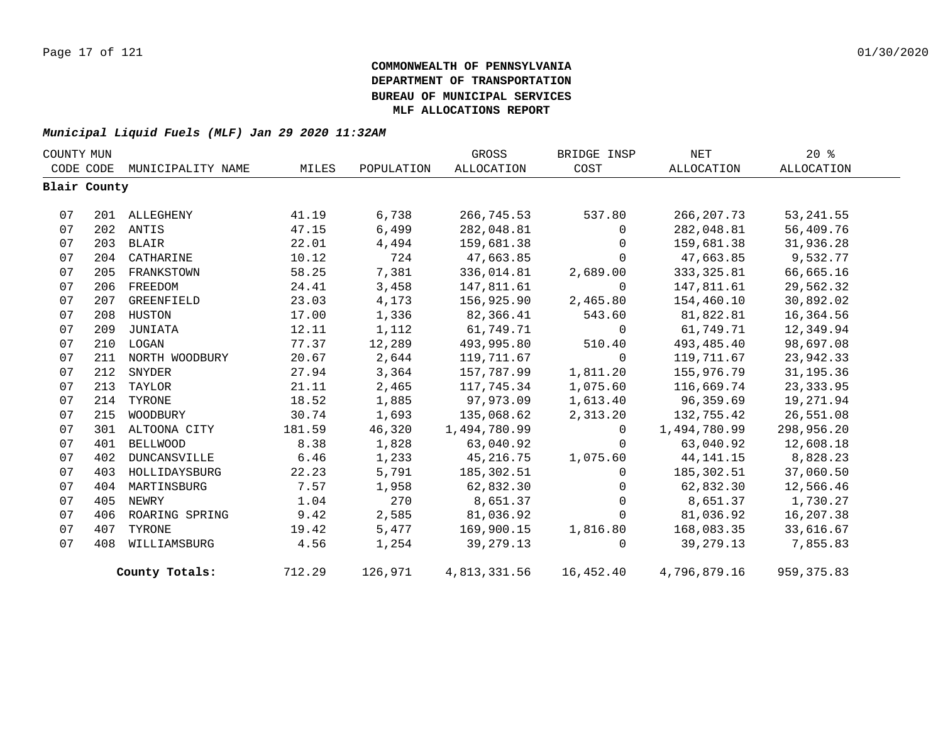| COUNTY MUN |              |                   |        |            | GROSS             | BRIDGE INSP | NET               | $20*$       |  |
|------------|--------------|-------------------|--------|------------|-------------------|-------------|-------------------|-------------|--|
|            | CODE CODE    | MUNICIPALITY NAME | MILES  | POPULATION | <b>ALLOCATION</b> | COST        | <b>ALLOCATION</b> | ALLOCATION  |  |
|            | Blair County |                   |        |            |                   |             |                   |             |  |
|            |              |                   |        |            |                   |             |                   |             |  |
| 07         |              | 201 ALLEGHENY     | 41.19  | 6,738      | 266,745.53        | 537.80      | 266, 207.73       | 53, 241.55  |  |
| 07         |              | 202 ANTIS         | 47.15  | 6,499      | 282,048.81        | $\Omega$    | 282,048.81        | 56,409.76   |  |
| 07         |              | 203 BLAIR         | 22.01  | 4,494      | 159,681.38        | $\mathbf 0$ | 159,681.38        | 31,936.28   |  |
| 07         |              | 204 CATHARINE     | 10.12  | 724        | 47,663.85         | $\Omega$    | 47,663.85         | 9,532.77    |  |
| 07         | 205          | FRANKSTOWN        | 58.25  | 7,381      | 336,014.81        | 2,689.00    | 333, 325.81       | 66,665.16   |  |
| 07         | 206          | FREEDOM           | 24.41  | 3,458      | 147,811.61        | 0           | 147,811.61        | 29,562.32   |  |
| 07         | 207          | GREENFIELD        | 23.03  | 4,173      | 156,925.90        | 2,465.80    | 154,460.10        | 30,892.02   |  |
| 07         |              | 208 HUSTON        | 17.00  | 1,336      | 82,366.41         | 543.60      | 81,822.81         | 16,364.56   |  |
| 07         | 209          | JUNIATA           | 12.11  | 1,112      | 61,749.71         | $\mathbf 0$ | 61,749.71         | 12,349.94   |  |
| 07         |              | 210 LOGAN         | 77.37  | 12,289     | 493,995.80        | 510.40      | 493,485.40        | 98,697.08   |  |
| 07         | 211          | NORTH WOODBURY    | 20.67  | 2,644      | 119,711.67        | $\mathbf 0$ | 119,711.67        | 23,942.33   |  |
| 07         | 212          | SNYDER            | 27.94  | 3,364      | 157,787.99        | 1,811.20    | 155,976.79        | 31, 195. 36 |  |
| 07         |              | 213 TAYLOR        | 21.11  | 2,465      | 117,745.34        | 1,075.60    | 116,669.74        | 23, 333.95  |  |
| 07         | 214          | TYRONE            | 18.52  | 1,885      | 97,973.09         | 1,613.40    | 96,359.69         | 19,271.94   |  |
| 07         | 215          | WOODBURY          | 30.74  | 1,693      | 135,068.62        | 2,313.20    | 132,755.42        | 26,551.08   |  |
| 07         |              | 301 ALTOONA CITY  | 181.59 | 46,320     | 1,494,780.99      | $\Omega$    | 1,494,780.99      | 298,956.20  |  |
| 07         | 401          | <b>BELLWOOD</b>   | 8.38   | 1,828      | 63,040.92         | $\Omega$    | 63,040.92         | 12,608.18   |  |
| 07         | 402          | DUNCANSVILLE      | 6.46   | 1,233      | 45,216.75         | 1,075.60    | 44, 141. 15       | 8,828.23    |  |
| 07         | 403          | HOLLIDAYSBURG     | 22.23  | 5,791      | 185,302.51        | $\Omega$    | 185,302.51        | 37,060.50   |  |
| 07         | 404          | MARTINSBURG       | 7.57   | 1,958      | 62,832.30         | $\mathbf 0$ | 62,832.30         | 12,566.46   |  |
| 07         | 405          | NEWRY             | 1.04   | 270        | 8,651.37          | $\Omega$    | 8,651.37          | 1,730.27    |  |
| 07         | 406          | ROARING SPRING    | 9.42   | 2,585      | 81,036.92         | 0           | 81,036.92         | 16,207.38   |  |
| 07         | 407          | TYRONE            | 19.42  | 5,477      | 169,900.15        | 1,816.80    | 168,083.35        | 33,616.67   |  |
| 07         | 408          | WILLIAMSBURG      | 4.56   | 1,254      | 39, 279. 13       | $\Omega$    | 39,279.13         | 7,855.83    |  |
|            |              | County Totals:    | 712.29 | 126,971    | 4,813,331.56      | 16,452.40   | 4,796,879.16      | 959, 375.83 |  |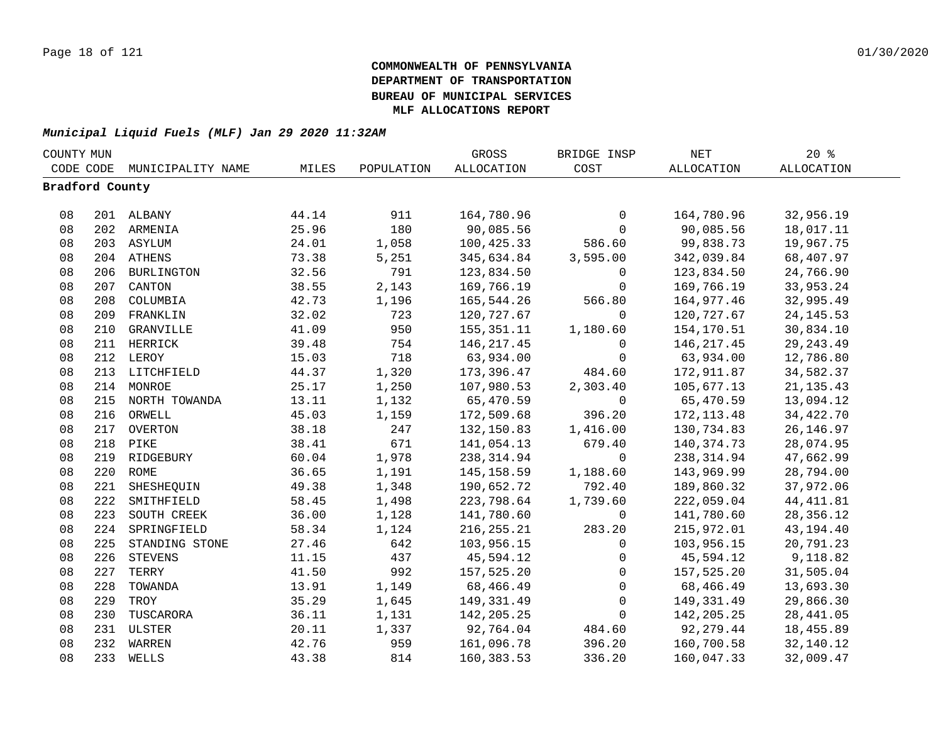| COUNTY MUN      |     |                   |       | GROSS      | BRIDGE INSP  | $\operatorname{NET}$ | $20*$        |                   |  |
|-----------------|-----|-------------------|-------|------------|--------------|----------------------|--------------|-------------------|--|
| CODE CODE       |     | MUNICIPALITY NAME | MILES | POPULATION | ALLOCATION   | COST                 | ALLOCATION   | <b>ALLOCATION</b> |  |
| Bradford County |     |                   |       |            |              |                      |              |                   |  |
|                 |     |                   |       |            |              |                      |              |                   |  |
| 08              |     | 201 ALBANY        | 44.14 | 911        | 164,780.96   | 0                    | 164,780.96   | 32,956.19         |  |
| 08              |     | 202 ARMENIA       | 25.96 | 180        | 90,085.56    | $\mathbf 0$          | 90,085.56    | 18,017.11         |  |
| 08              |     | 203 ASYLUM        | 24.01 | 1,058      | 100,425.33   | 586.60               | 99,838.73    | 19,967.75         |  |
| 08              |     | 204 ATHENS        | 73.38 | 5,251      | 345,634.84   | 3,595.00             | 342,039.84   | 68,407.97         |  |
| 08              |     | 206 BURLINGTON    | 32.56 | 791        | 123,834.50   | $\mathbf 0$          | 123,834.50   | 24,766.90         |  |
| 08              | 207 | CANTON            | 38.55 | 2,143      | 169,766.19   | $\mathbf 0$          | 169,766.19   | 33,953.24         |  |
| 08              | 208 | COLUMBIA          | 42.73 | 1,196      | 165,544.26   | 566.80               | 164,977.46   | 32,995.49         |  |
| 08              | 209 | FRANKLIN          | 32.02 | 723        | 120,727.67   | $\mathbf 0$          | 120,727.67   | 24, 145. 53       |  |
| 08              | 210 | GRANVILLE         | 41.09 | 950        | 155,351.11   | 1,180.60             | 154,170.51   | 30,834.10         |  |
| 08              |     | 211 HERRICK       | 39.48 | 754        | 146, 217.45  | $\mathbf{0}$         | 146,217.45   | 29, 243.49        |  |
| 08              |     | 212 LEROY         | 15.03 | 718        | 63,934.00    | 0                    | 63,934.00    | 12,786.80         |  |
| 08              |     | 213 LITCHFIELD    | 44.37 | 1,320      | 173,396.47   | 484.60               | 172,911.87   | 34,582.37         |  |
| 08              |     | 214 MONROE        | 25.17 | 1,250      | 107,980.53   | 2,303.40             | 105,677.13   | 21, 135.43        |  |
| 08              |     | 215 NORTH TOWANDA | 13.11 | 1,132      | 65,470.59    | $\mathsf{O}$         | 65,470.59    | 13,094.12         |  |
| 08              |     | 216 ORWELL        | 45.03 | 1,159      | 172,509.68   | 396.20               | 172, 113.48  | 34,422.70         |  |
| 08              |     | 217 OVERTON       | 38.18 | 247        | 132,150.83   | 1,416.00             | 130,734.83   | 26, 146.97        |  |
| 08              |     | 218 PIKE          | 38.41 | 671        | 141,054.13   | 679.40               | 140, 374. 73 | 28,074.95         |  |
| 08              |     | 219 RIDGEBURY     | 60.04 | 1,978      | 238, 314.94  | $\mathbf 0$          | 238, 314.94  | 47,662.99         |  |
| 08              |     | 220 ROME          | 36.65 | 1,191      | 145,158.59   | 1,188.60             | 143,969.99   | 28,794.00         |  |
| 08              | 221 | SHESHEQUIN        | 49.38 | 1,348      | 190,652.72   | 792.40               | 189,860.32   | 37,972.06         |  |
| 08              | 222 | SMITHFIELD        | 58.45 | 1,498      | 223,798.64   | 1,739.60             | 222,059.04   | 44, 411.81        |  |
| 08              | 223 | SOUTH CREEK       | 36.00 | 1,128      | 141,780.60   | $\mathbf 0$          | 141,780.60   | 28, 356.12        |  |
| 08              | 224 | SPRINGFIELD       | 58.34 | 1,124      | 216, 255. 21 | 283.20               | 215,972.01   | 43, 194. 40       |  |
| 08              | 225 | STANDING STONE    | 27.46 | 642        | 103,956.15   | $\mathbf 0$          | 103,956.15   | 20,791.23         |  |
| 08              | 226 | <b>STEVENS</b>    | 11.15 | 437        | 45,594.12    | $\mathbf 0$          | 45,594.12    | 9,118.82          |  |
| 08              | 227 | TERRY             | 41.50 | 992        | 157,525.20   | $\mathbf 0$          | 157,525.20   | 31,505.04         |  |
| 08              | 228 | TOWANDA           | 13.91 | 1,149      | 68,466.49    | $\mathbf 0$          | 68,466.49    | 13,693.30         |  |
| 08              | 229 | TROY              | 35.29 | 1,645      | 149,331.49   | $\mathbf 0$          | 149,331.49   | 29,866.30         |  |
| 08              | 230 | TUSCARORA         | 36.11 | 1,131      | 142, 205. 25 | $\Omega$             | 142,205.25   | 28, 441.05        |  |
| 08              |     | 231 ULSTER        | 20.11 | 1,337      | 92,764.04    | 484.60               | 92,279.44    | 18,455.89         |  |
| 08              |     | 232 WARREN        | 42.76 | 959        | 161,096.78   | 396.20               | 160,700.58   | 32,140.12         |  |
| 08              | 233 | WELLS             | 43.38 | 814        | 160,383.53   | 336.20               | 160,047.33   | 32,009.47         |  |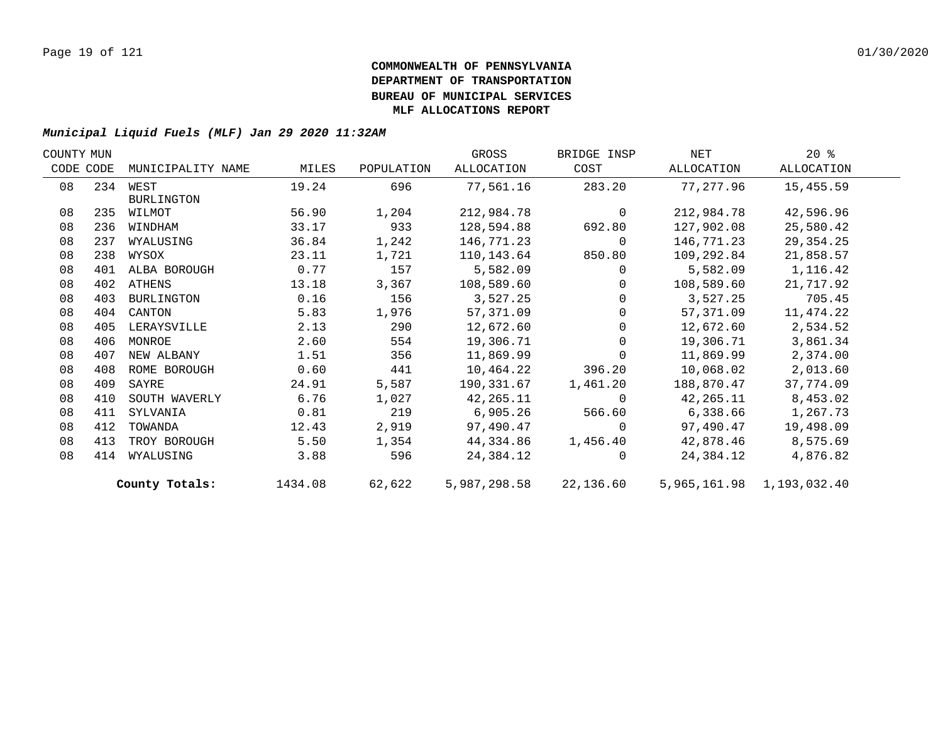| COUNTY MUN |     |                   |         |            | GROSS        | BRIDGE INSP    | NET        | $20*$                     |  |
|------------|-----|-------------------|---------|------------|--------------|----------------|------------|---------------------------|--|
| CODE CODE  |     | MUNICIPALITY NAME | MILES   | POPULATION | ALLOCATION   | COST           | ALLOCATION | ALLOCATION                |  |
| 08         |     | 234 WEST          | 19.24   | 696        | 77,561.16    | 283.20         | 77,277.96  | 15,455.59                 |  |
|            |     | <b>BURLINGTON</b> |         |            |              |                |            |                           |  |
| 08         | 235 | WILMOT            | 56.90   | 1,204      | 212,984.78   | $\overline{0}$ | 212,984.78 | 42,596.96                 |  |
| 08         | 236 | WINDHAM           | 33.17   | 933        | 128,594.88   | 692.80         | 127,902.08 | 25,580.42                 |  |
| 08         | 237 | WYALUSING         | 36.84   | 1,242      | 146,771.23   | $\mathbf{0}$   | 146,771.23 | 29,354.25                 |  |
| 08         | 238 | WYSOX             | 23.11   | 1,721      | 110,143.64   | 850.80         | 109,292.84 | 21,858.57                 |  |
| 08         |     | 401 ALBA BOROUGH  | 0.77    | 157        | 5,582.09     | $\Omega$       | 5,582.09   | 1,116.42                  |  |
| 08         |     | 402 ATHENS        | 13.18   | 3,367      | 108,589.60   | $\Omega$       | 108,589.60 | 21,717.92                 |  |
| 08         | 403 | BURLINGTON        | 0.16    | 156        | 3,527.25     | $\Omega$       | 3,527.25   | 705.45                    |  |
| 08         | 404 | CANTON            | 5.83    | 1,976      | 57,371.09    | 0              | 57,371.09  | 11,474.22                 |  |
| 08         | 405 | LERAYSVILLE       | 2.13    | 290        | 12,672.60    | $\mathbf 0$    | 12,672.60  | 2,534.52                  |  |
| 08         | 406 | MONROE            | 2.60    | 554        | 19,306.71    | $\Omega$       | 19,306.71  | 3,861.34                  |  |
| 08         | 407 | NEW ALBANY        | 1.51    | 356        | 11,869.99    | $\Omega$       | 11,869.99  | 2,374.00                  |  |
| 08         | 408 | ROME BOROUGH      | 0.60    | 441        | 10,464.22    | 396.20         | 10,068.02  | 2,013.60                  |  |
| 08         | 409 | SAYRE             | 24.91   | 5,587      | 190,331.67   | 1,461.20       | 188,870.47 | 37,774.09                 |  |
| 08         | 410 | SOUTH WAVERLY     | 6.76    | 1,027      | 42,265.11    | $\Omega$       | 42,265.11  | 8,453.02                  |  |
| 08         | 411 | SYLVANIA          | 0.81    | 219        | 6,905.26     | 566.60         | 6,338.66   | 1,267.73                  |  |
| 08         | 412 | TOWANDA           | 12.43   | 2,919      | 97,490.47    | $\Omega$       | 97,490.47  | 19,498.09                 |  |
| 08         | 413 | TROY BOROUGH      | 5.50    | 1,354      | 44,334.86    | 1,456.40       | 42,878.46  | 8,575.69                  |  |
| 08         | 414 | WYALUSING         | 3.88    | 596        | 24,384.12    | $\Omega$       | 24,384.12  | 4,876.82                  |  |
|            |     | County Totals:    | 1434.08 | 62,622     | 5,987,298.58 | 22,136.60      |            | 5,965,161.98 1,193,032.40 |  |
|            |     |                   |         |            |              |                |            |                           |  |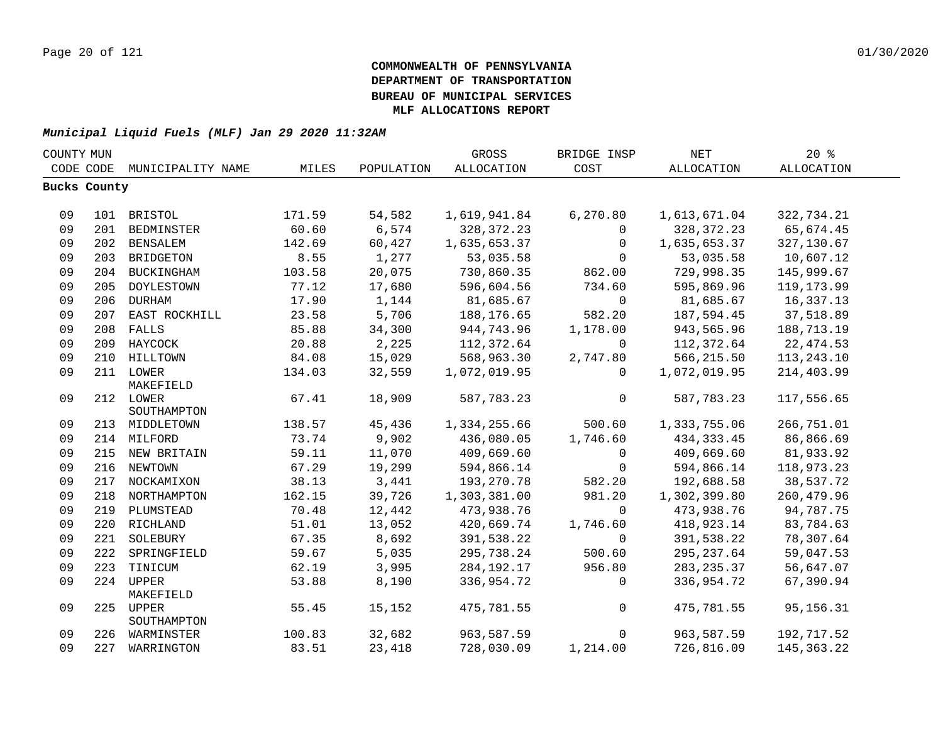| COUNTY MUN |              |                               |        |            | GROSS             | BRIDGE INSP  | <b>NET</b>        | $20*$             |  |
|------------|--------------|-------------------------------|--------|------------|-------------------|--------------|-------------------|-------------------|--|
|            | CODE CODE    | MUNICIPALITY NAME             | MILES  | POPULATION | <b>ALLOCATION</b> | COST         | <b>ALLOCATION</b> | <b>ALLOCATION</b> |  |
|            | Bucks County |                               |        |            |                   |              |                   |                   |  |
|            |              |                               |        |            |                   |              |                   |                   |  |
| 09         |              | 101 BRISTOL                   | 171.59 | 54,582     | 1,619,941.84      | 6, 270.80    | 1,613,671.04      | 322,734.21        |  |
| 09         |              | 201 BEDMINSTER                | 60.60  | 6,574      | 328, 372. 23      | $\mathbf{0}$ | 328, 372. 23      | 65,674.45         |  |
| 09         |              | 202 BENSALEM                  | 142.69 | 60,427     | 1,635,653.37      | $\mathbf{0}$ | 1,635,653.37      | 327,130.67        |  |
| 09         |              | 203 BRIDGETON                 | 8.55   | 1,277      | 53,035.58         | $\Omega$     | 53,035.58         | 10,607.12         |  |
| 09         |              | 204 BUCKINGHAM                | 103.58 | 20,075     | 730,860.35        | 862.00       | 729,998.35        | 145,999.67        |  |
| 09         | 205          | DOYLESTOWN                    | 77.12  | 17,680     | 596,604.56        | 734.60       | 595,869.96        | 119, 173.99       |  |
| 09         | 206          | <b>DURHAM</b>                 | 17.90  | 1,144      | 81,685.67         | $\Omega$     | 81,685.67         | 16,337.13         |  |
| 09         |              | 207 EAST ROCKHILL             | 23.58  | 5,706      | 188,176.65        | 582.20       | 187,594.45        | 37,518.89         |  |
| 09         |              | 208 FALLS                     | 85.88  | 34,300     | 944,743.96        | 1,178.00     | 943,565.96        | 188,713.19        |  |
| 09         |              | 209 HAYCOCK                   | 20.88  | 2,225      | 112,372.64        | $\mathbf 0$  | 112,372.64        | 22, 474.53        |  |
| 09         |              | 210 HILLTOWN                  | 84.08  | 15,029     | 568,963.30        | 2,747.80     | 566,215.50        | 113, 243. 10      |  |
| 09         |              | 211 LOWER                     | 134.03 | 32,559     | 1,072,019.95      | $\Omega$     | 1,072,019.95      | 214,403.99        |  |
|            |              | MAKEFIELD                     |        |            |                   |              |                   |                   |  |
| 09         |              | 212 LOWER                     | 67.41  | 18,909     | 587,783.23        | $\mathbf 0$  | 587,783.23        | 117,556.65        |  |
|            |              | SOUTHAMPTON                   |        |            |                   |              |                   |                   |  |
| 09         |              | 213 MIDDLETOWN                | 138.57 | 45,436     | 1,334,255.66      | 500.60       | 1,333,755.06      | 266,751.01        |  |
| 09         |              | 214 MILFORD                   | 73.74  | 9,902      | 436,080.05        | 1,746.60     | 434, 333.45       | 86,866.69         |  |
| 09         |              | 215 NEW BRITAIN               | 59.11  | 11,070     | 409,669.60        | $\mathsf{O}$ | 409,669.60        | 81,933.92         |  |
| 09         |              | 216 NEWTOWN                   | 67.29  | 19,299     | 594,866.14        | 0            | 594,866.14        | 118,973.23        |  |
| 09         |              | 217 NOCKAMIXON                | 38.13  | 3,441      | 193, 270. 78      | 582.20       | 192,688.58        | 38,537.72         |  |
| 09         |              | 218 NORTHAMPTON               | 162.15 | 39,726     | 1,303,381.00      | 981.20       | 1,302,399.80      | 260,479.96        |  |
| 09         |              | 219 PLUMSTEAD                 | 70.48  | 12,442     | 473,938.76        | $\Omega$     | 473,938.76        | 94,787.75         |  |
| 09         |              | 220 RICHLAND                  | 51.01  | 13,052     | 420,669.74        | 1,746.60     | 418,923.14        | 83,784.63         |  |
| 09         | 221          | SOLEBURY                      | 67.35  | 8,692      | 391,538.22        | $\mathbf 0$  | 391,538.22        | 78,307.64         |  |
| 09         | 222          | SPRINGFIELD                   | 59.67  | 5,035      | 295,738.24        | 500.60       | 295, 237.64       | 59,047.53         |  |
| 09         |              | 223 TINICUM                   | 62.19  | 3,995      | 284, 192. 17      | 956.80       | 283, 235.37       | 56,647.07         |  |
| 09         |              | 224 UPPER                     | 53.88  | 8,190      | 336,954.72        | 0            | 336,954.72        | 67,390.94         |  |
|            |              | MAKEFIELD                     |        |            |                   |              |                   |                   |  |
| 09         |              | 225 UPPER                     | 55.45  | 15,152     | 475,781.55        | $\mathsf{O}$ | 475,781.55        | 95,156.31         |  |
| 09         |              | SOUTHAMPTON<br>226 WARMINSTER | 100.83 | 32,682     | 963,587.59        | $\mathbf 0$  | 963,587.59        | 192,717.52        |  |
| 09         |              | 227 WARRINGTON                | 83.51  | 23,418     | 728,030.09        | 1,214.00     | 726,816.09        | 145, 363. 22      |  |
|            |              |                               |        |            |                   |              |                   |                   |  |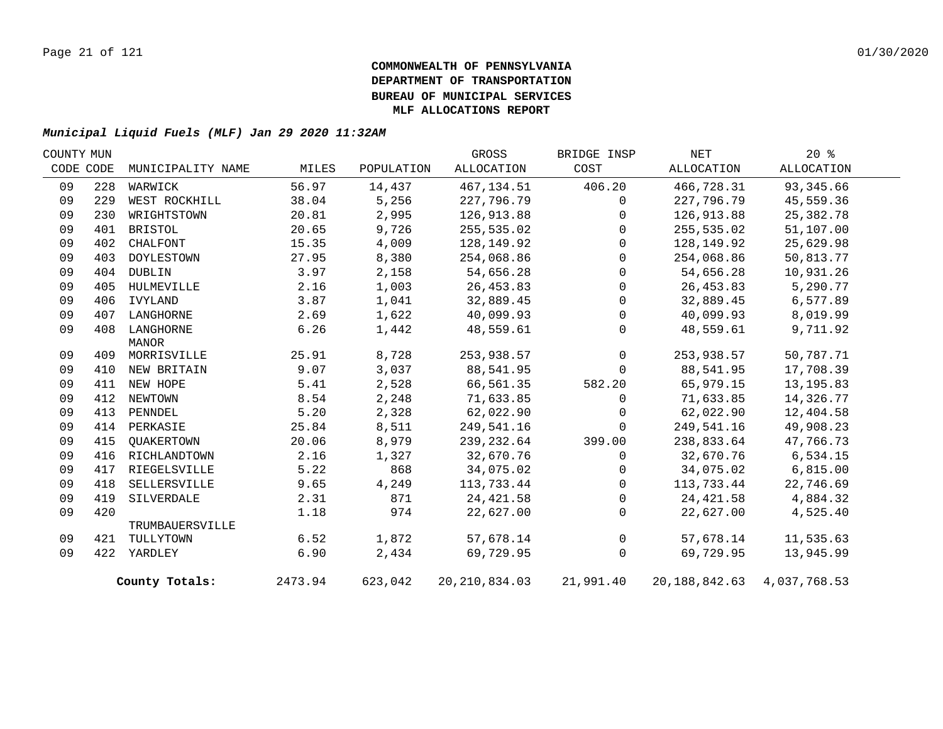| COUNTY MUN |           |                   |         |            | GROSS           | BRIDGE INSP  | NET                              | 20%         |  |
|------------|-----------|-------------------|---------|------------|-----------------|--------------|----------------------------------|-------------|--|
|            | CODE CODE | MUNICIPALITY NAME | MILES   | POPULATION | ALLOCATION      | COST         | ALLOCATION                       | ALLOCATION  |  |
| 09         | 228       | WARWICK           | 56.97   | 14,437     | 467, 134.51     | 406.20       | 466,728.31                       | 93,345.66   |  |
| 09         | 229       | WEST ROCKHILL     | 38.04   | 5,256      | 227,796.79      | $\mathbf{0}$ | 227,796.79                       | 45,559.36   |  |
| 09         | 230       | WRIGHTSTOWN       | 20.81   | 2,995      | 126,913.88      | $\Omega$     | 126,913.88                       | 25, 382. 78 |  |
| 09         | 401       | BRISTOL           | 20.65   | 9,726      | 255,535.02      | $\Omega$     | 255,535.02                       | 51,107.00   |  |
| 09         | 402       | CHALFONT          | 15.35   | 4,009      | 128,149.92      | $\mathbf 0$  | 128,149.92                       | 25,629.98   |  |
| 09         | 403       | DOYLESTOWN        | 27.95   | 8,380      | 254,068.86      | $\Omega$     | 254,068.86                       | 50,813.77   |  |
| 09         | 404       | DUBLIN            | 3.97    | 2,158      | 54,656.28       | $\Omega$     | 54,656.28                        | 10,931.26   |  |
| 09         | 405       | HULMEVILLE        | 2.16    | 1,003      | 26,453.83       | $\Omega$     | 26,453.83                        | 5,290.77    |  |
| 09         | 406       | IVYLAND           | 3.87    | 1,041      | 32,889.45       | $\Omega$     | 32,889.45                        | 6,577.89    |  |
| 09         | 407       | LANGHORNE         | 2.69    | 1,622      | 40,099.93       | $\mathbf 0$  | 40,099.93                        | 8,019.99    |  |
| 09         | 408       | LANGHORNE         | 6.26    | 1,442      | 48,559.61       | $\Omega$     | 48,559.61                        | 9,711.92    |  |
|            |           | MANOR             |         |            |                 |              |                                  |             |  |
| 09         |           | 409 MORRISVILLE   | 25.91   | 8,728      | 253,938.57      | $\mathbf 0$  | 253,938.57                       | 50,787.71   |  |
| 09         |           | 410 NEW BRITAIN   | 9.07    | 3,037      | 88,541.95       | $\Omega$     | 88,541.95                        | 17,708.39   |  |
| 09         |           | 411 NEW HOPE      | 5.41    | 2,528      | 66,561.35       | 582.20       | 65,979.15                        | 13, 195.83  |  |
| 09         | 412       | NEWTOWN           | 8.54    | 2,248      | 71,633.85       | $\Omega$     | 71,633.85                        | 14,326.77   |  |
| 09         | 413       | PENNDEL           | 5.20    | 2,328      | 62,022.90       | $\Omega$     | 62,022.90                        | 12,404.58   |  |
| 09         |           | 414 PERKASIE      | 25.84   | 8,511      | 249,541.16      | $\Omega$     | 249,541.16                       | 49,908.23   |  |
| 09         | 415       | QUAKERTOWN        | 20.06   | 8,979      | 239,232.64      | 399.00       | 238,833.64                       | 47,766.73   |  |
| 09         | 416       | RICHLANDTOWN      | 2.16    | 1,327      | 32,670.76       | $\mathbf 0$  | 32,670.76                        | 6,534.15    |  |
| 09         | 417       | RIEGELSVILLE      | 5.22    | 868        | 34,075.02       | $\Omega$     | 34,075.02                        | 6,815.00    |  |
| 09         | 418       | SELLERSVILLE      | 9.65    | 4,249      | 113,733.44      | $\mathbf 0$  | 113,733.44                       | 22,746.69   |  |
| 09         | 419       | SILVERDALE        | 2.31    | 871        | 24, 421.58      | $\mathbf 0$  | 24,421.58                        | 4,884.32    |  |
| 09         | 420       |                   | 1.18    | 974        | 22,627.00       | $\mathbf{0}$ | 22,627.00                        | 4,525.40    |  |
|            |           | TRUMBAUERSVILLE   |         |            |                 |              |                                  |             |  |
| 09         | 421       | TULLYTOWN         | 6.52    | 1,872      | 57,678.14       | $\mathsf{O}$ | 57,678.14                        | 11,535.63   |  |
| 09         |           | 422 YARDLEY       | 6.90    | 2,434      | 69,729.95       | $\mathbf 0$  | 69,729.95                        | 13,945.99   |  |
|            |           | County Totals:    | 2473.94 | 623,042    | 20, 210, 834.03 | 21,991.40    | 20, 188, 842. 63 4, 037, 768. 53 |             |  |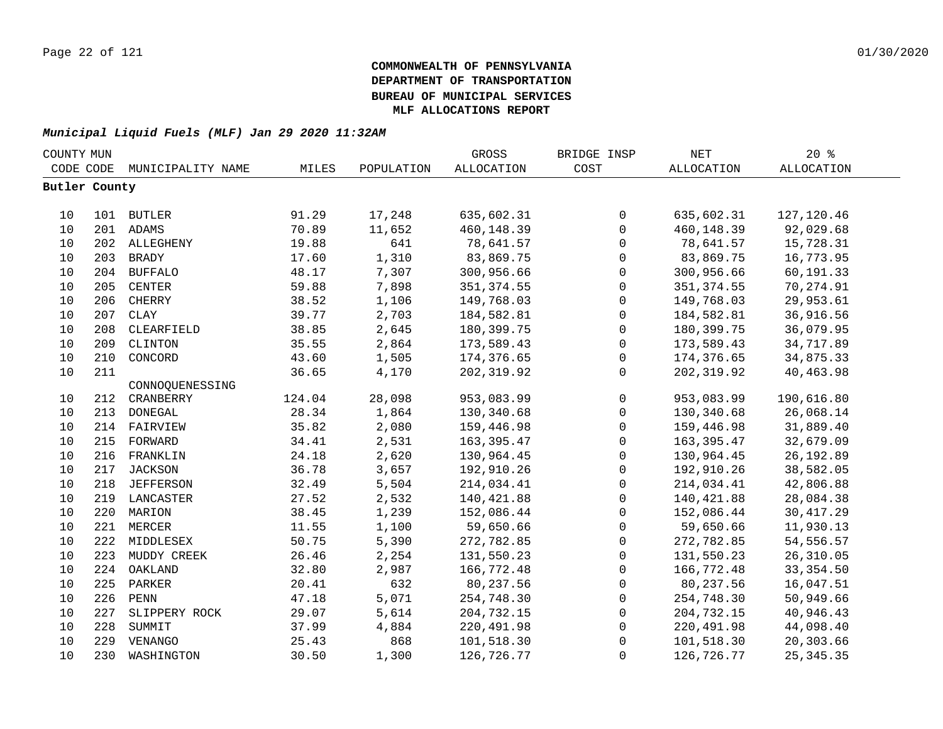| COUNTY MUN    |     |                   |        |            | <b>GROSS</b>      | BRIDGE INSP         | NET         | 20%               |  |
|---------------|-----|-------------------|--------|------------|-------------------|---------------------|-------------|-------------------|--|
| CODE CODE     |     | MUNICIPALITY NAME | MILES  | POPULATION | <b>ALLOCATION</b> | COST                | ALLOCATION  | <b>ALLOCATION</b> |  |
| Butler County |     |                   |        |            |                   |                     |             |                   |  |
|               |     |                   |        |            |                   |                     |             |                   |  |
| 10            |     | 101 BUTLER        | 91.29  | 17,248     | 635,602.31        | $\mathbf 0$         | 635,602.31  | 127, 120.46       |  |
| 10            |     | 201 ADAMS         | 70.89  | 11,652     | 460,148.39        | $\mathsf{O}$        | 460,148.39  | 92,029.68         |  |
| 10            |     | 202 ALLEGHENY     | 19.88  | 641        | 78,641.57         | $\mathsf{O}$        | 78,641.57   | 15,728.31         |  |
| 10            | 203 | BRADY             | 17.60  | 1,310      | 83,869.75         | $\mathsf{O}$        | 83,869.75   | 16,773.95         |  |
| 10            | 204 | <b>BUFFALO</b>    | 48.17  | 7,307      | 300,956.66        | $\mathsf{O}\xspace$ | 300,956.66  | 60,191.33         |  |
| 10            | 205 | <b>CENTER</b>     | 59.88  | 7,898      | 351, 374.55       | $\mathsf{O}$        | 351, 374.55 | 70,274.91         |  |
| 10            | 206 | CHERRY            | 38.52  | 1,106      | 149,768.03        | $\mathsf{O}$        | 149,768.03  | 29,953.61         |  |
| 10            | 207 | <b>CLAY</b>       | 39.77  | 2,703      | 184,582.81        | $\mathsf{O}$        | 184,582.81  | 36,916.56         |  |
| 10            | 208 | CLEARFIELD        | 38.85  | 2,645      | 180,399.75        | $\mathsf{O}$        | 180,399.75  | 36,079.95         |  |
| 10            | 209 | CLINTON           | 35.55  | 2,864      | 173,589.43        | $\mathsf{O}$        | 173,589.43  | 34,717.89         |  |
| $10$          | 210 | CONCORD           | 43.60  | 1,505      | 174,376.65        | $\mathsf{O}$        | 174,376.65  | 34,875.33         |  |
| 10            | 211 |                   | 36.65  | 4,170      | 202, 319.92       | $\mathbf 0$         | 202,319.92  | 40,463.98         |  |
|               |     | CONNOQUENESSING   |        |            |                   |                     |             |                   |  |
| 10            | 212 | CRANBERRY         | 124.04 | 28,098     | 953,083.99        | $\mathsf{O}$        | 953,083.99  | 190,616.80        |  |
| 10            | 213 | DONEGAL           | 28.34  | 1,864      | 130,340.68        | $\mathsf{O}$        | 130,340.68  | 26,068.14         |  |
| 10            | 214 | FAIRVIEW          | 35.82  | 2,080      | 159,446.98        | $\mathsf{O}$        | 159,446.98  | 31,889.40         |  |
| 10            | 215 | FORWARD           | 34.41  | 2,531      | 163, 395.47       | $\mathsf{O}\xspace$ | 163, 395.47 | 32,679.09         |  |
| 10            | 216 | FRANKLIN          | 24.18  | 2,620      | 130,964.45        | $\mathsf{O}$        | 130,964.45  | 26, 192.89        |  |
| 10            | 217 | <b>JACKSON</b>    | 36.78  | 3,657      | 192,910.26        | $\mathsf{O}$        | 192,910.26  | 38,582.05         |  |
| 10            |     | 218 JEFFERSON     | 32.49  | 5,504      | 214,034.41        | $\mathsf{O}$        | 214,034.41  | 42,806.88         |  |
| 10            |     | 219 LANCASTER     | 27.52  | 2,532      | 140,421.88        | $\mathsf{O}$        | 140, 421.88 | 28,084.38         |  |
| 10            |     | 220 MARION        | 38.45  | 1,239      | 152,086.44        | $\mathsf{O}$        | 152,086.44  | 30, 417.29        |  |
| $10$          |     | 221 MERCER        | 11.55  | 1,100      | 59,650.66         | $\mathsf{O}$        | 59,650.66   | 11,930.13         |  |
| 10            |     | 222 MIDDLESEX     | 50.75  | 5,390      | 272,782.85        | 0                   | 272,782.85  | 54,556.57         |  |
| 10            | 223 | MUDDY CREEK       | 26.46  | 2,254      | 131,550.23        | 0                   | 131,550.23  | 26, 310.05        |  |
| 10            | 224 | OAKLAND           | 32.80  | 2,987      | 166,772.48        | 0                   | 166,772.48  | 33, 354.50        |  |
| 10            | 225 | PARKER            | 20.41  | 632        | 80,237.56         | $\mathsf{O}$        | 80,237.56   | 16,047.51         |  |
| 10            | 226 | ${\tt PENN}$      | 47.18  | 5,071      | 254,748.30        | $\mathsf{O}$        | 254,748.30  | 50,949.66         |  |
| 10            | 227 | SLIPPERY ROCK     | 29.07  | 5,614      | 204,732.15        | $\mathbf 0$         | 204,732.15  | 40,946.43         |  |
| 10            | 228 | SUMMIT            | 37.99  | 4,884      | 220,491.98        | 0                   | 220,491.98  | 44,098.40         |  |
| 10            | 229 | VENANGO           | 25.43  | 868        | 101,518.30        | $\mathbf 0$         | 101,518.30  | 20,303.66         |  |
| 10            | 230 | WASHINGTON        | 30.50  | 1,300      | 126,726.77        | $\mathbf 0$         | 126,726.77  | 25, 345. 35       |  |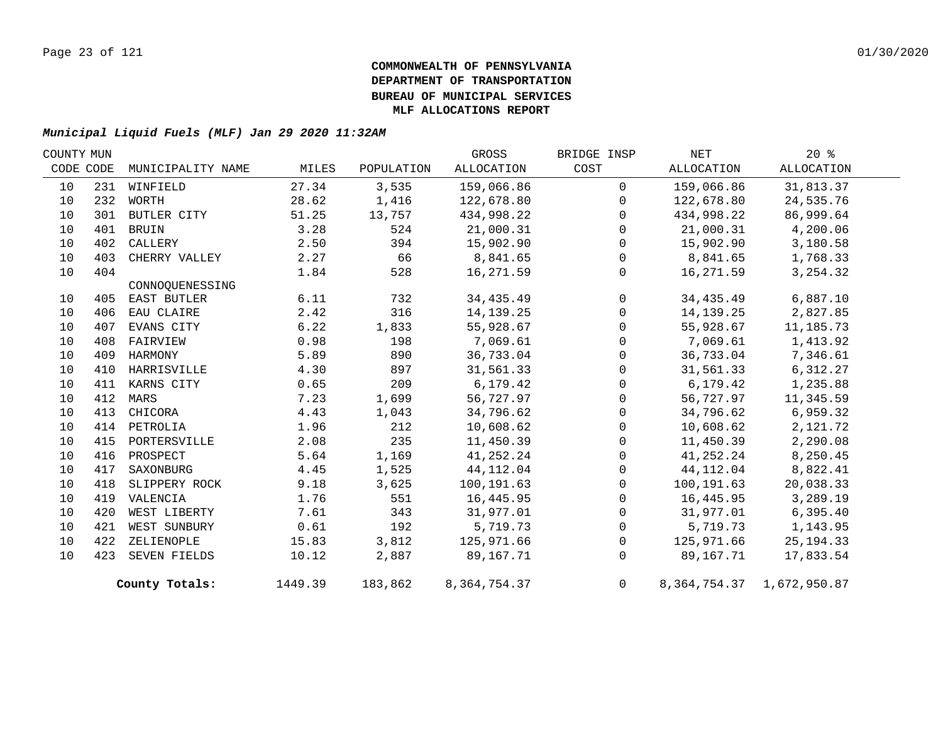| COUNTY MUN |     |                   |         |            | GROSS        | BRIDGE INSP  | NET        | 20%                             |  |
|------------|-----|-------------------|---------|------------|--------------|--------------|------------|---------------------------------|--|
| CODE CODE  |     | MUNICIPALITY NAME | MILES   | POPULATION | ALLOCATION   | COST         | ALLOCATION | ALLOCATION                      |  |
| 10         | 231 | WINFIELD          | 27.34   | 3,535      | 159,066.86   | $\mathbf 0$  | 159,066.86 | 31,813.37                       |  |
| 10         | 232 | WORTH             | 28.62   | 1,416      | 122,678.80   | $\Omega$     | 122,678.80 | 24,535.76                       |  |
| 10         |     | 301 BUTLER CITY   | 51.25   | 13,757     | 434,998.22   | $\Omega$     | 434,998.22 | 86,999.64                       |  |
| 10         | 401 | BRUIN             | 3.28    | 524        | 21,000.31    | $\Omega$     | 21,000.31  | 4,200.06                        |  |
| 10         | 402 | CALLERY           | 2.50    | 394        | 15,902.90    | $\mathbf 0$  | 15,902.90  | 3,180.58                        |  |
| 10         | 403 | CHERRY VALLEY     | 2.27    | 66         | 8,841.65     | $\Omega$     | 8,841.65   | 1,768.33                        |  |
| 10         | 404 |                   | 1.84    | 528        | 16,271.59    | $\mathbf 0$  | 16,271.59  | 3, 254.32                       |  |
|            |     | CONNOQUENESSING   |         |            |              |              |            |                                 |  |
| 10         |     | 405 EAST BUTLER   | 6.11    | 732        | 34, 435. 49  | $\mathbf 0$  | 34,435.49  | 6,887.10                        |  |
| 10         | 406 | EAU CLAIRE        | 2.42    | 316        | 14,139.25    | $\Omega$     | 14,139.25  | 2,827.85                        |  |
| 10         | 407 | EVANS CITY        | 6.22    | 1,833      | 55,928.67    | $\mathbf 0$  | 55,928.67  | 11,185.73                       |  |
| 10         | 408 | FAIRVIEW          | 0.98    | 198        | 7,069.61     | $\mathbf 0$  | 7,069.61   | 1,413.92                        |  |
| 10         | 409 | HARMONY           | 5.89    | 890        | 36,733.04    | $\mathbf{0}$ | 36,733.04  | 7,346.61                        |  |
| 10         | 410 | HARRISVILLE       | 4.30    | 897        | 31,561.33    | $\mathbf 0$  | 31,561.33  | 6,312.27                        |  |
| 10         |     | 411 KARNS CITY    | 0.65    | 209        | 6, 179.42    | $\Omega$     | 6,179.42   | 1,235.88                        |  |
| 10         | 412 | MARS              | 7.23    | 1,699      | 56,727.97    | $\mathbf 0$  | 56,727.97  | 11,345.59                       |  |
| 10         | 413 | CHICORA           | 4.43    | 1,043      | 34,796.62    | $\Omega$     | 34,796.62  | 6,959.32                        |  |
| 10         | 414 | PETROLIA          | 1.96    | 212        | 10,608.62    | $\mathbf 0$  | 10,608.62  | 2,121.72                        |  |
| 10         | 415 | PORTERSVILLE      | 2.08    | 235        | 11,450.39    | $\Omega$     | 11,450.39  | 2,290.08                        |  |
| 10         | 416 | PROSPECT          | 5.64    | 1,169      | 41,252.24    | $\Omega$     | 41,252.24  | 8,250.45                        |  |
| 10         | 417 | SAXONBURG         | 4.45    | 1,525      | 44,112.04    | $\mathbf 0$  | 44,112.04  | 8,822.41                        |  |
| 10         | 418 | SLIPPERY ROCK     | 9.18    | 3,625      | 100,191.63   | $\Omega$     | 100,191.63 | 20,038.33                       |  |
| 10         | 419 | VALENCIA          | 1.76    | 551        | 16,445.95    | $\mathbf{0}$ | 16,445.95  | 3,289.19                        |  |
| 10         | 420 | WEST LIBERTY      | 7.61    | 343        | 31,977.01    | $\mathbf 0$  | 31,977.01  | 6, 395.40                       |  |
| 10         | 421 | WEST SUNBURY      | 0.61    | 192        | 5,719.73     | $\Omega$     | 5,719.73   | 1,143.95                        |  |
| 10         | 422 | ZELIENOPLE        | 15.83   | 3,812      | 125,971.66   | $\mathbf 0$  | 125,971.66 | 25, 194. 33                     |  |
| 10         |     | 423 SEVEN FIELDS  | 10.12   | 2,887      | 89,167.71    | $\Omega$     | 89,167.71  | 17,833.54                       |  |
|            |     | County Totals:    | 1449.39 | 183,862    | 8,364,754.37 | 0            |            | 8, 364, 754. 37 1, 672, 950. 87 |  |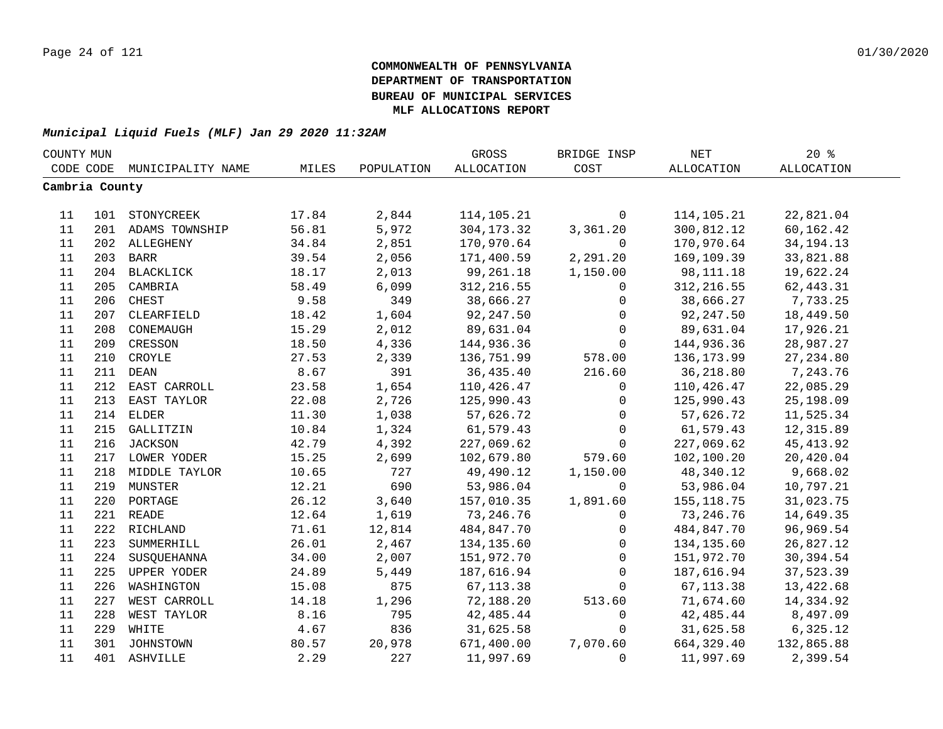| COUNTY MUN     |     |                    |       |            | GROSS        | BRIDGE INSP    | NET         | 20%         |  |
|----------------|-----|--------------------|-------|------------|--------------|----------------|-------------|-------------|--|
| CODE CODE      |     | MUNICIPALITY NAME  | MILES | POPULATION | ALLOCATION   | COST           | ALLOCATION  | ALLOCATION  |  |
| Cambria County |     |                    |       |            |              |                |             |             |  |
|                |     |                    |       |            |              |                |             |             |  |
| 11             |     | 101 STONYCREEK     | 17.84 | 2,844      | 114,105.21   | $\mathbf 0$    | 114,105.21  | 22,821.04   |  |
| 11             |     | 201 ADAMS TOWNSHIP | 56.81 | 5,972      | 304, 173. 32 | 3,361.20       | 300,812.12  | 60,162.42   |  |
| 11             |     | 202 ALLEGHENY      | 34.84 | 2,851      | 170,970.64   | 0              | 170,970.64  | 34, 194. 13 |  |
| 11             |     | 203 BARR           | 39.54 | 2,056      | 171,400.59   | 2,291.20       | 169,109.39  | 33,821.88   |  |
| 11             |     | 204 BLACKLICK      | 18.17 | 2,013      | 99,261.18    | 1,150.00       | 98, 111. 18 | 19,622.24   |  |
| 11             | 205 | CAMBRIA            | 58.49 | 6,099      | 312, 216.55  | $\overline{0}$ | 312, 216.55 | 62,443.31   |  |
| 11             | 206 | CHEST              | 9.58  | 349        | 38,666.27    | $\mathbf 0$    | 38,666.27   | 7,733.25    |  |
| 11             | 207 | CLEARFIELD         | 18.42 | 1,604      | 92,247.50    | $\overline{0}$ | 92,247.50   | 18,449.50   |  |
| 11             | 208 | CONEMAUGH          | 15.29 | 2,012      | 89,631.04    | $\mathbf 0$    | 89,631.04   | 17,926.21   |  |
| 11             | 209 | CRESSON            | 18.50 | 4,336      | 144,936.36   | $\mathbf 0$    | 144,936.36  | 28,987.27   |  |
| 11             | 210 | CROYLE             | 27.53 | 2,339      | 136,751.99   | 578.00         | 136,173.99  | 27, 234.80  |  |
| 11             | 211 | $\rm DEAN$         | 8.67  | 391        | 36,435.40    | 216.60         | 36,218.80   | 7,243.76    |  |
| 11             | 212 | EAST CARROLL       | 23.58 | 1,654      | 110,426.47   | 0              | 110,426.47  | 22,085.29   |  |
| 11             | 213 | EAST TAYLOR        | 22.08 | 2,726      | 125,990.43   | 0              | 125,990.43  | 25,198.09   |  |
| 11             |     | 214 ELDER          | 11.30 | 1,038      | 57,626.72    | $\mathbf 0$    | 57,626.72   | 11,525.34   |  |
| 11             |     | 215 GALLITZIN      | 10.84 | 1,324      | 61,579.43    | $\mathbf 0$    | 61,579.43   | 12,315.89   |  |
| 11             |     | 216 JACKSON        | 42.79 | 4,392      | 227,069.62   | $\mathbf 0$    | 227,069.62  | 45, 413.92  |  |
| 11             |     | 217 LOWER YODER    | 15.25 | 2,699      | 102,679.80   | 579.60         | 102,100.20  | 20,420.04   |  |
| 11             |     | 218 MIDDLE TAYLOR  | 10.65 | 727        | 49,490.12    | 1,150.00       | 48,340.12   | 9,668.02    |  |
| 11             |     | 219 MUNSTER        | 12.21 | 690        | 53,986.04    | $\mathbf{0}$   | 53,986.04   | 10,797.21   |  |
| 11             |     | 220 PORTAGE        | 26.12 | 3,640      | 157,010.35   | 1,891.60       | 155,118.75  | 31,023.75   |  |
| 11             |     | 221 READE          | 12.64 | 1,619      | 73, 246.76   | $\mathbf 0$    | 73, 246.76  | 14,649.35   |  |
| 11             |     | 222 RICHLAND       | 71.61 | 12,814     | 484,847.70   | $\mathsf{O}$   | 484,847.70  | 96,969.54   |  |
| 11             | 223 | SUMMERHILL         | 26.01 | 2,467      | 134,135.60   | $\mathbf 0$    | 134,135.60  | 26,827.12   |  |
| 11             | 224 | SUSQUEHANNA        | 34.00 | 2,007      | 151,972.70   | $\Omega$       | 151,972.70  | 30,394.54   |  |
| 11             | 225 | UPPER YODER        | 24.89 | 5,449      | 187,616.94   | $\Omega$       | 187,616.94  | 37,523.39   |  |
| 11             | 226 | WASHINGTON         | 15.08 | 875        | 67, 113.38   | $\Omega$       | 67, 113.38  | 13,422.68   |  |
| 11             | 227 | WEST CARROLL       | 14.18 | 1,296      | 72,188.20    | 513.60         | 71,674.60   | 14,334.92   |  |
| 11             | 228 | WEST TAYLOR        | 8.16  | 795        | 42,485.44    | 0              | 42,485.44   | 8,497.09    |  |
| 11             | 229 | WHITE              | 4.67  | 836        | 31,625.58    | 0              | 31,625.58   | 6,325.12    |  |
| 11             |     | 301 JOHNSTOWN      | 80.57 | 20,978     | 671,400.00   | 7,070.60       | 664,329.40  | 132,865.88  |  |
| 11             |     | 401 ASHVILLE       | 2.29  | 227        | 11,997.69    | $\Omega$       | 11,997.69   | 2,399.54    |  |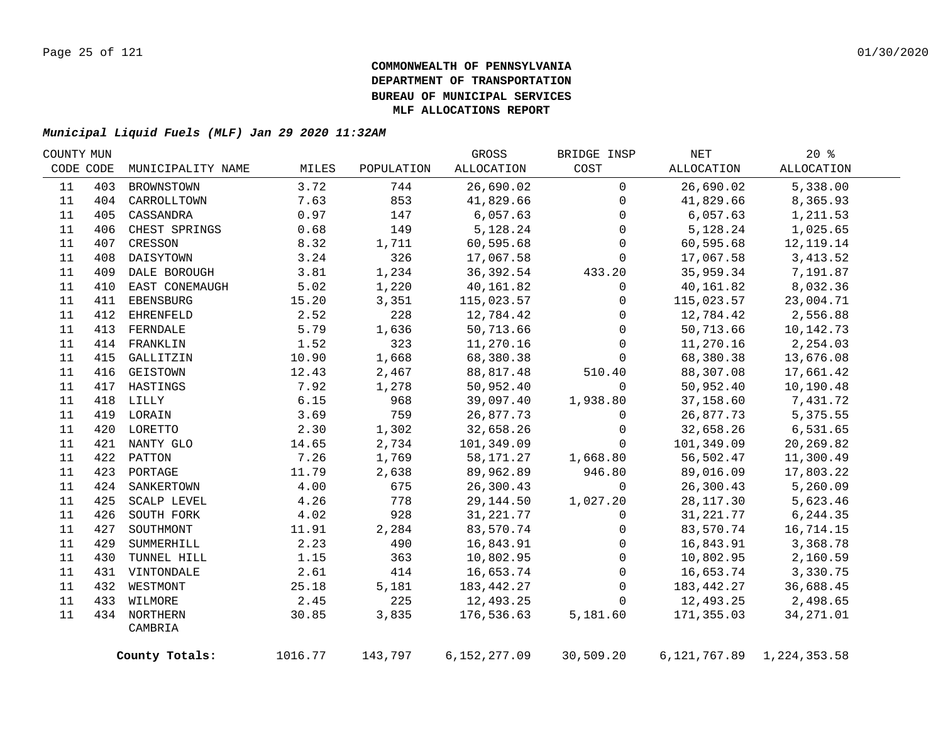|     |                         |                                                                                                                                                                                                                                  |            | GROSS        | BRIDGE INSP | NET        | $20*$      |                                                                                                                                                                                                                                                |
|-----|-------------------------|----------------------------------------------------------------------------------------------------------------------------------------------------------------------------------------------------------------------------------|------------|--------------|-------------|------------|------------|------------------------------------------------------------------------------------------------------------------------------------------------------------------------------------------------------------------------------------------------|
|     | MUNICIPALITY NAME       | MILES                                                                                                                                                                                                                            | POPULATION | ALLOCATION   | COST        | ALLOCATION | ALLOCATION |                                                                                                                                                                                                                                                |
| 403 | BROWNSTOWN              | 3.72                                                                                                                                                                                                                             | 744        | 26,690.02    | $\mathbf 0$ | 26,690.02  | 5,338.00   |                                                                                                                                                                                                                                                |
|     | CARROLLTOWN             | 7.63                                                                                                                                                                                                                             | 853        | 41,829.66    | $\mathbf 0$ | 41,829.66  | 8,365.93   |                                                                                                                                                                                                                                                |
| 405 | CASSANDRA               | 0.97                                                                                                                                                                                                                             | 147        | 6,057.63     | 0           |            | 1,211.53   |                                                                                                                                                                                                                                                |
| 406 | CHEST SPRINGS           | 0.68                                                                                                                                                                                                                             | 149        | 5,128.24     | 0           |            | 1,025.65   |                                                                                                                                                                                                                                                |
| 407 | CRESSON                 | 8.32                                                                                                                                                                                                                             | 1,711      | 60,595.68    | $\mathbf 0$ |            | 12,119.14  |                                                                                                                                                                                                                                                |
| 408 | DAISYTOWN               | 3.24                                                                                                                                                                                                                             | 326        | 17,067.58    | 0           | 17,067.58  | 3, 413.52  |                                                                                                                                                                                                                                                |
| 409 | DALE BOROUGH            | 3.81                                                                                                                                                                                                                             | 1,234      | 36,392.54    | 433.20      |            | 7,191.87   |                                                                                                                                                                                                                                                |
| 410 | EAST CONEMAUGH          | 5.02                                                                                                                                                                                                                             | 1,220      | 40,161.82    | 0           | 40,161.82  | 8,032.36   |                                                                                                                                                                                                                                                |
| 411 | EBENSBURG               | 15.20                                                                                                                                                                                                                            | 3,351      | 115,023.57   | 0           |            | 23,004.71  |                                                                                                                                                                                                                                                |
| 412 | <b>EHRENFELD</b>        | 2.52                                                                                                                                                                                                                             | 228        | 12,784.42    | 0           | 12,784.42  | 2,556.88   |                                                                                                                                                                                                                                                |
| 413 | FERNDALE                | 5.79                                                                                                                                                                                                                             | 1,636      | 50,713.66    | $\mathbf 0$ |            | 10,142.73  |                                                                                                                                                                                                                                                |
|     |                         | 1.52                                                                                                                                                                                                                             | 323        | 11,270.16    | $\mathbf 0$ | 11,270.16  | 2,254.03   |                                                                                                                                                                                                                                                |
| 415 | GALLITZIN               | 10.90                                                                                                                                                                                                                            | 1,668      | 68,380.38    | 0           | 68,380.38  | 13,676.08  |                                                                                                                                                                                                                                                |
| 416 | GEISTOWN                | 12.43                                                                                                                                                                                                                            | 2,467      | 88,817.48    | 510.40      | 88,307.08  | 17,661.42  |                                                                                                                                                                                                                                                |
|     |                         | 7.92                                                                                                                                                                                                                             | 1,278      | 50,952.40    | $\Omega$    | 50,952.40  | 10,190.48  |                                                                                                                                                                                                                                                |
|     |                         | 6.15                                                                                                                                                                                                                             | 968        | 39,097.40    | 1,938.80    | 37,158.60  | 7,431.72   |                                                                                                                                                                                                                                                |
|     |                         | 3.69                                                                                                                                                                                                                             | 759        | 26,877.73    | 0           | 26,877.73  | 5,375.55   |                                                                                                                                                                                                                                                |
|     |                         | 2.30                                                                                                                                                                                                                             | 1,302      | 32,658.26    | 0           | 32,658.26  | 6,531.65   |                                                                                                                                                                                                                                                |
|     |                         | 14.65                                                                                                                                                                                                                            | 2,734      | 101,349.09   | $\Omega$    | 101,349.09 | 20,269.82  |                                                                                                                                                                                                                                                |
|     |                         | 7.26                                                                                                                                                                                                                             | 1,769      | 58,171.27    | 1,668.80    | 56,502.47  | 11,300.49  |                                                                                                                                                                                                                                                |
|     |                         | 11.79                                                                                                                                                                                                                            | 2,638      | 89,962.89    | 946.80      | 89,016.09  | 17,803.22  |                                                                                                                                                                                                                                                |
|     |                         | 4.00                                                                                                                                                                                                                             | 675        | 26,300.43    | $\Omega$    | 26,300.43  | 5,260.09   |                                                                                                                                                                                                                                                |
| 425 | SCALP LEVEL             | 4.26                                                                                                                                                                                                                             | 778        | 29,144.50    | 1,027.20    |            | 5,623.46   |                                                                                                                                                                                                                                                |
| 426 | SOUTH FORK              | 4.02                                                                                                                                                                                                                             | 928        | 31,221.77    | $\mathbf 0$ |            | 6,244.35   |                                                                                                                                                                                                                                                |
| 427 | SOUTHMONT               | 11.91                                                                                                                                                                                                                            | 2,284      | 83,570.74    | $\mathbf 0$ |            | 16,714.15  |                                                                                                                                                                                                                                                |
| 429 | SUMMERHILL              | 2.23                                                                                                                                                                                                                             | 490        | 16,843.91    | 0           |            | 3,368.78   |                                                                                                                                                                                                                                                |
| 430 | TUNNEL HILL             | 1.15                                                                                                                                                                                                                             | 363        | 10,802.95    | 0           |            | 2,160.59   |                                                                                                                                                                                                                                                |
|     |                         | 2.61                                                                                                                                                                                                                             | 414        | 16,653.74    | $\mathbf 0$ |            | 3,330.75   |                                                                                                                                                                                                                                                |
|     |                         |                                                                                                                                                                                                                                  |            |              | $\mathbf 0$ |            |            |                                                                                                                                                                                                                                                |
|     |                         | 2.45                                                                                                                                                                                                                             |            | 12,493.25    | $\mathbf 0$ |            | 2,498.65   |                                                                                                                                                                                                                                                |
|     |                         | 30.85                                                                                                                                                                                                                            | 3,835      | 176,536.63   | 5,181.60    |            | 34, 271.01 |                                                                                                                                                                                                                                                |
|     | CAMBRIA                 |                                                                                                                                                                                                                                  |            |              |             |            |            |                                                                                                                                                                                                                                                |
|     |                         | 1016.77                                                                                                                                                                                                                          | 143,797    | 6,152,277.09 | 30,509.20   |            |            |                                                                                                                                                                                                                                                |
|     | COUNTY MUN<br>CODE CODE | 404<br>414 FRANKLIN<br>417 HASTINGS<br>418 LILLY<br>419 LORAIN<br>420 LORETTO<br>421 NANTY GLO<br>422 PATTON<br>423 PORTAGE<br>424 SANKERTOWN<br>431 VINTONDALE<br>432 WESTMONT<br>433 WILMORE<br>434 NORTHERN<br>County Totals: | 25.18      | 5,181<br>225 | 183,442.27  |            |            | 6,057.63<br>5,128.24<br>60,595.68<br>35,959.34<br>115,023.57<br>50,713.66<br>28,117.30<br>31,221.77<br>83,570.74<br>16,843.91<br>10,802.95<br>16,653.74<br>183,442.27<br>36,688.45<br>12,493.25<br>171,355.03<br>6, 121, 767.89 1, 224, 353.58 |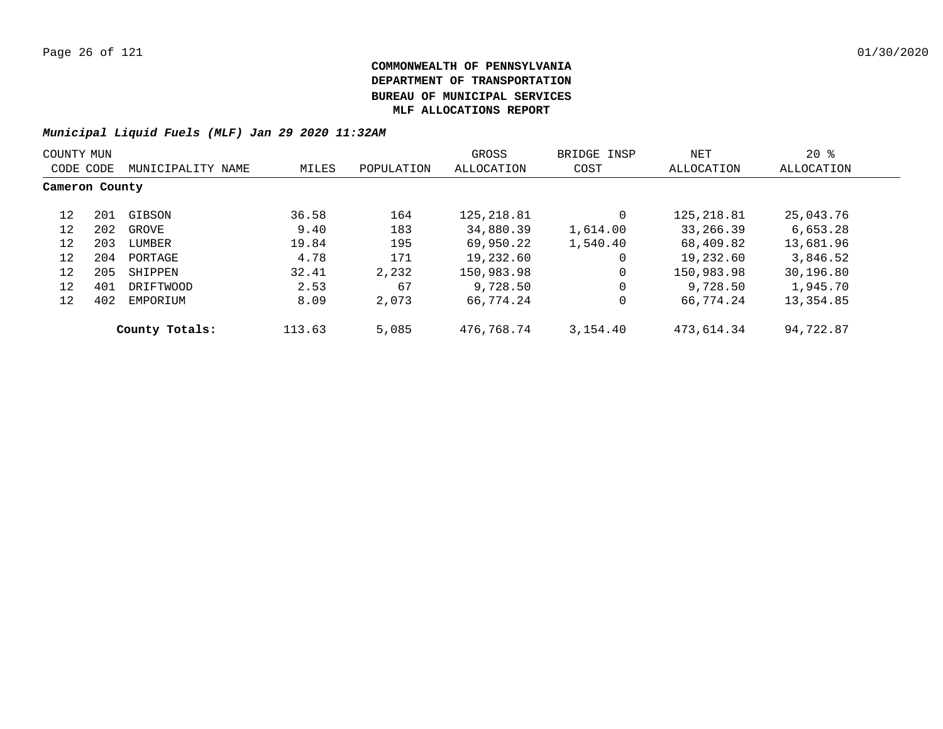| COUNTY MUN     |     |                   |        |            | GROSS       | BRIDGE INSP | NET         | $20*$      |  |
|----------------|-----|-------------------|--------|------------|-------------|-------------|-------------|------------|--|
| CODE CODE      |     | MUNICIPALITY NAME | MILES  | POPULATION | ALLOCATION  | COST        | ALLOCATION  | ALLOCATION |  |
| Cameron County |     |                   |        |            |             |             |             |            |  |
| 12             | 201 | GIBSON            | 36.58  | 164        | 125, 218.81 |             | 125, 218.81 | 25,043.76  |  |
| 12             | 202 | GROVE             | 9.40   | 183        | 34,880.39   | 1,614.00    | 33,266.39   | 6,653.28   |  |
| 12             | 203 | LUMBER            | 19.84  | 195        | 69,950.22   | 1,540.40    | 68,409.82   | 13,681.96  |  |
| 12             | 204 | PORTAGE           | 4.78   | 171        | 19,232.60   | 0           | 19,232.60   | 3,846.52   |  |
| 12             | 205 | SHIPPEN           | 32.41  | 2,232      | 150,983.98  | 0           | 150,983.98  | 30,196.80  |  |
| 12             | 401 | DRIFTWOOD         | 2.53   | 67         | 9,728.50    | 0           | 9,728.50    | 1,945.70   |  |
| 12             | 402 | EMPORIUM          | 8.09   | 2,073      | 66,774.24   | 0           | 66,774.24   | 13,354.85  |  |
|                |     | County Totals:    | 113.63 | 5,085      | 476,768.74  | 3,154.40    | 473,614.34  | 94,722.87  |  |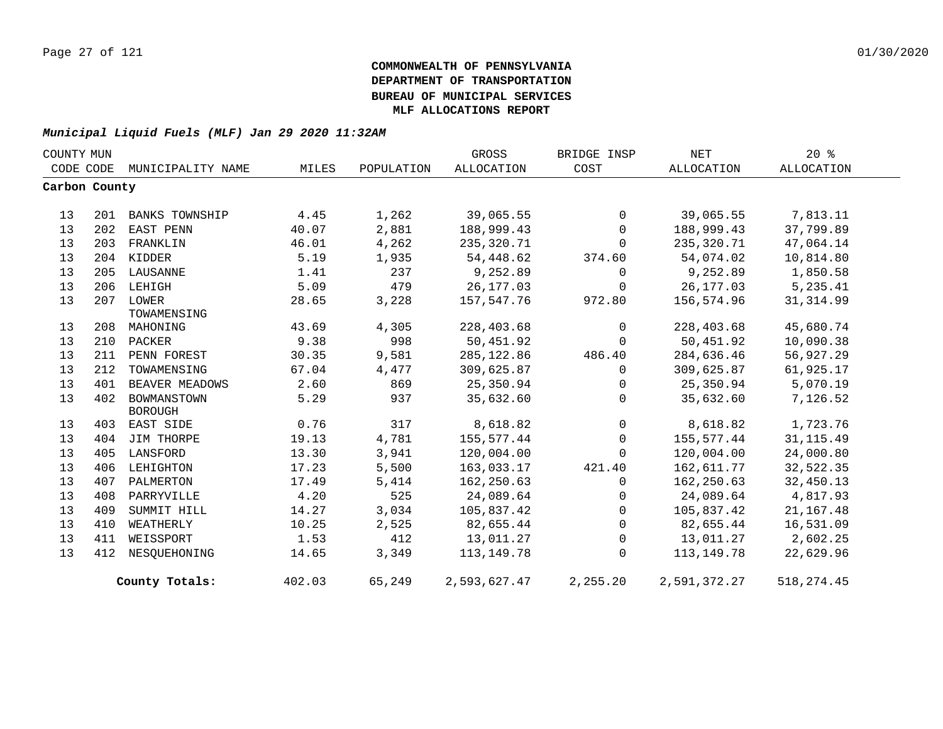| COUNTY MUN    |     |                       |        |            | GROSS             | BRIDGE INSP | NET          | 20%         |  |
|---------------|-----|-----------------------|--------|------------|-------------------|-------------|--------------|-------------|--|
| CODE CODE     |     | MUNICIPALITY NAME     | MILES  | POPULATION | <b>ALLOCATION</b> | COST        | ALLOCATION   | ALLOCATION  |  |
| Carbon County |     |                       |        |            |                   |             |              |             |  |
|               |     |                       |        |            |                   |             |              |             |  |
| 13            | 201 | <b>BANKS TOWNSHIP</b> | 4.45   | 1,262      | 39,065.55         | $\mathbf 0$ | 39,065.55    | 7,813.11    |  |
| 13            | 202 | EAST PENN             | 40.07  | 2,881      | 188,999.43        | $\mathbf 0$ | 188,999.43   | 37,799.89   |  |
| 13            | 203 | FRANKLIN              | 46.01  | 4,262      | 235,320.71        | $\Omega$    | 235,320.71   | 47,064.14   |  |
| 13            |     | 204 KIDDER            | 5.19   | 1,935      | 54,448.62         | 374.60      | 54,074.02    | 10,814.80   |  |
| 13            |     | 205 LAUSANNE          | 1.41   | 237        | 9,252.89          | $\mathbf 0$ | 9,252.89     | 1,850.58    |  |
| 13            | 206 | LEHIGH                | 5.09   | 479        | 26, 177.03        | $\mathbf 0$ | 26,177.03    | 5,235.41    |  |
| 13            |     | 207 LOWER             | 28.65  | 3,228      | 157,547.76        | 972.80      | 156,574.96   | 31, 314.99  |  |
|               |     | TOWAMENSING           |        |            |                   |             |              |             |  |
| 13            | 208 | MAHONING              | 43.69  | 4,305      | 228,403.68        | $\mathbf 0$ | 228,403.68   | 45,680.74   |  |
| 13            | 210 | PACKER                | 9.38   | 998        | 50,451.92         | $\Omega$    | 50,451.92    | 10,090.38   |  |
| 13            | 211 | PENN FOREST           | 30.35  | 9,581      | 285, 122.86       | 486.40      | 284,636.46   | 56,927.29   |  |
| 13            | 212 | TOWAMENSING           | 67.04  | 4,477      | 309,625.87        | 0           | 309,625.87   | 61,925.17   |  |
| 13            | 401 | BEAVER MEADOWS        | 2.60   | 869        | 25,350.94         | 0           | 25,350.94    | 5,070.19    |  |
| 13            | 402 | BOWMANSTOWN           | 5.29   | 937        | 35,632.60         | $\Omega$    | 35,632.60    | 7,126.52    |  |
|               |     | <b>BOROUGH</b>        |        |            |                   |             |              |             |  |
| 13            | 403 | EAST SIDE             | 0.76   | 317        | 8,618.82          | $\mathbf 0$ | 8,618.82     | 1,723.76    |  |
| 13            | 404 | JIM THORPE            | 19.13  | 4,781      | 155,577.44        | $\Omega$    | 155,577.44   | 31, 115.49  |  |
| 13            | 405 | LANSFORD              | 13.30  | 3,941      | 120,004.00        | 0           | 120,004.00   | 24,000.80   |  |
| 13            | 406 | LEHIGHTON             | 17.23  | 5,500      | 163,033.17        | 421.40      | 162,611.77   | 32,522.35   |  |
| 13            | 407 | PALMERTON             | 17.49  | 5,414      | 162,250.63        | $\Omega$    | 162,250.63   | 32,450.13   |  |
| 13            | 408 | PARRYVILLE            | 4.20   | 525        | 24,089.64         | 0           | 24,089.64    | 4,817.93    |  |
| 13            | 409 | SUMMIT HILL           | 14.27  | 3,034      | 105,837.42        | $\Omega$    | 105,837.42   | 21, 167.48  |  |
| 13            | 410 | WEATHERLY             | 10.25  | 2,525      | 82,655.44         | $\mathbf 0$ | 82,655.44    | 16,531.09   |  |
| 13            | 411 | WEISSPORT             | 1.53   | 412        | 13,011.27         | $\mathbf 0$ | 13,011.27    | 2,602.25    |  |
| 13            | 412 | NESOUEHONING          | 14.65  | 3,349      | 113,149.78        | $\Omega$    | 113,149.78   | 22,629.96   |  |
|               |     | County Totals:        | 402.03 | 65,249     | 2,593,627.47      | 2,255.20    | 2,591,372.27 | 518, 274.45 |  |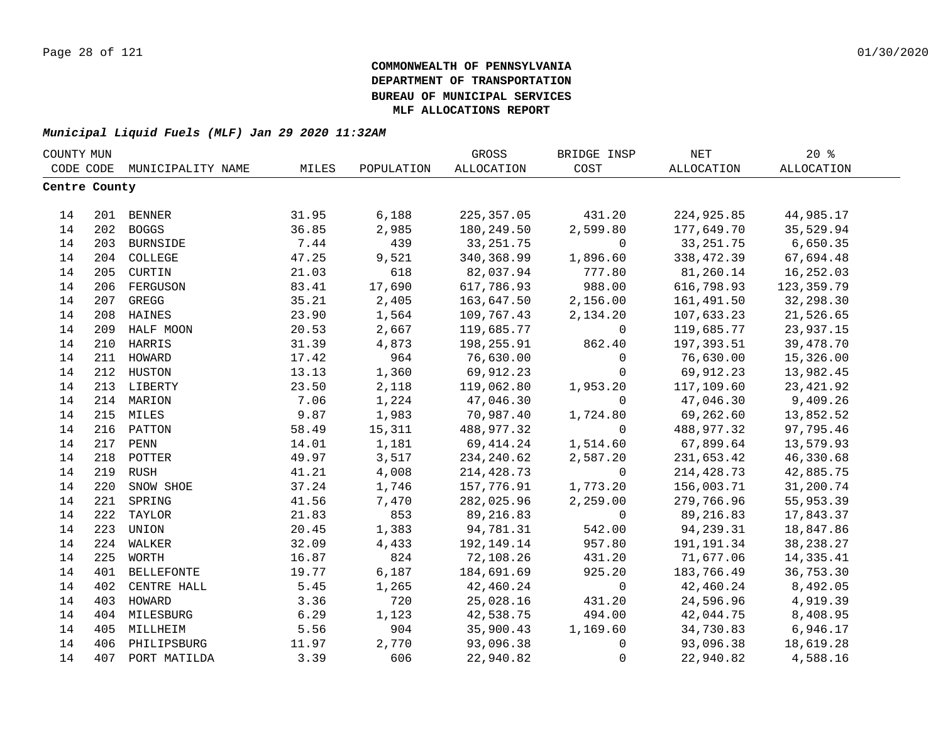| COUNTY MUN    |     |                             |       |            | GROSS       | BRIDGE INSP    | NET         | 20%         |  |
|---------------|-----|-----------------------------|-------|------------|-------------|----------------|-------------|-------------|--|
|               |     | CODE CODE MUNICIPALITY NAME | MILES | POPULATION | ALLOCATION  | COST           | ALLOCATION  | ALLOCATION  |  |
| Centre County |     |                             |       |            |             |                |             |             |  |
|               |     |                             |       |            |             |                |             |             |  |
| 14            |     | 201 BENNER                  | 31.95 | 6,188      | 225, 357.05 | 431.20         | 224,925.85  | 44,985.17   |  |
| 14            |     | 202 BOGGS                   | 36.85 | 2,985      | 180,249.50  | 2,599.80       | 177,649.70  | 35,529.94   |  |
| 14            |     | 203 BURNSIDE                | 7.44  | 439        | 33, 251. 75 | $\mathbf 0$    | 33, 251. 75 | 6,650.35    |  |
| 14            |     | 204 COLLEGE                 | 47.25 | 9,521      | 340,368.99  | 1,896.60       | 338,472.39  | 67,694.48   |  |
| 14            |     | 205 CURTIN                  | 21.03 | 618        | 82,037.94   | 777.80         | 81,260.14   | 16,252.03   |  |
| 14            | 206 | FERGUSON                    | 83.41 | 17,690     | 617,786.93  | 988.00         | 616,798.93  | 123,359.79  |  |
| 14            | 207 | GREGG                       | 35.21 | 2,405      | 163,647.50  | 2,156.00       | 161,491.50  | 32,298.30   |  |
| 14            | 208 | HAINES                      | 23.90 | 1,564      | 109,767.43  | 2,134.20       | 107,633.23  | 21,526.65   |  |
| 14            | 209 | HALF MOON                   | 20.53 | 2,667      | 119,685.77  | 0              | 119,685.77  | 23,937.15   |  |
| 14            | 210 | HARRIS                      | 31.39 | 4,873      | 198,255.91  | 862.40         | 197,393.51  | 39,478.70   |  |
| 14            | 211 | HOWARD                      | 17.42 | 964        | 76,630.00   | $\Omega$       | 76,630.00   | 15,326.00   |  |
| 14            | 212 | HUSTON                      | 13.13 | 1,360      | 69,912.23   | $\mathbf 0$    | 69,912.23   | 13,982.45   |  |
| 14            |     | 213 LIBERTY                 | 23.50 | 2,118      | 119,062.80  | 1,953.20       | 117,109.60  | 23, 421.92  |  |
| 14            |     | 214 MARION                  | 7.06  | 1,224      | 47,046.30   | $\Omega$       | 47,046.30   | 9,409.26    |  |
| 14            |     | 215 MILES                   | 9.87  | 1,983      | 70,987.40   | 1,724.80       | 69,262.60   | 13,852.52   |  |
| 14            |     | 216 PATTON                  | 58.49 | 15,311     | 488,977.32  | $\mathbf 0$    | 488,977.32  | 97,795.46   |  |
| 14            |     | 217 PENN                    | 14.01 | 1,181      | 69,414.24   | 1,514.60       | 67,899.64   | 13,579.93   |  |
| 14            |     | 218 POTTER                  | 49.97 | 3,517      | 234,240.62  | 2,587.20       | 231,653.42  | 46,330.68   |  |
| 14            | 219 | RUSH                        | 41.21 | 4,008      | 214, 428.73 | $\overline{0}$ | 214,428.73  | 42,885.75   |  |
| 14            | 220 | SNOW SHOE                   | 37.24 | 1,746      | 157,776.91  | 1,773.20       | 156,003.71  | 31,200.74   |  |
| 14            | 221 | SPRING                      | 41.56 | 7,470      | 282,025.96  | 2,259.00       | 279,766.96  | 55,953.39   |  |
| 14            | 222 | TAYLOR                      | 21.83 | 853        | 89,216.83   | $\mathbf 0$    | 89,216.83   | 17,843.37   |  |
| 14            | 223 | UNION                       | 20.45 | 1,383      | 94,781.31   | 542.00         | 94,239.31   | 18,847.86   |  |
| 14            | 224 | WALKER                      | 32.09 | 4,433      | 192,149.14  | 957.80         | 191,191.34  | 38, 238. 27 |  |
| 14            | 225 | WORTH                       | 16.87 | 824        | 72,108.26   | 431.20         | 71,677.06   | 14,335.41   |  |
| 14            | 401 | <b>BELLEFONTE</b>           | 19.77 | 6,187      | 184,691.69  | 925.20         | 183,766.49  | 36,753.30   |  |
| 14            | 402 | CENTRE HALL                 | 5.45  | 1,265      | 42,460.24   | $\mathsf{O}$   | 42,460.24   | 8,492.05    |  |
| 14            | 403 | HOWARD                      | 3.36  | 720        | 25,028.16   | 431.20         | 24,596.96   | 4,919.39    |  |
| 14            |     | 404 MILESBURG               | 6.29  | 1,123      | 42,538.75   | 494.00         | 42,044.75   | 8,408.95    |  |
| 14            | 405 | MILLHEIM                    | 5.56  | 904        | 35,900.43   | 1,169.60       | 34,730.83   | 6,946.17    |  |
| 14            |     | 406 PHILIPSBURG             | 11.97 | 2,770      | 93,096.38   | $\mathsf{O}$   | 93,096.38   | 18,619.28   |  |
| 14            | 407 | PORT MATILDA                | 3.39  | 606        | 22,940.82   | $\mathbf 0$    | 22,940.82   | 4,588.16    |  |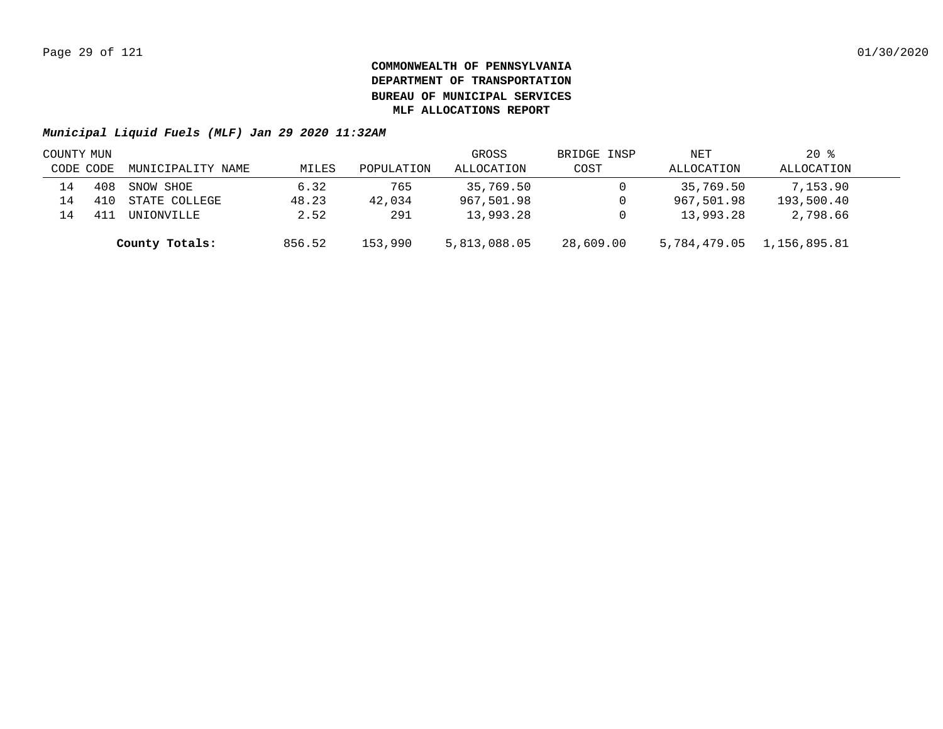| COUNTY MUN |     |                   |        |            | GROSS        | BRIDGE INSP | NET          | $20$ %       |  |
|------------|-----|-------------------|--------|------------|--------------|-------------|--------------|--------------|--|
| CODE CODE  |     | MUNICIPALITY NAME | MILES  | POPULATION | ALLOCATION   | COST        | ALLOCATION   | ALLOCATION   |  |
| 14         | 408 | SNOW SHOE         | 6.32   | 765        | 35,769.50    |             | 35,769.50    | 7,153.90     |  |
| 14         |     | STATE COLLEGE     | 48.23  | 42,034     | 967,501.98   |             | 967,501.98   | 193,500.40   |  |
| 14         |     | UNIONVILLE        | 2.52   | 291        | 13,993.28    |             | 13,993.28    | 2,798.66     |  |
|            |     | County Totals:    | 856.52 | 153,990    | 5,813,088.05 | 28,609.00   | 5,784,479.05 | 1,156,895.81 |  |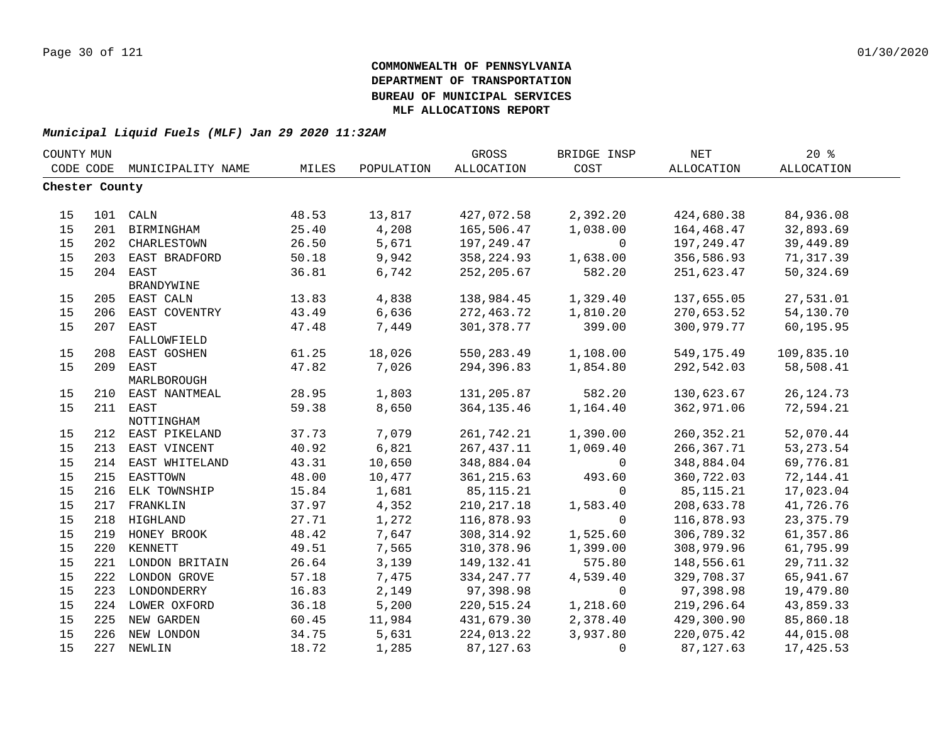| COUNTY MUN     |     |                        |       |            | GROSS             | BRIDGE INSP | <b>NET</b>   | 20%         |  |
|----------------|-----|------------------------|-------|------------|-------------------|-------------|--------------|-------------|--|
| CODE CODE      |     | MUNICIPALITY NAME      | MILES | POPULATION | <b>ALLOCATION</b> | COST        | ALLOCATION   | ALLOCATION  |  |
| Chester County |     |                        |       |            |                   |             |              |             |  |
|                |     |                        |       |            |                   |             |              |             |  |
| 15             |     | 101 CALN               | 48.53 | 13,817     | 427,072.58        | 2,392.20    | 424,680.38   | 84,936.08   |  |
| 15             | 201 | BIRMINGHAM             | 25.40 | 4,208      | 165,506.47        | 1,038.00    | 164,468.47   | 32,893.69   |  |
| 15             | 202 | CHARLESTOWN            | 26.50 | 5,671      | 197,249.47        | $\mathbf 0$ | 197,249.47   | 39,449.89   |  |
| 15             | 203 | EAST BRADFORD          | 50.18 | 9,942      | 358, 224.93       | 1,638.00    | 356,586.93   | 71,317.39   |  |
| 15             |     | 204 EAST               | 36.81 | 6,742      | 252, 205.67       | 582.20      | 251,623.47   | 50,324.69   |  |
|                |     | BRANDYWINE             |       |            |                   |             |              |             |  |
| 15             |     | 205 EAST CALN          | 13.83 | 4,838      | 138,984.45        | 1,329.40    | 137,655.05   | 27,531.01   |  |
| 15             | 206 | EAST COVENTRY          | 43.49 | 6,636      | 272,463.72        | 1,810.20    | 270,653.52   | 54,130.70   |  |
| 15             |     | 207 EAST               | 47.48 | 7,449      | 301, 378.77       | 399.00      | 300,979.77   | 60,195.95   |  |
|                |     | FALLOWFIELD            |       |            |                   |             |              |             |  |
| 15             | 208 | EAST GOSHEN            | 61.25 | 18,026     | 550,283.49        | 1,108.00    | 549,175.49   | 109,835.10  |  |
| 15             |     | 209 EAST               | 47.82 | 7,026      | 294,396.83        | 1,854.80    | 292,542.03   | 58,508.41   |  |
|                |     | MARLBOROUGH            |       |            |                   |             |              |             |  |
| 15             |     | 210 EAST NANTMEAL      | 28.95 | 1,803      | 131,205.87        | 582.20      | 130,623.67   | 26, 124. 73 |  |
| 15             |     | 211 EAST<br>NOTTINGHAM | 59.38 | 8,650      | 364, 135.46       | 1,164.40    | 362,971.06   | 72,594.21   |  |
| 15             |     | 212 EAST PIKELAND      | 37.73 | 7,079      | 261,742.21        | 1,390.00    | 260, 352. 21 | 52,070.44   |  |
| 15             | 213 | EAST VINCENT           | 40.92 | 6,821      | 267, 437.11       | 1,069.40    | 266, 367.71  | 53, 273. 54 |  |
| 15             | 214 | EAST WHITELAND         | 43.31 | 10,650     | 348,884.04        | 0           | 348,884.04   | 69,776.81   |  |
| 15             | 215 | EASTTOWN               | 48.00 | 10,477     | 361, 215.63       | 493.60      | 360,722.03   | 72, 144. 41 |  |
| 15             | 216 | ELK TOWNSHIP           | 15.84 | 1,681      | 85, 115. 21       | $\Omega$    | 85, 115. 21  | 17,023.04   |  |
| 15             | 217 | FRANKLIN               | 37.97 | 4,352      | 210, 217.18       | 1,583.40    | 208,633.78   | 41,726.76   |  |
| 15             | 218 | HIGHLAND               | 27.71 | 1,272      | 116,878.93        | $\Omega$    | 116,878.93   | 23, 375. 79 |  |
| 15             |     | 219 HONEY BROOK        | 48.42 | 7,647      | 308, 314.92       | 1,525.60    | 306,789.32   | 61,357.86   |  |
| 15             |     | 220 KENNETT            | 49.51 | 7,565      | 310, 378.96       | 1,399.00    | 308,979.96   | 61,795.99   |  |
| 15             |     | 221 LONDON BRITAIN     | 26.64 | 3,139      | 149, 132. 41      | 575.80      | 148,556.61   | 29,711.32   |  |
| 15             |     | 222 LONDON GROVE       | 57.18 | 7,475      | 334, 247. 77      | 4,539.40    | 329,708.37   | 65,941.67   |  |
| 15             |     | 223 LONDONDERRY        | 16.83 | 2,149      | 97,398.98         | 0           | 97,398.98    | 19,479.80   |  |
| 15             |     | 224 LOWER OXFORD       | 36.18 | 5,200      | 220,515.24        | 1,218.60    | 219,296.64   | 43,859.33   |  |
| 15             |     | 225 NEW GARDEN         | 60.45 | 11,984     | 431,679.30        | 2,378.40    | 429,300.90   | 85,860.18   |  |
| 15             |     | 226 NEW LONDON         | 34.75 | 5,631      | 224,013.22        | 3,937.80    | 220,075.42   | 44,015.08   |  |
| 15             |     | 227 NEWLIN             | 18.72 | 1,285      | 87, 127.63        | 0           | 87, 127.63   | 17,425.53   |  |
|                |     |                        |       |            |                   |             |              |             |  |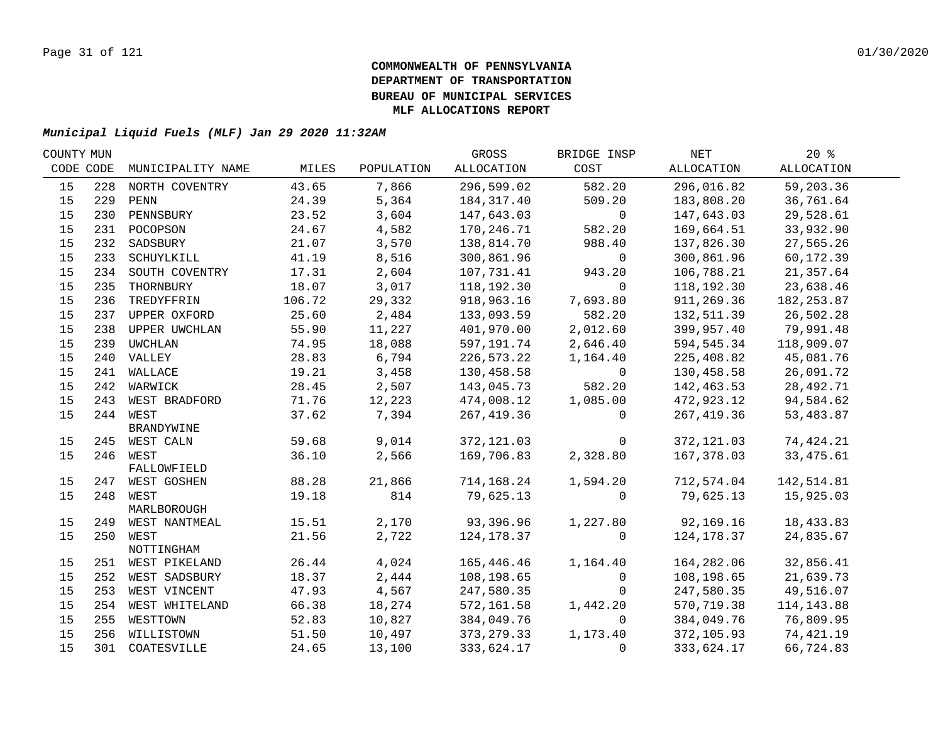| COUNTY MUN |     |                         |                |                | GROSS                     | BRIDGE INSP  | NET         | $20*$       |  |
|------------|-----|-------------------------|----------------|----------------|---------------------------|--------------|-------------|-------------|--|
| CODE CODE  |     | MUNICIPALITY NAME       | MILES          | POPULATION     | ALLOCATION                | COST         | ALLOCATION  | ALLOCATION  |  |
| 15         | 228 | NORTH COVENTRY          | 43.65          | 7,866          | 296,599.02                | 582.20       | 296,016.82  | 59,203.36   |  |
| 15         | 229 | PENN                    | 24.39          | 5,364          | 184,317.40                | 509.20       | 183,808.20  | 36,761.64   |  |
| 15         | 230 | PENNSBURY               | 23.52          | 3,604          | 147,643.03                | $\mathbf 0$  | 147,643.03  | 29,528.61   |  |
| 15         |     | 231 POCOPSON            | 24.67          | 4,582          | 170,246.71                | 582.20       | 169,664.51  | 33,932.90   |  |
| 15         | 232 | SADSBURY                | 21.07          | 3,570          | 138,814.70                | 988.40       | 137,826.30  | 27,565.26   |  |
| 15         | 233 | SCHUYLKILL              | 41.19          | 8,516          | 300,861.96                | $\mathbf 0$  | 300,861.96  | 60,172.39   |  |
| 15         | 234 | SOUTH COVENTRY          | 17.31          | 2,604          | 107,731.41                | 943.20       | 106,788.21  | 21,357.64   |  |
| 15         | 235 | THORNBURY               | 18.07          | 3,017          | 118,192.30                | $\Omega$     | 118,192.30  | 23,638.46   |  |
| 15         | 236 | TREDYFFRIN              | 106.72         | 29,332         | 918,963.16                | 7,693.80     | 911,269.36  | 182, 253.87 |  |
| 15         |     | 237 UPPER OXFORD        | 25.60          | 2,484          | 133,093.59                | 582.20       | 132,511.39  | 26,502.28   |  |
| 15         | 238 | UPPER UWCHLAN           | 55.90          | 11,227         | 401,970.00                | 2,012.60     | 399,957.40  | 79,991.48   |  |
| 15         | 239 | UWCHLAN                 | 74.95          | 18,088         | 597,191.74                | 2,646.40     | 594,545.34  | 118,909.07  |  |
| 15         |     | 240 VALLEY              | 28.83          | 6,794          | 226,573.22                | 1,164.40     | 225,408.82  | 45,081.76   |  |
| 15         |     | 241 WALLACE             | 19.21          | 3,458          | 130,458.58                | $\mathsf{O}$ | 130,458.58  | 26,091.72   |  |
| 15         |     | 242 WARWICK             | 28.45          | 2,507          | 143,045.73                | 582.20       | 142,463.53  | 28,492.71   |  |
| 15         |     | 243 WEST BRADFORD       | 71.76          | 12,223         | 474,008.12                | 1,085.00     | 472,923.12  | 94,584.62   |  |
| 15         |     | 244 WEST                | 37.62          | 7,394          | 267, 419.36               | $\Omega$     | 267, 419.36 | 53,483.87   |  |
|            |     | BRANDYWINE              |                |                |                           | $\mathbf 0$  |             |             |  |
| 15<br>15   |     | 245 WEST CALN           | 59.68<br>36.10 | 9,014<br>2,566 | 372, 121.03<br>169,706.83 |              | 372,121.03  | 74,424.21   |  |
|            |     | 246 WEST<br>FALLOWFIELD |                |                |                           | 2,328.80     | 167,378.03  | 33, 475.61  |  |
| 15         |     | 247 WEST GOSHEN         | 88.28          | 21,866         | 714,168.24                | 1,594.20     | 712,574.04  | 142,514.81  |  |
| 15         |     | 248 WEST                | 19.18          | 814            | 79,625.13                 | $\Omega$     | 79,625.13   | 15,925.03   |  |
|            |     | MARLBOROUGH             |                |                |                           |              |             |             |  |
| 15         |     | 249 WEST NANTMEAL       | 15.51          | 2,170          | 93,396.96                 | 1,227.80     | 92,169.16   | 18,433.83   |  |
| 15         |     | 250 WEST                | 21.56          | 2,722          | 124, 178.37               | $\mathbf 0$  | 124,178.37  | 24,835.67   |  |
|            |     | NOTTINGHAM              |                |                |                           |              |             |             |  |
| 15         |     | 251 WEST PIKELAND       | 26.44          | 4,024          | 165,446.46                | 1,164.40     | 164,282.06  | 32,856.41   |  |
| 15         |     | 252 WEST SADSBURY       | 18.37          | 2,444          | 108,198.65                | 0            | 108,198.65  | 21,639.73   |  |
| 15         |     | 253 WEST VINCENT        | 47.93          | 4,567          | 247,580.35                | $\Omega$     | 247,580.35  | 49,516.07   |  |
| 15         | 254 | WEST WHITELAND          | 66.38          | 18,274         | 572,161.58                | 1,442.20     | 570,719.38  | 114, 143.88 |  |
| 15         | 255 | WESTTOWN                | 52.83          | 10,827         | 384,049.76                | 0            | 384,049.76  | 76,809.95   |  |
| 15         |     | 256 WILLISTOWN          | 51.50          | 10,497         | 373, 279.33               | 1,173.40     | 372,105.93  | 74,421.19   |  |
| 15         |     | 301 COATESVILLE         | 24.65          | 13,100         | 333,624.17                | 0            | 333,624.17  | 66,724.83   |  |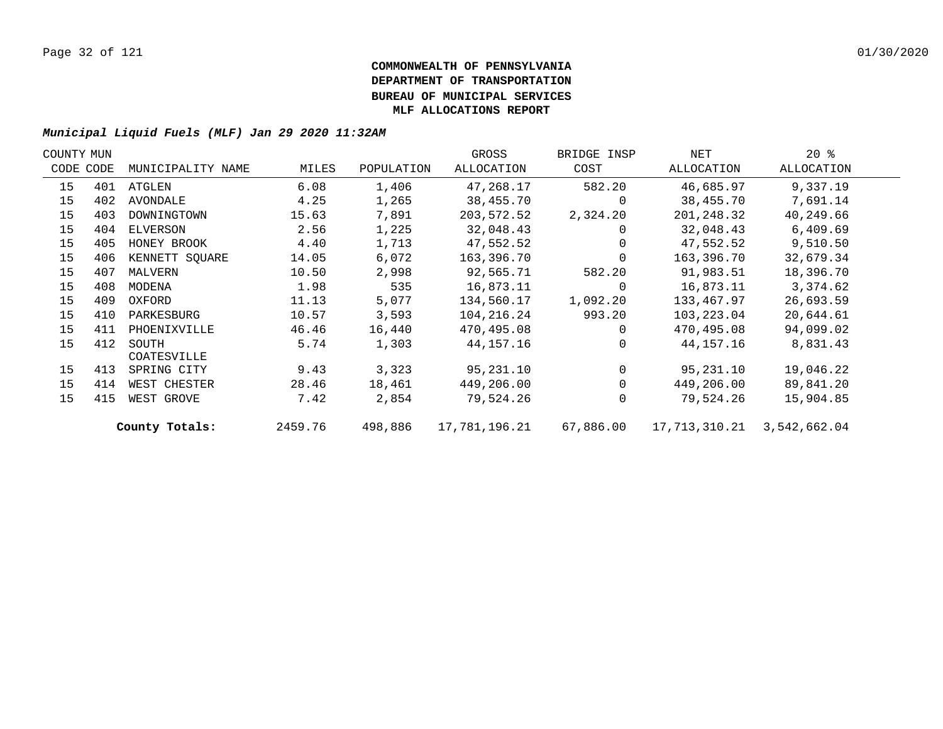| COUNTY MUN |           |                   |         |            | GROSS             | BRIDGE INSP | NET           | $20*$        |  |
|------------|-----------|-------------------|---------|------------|-------------------|-------------|---------------|--------------|--|
|            | CODE CODE | MUNICIPALITY NAME | MILES   | POPULATION | <b>ALLOCATION</b> | COST        | ALLOCATION    | ALLOCATION   |  |
| 15         | 401       | ATGLEN            | 6.08    | 1,406      | 47,268.17         | 582.20      | 46,685.97     | 9,337.19     |  |
| 15         | 402       | AVONDALE          | 4.25    | 1,265      | 38,455.70         | $\Omega$    | 38,455.70     | 7,691.14     |  |
| 15         | 403       | DOWNINGTOWN       | 15.63   | 7,891      | 203,572.52        | 2,324.20    | 201,248.32    | 40,249.66    |  |
| 15         | 404       | ELVERSON          | 2.56    | 1,225      | 32,048.43         | 0           | 32,048.43     | 6,409.69     |  |
| 15         | 405       | HONEY BROOK       | 4.40    | 1,713      | 47,552.52         | $\Omega$    | 47,552.52     | 9,510.50     |  |
| 15         | 406       | KENNETT SQUARE    | 14.05   | 6,072      | 163,396.70        | $\Omega$    | 163,396.70    | 32,679.34    |  |
| 15         | 407       | MALVERN           | 10.50   | 2,998      | 92,565.71         | 582.20      | 91,983.51     | 18,396.70    |  |
| 15         | 408       | MODENA            | 1.98    | 535        | 16,873.11         | $\Omega$    | 16,873.11     | 3,374.62     |  |
| 15         | 409       | OXFORD            | 11.13   | 5,077      | 134,560.17        | 1,092.20    | 133,467.97    | 26,693.59    |  |
| 15         | 410       | PARKESBURG        | 10.57   | 3,593      | 104,216.24        | 993.20      | 103,223.04    | 20,644.61    |  |
| 15         | 411       | PHOENIXVILLE      | 46.46   | 16,440     | 470,495.08        | $\Omega$    | 470,495.08    | 94,099.02    |  |
| 15         | 412       | SOUTH             | 5.74    | 1,303      | 44,157.16         | $\Omega$    | 44,157.16     | 8,831.43     |  |
|            |           | COATESVILLE       |         |            |                   |             |               |              |  |
| 15         | 413       | SPRING CITY       | 9.43    | 3,323      | 95,231.10         | $\Omega$    | 95,231.10     | 19,046.22    |  |
| 15         | 414       | WEST CHESTER      | 28.46   | 18,461     | 449,206.00        | $\Omega$    | 449,206.00    | 89,841.20    |  |
| 15         | 415       | WEST GROVE        | 7.42    | 2,854      | 79,524.26         | $\Omega$    | 79,524.26     | 15,904.85    |  |
|            |           | County Totals:    | 2459.76 | 498,886    | 17,781,196.21     | 67,886.00   | 17,713,310.21 | 3,542,662.04 |  |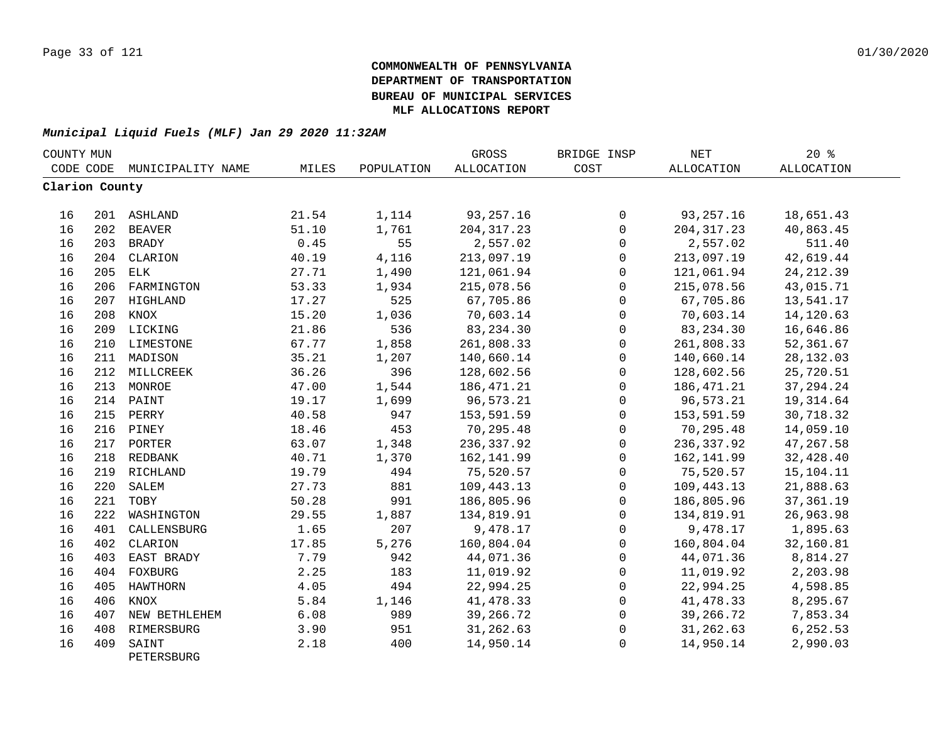| COUNTY MUN     |     |                     |       |            | GROSS             | BRIDGE INSP  | <b>NET</b>        | $20*$             |  |
|----------------|-----|---------------------|-------|------------|-------------------|--------------|-------------------|-------------------|--|
| CODE CODE      |     | MUNICIPALITY NAME   | MILES | POPULATION | <b>ALLOCATION</b> | COST         | <b>ALLOCATION</b> | <b>ALLOCATION</b> |  |
| Clarion County |     |                     |       |            |                   |              |                   |                   |  |
| 16             |     | 201 ASHLAND         | 21.54 | 1,114      | 93, 257. 16       | 0            | 93, 257. 16       | 18,651.43         |  |
| 16             |     | 202 BEAVER          | 51.10 | 1,761      | 204, 317.23       | $\mathsf{O}$ | 204, 317.23       | 40,863.45         |  |
| 16             |     | 203 BRADY           | 0.45  | 55         | 2,557.02          | $\Omega$     | 2,557.02          | 511.40            |  |
| 16             | 204 | CLARION             | 40.19 | 4,116      | 213,097.19        | $\mathbf 0$  | 213,097.19        | 42,619.44         |  |
| 16             | 205 | ELK                 | 27.71 | 1,490      | 121,061.94        | $\mathbf 0$  | 121,061.94        | 24, 212.39        |  |
| 16             | 206 | FARMINGTON          | 53.33 | 1,934      | 215,078.56        | $\mathbf 0$  | 215,078.56        | 43,015.71         |  |
| 16             | 207 | HIGHLAND            | 17.27 | 525        | 67,705.86         | $\Omega$     | 67,705.86         | 13,541.17         |  |
| 16             | 208 | KNOX                | 15.20 | 1,036      | 70,603.14         | 0            | 70,603.14         | 14,120.63         |  |
| 16             |     | 209 LICKING         | 21.86 | 536        | 83, 234.30        | 0            | 83, 234.30        | 16,646.86         |  |
| 16             |     | 210 LIMESTONE       | 67.77 | 1,858      | 261,808.33        | $\mathbf{0}$ | 261,808.33        | 52,361.67         |  |
| 16             |     | 211 MADISON         | 35.21 | 1,207      | 140,660.14        | $\mathbf{0}$ | 140,660.14        | 28, 132.03        |  |
| 16             |     | 212 MILLCREEK       | 36.26 | 396        | 128,602.56        | 0            | 128,602.56        | 25,720.51         |  |
| 16             |     | 213 MONROE          | 47.00 | 1,544      | 186, 471.21       | $\mathsf 0$  | 186, 471.21       | 37, 294. 24       |  |
| 16             |     | 214 PAINT           | 19.17 | 1,699      | 96,573.21         | $\mathsf 0$  | 96,573.21         | 19, 314.64        |  |
| 16             |     | 215 PERRY           | 40.58 | 947        | 153,591.59        | 0            | 153,591.59        | 30,718.32         |  |
| 16             |     | 216 PINEY           | 18.46 | 453        | 70,295.48         | 0            | 70,295.48         | 14,059.10         |  |
| 16             |     | 217 PORTER          | 63.07 | 1,348      | 236, 337.92       | $\mathsf{O}$ | 236, 337.92       | 47,267.58         |  |
| 16             |     | 218 REDBANK         | 40.71 | 1,370      | 162,141.99        | $\mathbf{0}$ | 162,141.99        | 32,428.40         |  |
| 16             |     | 219 RICHLAND        | 19.79 | 494        | 75,520.57         | $\mathbf 0$  | 75,520.57         | 15,104.11         |  |
| 16             | 220 | SALEM               | 27.73 | 881        | 109,443.13        | $\mathbf 0$  | 109,443.13        | 21,888.63         |  |
| 16             | 221 | TOBY                | 50.28 | 991        | 186,805.96        | $\Omega$     | 186,805.96        | 37, 361. 19       |  |
| 16             | 222 | WASHINGTON          | 29.55 | 1,887      | 134,819.91        | $\Omega$     | 134,819.91        | 26,963.98         |  |
| 16             | 401 | CALLENSBURG         | 1.65  | 207        | 9,478.17          | $\mathbf 0$  | 9,478.17          | 1,895.63          |  |
| 16             | 402 | CLARION             | 17.85 | 5,276      | 160,804.04        | $\mathsf 0$  | 160,804.04        | 32,160.81         |  |
| 16             | 403 | EAST BRADY          | 7.79  | 942        | 44,071.36         | $\mathsf 0$  | 44,071.36         | 8,814.27          |  |
| 16             |     | 404 FOXBURG         | 2.25  | 183        | 11,019.92         | 0            | 11,019.92         | 2,203.98          |  |
| 16             | 405 | HAWTHORN            | 4.05  | 494        | 22,994.25         | 0            | 22,994.25         | 4,598.85          |  |
| 16             | 406 | KNOX                | 5.84  | 1,146      | 41, 478.33        | 0            | 41, 478.33        | 8,295.67          |  |
| 16             | 407 | NEW BETHLEHEM       | 6.08  | 989        | 39,266.72         | $\mathbf 0$  | 39,266.72         | 7,853.34          |  |
| 16             | 408 | RIMERSBURG          | 3.90  | 951        | 31,262.63         | $\mathbf 0$  | 31,262.63         | 6,252.53          |  |
| 16             | 409 | SAINT<br>PETERSBURG | 2.18  | 400        | 14,950.14         | $\mathbf 0$  | 14,950.14         | 2,990.03          |  |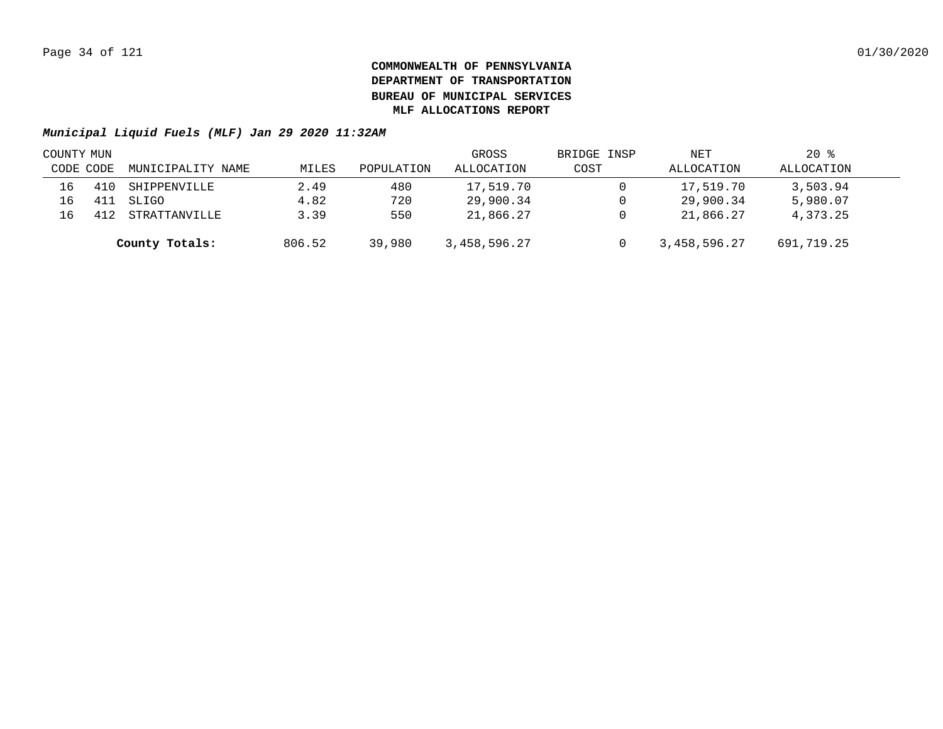| COUNTY MUN |           |                   |        |            | GROSS        | BRIDGE INSP | NET          | $20*$      |  |
|------------|-----------|-------------------|--------|------------|--------------|-------------|--------------|------------|--|
|            | CODE CODE | MUNICIPALITY NAME | MILES  | POPULATION | ALLOCATION   | COST        | ALLOCATION   | ALLOCATION |  |
| 16         |           | SHIPPENVILLE      | 2.49   | 480        | 17,519.70    |             | 17,519.70    | 3,503.94   |  |
| 16         |           | SLIGO             | 4.82   | 720        | 29,900.34    |             | 29,900.34    | 5,980.07   |  |
| 16         |           | STRATTANVILLE     | 3.39   | 550        | 21,866.27    |             | 21,866.27    | 4,373.25   |  |
|            |           | County Totals:    | 806.52 | 39,980     | 3,458,596.27 |             | 3,458,596.27 | 691,719.25 |  |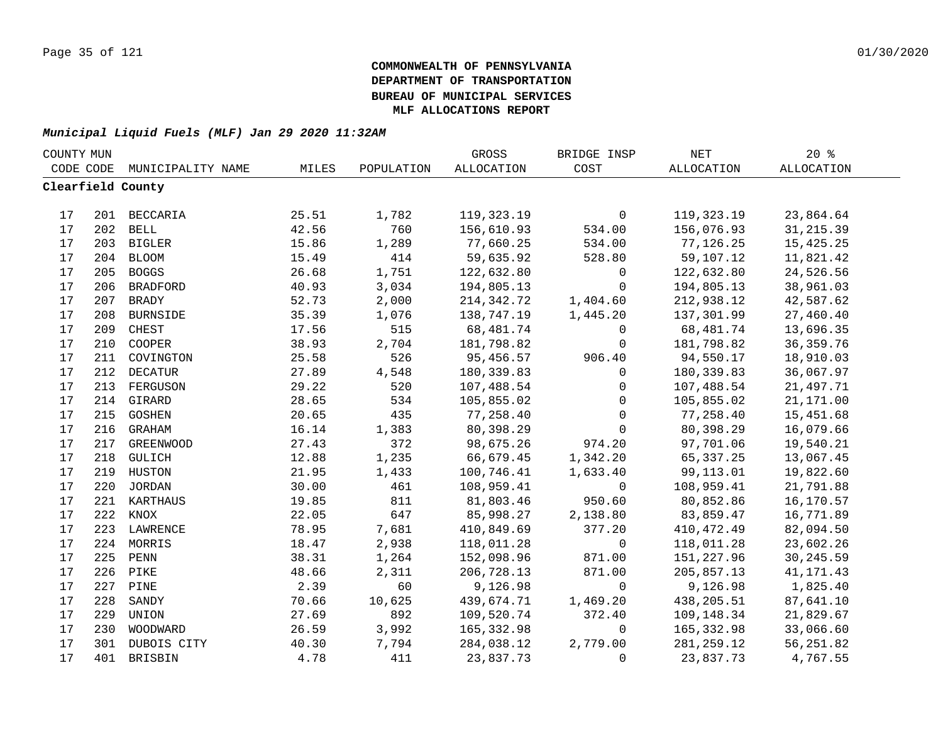| COUNTY MUN |     |                   |       |            | GROSS      | BRIDGE INSP  | NET               | 20%               |  |
|------------|-----|-------------------|-------|------------|------------|--------------|-------------------|-------------------|--|
| CODE CODE  |     | MUNICIPALITY NAME | MILES | POPULATION | ALLOCATION | COST         | <b>ALLOCATION</b> | <b>ALLOCATION</b> |  |
|            |     | Clearfield County |       |            |            |              |                   |                   |  |
|            |     |                   |       |            |            |              |                   |                   |  |
| 17         |     | 201 BECCARIA      | 25.51 | 1,782      | 119,323.19 | $\mathbf 0$  | 119,323.19        | 23,864.64         |  |
| 17         |     | 202 BELL          | 42.56 | 760        | 156,610.93 | 534.00       | 156,076.93        | 31, 215.39        |  |
| 17         |     | 203 BIGLER        | 15.86 | 1,289      | 77,660.25  | 534.00       | 77,126.25         | 15,425.25         |  |
| 17         | 204 | <b>BLOOM</b>      | 15.49 | 414        | 59,635.92  | 528.80       | 59,107.12         | 11,821.42         |  |
| 17         | 205 | <b>BOGGS</b>      | 26.68 | 1,751      | 122,632.80 | 0            | 122,632.80        | 24,526.56         |  |
| 17         | 206 | <b>BRADFORD</b>   | 40.93 | 3,034      | 194,805.13 | 0            | 194,805.13        | 38,961.03         |  |
| $17$       | 207 | <b>BRADY</b>      | 52.73 | 2,000      | 214,342.72 | 1,404.60     | 212,938.12        | 42,587.62         |  |
| 17         | 208 | <b>BURNSIDE</b>   | 35.39 | 1,076      | 138,747.19 | 1,445.20     | 137,301.99        | 27,460.40         |  |
| 17         | 209 | CHEST             | 17.56 | 515        | 68,481.74  | $\mathbf 0$  | 68,481.74         | 13,696.35         |  |
| 17         | 210 | COOPER            | 38.93 | 2,704      | 181,798.82 | $\mathbf 0$  | 181,798.82        | 36, 359. 76       |  |
| 17         | 211 | COVINGTON         | 25.58 | 526        | 95,456.57  | 906.40       | 94,550.17         | 18,910.03         |  |
| 17         | 212 | <b>DECATUR</b>    | 27.89 | 4,548      | 180,339.83 | $\mathbf 0$  | 180,339.83        | 36,067.97         |  |
| 17         | 213 | FERGUSON          | 29.22 | 520        | 107,488.54 | 0            | 107,488.54        | 21,497.71         |  |
| $17$       |     | 214 GIRARD        | 28.65 | 534        | 105,855.02 | 0            | 105,855.02        | 21,171.00         |  |
| 17         |     | 215 GOSHEN        | 20.65 | 435        | 77,258.40  | 0            | 77,258.40         | 15,451.68         |  |
| $17$       |     | 216 GRAHAM        | 16.14 | 1,383      | 80,398.29  | 0            | 80,398.29         | 16,079.66         |  |
| 17         |     | 217 GREENWOOD     | 27.43 | 372        | 98,675.26  | 974.20       | 97,701.06         | 19,540.21         |  |
| $17$       |     | 218 GULICH        | 12.88 | 1,235      | 66,679.45  | 1,342.20     | 65, 337.25        | 13,067.45         |  |
| 17         |     | 219 HUSTON        | 21.95 | 1,433      | 100,746.41 | 1,633.40     | 99,113.01         | 19,822.60         |  |
| 17         |     | 220 JORDAN        | 30.00 | 461        | 108,959.41 | $\mathsf{O}$ | 108,959.41        | 21,791.88         |  |
| 17         |     | 221 KARTHAUS      | 19.85 | 811        | 81,803.46  | 950.60       | 80,852.86         | 16,170.57         |  |
| 17         | 222 | KNOX              | 22.05 | 647        | 85,998.27  | 2,138.80     | 83,859.47         | 16,771.89         |  |
| 17         | 223 | LAWRENCE          | 78.95 | 7,681      | 410,849.69 | 377.20       | 410,472.49        | 82,094.50         |  |
| 17         | 224 | MORRIS            | 18.47 | 2,938      | 118,011.28 | $\mathbf 0$  | 118,011.28        | 23,602.26         |  |
| 17         | 225 | PENN              | 38.31 | 1,264      | 152,098.96 | 871.00       | 151,227.96        | 30, 245.59        |  |
| 17         | 226 | PIKE              | 48.66 | 2,311      | 206,728.13 | 871.00       | 205,857.13        | 41, 171. 43       |  |
| 17         | 227 | PINE              | 2.39  | 60         | 9,126.98   | $\mathbf 0$  | 9,126.98          | 1,825.40          |  |
| 17         | 228 | SANDY             | 70.66 | 10,625     | 439,674.71 | 1,469.20     | 438,205.51        | 87,641.10         |  |
| 17         | 229 | UNION             | 27.69 | 892        | 109,520.74 | 372.40       | 109,148.34        | 21,829.67         |  |
| 17         | 230 | WOODWARD          | 26.59 | 3,992      | 165,332.98 | $\mathsf{O}$ | 165,332.98        | 33,066.60         |  |
| 17         | 301 | DUBOIS CITY       | 40.30 | 7,794      | 284,038.12 | 2,779.00     | 281, 259.12       | 56, 251.82        |  |
| 17         | 401 | BRISBIN           | 4.78  | 411        | 23,837.73  | $\Omega$     | 23,837.73         | 4,767.55          |  |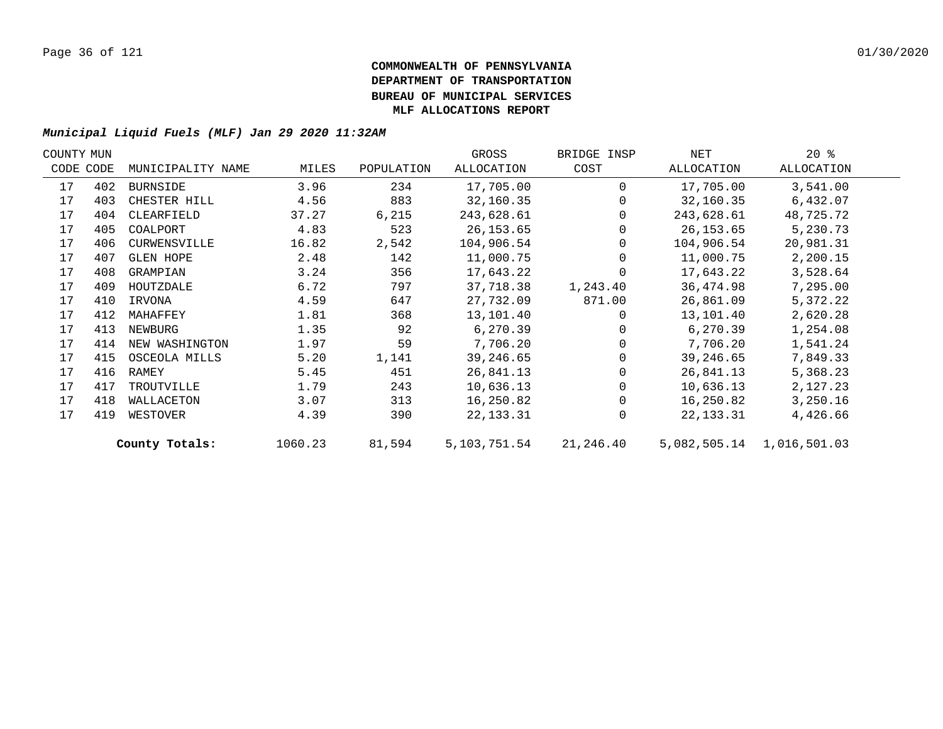| COUNTY MUN |           |                   |         |            | GROSS        | BRIDGE INSP | NET          | $20*$        |  |
|------------|-----------|-------------------|---------|------------|--------------|-------------|--------------|--------------|--|
|            | CODE CODE | MUNICIPALITY NAME | MILES   | POPULATION | ALLOCATION   | COST        | ALLOCATION   | ALLOCATION   |  |
| 17         | 402       | BURNSIDE          | 3.96    | 234        | 17,705.00    | $\Omega$    | 17,705.00    | 3,541.00     |  |
| 17         | 403       | CHESTER HILL      | 4.56    | 883        | 32,160.35    | 0           | 32,160.35    | 6,432.07     |  |
| 17         | 404       | CLEARFIELD        | 37.27   | 6,215      | 243,628.61   | 0           | 243,628.61   | 48,725.72    |  |
| 17         | 405       | COALPORT          | 4.83    | 523        | 26, 153.65   |             | 26,153.65    | 5,230.73     |  |
| 17         | 406       | CURWENSVILLE      | 16.82   | 2,542      | 104,906.54   | $\Omega$    | 104,906.54   | 20,981.31    |  |
| 17         | 407       | GLEN HOPE         | 2.48    | 142        | 11,000.75    | $\Omega$    | 11,000.75    | 2,200.15     |  |
| 17         | 408       | GRAMPIAN          | 3.24    | 356        | 17,643.22    | $\Omega$    | 17,643.22    | 3,528.64     |  |
| 17         | 409       | HOUTZDALE         | 6.72    | 797        | 37,718.38    | 1,243.40    | 36,474.98    | 7,295.00     |  |
| 17         | 410       | IRVONA            | 4.59    | 647        | 27,732.09    | 871.00      | 26,861.09    | 5,372.22     |  |
| 17         | 412       | MAHAFFEY          | 1.81    | 368        | 13,101.40    | $\Omega$    | 13,101.40    | 2,620.28     |  |
| 17         | 413       | NEWBURG           | 1.35    | 92         | 6,270.39     |             | 6,270.39     | 1,254.08     |  |
| 17         | 414       | NEW WASHINGTON    | 1.97    | 59         | 7,706.20     |             | 7,706.20     | 1,541.24     |  |
| 17         | 415       | OSCEOLA MILLS     | 5.20    | 1,141      | 39,246.65    |             | 39,246.65    | 7,849.33     |  |
| 17         | 416       | RAMEY             | 5.45    | 451        | 26,841.13    |             | 26,841.13    | 5,368.23     |  |
| 17         | 417       | TROUTVILLE        | 1.79    | 243        | 10,636.13    | 0           | 10,636.13    | 2,127.23     |  |
| 17         | 418       | WALLACETON        | 3.07    | 313        | 16,250.82    |             | 16,250.82    | 3,250.16     |  |
| 17         | 419       | WESTOVER          | 4.39    | 390        | 22, 133. 31  | $\Omega$    | 22, 133. 31  | 4,426.66     |  |
|            |           | County Totals:    | 1060.23 | 81,594     | 5,103,751.54 | 21,246.40   | 5,082,505.14 | 1,016,501.03 |  |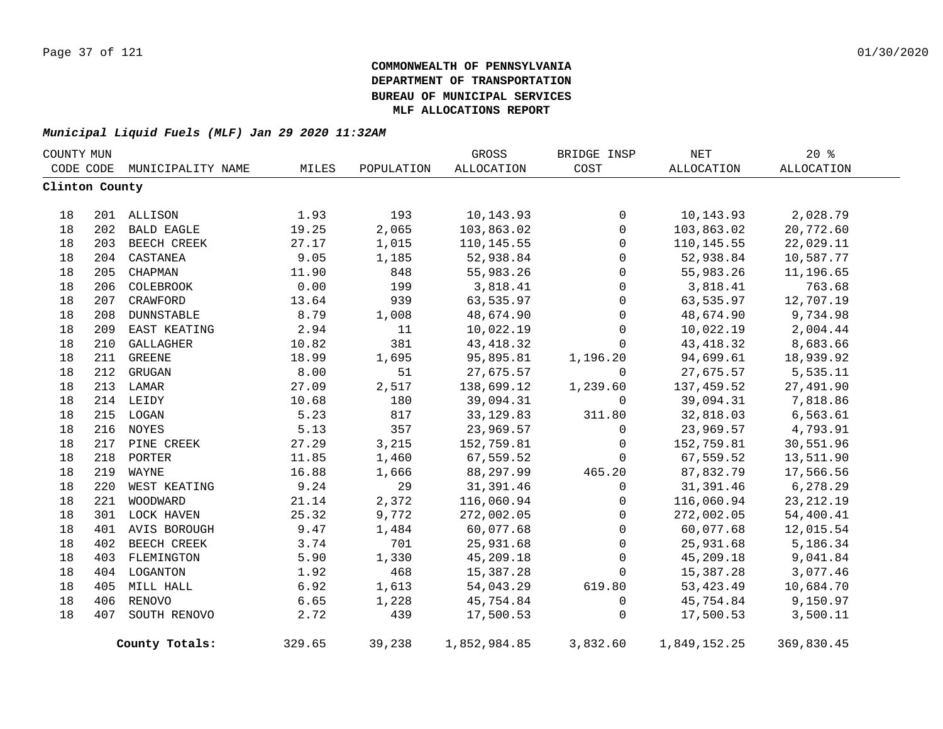| COUNTY MUN     |     |                   |        |            | GROSS        | BRIDGE INSP | NET               | 20%         |  |
|----------------|-----|-------------------|--------|------------|--------------|-------------|-------------------|-------------|--|
| CODE CODE      |     | MUNICIPALITY NAME | MILES  | POPULATION | ALLOCATION   | COST        | <b>ALLOCATION</b> | ALLOCATION  |  |
| Clinton County |     |                   |        |            |              |             |                   |             |  |
|                |     |                   |        |            |              |             |                   |             |  |
| 18             |     | 201 ALLISON       | 1.93   | 193        | 10,143.93    | 0           | 10,143.93         | 2,028.79    |  |
| 18             | 202 | BALD EAGLE        | 19.25  | 2,065      | 103,863.02   | 0           | 103,863.02        | 20,772.60   |  |
| 18             | 203 | BEECH CREEK       | 27.17  | 1,015      | 110, 145.55  | $\Omega$    | 110,145.55        | 22,029.11   |  |
| 18             | 204 | CASTANEA          | 9.05   | 1,185      | 52,938.84    | $\mathbf 0$ | 52,938.84         | 10,587.77   |  |
| 18             | 205 | CHAPMAN           | 11.90  | 848        | 55,983.26    | 0           | 55,983.26         | 11,196.65   |  |
| 18             | 206 | COLEBROOK         | 0.00   | 199        | 3,818.41     | 0           | 3,818.41          | 763.68      |  |
| 18             |     | 207 CRAWFORD      | 13.64  | 939        | 63,535.97    | 0           | 63,535.97         | 12,707.19   |  |
| 18             |     | 208 DUNNSTABLE    | 8.79   | 1,008      | 48,674.90    | 0           | 48,674.90         | 9,734.98    |  |
| 18             |     | 209 EAST KEATING  | 2.94   | 11         | 10,022.19    | 0           | 10,022.19         | 2,004.44    |  |
| 18             |     | 210 GALLAGHER     | 10.82  | 381        | 43, 418.32   | 0           | 43, 418.32        | 8,683.66    |  |
| 18             |     | 211 GREENE        | 18.99  | 1,695      | 95,895.81    | 1,196.20    | 94,699.61         | 18,939.92   |  |
| 18             |     | 212 GRUGAN        | 8.00   | 51         | 27,675.57    | $\Omega$    | 27,675.57         | 5,535.11    |  |
| 18             |     | 213 LAMAR         | 27.09  | 2,517      | 138,699.12   | 1,239.60    | 137,459.52        | 27,491.90   |  |
| 18             |     | 214 LEIDY         | 10.68  | 180        | 39,094.31    | $\mathbf 0$ | 39,094.31         | 7,818.86    |  |
| 18             |     | 215 LOGAN         | 5.23   | 817        | 33, 129.83   | 311.80      | 32,818.03         | 6, 563.61   |  |
| 18             |     | 216 NOYES         | 5.13   | 357        | 23,969.57    | 0           | 23,969.57         | 4,793.91    |  |
| 18             |     | 217 PINE CREEK    | 27.29  | 3,215      | 152,759.81   | 0           | 152,759.81        | 30,551.96   |  |
| 18             | 218 | PORTER            | 11.85  | 1,460      | 67,559.52    | $\mathbf 0$ | 67,559.52         | 13,511.90   |  |
| 18             | 219 | WAYNE             | 16.88  | 1,666      | 88,297.99    | 465.20      | 87,832.79         | 17,566.56   |  |
| 18             | 220 | WEST KEATING      | 9.24   | 29         | 31,391.46    | 0           | 31,391.46         | 6,278.29    |  |
| 18             | 221 | WOODWARD          | 21.14  | 2,372      | 116,060.94   | $\mathbf 0$ | 116,060.94        | 23, 212. 19 |  |
| 18             |     | 301 LOCK HAVEN    | 25.32  | 9,772      | 272,002.05   | 0           | 272,002.05        | 54,400.41   |  |
| 18             | 401 | AVIS BOROUGH      | 9.47   | 1,484      | 60,077.68    | 0           | 60,077.68         | 12,015.54   |  |
| 18             |     | 402 BEECH CREEK   | 3.74   | 701        | 25,931.68    | 0           | 25,931.68         | 5,186.34    |  |
| 18             |     | 403 FLEMINGTON    | 5.90   | 1,330      | 45,209.18    | $\mathsf 0$ | 45,209.18         | 9,041.84    |  |
| 18             |     | 404 LOGANTON      | 1.92   | 468        | 15,387.28    | 0           | 15,387.28         | 3,077.46    |  |
| 18             |     | 405 MILL HALL     | 6.92   | 1,613      | 54,043.29    | 619.80      | 53, 423. 49       | 10,684.70   |  |
| 18             |     | 406 RENOVO        | 6.65   | 1,228      | 45,754.84    | $\mathbf 0$ | 45,754.84         | 9,150.97    |  |
| 18             | 407 | SOUTH RENOVO      | 2.72   | 439        | 17,500.53    | 0           | 17,500.53         | 3,500.11    |  |
|                |     | County Totals:    | 329.65 | 39,238     | 1,852,984.85 | 3,832.60    | 1,849,152.25      | 369,830.45  |  |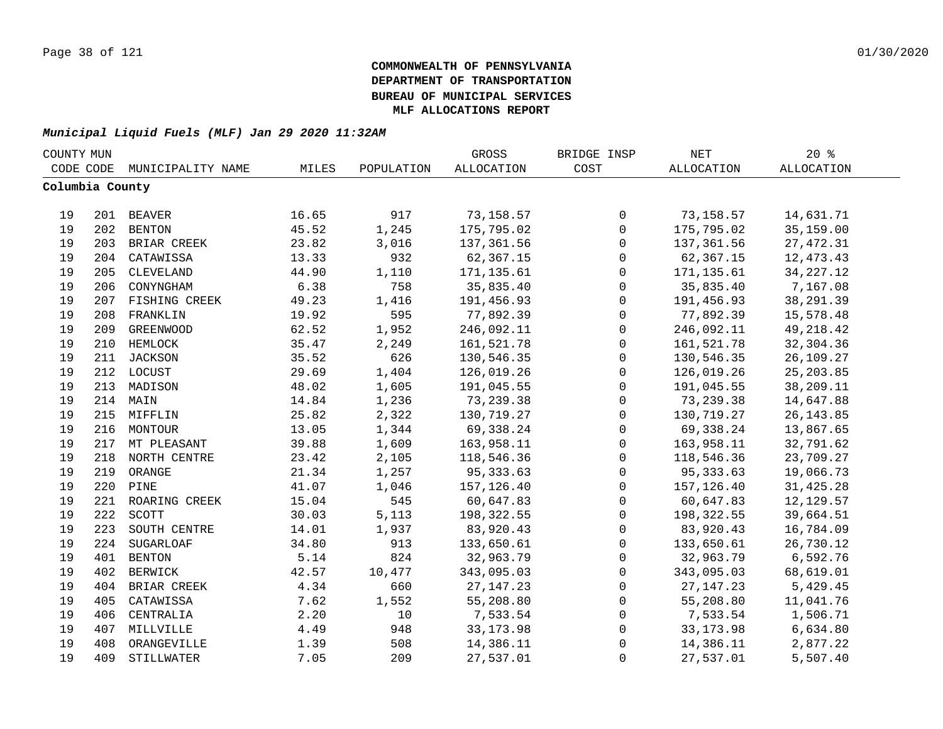| COUNTY MUN      |     |                   |       |            | GROSS             | BRIDGE INSP         | NET         | $20*$             |  |
|-----------------|-----|-------------------|-------|------------|-------------------|---------------------|-------------|-------------------|--|
| CODE CODE       |     | MUNICIPALITY NAME | MILES | POPULATION | <b>ALLOCATION</b> | COST                | ALLOCATION  | <b>ALLOCATION</b> |  |
| Columbia County |     |                   |       |            |                   |                     |             |                   |  |
|                 |     |                   |       |            |                   |                     |             |                   |  |
| 19              |     | 201 BEAVER        | 16.65 | 917        | 73,158.57         | 0                   | 73,158.57   | 14,631.71         |  |
| 19              | 202 | <b>BENTON</b>     | 45.52 | 1,245      | 175,795.02        | $\mathsf{O}\xspace$ | 175,795.02  | 35,159.00         |  |
| 19              |     | 203 BRIAR CREEK   | 23.82 | 3,016      | 137, 361.56       | $\mathsf{O}\xspace$ | 137,361.56  | 27, 472.31        |  |
| 19              | 204 | CATAWISSA         | 13.33 | 932        | 62,367.15         | 0                   | 62,367.15   | 12, 473. 43       |  |
| 19              | 205 | CLEVELAND         | 44.90 | 1,110      | 171,135.61        | $\mathsf{O}$        | 171, 135.61 | 34, 227. 12       |  |
| 19              | 206 | CONYNGHAM         | 6.38  | 758        | 35,835.40         | $\mathbf 0$         | 35,835.40   | 7,167.08          |  |
| 19              | 207 | FISHING CREEK     | 49.23 | 1,416      | 191,456.93        | $\mathbf 0$         | 191,456.93  | 38, 291.39        |  |
| 19              | 208 | FRANKLIN          | 19.92 | 595        | 77,892.39         | $\mathbf 0$         | 77,892.39   | 15,578.48         |  |
| 19              | 209 | <b>GREENWOOD</b>  | 62.52 | 1,952      | 246,092.11        | $\mathsf{O}$        | 246,092.11  | 49, 218.42        |  |
| 19              | 210 | HEMLOCK           | 35.47 | 2,249      | 161,521.78        | $\mathsf{O}$        | 161,521.78  | 32,304.36         |  |
| 19              | 211 | JACKSON           | 35.52 | 626        | 130,546.35        | $\mathbf 0$         | 130,546.35  | 26,109.27         |  |
| 19              |     | 212 LOCUST        | 29.69 | 1,404      | 126,019.26        | $\mathbf 0$         | 126,019.26  | 25, 203.85        |  |
| 19              | 213 | MADISON           | 48.02 | 1,605      | 191,045.55        | $\mathsf 0$         | 191,045.55  | 38,209.11         |  |
| 19              |     | 214 MAIN          | 14.84 | 1,236      | 73,239.38         | $\mathbf 0$         | 73, 239.38  | 14,647.88         |  |
| 19              |     | 215 MIFFLIN       | 25.82 | 2,322      | 130,719.27        | $\mathbf 0$         | 130,719.27  | 26, 143.85        |  |
| 19              |     | 216 MONTOUR       | 13.05 | 1,344      | 69,338.24         | 0                   | 69,338.24   | 13,867.65         |  |
| 19              |     | 217 MT PLEASANT   | 39.88 | 1,609      | 163,958.11        | $\mathbf 0$         | 163,958.11  | 32,791.62         |  |
| 19              |     | 218 NORTH CENTRE  | 23.42 | 2,105      | 118,546.36        | $\mathsf{O}\xspace$ | 118,546.36  | 23,709.27         |  |
| 19              | 219 | ORANGE            | 21.34 | 1,257      | 95, 333.63        | $\mathsf{O}$        | 95, 333.63  | 19,066.73         |  |
| 19              | 220 | PINE              | 41.07 | 1,046      | 157,126.40        | $\mathsf{O}$        | 157,126.40  | 31, 425.28        |  |
| 19              | 221 | ROARING CREEK     | 15.04 | 545        | 60,647.83         | $\mathbf 0$         | 60,647.83   | 12, 129.57        |  |
| 19              | 222 | SCOTT             | 30.03 | 5,113      | 198,322.55        | $\mathbf 0$         | 198,322.55  | 39,664.51         |  |
| 19              | 223 | SOUTH CENTRE      | 14.01 | 1,937      | 83,920.43         | $\mathbf 0$         | 83,920.43   | 16,784.09         |  |
| 19              | 224 | <b>SUGARLOAF</b>  | 34.80 | 913        | 133,650.61        | $\mathsf{O}$        | 133,650.61  | 26,730.12         |  |
| 19              | 401 | <b>BENTON</b>     | 5.14  | 824        | 32,963.79         | $\mathbf 0$         | 32,963.79   | 6,592.76          |  |
| 19              | 402 | <b>BERWICK</b>    | 42.57 | 10,477     | 343,095.03        | $\mathsf{O}$        | 343,095.03  | 68,619.01         |  |
| 19              | 404 | BRIAR CREEK       | 4.34  | 660        | 27, 147. 23       | $\mathbf 0$         | 27, 147. 23 | 5,429.45          |  |
| 19              | 405 | CATAWISSA         | 7.62  | 1,552      | 55,208.80         | 0                   | 55,208.80   | 11,041.76         |  |
| 19              | 406 | CENTRALIA         | 2.20  | 10         | 7,533.54          | 0                   | 7,533.54    | 1,506.71          |  |
| 19              | 407 | MILLVILLE         | 4.49  | 948        | 33, 173.98        | 0                   | 33, 173.98  | 6,634.80          |  |
| 19              | 408 | ORANGEVILLE       | 1.39  | 508        | 14,386.11         | 0                   | 14,386.11   | 2,877.22          |  |
| 19              | 409 | STILLWATER        | 7.05  | 209        | 27,537.01         | $\mathbf 0$         | 27,537.01   | 5,507.40          |  |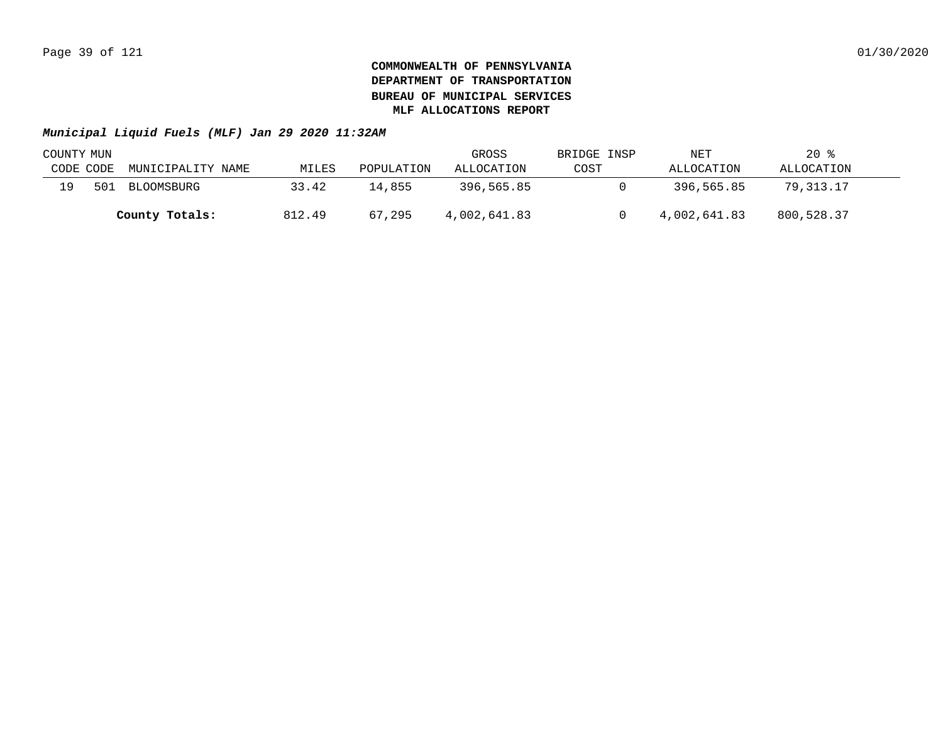| COUNTY MUN |     |                   |        |            | GROSS        | BRIDGE INSP | NET          | $20$ %     |  |
|------------|-----|-------------------|--------|------------|--------------|-------------|--------------|------------|--|
| CODE CODE  |     | MUNICIPALITY NAME | MILES  | POPULATION | ALLOCATION   | COST        | ALLOCATION   | ALLOCATION |  |
| 19         | 501 | BLOOMSBURG        | 33.42  | 14,855     | 396,565.85   |             | 396,565.85   | 79,313.17  |  |
|            |     | County Totals:    | 812.49 | 67,295     | 4,002,641.83 |             | 4,002,641.83 | 800,528.37 |  |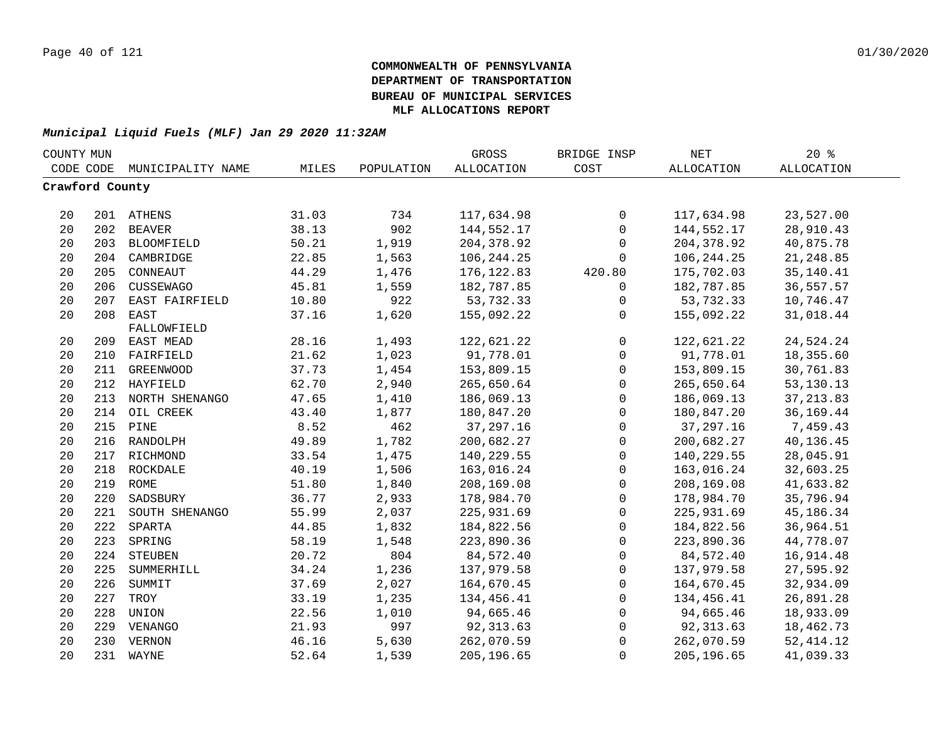| COUNTY MUN      |     |                    |       |            | GROSS             | BRIDGE INSP  | NET               | 20%               |  |
|-----------------|-----|--------------------|-------|------------|-------------------|--------------|-------------------|-------------------|--|
| CODE CODE       |     | MUNICIPALITY NAME  | MILES | POPULATION | <b>ALLOCATION</b> | COST         | <b>ALLOCATION</b> | <b>ALLOCATION</b> |  |
| Crawford County |     |                    |       |            |                   |              |                   |                   |  |
|                 |     |                    |       |            |                   |              |                   |                   |  |
| 20              |     | 201 ATHENS         | 31.03 | 734        | 117,634.98        | $\mathbf 0$  | 117,634.98        | 23,527.00         |  |
| 20              |     | 202 BEAVER         | 38.13 | 902        | 144,552.17        | $\mathsf{O}$ | 144,552.17        | 28,910.43         |  |
| 20              |     | 203 BLOOMFIELD     | 50.21 | 1,919      | 204, 378.92       | 0            | 204, 378.92       | 40,875.78         |  |
| 20              |     | 204 CAMBRIDGE      | 22.85 | 1,563      | 106, 244. 25      | 0            | 106, 244. 25      | 21, 248.85        |  |
| 20              | 205 | CONNEAUT           | 44.29 | 1,476      | 176, 122.83       | 420.80       | 175,702.03        | 35,140.41         |  |
| 20              | 206 | CUSSEWAGO          | 45.81 | 1,559      | 182,787.85        | 0            | 182,787.85        | 36,557.57         |  |
| 20              | 207 | EAST FAIRFIELD     | 10.80 | 922        | 53,732.33         | 0            | 53,732.33         | 10,746.47         |  |
| 20              | 208 | EAST               | 37.16 | 1,620      | 155,092.22        | $\Omega$     | 155,092.22        | 31,018.44         |  |
|                 |     | FALLOWFIELD        |       |            |                   |              |                   |                   |  |
| 20              |     | 209 EAST MEAD      | 28.16 | 1,493      | 122,621.22        | 0            | 122,621.22        | 24,524.24         |  |
| 20              | 210 | FAIRFIELD          | 21.62 | 1,023      | 91,778.01         | 0            | 91,778.01         | 18,355.60         |  |
| 20              | 211 | <b>GREENWOOD</b>   | 37.73 | 1,454      | 153,809.15        | $\mathsf{O}$ | 153,809.15        | 30,761.83         |  |
| 20              | 212 | HAYFIELD           | 62.70 | 2,940      | 265,650.64        | $\mathbf 0$  | 265,650.64        | 53, 130. 13       |  |
| 20              | 213 | NORTH SHENANGO     | 47.65 | 1,410      | 186,069.13        | $\mathbf 0$  | 186,069.13        | 37, 213.83        |  |
| 20              | 214 | OIL CREEK          | 43.40 | 1,877      | 180,847.20        | $\mathbf 0$  | 180,847.20        | 36, 169. 44       |  |
| 20              | 215 | PINE               | 8.52  | 462        | 37, 297. 16       | 0            | 37, 297. 16       | 7,459.43          |  |
| 20              | 216 | RANDOLPH           | 49.89 | 1,782      | 200,682.27        | $\mathsf{O}$ | 200,682.27        | 40,136.45         |  |
| 20              | 217 | RICHMOND           | 33.54 | 1,475      | 140,229.55        | $\mathbf 0$  | 140,229.55        | 28,045.91         |  |
| 20              |     | 218 ROCKDALE       | 40.19 | 1,506      | 163,016.24        | $\mathsf 0$  | 163,016.24        | 32,603.25         |  |
| 20              |     | 219 ROME           | 51.80 | 1,840      | 208,169.08        | 0            | 208,169.08        | 41,633.82         |  |
| 20              |     | 220 SADSBURY       | 36.77 | 2,933      | 178,984.70        | 0            | 178,984.70        | 35,796.94         |  |
| 20              |     | 221 SOUTH SHENANGO | 55.99 | 2,037      | 225,931.69        | $\mathsf 0$  | 225,931.69        | 45,186.34         |  |
| 20              |     | 222 SPARTA         | 44.85 | 1,832      | 184,822.56        | $\mathsf 0$  | 184,822.56        | 36,964.51         |  |
| 20              | 223 | SPRING             | 58.19 | 1,548      | 223,890.36        | 0            | 223,890.36        | 44,778.07         |  |
| 20              |     | 224 STEUBEN        | 20.72 | 804        | 84,572.40         | $\mathbf 0$  | 84,572.40         | 16,914.48         |  |
| 20              | 225 | SUMMERHILL         | 34.24 | 1,236      | 137,979.58        | 0            | 137,979.58        | 27,595.92         |  |
| 20              | 226 | SUMMIT             | 37.69 | 2,027      | 164,670.45        | $\mathsf{O}$ | 164,670.45        | 32,934.09         |  |
| 20              | 227 | TROY               | 33.19 | 1,235      | 134,456.41        | $\mathsf{O}$ | 134,456.41        | 26,891.28         |  |
| 20              | 228 | UNION              | 22.56 | 1,010      | 94,665.46         | $\mathbf 0$  | 94,665.46         | 18,933.09         |  |
| 20              |     | 229 VENANGO        | 21.93 | 997        | 92, 313.63        | 0            | 92, 313.63        | 18,462.73         |  |
| 20              |     | 230 VERNON         | 46.16 | 5,630      | 262,070.59        | $\mathbf 0$  | 262,070.59        | 52, 414.12        |  |
| 20              |     | 231 WAYNE          | 52.64 | 1,539      | 205,196.65        | $\mathbf 0$  | 205, 196.65       | 41,039.33         |  |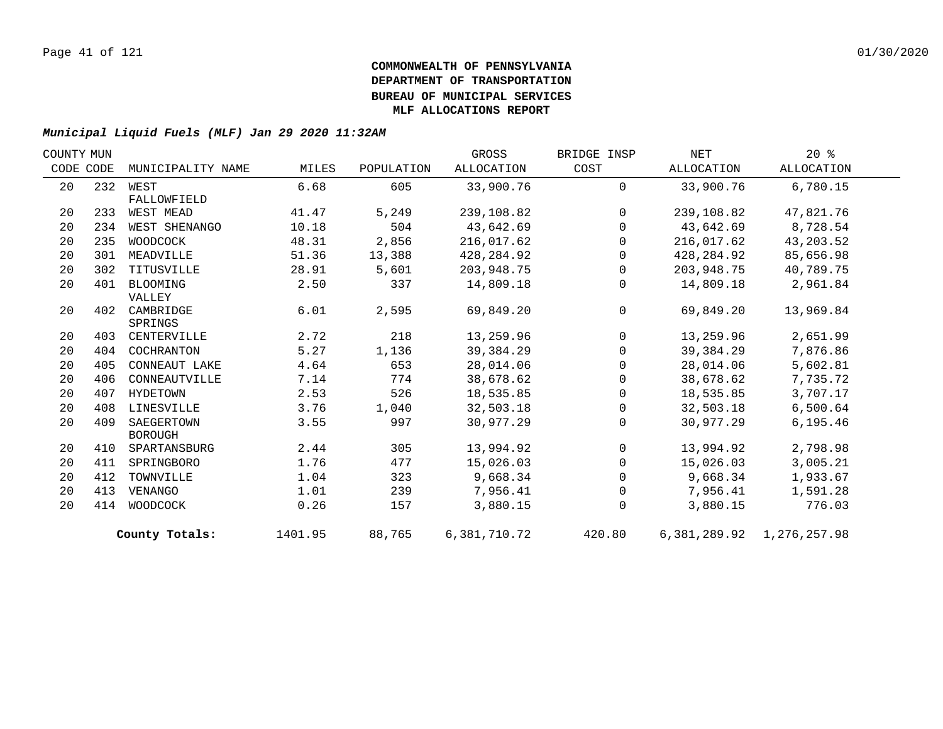| ALLOCATION<br>33,900.76 | ALLOCATION<br>6,780.15              |
|-------------------------|-------------------------------------|
|                         |                                     |
|                         |                                     |
|                         |                                     |
| 239,108.82              | 47,821.76                           |
| 43,642.69               | 8,728.54                            |
| 216,017.62              | 43, 203.52                          |
| 428,284.92              | 85,656.98                           |
| 203,948.75              | 40,789.75                           |
| 14,809.18               | 2,961.84                            |
|                         |                                     |
| 69,849.20               | 13,969.84                           |
|                         |                                     |
| 13,259.96               | 2,651.99                            |
| 39,384.29               | 7,876.86                            |
|                         | 5,602.81                            |
| 38,678.62               | 7,735.72                            |
| 18,535.85               | 3,707.17                            |
| 32,503.18               | 6,500.64                            |
| 30,977.29               | 6,195.46                            |
|                         |                                     |
|                         | 2,798.98                            |
|                         | 3,005.21                            |
| 9,668.34                | 1,933.67                            |
| 7,956.41                | 1,591.28                            |
| 3,880.15                | 776.03                              |
|                         |                                     |
|                         | 28,014.06<br>13,994.92<br>15,026.03 |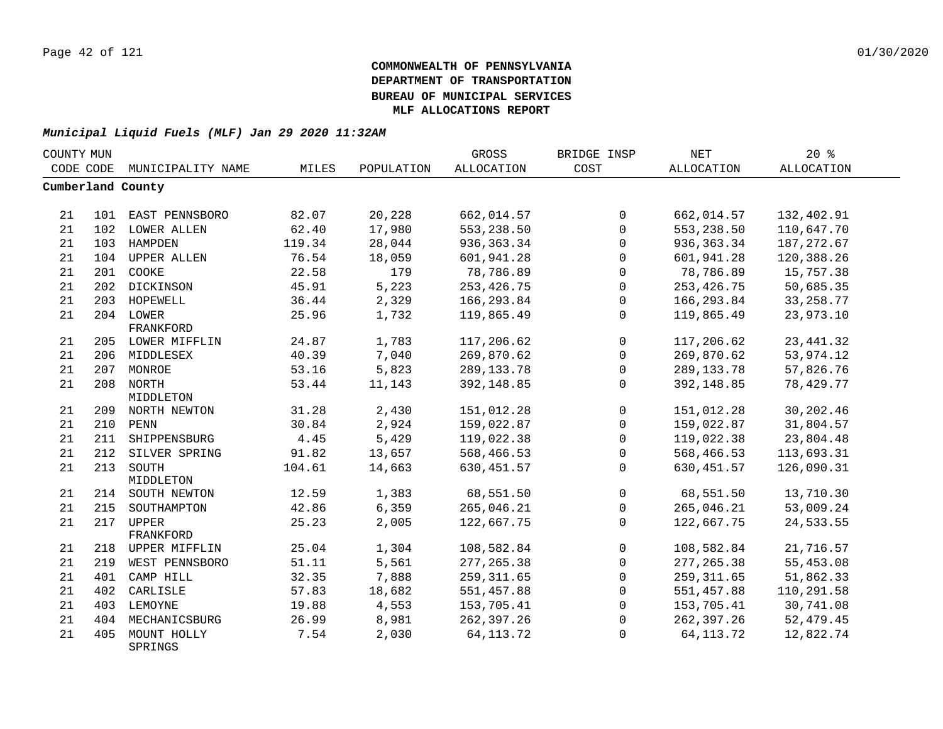| COUNTY MUN |     |                        |        |            | GROSS             | BRIDGE INSP  | $\operatorname{NET}$ | 20%               |  |
|------------|-----|------------------------|--------|------------|-------------------|--------------|----------------------|-------------------|--|
| CODE CODE  |     | MUNICIPALITY NAME      | MILES  | POPULATION | <b>ALLOCATION</b> | COST         | <b>ALLOCATION</b>    | <b>ALLOCATION</b> |  |
|            |     | Cumberland County      |        |            |                   |              |                      |                   |  |
|            |     |                        |        |            |                   |              |                      |                   |  |
| 21         |     | 101 EAST PENNSBORO     | 82.07  | 20,228     | 662,014.57        | 0            | 662,014.57           | 132,402.91        |  |
| 21         |     | 102 LOWER ALLEN        | 62.40  | 17,980     | 553,238.50        | $\mathbf 0$  | 553,238.50           | 110,647.70        |  |
| 21         | 103 | HAMPDEN                | 119.34 | 28,044     | 936, 363. 34      | $\mathbf 0$  | 936, 363. 34         | 187, 272.67       |  |
| 21         | 104 | <b>UPPER ALLEN</b>     | 76.54  | 18,059     | 601,941.28        | $\Omega$     | 601,941.28           | 120,388.26        |  |
| 21         | 201 | COOKE                  | 22.58  | 179        | 78,786.89         | $\mathbf 0$  | 78,786.89            | 15,757.38         |  |
| 21         | 202 | DICKINSON              | 45.91  | 5,223      | 253, 426.75       | $\mathbf 0$  | 253, 426.75          | 50,685.35         |  |
| 21         |     | 203 HOPEWELL           | 36.44  | 2,329      | 166, 293.84       | 0            | 166,293.84           | 33, 258.77        |  |
| 21         |     | 204 LOWER              | 25.96  | 1,732      | 119,865.49        | 0            | 119,865.49           | 23,973.10         |  |
|            |     | FRANKFORD              |        |            |                   |              |                      |                   |  |
| 21         |     | 205 LOWER MIFFLIN      | 24.87  | 1,783      | 117,206.62        | 0            | 117,206.62           | 23, 441.32        |  |
| 21         |     | 206 MIDDLESEX          | 40.39  | 7,040      | 269,870.62        | $\mathbf 0$  | 269,870.62           | 53,974.12         |  |
| 21         |     | 207 MONROE             | 53.16  | 5,823      | 289, 133. 78      | 0            | 289, 133. 78         | 57,826.76         |  |
| 21         |     | 208 NORTH              | 53.44  | 11,143     | 392,148.85        | $\mathbf 0$  | 392,148.85           | 78,429.77         |  |
|            |     | MIDDLETON              |        |            |                   |              |                      |                   |  |
| 21         |     | 209 NORTH NEWTON       | 31.28  | 2,430      | 151,012.28        | 0            | 151,012.28           | 30,202.46         |  |
| 21         |     | 210 PENN               | 30.84  | 2,924      | 159,022.87        | $\mathbf 0$  | 159,022.87           | 31,804.57         |  |
| 21         | 211 | SHIPPENSBURG           | 4.45   | 5,429      | 119,022.38        | $\mathbf 0$  | 119,022.38           | 23,804.48         |  |
| 21         | 212 | SILVER SPRING          | 91.82  | 13,657     | 568,466.53        | $\mathbf 0$  | 568,466.53           | 113,693.31        |  |
| 21         | 213 | SOUTH                  | 104.61 | 14,663     | 630, 451.57       | 0            | 630, 451.57          | 126,090.31        |  |
|            |     | MIDDLETON              |        |            |                   |              |                      |                   |  |
| 21         |     | 214 SOUTH NEWTON       | 12.59  | 1,383      | 68,551.50         | $\mathbf{0}$ | 68,551.50            | 13,710.30         |  |
| 21         | 215 | SOUTHAMPTON            | 42.86  | 6,359      | 265,046.21        | $\mathsf{O}$ | 265,046.21           | 53,009.24         |  |
| 21         | 217 | UPPER                  | 25.23  | 2,005      | 122,667.75        | 0            | 122,667.75           | 24,533.55         |  |
|            |     | FRANKFORD              |        |            |                   |              |                      |                   |  |
| 21         |     | 218 UPPER MIFFLIN      | 25.04  | 1,304      | 108,582.84        | $\mathbf 0$  | 108,582.84           | 21,716.57         |  |
| 21         | 219 | WEST PENNSBORO         | 51.11  | 5,561      | 277, 265.38       | $\mathbf 0$  | 277, 265.38          | 55,453.08         |  |
| 21         | 401 | CAMP HILL              | 32.35  | 7,888      | 259, 311.65       | $\mathbf 0$  | 259, 311.65          | 51,862.33         |  |
| 21         | 402 | CARLISLE               | 57.83  | 18,682     | 551,457.88        | $\mathbf 0$  | 551,457.88           | 110,291.58        |  |
| 21         |     | 403 LEMOYNE            | 19.88  | 4,553      | 153,705.41        | 0            | 153,705.41           | 30,741.08         |  |
| 21         | 404 | MECHANICSBURG          | 26.99  | 8,981      | 262,397.26        | 0            | 262,397.26           | 52,479.45         |  |
| 21         | 405 | MOUNT HOLLY<br>SPRINGS | 7.54   | 2,030      | 64, 113. 72       | $\Omega$     | 64, 113. 72          | 12,822.74         |  |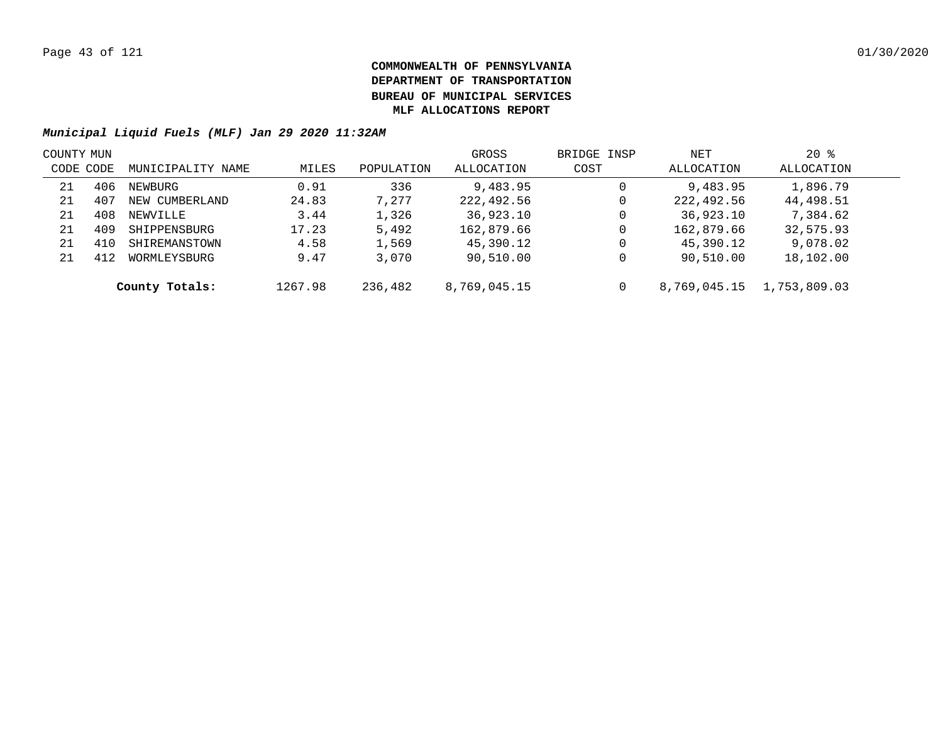| COUNTY MUN |     |                   |         |            | GROSS        | BRIDGE INSP | NET          | $20*$        |  |
|------------|-----|-------------------|---------|------------|--------------|-------------|--------------|--------------|--|
| CODE CODE  |     | MUNICIPALITY NAME | MILES   | POPULATION | ALLOCATION   | COST        | ALLOCATION   | ALLOCATION   |  |
| 21         | 406 | NEWBURG           | 0.91    | 336        | 9,483.95     | 0           | 9,483.95     | 1,896.79     |  |
| 21         | 407 | NEW CUMBERLAND    | 24.83   | 7,277      | 222,492.56   | 0           | 222,492.56   | 44,498.51    |  |
| 21         | 408 | NEWVILLE          | 3.44    | 1,326      | 36,923.10    | 0           | 36,923.10    | 7,384.62     |  |
| 21         | 409 | SHIPPENSBURG      | 17.23   | 5,492      | 162,879.66   | 0           | 162,879.66   | 32,575.93    |  |
| 21         |     | SHIREMANSTOWN     | 4.58    | 1,569      | 45,390.12    | 0           | 45,390.12    | 9,078.02     |  |
| 21         | 412 | WORMLEYSBURG      | 9.47    | 3,070      | 90,510.00    | 0           | 90,510.00    | 18,102.00    |  |
|            |     | County Totals:    | 1267.98 | 236,482    | 8,769,045.15 | 0           | 8,769,045.15 | 1,753,809.03 |  |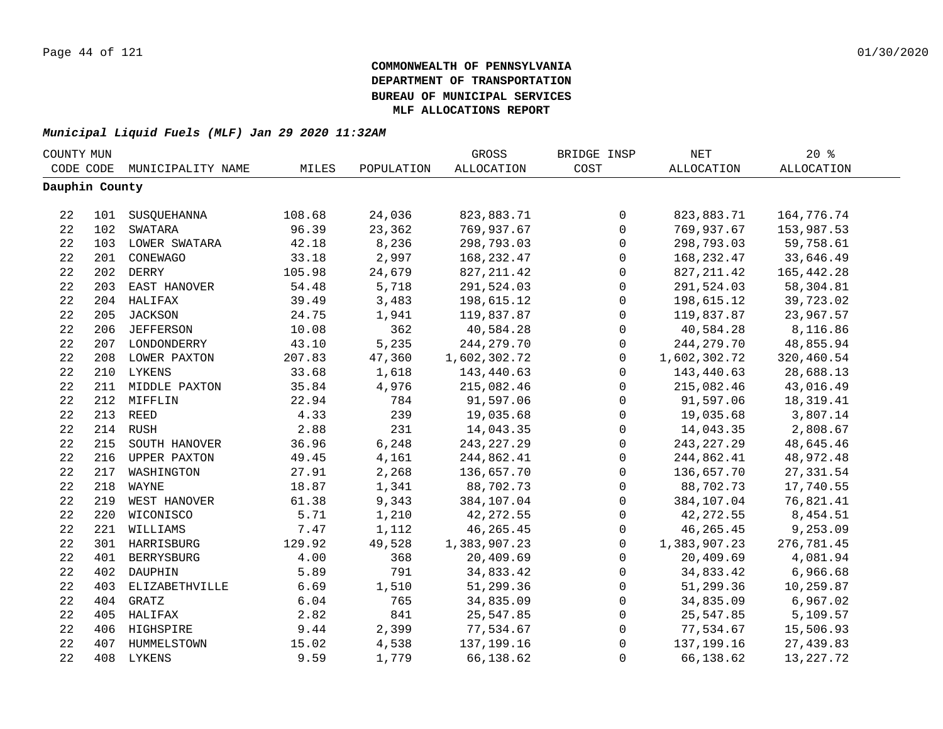| COUNTY MUN     |     |                    |        |            | GROSS             | BRIDGE INSP         | NET          | 20%               |  |
|----------------|-----|--------------------|--------|------------|-------------------|---------------------|--------------|-------------------|--|
| CODE CODE      |     | MUNICIPALITY NAME  | MILES  | POPULATION | <b>ALLOCATION</b> | COST                | ALLOCATION   | <b>ALLOCATION</b> |  |
| Dauphin County |     |                    |        |            |                   |                     |              |                   |  |
|                |     |                    |        |            |                   |                     |              |                   |  |
| 22             |     | 101 SUSQUEHANNA    | 108.68 | 24,036     | 823,883.71        | $\mathsf{O}$        | 823,883.71   | 164,776.74        |  |
| 22             |     | 102 SWATARA        | 96.39  | 23,362     | 769,937.67        | $\mathbf 0$         | 769,937.67   | 153,987.53        |  |
| 22             |     | 103 LOWER SWATARA  | 42.18  | 8,236      | 298,793.03        | $\mathbf 0$         | 298,793.03   | 59,758.61         |  |
| 22             |     | 201 CONEWAGO       | 33.18  | 2,997      | 168, 232.47       | $\mathbf 0$         | 168,232.47   | 33,646.49         |  |
| 22             |     | 202 DERRY          | 105.98 | 24,679     | 827, 211.42       | $\mathsf{O}$        | 827, 211.42  | 165,442.28        |  |
| 22             |     | 203 EAST HANOVER   | 54.48  | 5,718      | 291,524.03        | $\mathsf{O}$        | 291,524.03   | 58,304.81         |  |
| 22             |     | 204 HALIFAX        | 39.49  | 3,483      | 198,615.12        | $\mathsf{O}$        | 198,615.12   | 39,723.02         |  |
| 22             | 205 | JACKSON            | 24.75  | 1,941      | 119,837.87        | $\mathbf 0$         | 119,837.87   | 23,967.57         |  |
| 22             |     | 206 JEFFERSON      | 10.08  | 362        | 40,584.28         | $\mathbf 0$         | 40,584.28    | 8,116.86          |  |
| 22             |     | 207 LONDONDERRY    | 43.10  | 5,235      | 244, 279. 70      | 0                   | 244, 279. 70 | 48,855.94         |  |
| 22             |     | 208 LOWER PAXTON   | 207.83 | 47,360     | 1,602,302.72      | $\mathbf 0$         | 1,602,302.72 | 320,460.54        |  |
| 22             |     | 210 LYKENS         | 33.68  | 1,618      | 143,440.63        | $\mathbf 0$         | 143,440.63   | 28,688.13         |  |
| 22             |     | 211 MIDDLE PAXTON  | 35.84  | 4,976      | 215,082.46        | 0                   | 215,082.46   | 43,016.49         |  |
| 22             |     | 212 MIFFLIN        | 22.94  | 784        | 91,597.06         | 0                   | 91,597.06    | 18, 319. 41       |  |
| 22             |     | 213 REED           | 4.33   | 239        | 19,035.68         | 0                   | 19,035.68    | 3,807.14          |  |
| 22             |     | 214 RUSH           | 2.88   | 231        | 14,043.35         | $\mathsf 0$         | 14,043.35    | 2,808.67          |  |
| 22             |     | 215 SOUTH HANOVER  | 36.96  | 6,248      | 243, 227. 29      | $\mathsf{O}\xspace$ | 243, 227. 29 | 48,645.46         |  |
| 22             |     | 216 UPPER PAXTON   | 49.45  | 4,161      | 244,862.41        | $\mathbf 0$         | 244,862.41   | 48,972.48         |  |
| 22             |     | 217 WASHINGTON     | 27.91  | 2,268      | 136,657.70        | $\mathbf 0$         | 136,657.70   | 27, 331.54        |  |
| 22             |     | 218 WAYNE          | 18.87  | 1,341      | 88,702.73         | $\mathsf{O}$        | 88,702.73    | 17,740.55         |  |
| 22             |     | 219 WEST HANOVER   | 61.38  | 9,343      | 384,107.04        | $\mathsf{O}$        | 384,107.04   | 76,821.41         |  |
| 22             |     | 220 WICONISCO      | 5.71   | 1,210      | 42, 272.55        | $\mathbf 0$         | 42, 272.55   | 8,454.51          |  |
| 22             |     | 221 WILLIAMS       | 7.47   | 1,112      | 46, 265. 45       | 0                   | 46,265.45    | 9,253.09          |  |
| 22             |     | 301 HARRISBURG     | 129.92 | 49,528     | 1,383,907.23      | $\mathbf 0$         | 1,383,907.23 | 276,781.45        |  |
| 22             |     | 401 BERRYSBURG     | 4.00   | 368        | 20,409.69         | $\mathsf{O}$        | 20,409.69    | 4,081.94          |  |
| 22             |     | 402 DAUPHIN        | 5.89   | 791        | 34,833.42         | $\mathsf{O}$        | 34,833.42    | 6,966.68          |  |
| 22             |     | 403 ELIZABETHVILLE | 6.69   | 1,510      | 51,299.36         | 0                   | 51,299.36    | 10,259.87         |  |
| 22             |     | 404 GRATZ          | 6.04   | 765        | 34,835.09         | 0                   | 34,835.09    | 6,967.02          |  |
| 22             |     | 405 HALIFAX        | 2.82   | 841        | 25,547.85         | 0                   | 25,547.85    | 5,109.57          |  |
| 22             |     | 406 HIGHSPIRE      | 9.44   | 2,399      | 77,534.67         | 0                   | 77,534.67    | 15,506.93         |  |
| 22             |     | 407 HUMMELSTOWN    | 15.02  | 4,538      | 137,199.16        | $\mathsf 0$         | 137,199.16   | 27,439.83         |  |
| 22             |     | 408 LYKENS         | 9.59   | 1,779      | 66,138.62         | $\mathbf 0$         | 66,138.62    | 13, 227. 72       |  |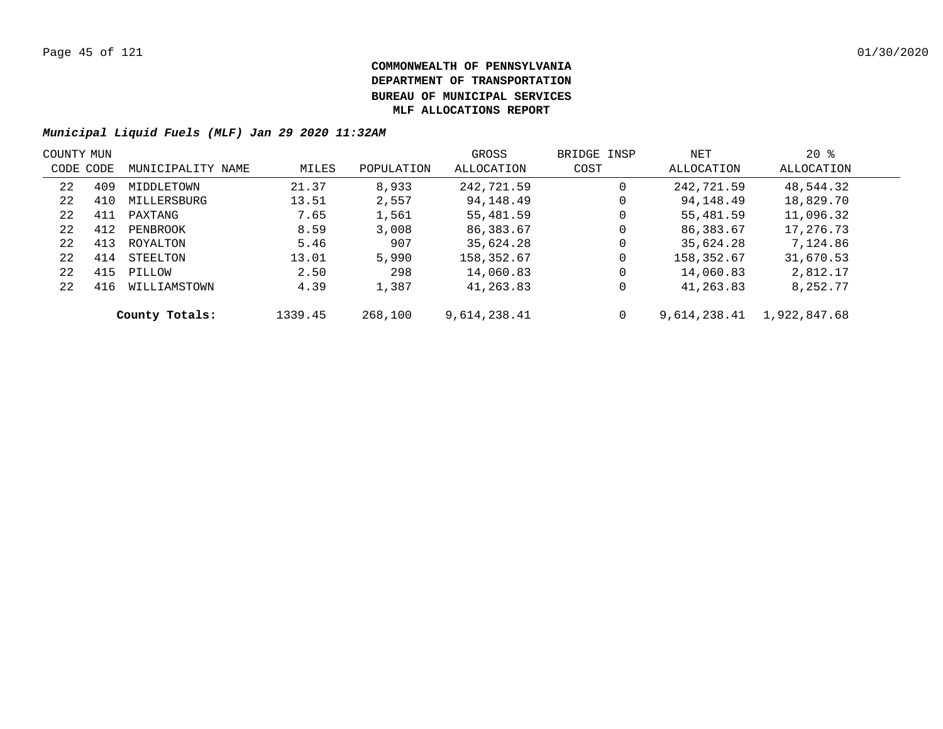| COUNTY MUN |     |                   |         |            | GROSS        | BRIDGE INSP | NET          | $20*$        |  |
|------------|-----|-------------------|---------|------------|--------------|-------------|--------------|--------------|--|
| CODE CODE  |     | MUNICIPALITY NAME | MILES   | POPULATION | ALLOCATION   | COST        | ALLOCATION   | ALLOCATION   |  |
| 22         | 409 | MIDDLETOWN        | 21.37   | 8,933      | 242,721.59   | 0           | 242,721.59   | 48,544.32    |  |
| 22         | 410 | MILLERSBURG       | 13.51   | 2,557      | 94,148.49    | 0           | 94,148.49    | 18,829.70    |  |
| 22         | 411 | PAXTANG           | 7.65    | 1,561      | 55,481.59    | 0           | 55,481.59    | 11,096.32    |  |
| 22         | 412 | PENBROOK          | 8.59    | 3,008      | 86,383.67    | 0           | 86,383.67    | 17,276.73    |  |
| 22         | 413 | ROYALTON          | 5.46    | 907        | 35,624.28    | 0           | 35,624.28    | 7,124.86     |  |
| 22         | 414 | STEELTON          | 13.01   | 5,990      | 158,352.67   | $\mathbf 0$ | 158,352.67   | 31,670.53    |  |
| 22         | 415 | PILLOW            | 2.50    | 298        | 14,060.83    | $\mathbf 0$ | 14,060.83    | 2,812.17     |  |
| 22         | 416 | WILLIAMSTOWN      | 4.39    | 1,387      | 41,263.83    | 0           | 41,263.83    | 8,252.77     |  |
|            |     | County Totals:    | 1339.45 | 268,100    | 9,614,238.41 | 0           | 9,614,238.41 | 1,922,847.68 |  |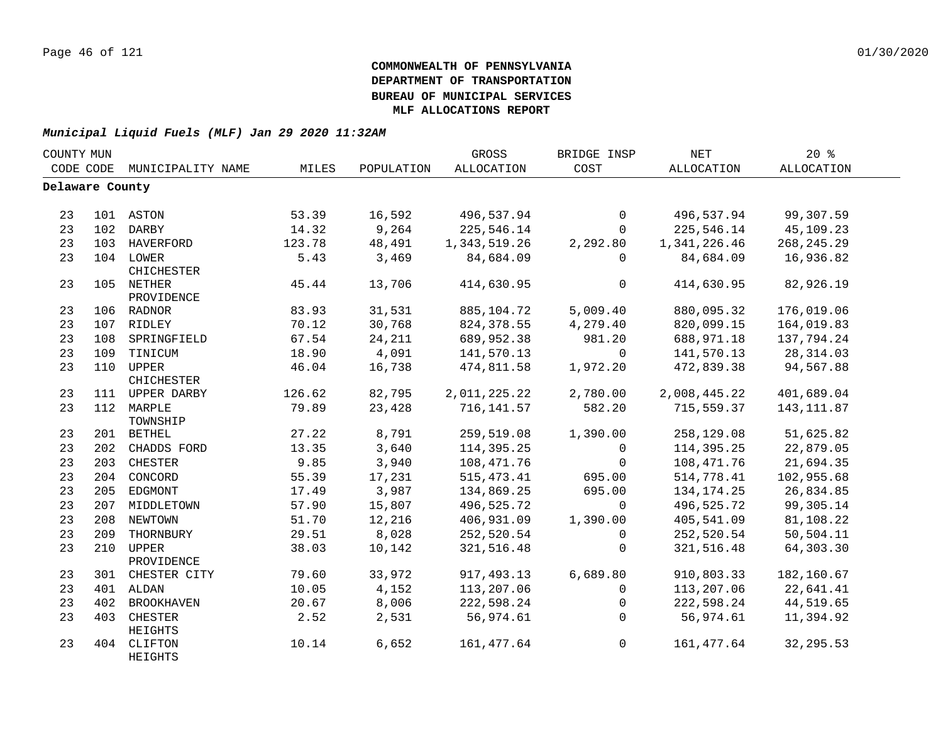|                 | COUNTY MUN |                          |        |            | GROSS        | BRIDGE INSP  | <b>NET</b>   | 20%          |  |
|-----------------|------------|--------------------------|--------|------------|--------------|--------------|--------------|--------------|--|
| CODE CODE       |            | MUNICIPALITY NAME        | MILES  | POPULATION | ALLOCATION   | COST         | ALLOCATION   | ALLOCATION   |  |
| Delaware County |            |                          |        |            |              |              |              |              |  |
|                 |            |                          |        |            |              |              |              |              |  |
| 23              |            | 101 ASTON                | 53.39  | 16,592     | 496,537.94   | $\Omega$     | 496,537.94   | 99,307.59    |  |
| 23              |            | 102 DARBY                | 14.32  | 9,264      | 225,546.14   | $\Omega$     | 225,546.14   | 45,109.23    |  |
| 23              |            | 103 HAVERFORD            | 123.78 | 48,491     | 1,343,519.26 | 2,292.80     | 1,341,226.46 | 268, 245. 29 |  |
| 23              |            | 104 LOWER<br>CHICHESTER  | 5.43   | 3,469      | 84,684.09    | $\mathbf 0$  | 84,684.09    | 16,936.82    |  |
| 23              |            | 105 NETHER<br>PROVIDENCE | 45.44  | 13,706     | 414,630.95   | $\mathsf{O}$ | 414,630.95   | 82,926.19    |  |
| 23              |            | 106 RADNOR               | 83.93  | 31,531     | 885, 104. 72 | 5,009.40     | 880,095.32   | 176,019.06   |  |
| 23              |            | 107 RIDLEY               | 70.12  | 30,768     | 824, 378.55  | 4,279.40     | 820,099.15   | 164,019.83   |  |
| 23              |            | 108 SPRINGFIELD          | 67.54  | 24,211     | 689,952.38   | 981.20       | 688,971.18   | 137,794.24   |  |
| 23              |            | 109 TINICUM              | 18.90  | 4,091      | 141,570.13   | $\mathbf 0$  | 141,570.13   | 28, 314.03   |  |
| 23              |            | 110 UPPER<br>CHICHESTER  | 46.04  | 16,738     | 474,811.58   | 1,972.20     | 472,839.38   | 94,567.88    |  |
| 23              |            | 111 UPPER DARBY          | 126.62 | 82,795     | 2,011,225.22 | 2,780.00     | 2,008,445.22 | 401,689.04   |  |
| 23              |            | 112 MARPLE<br>TOWNSHIP   | 79.89  | 23,428     | 716, 141.57  | 582.20       | 715,559.37   | 143, 111.87  |  |
| 23              |            | 201 BETHEL               | 27.22  | 8,791      | 259,519.08   | 1,390.00     | 258,129.08   | 51,625.82    |  |
| 23              |            | 202 CHADDS FORD          | 13.35  | 3,640      | 114,395.25   | $\mathbf 0$  | 114,395.25   | 22,879.05    |  |
| 23              |            | 203 CHESTER              | 9.85   | 3,940      | 108,471.76   | $\Omega$     | 108,471.76   | 21,694.35    |  |
| 23              |            | 204 CONCORD              | 55.39  | 17,231     | 515, 473. 41 | 695.00       | 514,778.41   | 102,955.68   |  |
| 23              |            | 205 EDGMONT              | 17.49  | 3,987      | 134,869.25   | 695.00       | 134, 174. 25 | 26,834.85    |  |
| 23              |            | 207 MIDDLETOWN           | 57.90  | 15,807     | 496,525.72   | $\Omega$     | 496,525.72   | 99,305.14    |  |
| 23              | 208        | NEWTOWN                  | 51.70  | 12,216     | 406,931.09   | 1,390.00     | 405,541.09   | 81,108.22    |  |
| 23              | 209        | THORNBURY                | 29.51  | 8,028      | 252,520.54   | $\mathbf 0$  | 252,520.54   | 50,504.11    |  |
| 23              | 210        | UPPER<br>PROVIDENCE      | 38.03  | 10,142     | 321, 516.48  | $\mathbf 0$  | 321,516.48   | 64,303.30    |  |
| 23              | 301        | CHESTER CITY             | 79.60  | 33,972     | 917, 493.13  | 6,689.80     | 910,803.33   | 182,160.67   |  |
| 23              | 401        | ALDAN                    | 10.05  | 4,152      | 113,207.06   | $\mathbf 0$  | 113,207.06   | 22,641.41    |  |
| 23              | 402        | <b>BROOKHAVEN</b>        | 20.67  | 8,006      | 222,598.24   | $\mathbf 0$  | 222,598.24   | 44,519.65    |  |
| 23              | 403        | CHESTER<br>HEIGHTS       | 2.52   | 2,531      | 56,974.61    | $\Omega$     | 56,974.61    | 11,394.92    |  |
| 23              | 404        | CLIFTON<br>HEIGHTS       | 10.14  | 6,652      | 161, 477.64  | $\mathsf{O}$ | 161,477.64   | 32, 295.53   |  |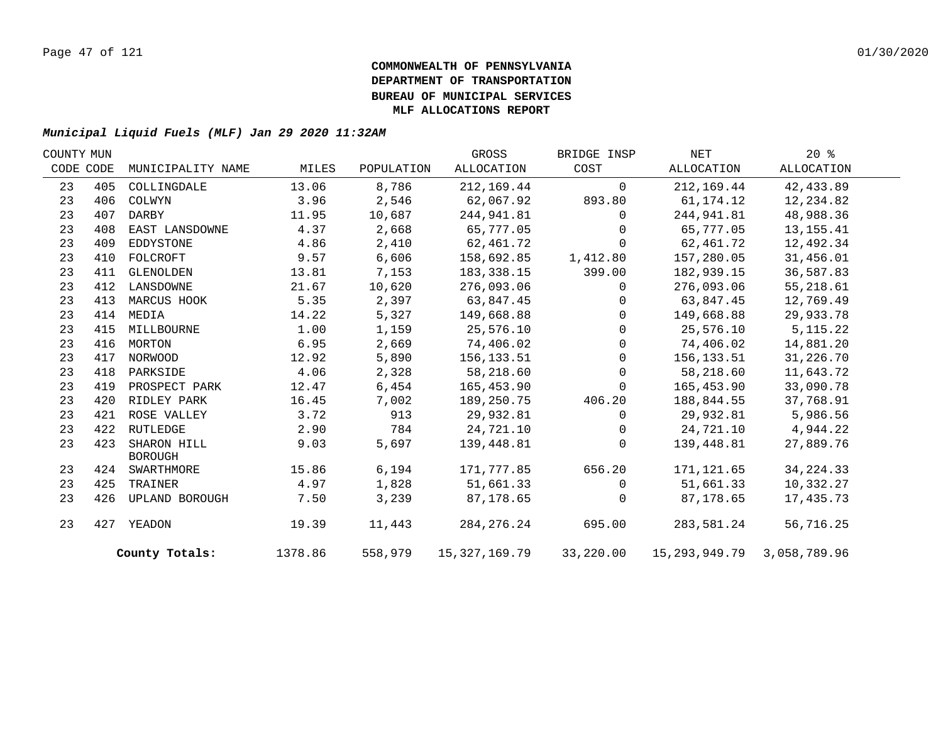| COUNTY MUN |           |                               |         |            | GROSS         | BRIDGE INSP    | NET                              | $20*$       |  |
|------------|-----------|-------------------------------|---------|------------|---------------|----------------|----------------------------------|-------------|--|
|            | CODE CODE | MUNICIPALITY NAME             | MILES   | POPULATION | ALLOCATION    | COST           | ALLOCATION                       | ALLOCATION  |  |
| 23         | 405       | COLLINGDALE                   | 13.06   | 8,786      | 212,169.44    | $\mathbf 0$    | 212,169.44                       | 42, 433.89  |  |
| 23         | 406       | COLWYN                        | 3.96    | 2,546      | 62,067.92     | 893.80         | 61, 174. 12                      | 12,234.82   |  |
| 23         | 407       | DARBY                         | 11.95   | 10,687     | 244,941.81    | $\Omega$       | 244,941.81                       | 48,988.36   |  |
| 23         | 408       | EAST LANSDOWNE                | 4.37    | 2,668      | 65,777.05     | $\Omega$       | 65,777.05                        | 13, 155. 41 |  |
| 23         | 409       | EDDYSTONE                     | 4.86    | 2,410      | 62,461.72     | $\Omega$       | 62,461.72                        | 12,492.34   |  |
| 23         | 410       | FOLCROFT                      | 9.57    | 6,606      | 158,692.85    | 1,412.80       | 157,280.05                       | 31,456.01   |  |
| 23         | 411       | GLENOLDEN                     | 13.81   | 7,153      | 183, 338. 15  | 399.00         | 182,939.15                       | 36,587.83   |  |
| 23         | 412       | LANSDOWNE                     | 21.67   | 10,620     | 276,093.06    | $\mathbf{0}$   | 276,093.06                       | 55,218.61   |  |
| 23         | 413       | MARCUS HOOK                   | 5.35    | 2,397      | 63,847.45     | $\mathbf 0$    | 63,847.45                        | 12,769.49   |  |
| 23         | 414       | MEDIA                         | 14.22   | 5,327      | 149,668.88    | $\overline{0}$ | 149,668.88                       | 29,933.78   |  |
| 23         | 415       | MILLBOURNE                    | 1.00    | 1,159      | 25,576.10     | $\mathbf 0$    | 25,576.10                        | 5, 115. 22  |  |
| 23         |           | 416 MORTON                    | 6.95    | 2,669      | 74,406.02     | $\mathbf 0$    | 74,406.02                        | 14,881.20   |  |
| 23         | 417       | NORWOOD                       | 12.92   | 5,890      | 156,133.51    | $\mathbf 0$    | 156,133.51                       | 31,226.70   |  |
| 23         | 418       | PARKSIDE                      | 4.06    | 2,328      | 58,218.60     | $\Omega$       | 58,218.60                        | 11,643.72   |  |
| 23         | 419       | PROSPECT PARK                 | 12.47   | $6,454$    | 165,453.90    | $\mathbf{0}$   | 165,453.90                       | 33,090.78   |  |
| 23         | 420       | RIDLEY PARK                   | 16.45   | 7,002      | 189,250.75    | 406.20         | 188,844.55                       | 37,768.91   |  |
| 23         | 421       | ROSE VALLEY                   | 3.72    | 913        | 29,932.81     | $\Omega$       | 29,932.81                        | 5,986.56    |  |
| 23         | 422       | RUTLEDGE                      | 2.90    | 784        | 24,721.10     | 0              | 24,721.10                        | 4,944.22    |  |
| 23         | 423       | SHARON HILL<br><b>BOROUGH</b> | 9.03    | 5,697      | 139,448.81    | $\Omega$       | 139,448.81                       | 27,889.76   |  |
| 23         |           | 424 SWARTHMORE                | 15.86   | 6,194      | 171,777.85    | 656.20         | 171,121.65                       | 34, 224. 33 |  |
| 23         | 425       | TRAINER                       | 4.97    | 1,828      | 51,661.33     | $\mathbf{0}$   | 51,661.33                        | 10,332.27   |  |
| 23         | 426       | UPLAND BOROUGH                | 7.50    | 3,239      | 87,178.65     | $\Omega$       | 87,178.65                        | 17,435.73   |  |
| 23         |           | 427 YEADON                    | 19.39   | 11,443     | 284, 276. 24  | 695.00         | 283,581.24                       | 56,716.25   |  |
|            |           | County Totals:                | 1378.86 | 558,979    | 15,327,169.79 | 33,220.00      | 15, 293, 949. 79 3, 058, 789. 96 |             |  |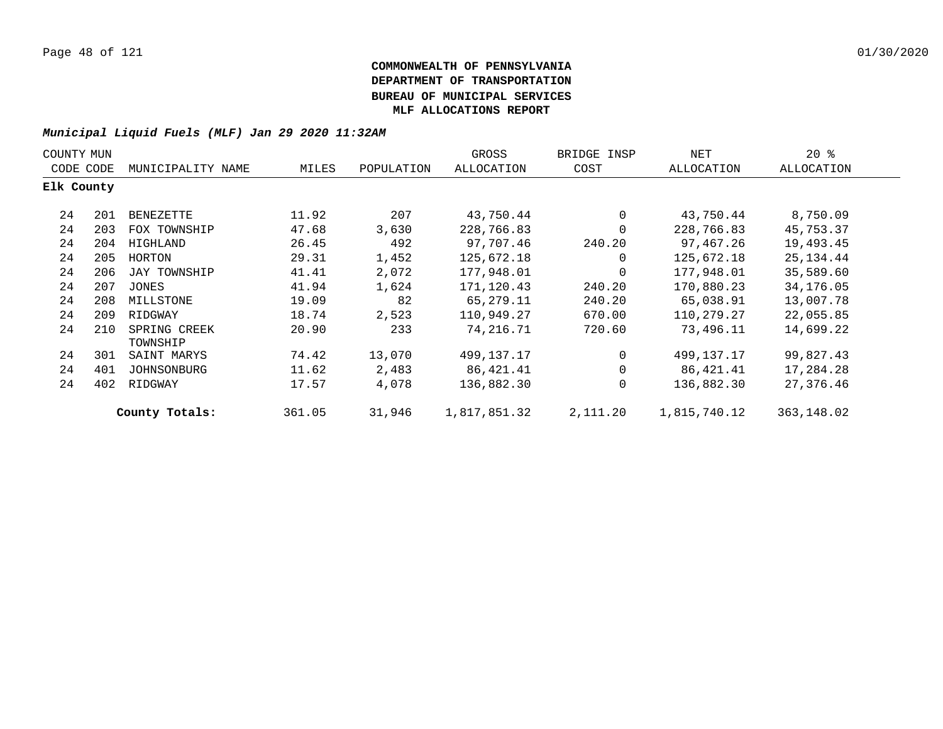| COUNTY MUN |     |                          |        |            | GROSS        | BRIDGE INSP | NET          | $20*$      |  |
|------------|-----|--------------------------|--------|------------|--------------|-------------|--------------|------------|--|
| CODE CODE  |     | MUNICIPALITY NAME        | MILES  | POPULATION | ALLOCATION   | COST        | ALLOCATION   | ALLOCATION |  |
| Elk County |     |                          |        |            |              |             |              |            |  |
| 24         | 201 | BENEZETTE                | 11.92  | 207        | 43,750.44    | 0           | 43,750.44    | 8,750.09   |  |
| 24         | 203 | FOX TOWNSHIP             | 47.68  | 3,630      | 228,766.83   | $\mathbf 0$ | 228,766.83   | 45,753.37  |  |
| 24         | 204 | HIGHLAND                 | 26.45  | 492        | 97,707.46    | 240.20      | 97,467.26    | 19,493.45  |  |
| 24         | 205 | HORTON                   | 29.31  | 1,452      | 125,672.18   | 0           | 125,672.18   | 25, 134.44 |  |
| 24         | 206 | JAY TOWNSHIP             | 41.41  | 2,072      | 177,948.01   | 0           | 177,948.01   | 35,589.60  |  |
| 24         | 207 | JONES                    | 41.94  | 1,624      | 171,120.43   | 240.20      | 170,880.23   | 34,176.05  |  |
| 24         | 208 | MILLSTONE                | 19.09  | 82         | 65,279.11    | 240.20      | 65,038.91    | 13,007.78  |  |
| 24         | 209 | RIDGWAY                  | 18.74  | 2,523      | 110,949.27   | 670.00      | 110,279.27   | 22,055.85  |  |
| 24         | 210 | SPRING CREEK<br>TOWNSHIP | 20.90  | 233        | 74,216.71    | 720.60      | 73,496.11    | 14,699.22  |  |
| 24         | 301 | SAINT MARYS              | 74.42  | 13,070     | 499,137.17   | $\mathbf 0$ | 499,137.17   | 99,827.43  |  |
| 24         | 401 | JOHNSONBURG              | 11.62  | 2,483      | 86,421.41    | 0           | 86,421.41    | 17,284.28  |  |
| 24         | 402 | RIDGWAY                  | 17.57  | 4,078      | 136,882.30   | 0           | 136,882.30   | 27,376.46  |  |
|            |     | County Totals:           | 361.05 | 31,946     | 1,817,851.32 | 2,111.20    | 1,815,740.12 | 363,148.02 |  |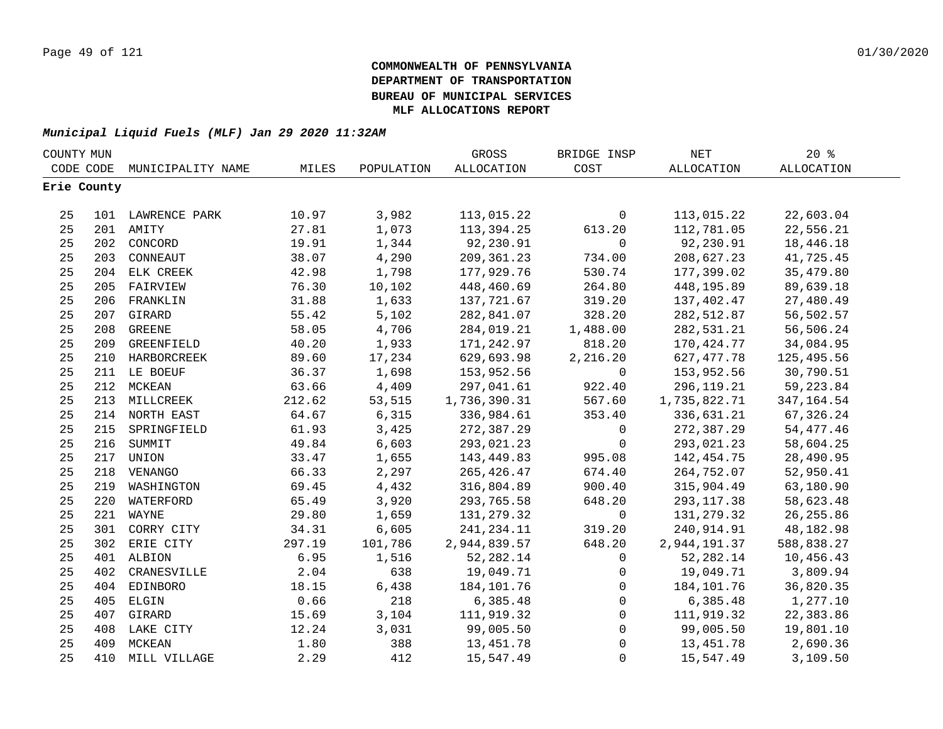| COUNTY MUN |             |                   |        |            | GROSS        | BRIDGE INSP         | $\operatorname{NET}$ | 20%         |  |
|------------|-------------|-------------------|--------|------------|--------------|---------------------|----------------------|-------------|--|
|            | CODE CODE   | MUNICIPALITY NAME | MILES  | POPULATION | ALLOCATION   | COST                | ALLOCATION           | ALLOCATION  |  |
|            | Erie County |                   |        |            |              |                     |                      |             |  |
|            |             |                   |        |            |              |                     |                      |             |  |
| 25         |             | 101 LAWRENCE PARK | 10.97  | 3,982      | 113,015.22   | $\mathbf 0$         | 113,015.22           | 22,603.04   |  |
| 25         |             | 201 AMITY         | 27.81  | 1,073      | 113,394.25   | 613.20              | 112,781.05           | 22,556.21   |  |
| 25         |             | 202 CONCORD       | 19.91  | 1,344      | 92,230.91    | $\mathsf{O}$        | 92,230.91            | 18,446.18   |  |
| 25         | 203         | CONNEAUT          | 38.07  | 4,290      | 209, 361. 23 | 734.00              | 208,627.23           | 41,725.45   |  |
| 25         |             | 204 ELK CREEK     | 42.98  | 1,798      | 177,929.76   | 530.74              | 177,399.02           | 35,479.80   |  |
| 25         | 205         | FAIRVIEW          | 76.30  | 10,102     | 448,460.69   | 264.80              | 448,195.89           | 89,639.18   |  |
| 25         | 206         | FRANKLIN          | 31.88  | 1,633      | 137,721.67   | 319.20              | 137,402.47           | 27,480.49   |  |
| 25         | 207         | GIRARD            | 55.42  | 5,102      | 282,841.07   | 328.20              | 282,512.87           | 56,502.57   |  |
| 25         | 208         | <b>GREENE</b>     | 58.05  | 4,706      | 284,019.21   | 1,488.00            | 282,531.21           | 56,506.24   |  |
| 25         | 209         | GREENFIELD        | 40.20  | 1,933      | 171,242.97   | 818.20              | 170,424.77           | 34,084.95   |  |
| 25         |             | 210 HARBORCREEK   | 89.60  | 17,234     | 629,693.98   | 2,216.20            | 627, 477.78          | 125,495.56  |  |
| 25         |             | 211 LE BOEUF      | 36.37  | 1,698      | 153,952.56   | $\mathbf 0$         | 153,952.56           | 30,790.51   |  |
| 25         |             | 212 MCKEAN        | 63.66  | 4,409      | 297,041.61   | 922.40              | 296, 119. 21         | 59, 223.84  |  |
| 25         |             | 213 MILLCREEK     | 212.62 | 53,515     | 1,736,390.31 | 567.60              | 1,735,822.71         | 347, 164.54 |  |
| 25         |             | 214 NORTH EAST    | 64.67  | 6,315      | 336,984.61   | 353.40              | 336,631.21           | 67,326.24   |  |
| 25         |             | 215 SPRINGFIELD   | 61.93  | 3,425      | 272,387.29   | $\mathsf{O}\xspace$ | 272,387.29           | 54, 477. 46 |  |
| 25         |             | 216 SUMMIT        | 49.84  | 6,603      | 293,021.23   | $\mathbf 0$         | 293,021.23           | 58,604.25   |  |
| 25         |             | 217 UNION         | 33.47  | 1,655      | 143,449.83   | 995.08              | 142,454.75           | 28,490.95   |  |
| 25         |             | 218 VENANGO       | 66.33  | 2,297      | 265, 426.47  | 674.40              | 264,752.07           | 52,950.41   |  |
| 25         |             | 219 WASHINGTON    | 69.45  | 4,432      | 316,804.89   | 900.40              | 315,904.49           | 63,180.90   |  |
| 25         |             | 220 WATERFORD     | 65.49  | 3,920      | 293,765.58   | 648.20              | 293, 117.38          | 58,623.48   |  |
| 25         |             | 221 WAYNE         | 29.80  | 1,659      | 131,279.32   | $\overline{0}$      | 131,279.32           | 26, 255.86  |  |
| 25         |             | 301 CORRY CITY    | 34.31  | 6,605      | 241,234.11   | 319.20              | 240,914.91           | 48,182.98   |  |
| 25         |             | 302 ERIE CITY     | 297.19 | 101,786    | 2,944,839.57 | 648.20              | 2,944,191.37         | 588,838.27  |  |
| 25         |             | 401 ALBION        | 6.95   | 1,516      | 52, 282.14   | 0                   | 52,282.14            | 10,456.43   |  |
| 25         | 402         | CRANESVILLE       | 2.04   | 638        | 19,049.71    | $\mathbf 0$         | 19,049.71            | 3,809.94    |  |
| 25         | 404         | EDINBORO          | 18.15  | 6,438      | 184, 101. 76 | $\mathsf{O}$        | 184,101.76           | 36,820.35   |  |
| 25         | 405         | ELGIN             | 0.66   | 218        | 6,385.48     | $\mathsf{O}$        | 6,385.48             | 1,277.10    |  |
| 25         |             | 407 GIRARD        | 15.69  | 3,104      | 111,919.32   | $\mathsf{O}$        | 111,919.32           | 22,383.86   |  |
| 25         |             | 408 LAKE CITY     | 12.24  | 3,031      | 99,005.50    | $\mathsf{O}\xspace$ | 99,005.50            | 19,801.10   |  |
| 25         |             | 409 MCKEAN        | 1.80   | 388        | 13, 451. 78  | $\mathsf{O}$        | 13,451.78            | 2,690.36    |  |
| 25         | 410         | MILL VILLAGE      | 2.29   | 412        | 15,547.49    | $\mathsf{O}$        | 15,547.49            | 3,109.50    |  |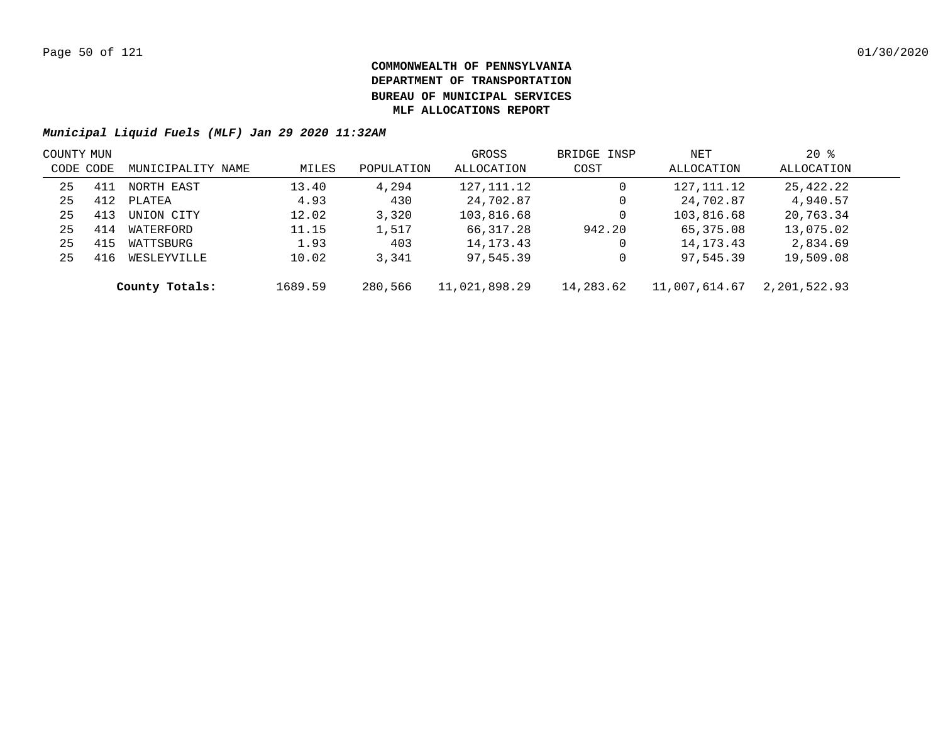| COUNTY MUN |     |                   |         |            | GROSS         | BRIDGE INSP | NET           | $20*$        |  |
|------------|-----|-------------------|---------|------------|---------------|-------------|---------------|--------------|--|
| CODE CODE  |     | MUNICIPALITY NAME | MILES   | POPULATION | ALLOCATION    | COST        | ALLOCATION    | ALLOCATION   |  |
| 25         | 411 | NORTH EAST        | 13.40   | 4,294      | 127, 111. 12  | 0           | 127,111.12    | 25,422.22    |  |
| 25         | 412 | PLATEA            | 4.93    | 430        | 24,702.87     | 0           | 24,702.87     | 4,940.57     |  |
| 25         | 413 | UNION CITY        | 12.02   | 3,320      | 103,816.68    | 0           | 103,816.68    | 20,763.34    |  |
| 25         | 414 | WATERFORD         | 11.15   | 1,517      | 66,317.28     | 942.20      | 65,375.08     | 13,075.02    |  |
| 25         | 415 | WATTSBURG         | 1.93    | 403        | 14, 173. 43   | 0           | 14, 173. 43   | 2,834.69     |  |
| 25         | 416 | WESLEYVILLE       | 10.02   | 3,341      | 97,545.39     | 0           | 97,545.39     | 19,509.08    |  |
|            |     | County Totals:    | 1689.59 | 280,566    | 11,021,898.29 | 14,283.62   | 11,007,614.67 | 2,201,522.93 |  |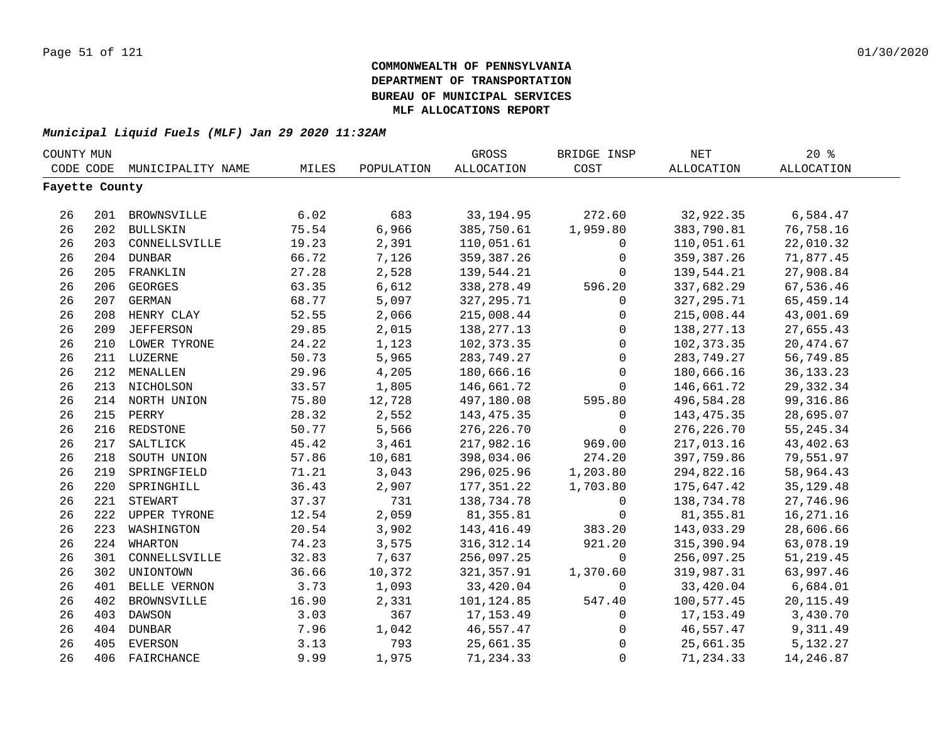| COUNTY MUN |                |                   |       |            | GROSS             | BRIDGE INSP | NET          | 20%               |  |
|------------|----------------|-------------------|-------|------------|-------------------|-------------|--------------|-------------------|--|
|            | CODE CODE      | MUNICIPALITY NAME | MILES | POPULATION | <b>ALLOCATION</b> | COST        | ALLOCATION   | <b>ALLOCATION</b> |  |
|            | Fayette County |                   |       |            |                   |             |              |                   |  |
|            |                |                   |       |            |                   |             |              |                   |  |
| 26         |                | 201 BROWNSVILLE   | 6.02  | 683        | 33, 194.95        | 272.60      | 32,922.35    | 6,584.47          |  |
| 26         |                | 202 BULLSKIN      | 75.54 | 6,966      | 385,750.61        | 1,959.80    | 383,790.81   | 76,758.16         |  |
| 26         |                | 203 CONNELLSVILLE | 19.23 | 2,391      | 110,051.61        | 0           | 110,051.61   | 22,010.32         |  |
| 26         |                | 204 DUNBAR        | 66.72 | 7,126      | 359, 387. 26      | 0           | 359, 387.26  | 71,877.45         |  |
| 26         |                | 205 FRANKLIN      | 27.28 | 2,528      | 139,544.21        | 0           | 139,544.21   | 27,908.84         |  |
| 26         | 206            | <b>GEORGES</b>    | 63.35 | 6,612      | 338,278.49        | 596.20      | 337,682.29   | 67,536.46         |  |
| 26         | 207            | <b>GERMAN</b>     | 68.77 | 5,097      | 327, 295.71       | $\mathbf 0$ | 327, 295. 71 | 65,459.14         |  |
| 26         | 208            | HENRY CLAY        | 52.55 | 2,066      | 215,008.44        | $\mathbf 0$ | 215,008.44   | 43,001.69         |  |
| 26         | 209            | <b>JEFFERSON</b>  | 29.85 | 2,015      | 138, 277. 13      | $\mathbf 0$ | 138,277.13   | 27,655.43         |  |
| 26         |                | 210 LOWER TYRONE  | 24.22 | 1,123      | 102,373.35        | $\mathbf 0$ | 102,373.35   | 20,474.67         |  |
| 26         |                | 211 LUZERNE       | 50.73 | 5,965      | 283,749.27        | $\mathbf 0$ | 283,749.27   | 56,749.85         |  |
| 26         |                | 212 MENALLEN      | 29.96 | 4,205      | 180,666.16        | $\mathbf 0$ | 180,666.16   | 36, 133. 23       |  |
| 26         |                | 213 NICHOLSON     | 33.57 | 1,805      | 146,661.72        | $\Omega$    | 146,661.72   | 29, 332.34        |  |
| 26         |                | 214 NORTH UNION   | 75.80 | 12,728     | 497,180.08        | 595.80      | 496,584.28   | 99, 316.86        |  |
| 26         |                | 215 PERRY         | 28.32 | 2,552      | 143, 475.35       | 0           | 143, 475.35  | 28,695.07         |  |
| 26         |                | 216 REDSTONE      | 50.77 | 5,566      | 276, 226.70       | $\mathbf 0$ | 276, 226.70  | 55, 245. 34       |  |
| 26         | 217            | SALTLICK          | 45.42 | 3,461      | 217,982.16        | 969.00      | 217,013.16   | 43, 402.63        |  |
| 26         | 218            | SOUTH UNION       | 57.86 | 10,681     | 398,034.06        | 274.20      | 397,759.86   | 79,551.97         |  |
| 26         | 219            | SPRINGFIELD       | 71.21 | 3,043      | 296,025.96        | 1,203.80    | 294,822.16   | 58,964.43         |  |
| 26         | 220            | SPRINGHILL        | 36.43 | 2,907      | 177, 351.22       | 1,703.80    | 175,647.42   | 35, 129. 48       |  |
| 26         | 221            | STEWART           | 37.37 | 731        | 138,734.78        | 0           | 138,734.78   | 27,746.96         |  |
| 26         |                | 222 UPPER TYRONE  | 12.54 | 2,059      | 81,355.81         | $\mathbf 0$ | 81,355.81    | 16, 271. 16       |  |
| 26         | 223            | WASHINGTON        | 20.54 | 3,902      | 143, 416.49       | 383.20      | 143,033.29   | 28,606.66         |  |
| 26         |                | 224 WHARTON       | 74.23 | 3,575      | 316, 312.14       | 921.20      | 315,390.94   | 63,078.19         |  |
| 26         | 301            | CONNELLSVILLE     | 32.83 | 7,637      | 256,097.25        | $\Omega$    | 256,097.25   | 51, 219.45        |  |
| 26         | 302            | UNIONTOWN         | 36.66 | 10,372     | 321,357.91        | 1,370.60    | 319,987.31   | 63,997.46         |  |
| 26         | 401            | BELLE VERNON      | 3.73  | 1,093      | 33,420.04         | 0           | 33,420.04    | 6,684.01          |  |
| 26         | 402            | BROWNSVILLE       | 16.90 | 2,331      | 101,124.85        | 547.40      | 100,577.45   | 20, 115.49        |  |
| 26         | 403            | DAWSON            | 3.03  | 367        | 17,153.49         | 0           | 17,153.49    | 3,430.70          |  |
| 26         | 404            | DUNBAR            | 7.96  | 1,042      | 46,557.47         | 0           | 46,557.47    | 9,311.49          |  |
| 26         | 405            | EVERSON           | 3.13  | 793        | 25,661.35         | 0           | 25,661.35    | 5,132.27          |  |
| 26         | 406            | FAIRCHANCE        | 9.99  | 1,975      | 71,234.33         | $\mathbf 0$ | 71,234.33    | 14,246.87         |  |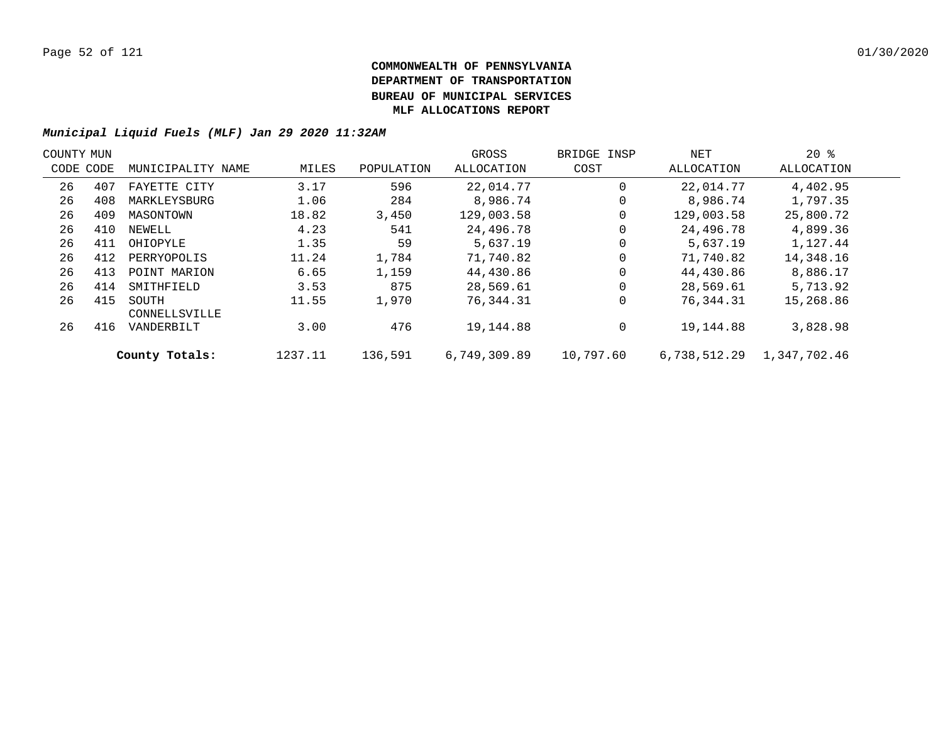| COUNTY MUN |           |                        |         |            | GROSS        | BRIDGE INSP | NET          | $20*$        |  |
|------------|-----------|------------------------|---------|------------|--------------|-------------|--------------|--------------|--|
|            | CODE CODE | MUNICIPALITY NAME      | MILES   | POPULATION | ALLOCATION   | COST        | ALLOCATION   | ALLOCATION   |  |
| 26         | 407       | FAYETTE CITY           | 3.17    | 596        | 22,014.77    | 0           | 22,014.77    | 4,402.95     |  |
| 26         | 408       | MARKLEYSBURG           | 1.06    | 284        | 8,986.74     | 0           | 8,986.74     | 1,797.35     |  |
| 26         | 409       | MASONTOWN              | 18.82   | 3,450      | 129,003.58   |             | 129,003.58   | 25,800.72    |  |
| 26         | 410       | NEWELL                 | 4.23    | 541        | 24,496.78    | 0           | 24,496.78    | 4,899.36     |  |
| 26         | 411       | OHIOPYLE               | 1.35    | 59         | 5,637.19     |             | 5,637.19     | 1,127.44     |  |
| 26         | 412       | PERRYOPOLIS            | 11.24   | 1,784      | 71,740.82    | 0           | 71,740.82    | 14,348.16    |  |
| 26         | 413       | POINT MARION           | 6.65    | 1,159      | 44,430.86    |             | 44,430.86    | 8,886.17     |  |
| 26         | 414       | SMITHFIELD             | 3.53    | 875        | 28,569.61    | $\Omega$    | 28,569.61    | 5,713.92     |  |
| 26         | 415       | SOUTH<br>CONNELLSVILLE | 11.55   | 1,970      | 76,344.31    | 0           | 76,344.31    | 15,268.86    |  |
| 26         | 416       | VANDERBILT             | 3.00    | 476        | 19,144.88    | 0           | 19,144.88    | 3,828.98     |  |
|            |           | County Totals:         | 1237.11 | 136,591    | 6,749,309.89 | 10,797.60   | 6,738,512.29 | 1,347,702.46 |  |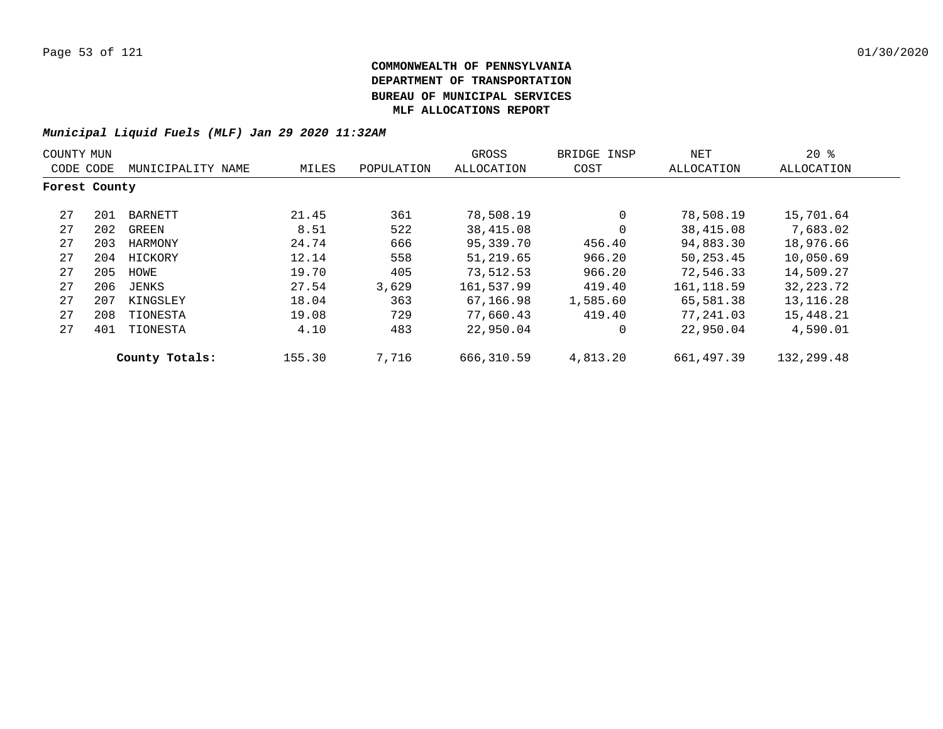| COUNTY MUN    |     |                   |        |            | GROSS      | BRIDGE INSP | NET         | $20*$       |
|---------------|-----|-------------------|--------|------------|------------|-------------|-------------|-------------|
| CODE CODE     |     | MUNICIPALITY NAME | MILES  | POPULATION | ALLOCATION | COST        | ALLOCATION  | ALLOCATION  |
| Forest County |     |                   |        |            |            |             |             |             |
| 27            | 201 | BARNETT           | 21.45  | 361        | 78,508.19  | $\Omega$    | 78,508.19   | 15,701.64   |
| 27            | 202 | GREEN             | 8.51   | 522        | 38,415.08  | $\Omega$    | 38,415.08   | 7,683.02    |
| 27            | 203 | HARMONY           | 24.74  | 666        | 95,339.70  | 456.40      | 94,883.30   | 18,976.66   |
| 27            | 204 | HICKORY           | 12.14  | 558        | 51,219.65  | 966.20      | 50,253.45   | 10,050.69   |
| 27            | 205 | HOWE              | 19.70  | 405        | 73,512.53  | 966.20      | 72,546.33   | 14,509.27   |
| 27            | 206 | JENKS             | 27.54  | 3,629      | 161,537.99 | 419.40      | 161, 118.59 | 32, 223. 72 |
| 27            | 207 | KINGSLEY          | 18.04  | 363        | 67,166.98  | 1,585.60    | 65,581.38   | 13, 116. 28 |
| 27            | 208 | TIONESTA          | 19.08  | 729        | 77,660.43  | 419.40      | 77,241.03   | 15,448.21   |
| 27            | 401 | TIONESTA          | 4.10   | 483        | 22,950.04  | $\Omega$    | 22,950.04   | 4,590.01    |
|               |     | County Totals:    | 155.30 | 7,716      | 666,310.59 | 4,813.20    | 661,497.39  | 132,299.48  |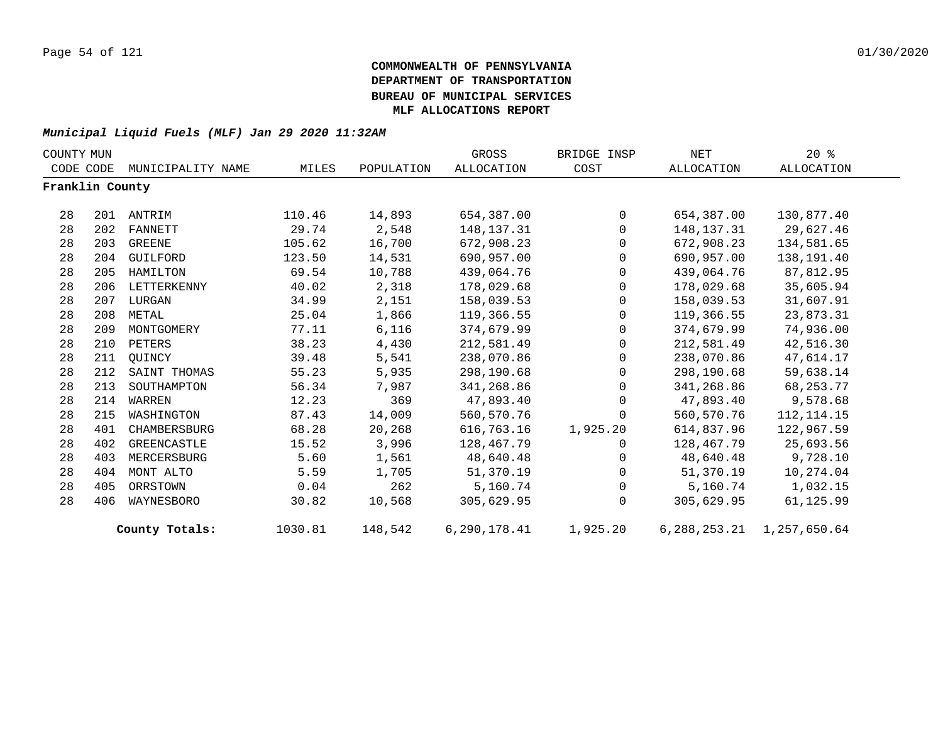| COUNTY MUN      |     |                   |         |            | GROSS             | BRIDGE INSP    | NET          | $20*$                           |  |
|-----------------|-----|-------------------|---------|------------|-------------------|----------------|--------------|---------------------------------|--|
| CODE CODE       |     | MUNICIPALITY NAME | MILES   | POPULATION | <b>ALLOCATION</b> | COST           | ALLOCATION   | ALLOCATION                      |  |
| Franklin County |     |                   |         |            |                   |                |              |                                 |  |
| 28              | 201 | ANTRIM            | 110.46  | 14,893     | 654,387.00        | $\overline{0}$ | 654,387.00   | 130,877.40                      |  |
| 28              | 202 | FANNETT           | 29.74   | 2,548      | 148,137.31        | $\mathbf{0}$   | 148, 137. 31 | 29,627.46                       |  |
| 28              | 203 | GREENE            | 105.62  | 16,700     | 672,908.23        | $\overline{0}$ | 672,908.23   | 134,581.65                      |  |
| 28              | 204 | GUILFORD          | 123.50  | 14,531     | 690,957.00        | $\Omega$       | 690,957.00   | 138,191.40                      |  |
| 28              | 205 | HAMILTON          | 69.54   | 10,788     | 439,064.76        | $\mathbf{0}$   | 439,064.76   | 87,812.95                       |  |
| 28              | 206 | LETTERKENNY       | 40.02   | 2,318      | 178,029.68        | $\mathbf{0}$   | 178,029.68   | 35,605.94                       |  |
| 28              | 207 | LURGAN            | 34.99   | 2,151      | 158,039.53        | $\mathbf 0$    | 158,039.53   | 31,607.91                       |  |
| 28              | 208 | METAL             | 25.04   | 1,866      | 119,366.55        | $\mathbf{0}$   | 119,366.55   | 23,873.31                       |  |
| 28              | 209 | MONTGOMERY        | 77.11   | 6,116      | 374,679.99        | $\mathbf{0}$   | 374,679.99   | 74,936.00                       |  |
| 28              | 210 | PETERS            | 38.23   | 4,430      | 212,581.49        | $\mathsf{O}$   | 212,581.49   | 42,516.30                       |  |
| 28              | 211 | OUINCY            | 39.48   | 5,541      | 238,070.86        | $\mathbf 0$    | 238,070.86   | 47,614.17                       |  |
| 28              | 212 | SAINT THOMAS      | 55.23   | 5,935      | 298,190.68        | $\Omega$       | 298,190.68   | 59,638.14                       |  |
| 28              | 213 | SOUTHAMPTON       | 56.34   | 7,987      | 341,268.86        | $\Omega$       | 341,268.86   | 68, 253. 77                     |  |
| 28              | 214 | WARREN            | 12.23   | 369        | 47,893.40         | $\Omega$       | 47,893.40    | 9,578.68                        |  |
| 28              | 215 | WASHINGTON        | 87.43   | 14,009     | 560,570.76        | $\mathbf 0$    | 560,570.76   | 112, 114. 15                    |  |
| 28              | 401 | CHAMBERSBURG      | 68.28   | 20,268     | 616,763.16        | 1,925.20       | 614,837.96   | 122,967.59                      |  |
| 28              | 402 | GREENCASTLE       | 15.52   | 3,996      | 128,467.79        | $\Omega$       | 128,467.79   | 25,693.56                       |  |
| 28              | 403 | MERCERSBURG       | 5.60    | 1,561      | 48,640.48         | $\mathbf 0$    | 48,640.48    | 9,728.10                        |  |
| 28              | 404 | MONT ALTO         | 5.59    | 1,705      | 51,370.19         | 0              | 51,370.19    | 10,274.04                       |  |
| 28              | 405 | ORRSTOWN          | 0.04    | 262        | 5,160.74          | $\Omega$       | 5,160.74     | 1,032.15                        |  |
| 28              | 406 | WAYNESBORO        | 30.82   | 10,568     | 305,629.95        | $\Omega$       | 305,629.95   | 61,125.99                       |  |
|                 |     | County Totals:    | 1030.81 | 148,542    | 6.290.178.41      | 1,925.20       |              | 6, 288, 253. 21 1, 257, 650. 64 |  |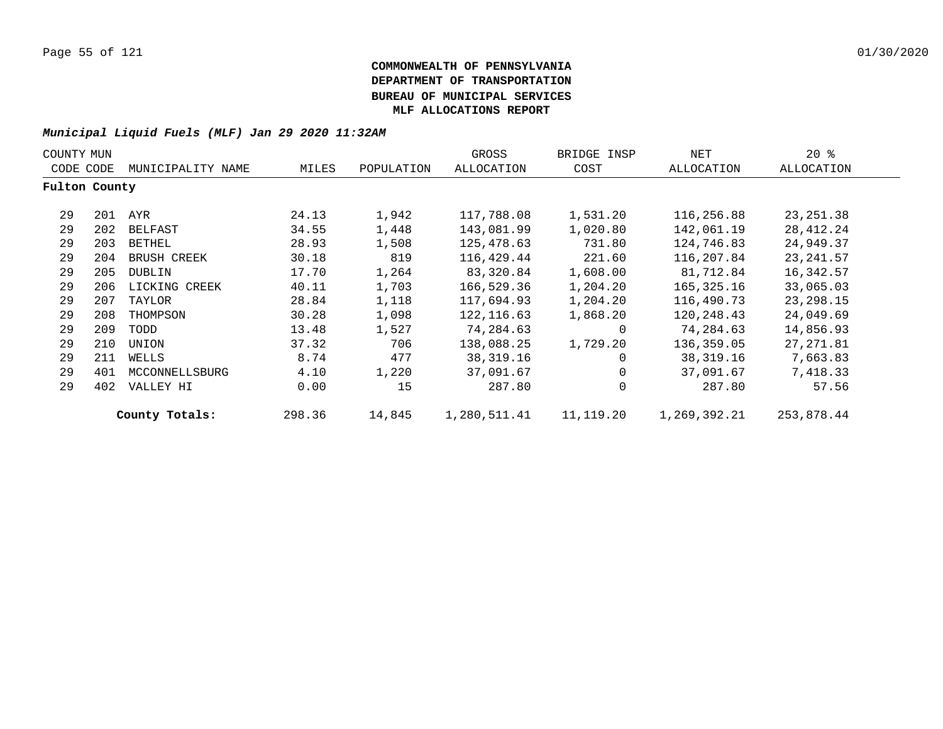| COUNTY MUN    |     |                   |        |            | GROSS        | BRIDGE INSP | NET          | $20*$       |
|---------------|-----|-------------------|--------|------------|--------------|-------------|--------------|-------------|
| CODE CODE     |     | MUNICIPALITY NAME | MILES  | POPULATION | ALLOCATION   | COST        | ALLOCATION   | ALLOCATION  |
| Fulton County |     |                   |        |            |              |             |              |             |
| 29            | 201 | AYR               | 24.13  | 1,942      | 117,788.08   | 1,531.20    | 116,256.88   | 23, 251.38  |
| 29            | 202 | BELFAST           | 34.55  | 1,448      | 143,081.99   | 1,020.80    | 142,061.19   | 28,412.24   |
| 29            | 203 | BETHEL            | 28.93  | 1,508      | 125,478.63   | 731.80      | 124,746.83   | 24,949.37   |
| 29            | 204 | BRUSH CREEK       | 30.18  | 819        | 116,429.44   | 221.60      | 116,207.84   | 23, 241.57  |
| 29            | 205 | DUBLIN            | 17.70  | 1,264      | 83,320.84    | 1,608.00    | 81,712.84    | 16,342.57   |
| 29            | 206 | LICKING CREEK     | 40.11  | 1,703      | 166,529.36   | 1,204.20    | 165,325.16   | 33,065.03   |
| 29            | 207 | TAYLOR            | 28.84  | 1,118      | 117,694.93   | 1,204.20    | 116,490.73   | 23, 298. 15 |
| 29            | 208 | THOMPSON          | 30.28  | 1,098      | 122, 116.63  | 1,868.20    | 120,248.43   | 24,049.69   |
| 29            | 209 | TODD              | 13.48  | 1,527      | 74,284.63    | $\mathbf 0$ | 74,284.63    | 14,856.93   |
| 29            | 210 | UNION             | 37.32  | 706        | 138,088.25   | 1,729.20    | 136,359.05   | 27,271.81   |
| 29            | 211 | WELLS             | 8.74   | 477        | 38, 319. 16  | $\Omega$    | 38,319.16    | 7,663.83    |
| 29            | 401 | MCCONNELLSBURG    | 4.10   | 1,220      | 37,091.67    | 0           | 37,091.67    | 7,418.33    |
| 29            | 402 | VALLEY HI         | 0.00   | 15         | 287.80       | $\mathbf 0$ | 287.80       | 57.56       |
|               |     | County Totals:    | 298.36 | 14,845     | 1,280,511.41 | 11,119.20   | 1,269,392.21 | 253,878.44  |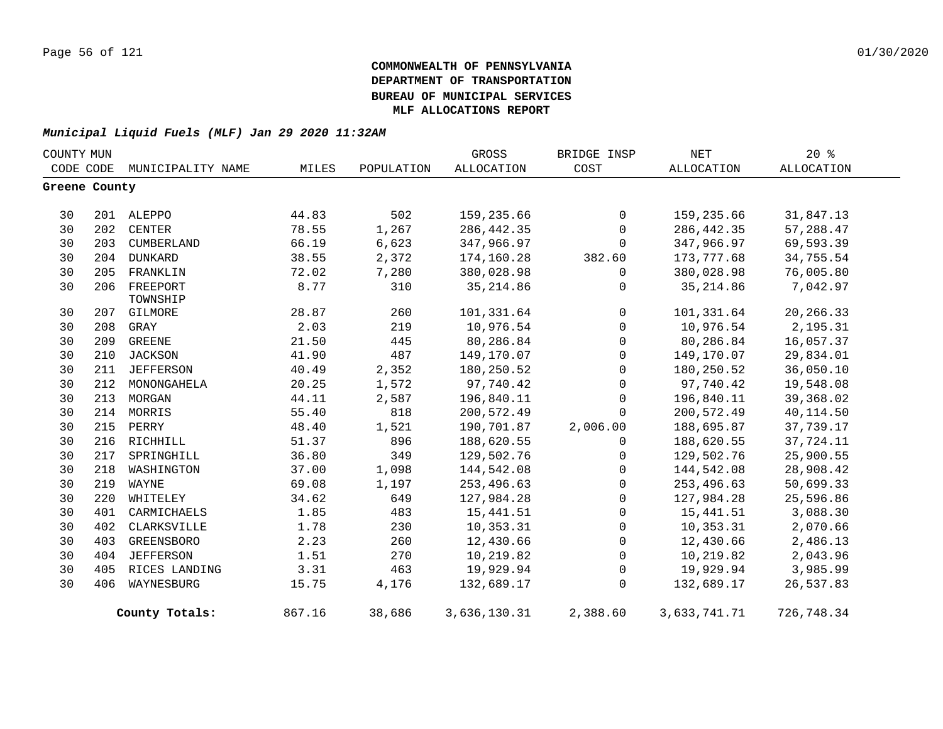| COUNTY MUN    |           |                      |        |            | GROSS        | BRIDGE INSP    | NET          | $20*$      |  |
|---------------|-----------|----------------------|--------|------------|--------------|----------------|--------------|------------|--|
|               | CODE CODE | MUNICIPALITY NAME    | MILES  | POPULATION | ALLOCATION   | COST           | ALLOCATION   | ALLOCATION |  |
| Greene County |           |                      |        |            |              |                |              |            |  |
| 30            |           | 201 ALEPPO           | 44.83  | 502        | 159,235.66   | $\mathbf 0$    | 159,235.66   | 31,847.13  |  |
| 30            |           | 202 CENTER           | 78.55  | 1,267      | 286, 442.35  | $\mathbf 0$    | 286, 442.35  | 57,288.47  |  |
| 30            | 203       | CUMBERLAND           | 66.19  | 6,623      | 347,966.97   | $\mathbf 0$    | 347,966.97   | 69,593.39  |  |
| 30            |           | 204 DUNKARD          | 38.55  | 2,372      | 174,160.28   | 382.60         | 173,777.68   | 34,755.54  |  |
| 30            | 205       | FRANKLIN             | 72.02  | 7,280      | 380,028.98   | $\mathbf 0$    | 380,028.98   | 76,005.80  |  |
| 30            | 206       | FREEPORT<br>TOWNSHIP | 8.77   | 310        | 35, 214.86   | 0              | 35, 214.86   | 7,042.97   |  |
| 30            |           | 207 GILMORE          | 28.87  | 260        | 101,331.64   | $\overline{0}$ | 101,331.64   | 20,266.33  |  |
| 30            | 208       | GRAY                 | 2.03   | 219        | 10,976.54    | $\overline{0}$ | 10,976.54    | 2,195.31   |  |
| 30            | 209       | GREENE               | 21.50  | 445        | 80,286.84    | $\mathsf{O}$   | 80,286.84    | 16,057.37  |  |
| 30            | 210       | JACKSON              | 41.90  | 487        | 149,170.07   | $\mathbf 0$    | 149,170.07   | 29,834.01  |  |
| 30            | 211       | JEFFERSON            | 40.49  | 2,352      | 180,250.52   | $\mathbf 0$    | 180,250.52   | 36,050.10  |  |
| 30            | 212       | MONONGAHELA          | 20.25  | 1,572      | 97,740.42    | $\mathbf 0$    | 97,740.42    | 19,548.08  |  |
| 30            | 213       | MORGAN               | 44.11  | 2,587      | 196,840.11   | $\mathbf 0$    | 196,840.11   | 39,368.02  |  |
| 30            | 214       | MORRIS               | 55.40  | 818        | 200,572.49   | $\mathbf 0$    | 200,572.49   | 40,114.50  |  |
| 30            | 215       | PERRY                | 48.40  | 1,521      | 190,701.87   | 2,006.00       | 188,695.87   | 37,739.17  |  |
| 30            | 216       | RICHHILL             | 51.37  | 896        | 188,620.55   | $\Omega$       | 188,620.55   | 37,724.11  |  |
| 30            | 217       | SPRINGHILL           | 36.80  | 349        | 129,502.76   | $\mathsf{O}$   | 129,502.76   | 25,900.55  |  |
| 30            | 218       | WASHINGTON           | 37.00  | 1,098      | 144,542.08   | $\mathsf{O}$   | 144,542.08   | 28,908.42  |  |
| 30            | 219       | WAYNE                | 69.08  | 1,197      | 253,496.63   | $\mathsf{O}$   | 253,496.63   | 50,699.33  |  |
| 30            | 220       | WHITELEY             | 34.62  | 649        | 127,984.28   | $\mathbf 0$    | 127,984.28   | 25,596.86  |  |
| 30            | 401       | CARMICHAELS          | 1.85   | 483        | 15,441.51    | $\mathsf{O}$   | 15,441.51    | 3,088.30   |  |
| 30            | 402       | CLARKSVILLE          | 1.78   | 230        | 10,353.31    | $\mathsf{O}$   | 10,353.31    | 2,070.66   |  |
| 30            | 403       | <b>GREENSBORO</b>    | 2.23   | 260        | 12,430.66    | $\overline{0}$ | 12,430.66    | 2,486.13   |  |
| 30            | 404       | <b>JEFFERSON</b>     | 1.51   | 270        | 10,219.82    | $\mathbf 0$    | 10,219.82    | 2,043.96   |  |
| 30            | 405       | RICES LANDING        | 3.31   | 463        | 19,929.94    | $\mathbf 0$    | 19,929.94    | 3,985.99   |  |
| 30            | 406       | WAYNESBURG           | 15.75  | 4,176      | 132,689.17   | $\Omega$       | 132,689.17   | 26,537.83  |  |
|               |           | County Totals:       | 867.16 | 38,686     | 3,636,130.31 | 2,388.60       | 3,633,741.71 | 726,748.34 |  |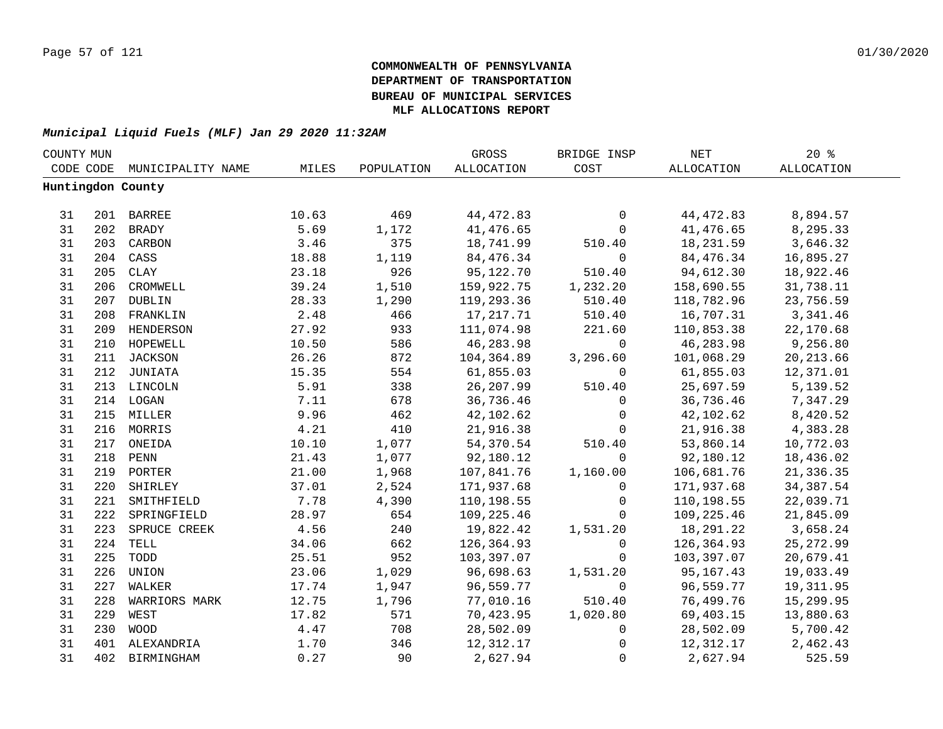| COUNTY MUN |     |                   |       |            | GROSS      | BRIDGE INSP    | NET        | 20%        |  |
|------------|-----|-------------------|-------|------------|------------|----------------|------------|------------|--|
| CODE CODE  |     | MUNICIPALITY NAME | MILES | POPULATION | ALLOCATION | COST           | ALLOCATION | ALLOCATION |  |
|            |     | Huntingdon County |       |            |            |                |            |            |  |
|            |     |                   |       |            |            |                |            |            |  |
| 31         |     | 201 BARREE        | 10.63 | 469        | 44,472.83  | $\mathsf{O}$   | 44,472.83  | 8,894.57   |  |
| 31         |     | 202 BRADY         | 5.69  | 1,172      | 41,476.65  | $\mathsf{O}$   | 41,476.65  | 8,295.33   |  |
| 31         |     | 203 CARBON        | 3.46  | 375        | 18,741.99  | 510.40         | 18,231.59  | 3,646.32   |  |
| 31         |     | 204 CASS          | 18.88 | 1,119      | 84,476.34  | $\mathsf{O}$   | 84,476.34  | 16,895.27  |  |
| 31         | 205 | CLAY              | 23.18 | 926        | 95,122.70  | 510.40         | 94,612.30  | 18,922.46  |  |
| 31         | 206 | CROMWELL          | 39.24 | 1,510      | 159,922.75 | 1,232.20       | 158,690.55 | 31,738.11  |  |
| 31         | 207 | <b>DUBLIN</b>     | 28.33 | 1,290      | 119,293.36 | 510.40         | 118,782.96 | 23,756.59  |  |
| 31         | 208 | FRANKLIN          | 2.48  | 466        | 17,217.71  | 510.40         | 16,707.31  | 3, 341.46  |  |
| 31         | 209 | HENDERSON         | 27.92 | 933        | 111,074.98 | 221.60         | 110,853.38 | 22,170.68  |  |
| 31         | 210 | HOPEWELL          | 10.50 | 586        | 46,283.98  | $\overline{0}$ | 46,283.98  | 9,256.80   |  |
| 31         |     | 211 JACKSON       | 26.26 | 872        | 104,364.89 | 3,296.60       | 101,068.29 | 20, 213.66 |  |
| 31         |     | 212 JUNIATA       | 15.35 | 554        | 61,855.03  | $\mathbf 0$    | 61,855.03  | 12,371.01  |  |
| 31         |     | 213 LINCOLN       | 5.91  | 338        | 26, 207.99 | 510.40         | 25,697.59  | 5,139.52   |  |
| 31         |     | 214 LOGAN         | 7.11  | 678        | 36,736.46  | $\mathbf 0$    | 36,736.46  | 7,347.29   |  |
| 31         |     | 215 MILLER        | 9.96  | 462        | 42,102.62  | $\mathbf 0$    | 42,102.62  | 8,420.52   |  |
| 31         |     | 216 MORRIS        | 4.21  | 410        | 21,916.38  | $\mathbf{0}$   | 21,916.38  | 4,383.28   |  |
| 31         |     | 217 ONEIDA        | 10.10 | 1,077      | 54,370.54  | 510.40         | 53,860.14  | 10,772.03  |  |
| 31         |     | 218 PENN          | 21.43 | 1,077      | 92,180.12  | $\mathbf 0$    | 92,180.12  | 18,436.02  |  |
| 31         |     | 219 PORTER        | 21.00 | 1,968      | 107,841.76 | 1,160.00       | 106,681.76 | 21,336.35  |  |
| 31         | 220 | SHIRLEY           | 37.01 | 2,524      | 171,937.68 | $\overline{0}$ | 171,937.68 | 34, 387.54 |  |
| 31         | 221 | SMITHFIELD        | 7.78  | 4,390      | 110,198.55 | $\mathsf{O}$   | 110,198.55 | 22,039.71  |  |
| 31         | 222 | SPRINGFIELD       | 28.97 | 654        | 109,225.46 | $\overline{0}$ | 109,225.46 | 21,845.09  |  |
| 31         | 223 | SPRUCE CREEK      | 4.56  | 240        | 19,822.42  | 1,531.20       | 18,291.22  | 3,658.24   |  |
| 31         | 224 | TELL              | 34.06 | 662        | 126,364.93 | $\mathsf{O}$   | 126,364.93 | 25, 272.99 |  |
| 31         | 225 | TODD              | 25.51 | 952        | 103,397.07 | $\Omega$       | 103,397.07 | 20,679.41  |  |
| 31         | 226 | UNION             | 23.06 | 1,029      | 96,698.63  | 1,531.20       | 95,167.43  | 19,033.49  |  |
| 31         | 227 | WALKER            | 17.74 | 1,947      | 96,559.77  | $\mathbf 0$    | 96,559.77  | 19,311.95  |  |
| 31         | 228 | WARRIORS MARK     | 12.75 | 1,796      | 77,010.16  | 510.40         | 76,499.76  | 15,299.95  |  |
| 31         | 229 | WEST              | 17.82 | 571        | 70,423.95  | 1,020.80       | 69,403.15  | 13,880.63  |  |
| 31         | 230 | WOOD              | 4.47  | 708        | 28,502.09  | $\mathsf{O}$   | 28,502.09  | 5,700.42   |  |
| 31         |     | 401 ALEXANDRIA    | 1.70  | 346        | 12,312.17  | 0              | 12,312.17  | 2,462.43   |  |
| 31         | 402 | BIRMINGHAM        | 0.27  | 90         | 2,627.94   | $\mathsf{O}$   | 2,627.94   | 525.59     |  |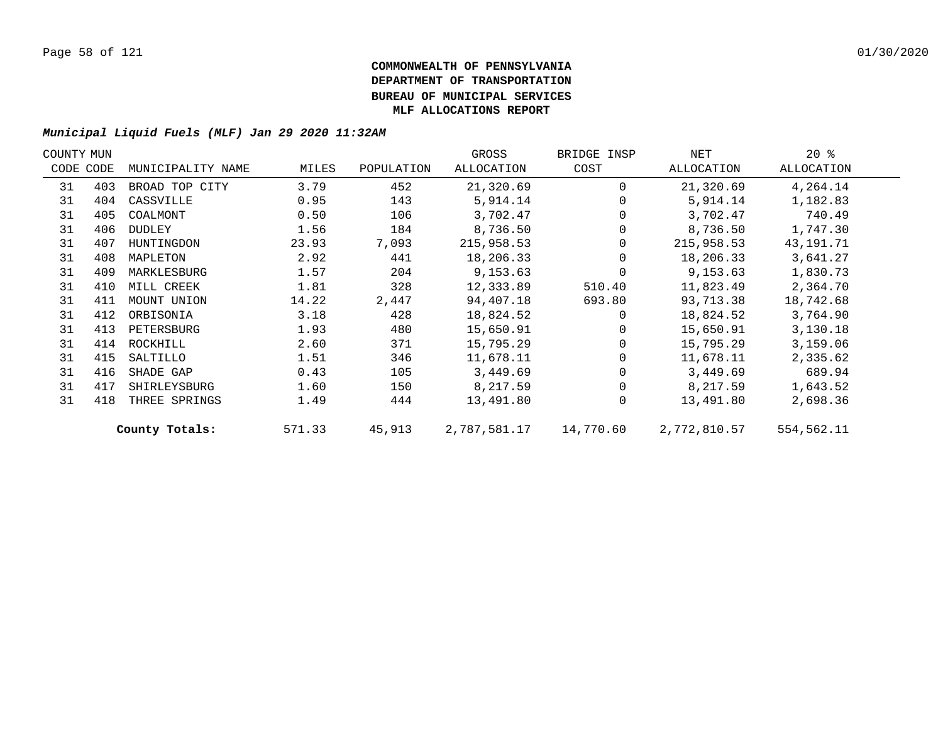| COUNTY MUN |           |                   |        |            | GROSS        | BRIDGE INSP | NET          | $20*$       |  |
|------------|-----------|-------------------|--------|------------|--------------|-------------|--------------|-------------|--|
|            | CODE CODE | MUNICIPALITY NAME | MILES  | POPULATION | ALLOCATION   | COST        | ALLOCATION   | ALLOCATION  |  |
| 31         | 403       | BROAD TOP CITY    | 3.79   | 452        | 21,320.69    | $\Omega$    | 21,320.69    | 4,264.14    |  |
| 31         | 404       | CASSVILLE         | 0.95   | 143        | 5,914.14     |             | 5,914.14     | 1,182.83    |  |
| 31         | 405       | COALMONT          | 0.50   | 106        | 3,702.47     |             | 3,702.47     | 740.49      |  |
| 31         | 406       | DUDLEY            | 1.56   | 184        | 8,736.50     |             | 8,736.50     | 1,747.30    |  |
| 31         | 407       | HUNTINGDON        | 23.93  | 7,093      | 215,958.53   | 0           | 215,958.53   | 43, 191. 71 |  |
| 31         | 408       | MAPLETON          | 2.92   | 441        | 18,206.33    |             | 18,206.33    | 3,641.27    |  |
| 31         | 409       | MARKLESBURG       | 1.57   | 204        | 9,153.63     |             | 9,153.63     | 1,830.73    |  |
| 31         | 410       | MILL CREEK        | 1.81   | 328        | 12,333.89    | 510.40      | 11,823.49    | 2,364.70    |  |
| 31         | 411       | MOUNT UNION       | 14.22  | 2,447      | 94,407.18    | 693.80      | 93,713.38    | 18,742.68   |  |
| 31         | 412       | ORBISONIA         | 3.18   | 428        | 18,824.52    | 0           | 18,824.52    | 3,764.90    |  |
| 31         | 413       | PETERSBURG        | 1.93   | 480        | 15,650.91    | $\Omega$    | 15,650.91    | 3,130.18    |  |
| 31         | 414       | ROCKHILL          | 2.60   | 371        | 15,795.29    |             | 15,795.29    | 3,159.06    |  |
| 31         | 415       | SALTILLO          | 1.51   | 346        | 11,678.11    |             | 11,678.11    | 2,335.62    |  |
| 31         | 416       | SHADE GAP         | 0.43   | 105        | 3,449.69     |             | 3,449.69     | 689.94      |  |
| 31         | 417       | SHIRLEYSBURG      | 1.60   | 150        | 8,217.59     |             | 8,217.59     | 1,643.52    |  |
| 31         | 418       | THREE SPRINGS     | 1.49   | 444        | 13,491.80    | $\Omega$    | 13,491.80    | 2,698.36    |  |
|            |           | County Totals:    | 571.33 | 45,913     | 2,787,581.17 | 14,770.60   | 2,772,810.57 | 554,562.11  |  |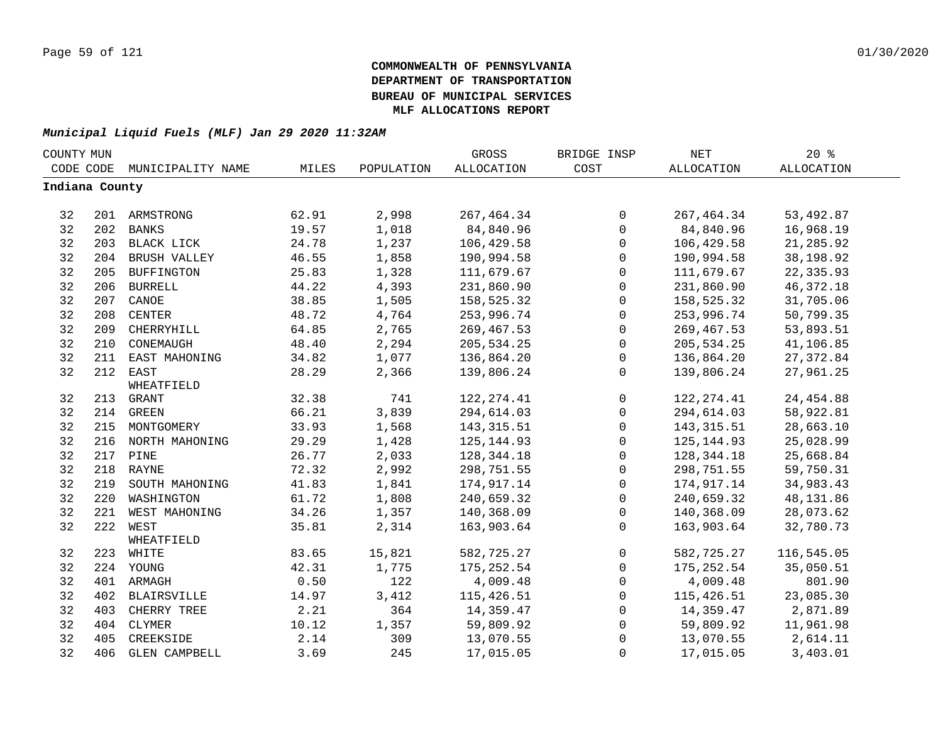| COUNTY MUN     |     |                    |       |            | GROSS       | BRIDGE INSP  | <b>NET</b>   | $20*$             |  |
|----------------|-----|--------------------|-------|------------|-------------|--------------|--------------|-------------------|--|
| CODE CODE      |     | MUNICIPALITY NAME  | MILES | POPULATION | ALLOCATION  | COST         | ALLOCATION   | <b>ALLOCATION</b> |  |
| Indiana County |     |                    |       |            |             |              |              |                   |  |
|                |     |                    |       |            |             |              |              |                   |  |
| 32             |     | 201 ARMSTRONG      | 62.91 | 2,998      | 267, 464.34 | 0            | 267, 464.34  | 53,492.87         |  |
| 32             | 202 | <b>BANKS</b>       | 19.57 | 1,018      | 84,840.96   | $\mathsf{O}$ | 84,840.96    | 16,968.19         |  |
| 32             |     | 203 BLACK LICK     | 24.78 | 1,237      | 106,429.58  | $\mathsf{O}$ | 106,429.58   | 21,285.92         |  |
| 32             |     | 204 BRUSH VALLEY   | 46.55 | 1,858      | 190,994.58  | 0            | 190,994.58   | 38,198.92         |  |
| 32             | 205 | <b>BUFFINGTON</b>  | 25.83 | 1,328      | 111,679.67  | 0            | 111,679.67   | 22,335.93         |  |
| 32             | 206 | <b>BURRELL</b>     | 44.22 | 4,393      | 231,860.90  | $\mathsf{O}$ | 231,860.90   | 46, 372. 18       |  |
| 32             | 207 | CANOE              | 38.85 | 1,505      | 158,525.32  | 0            | 158,525.32   | 31,705.06         |  |
| 32             | 208 | <b>CENTER</b>      | 48.72 | 4,764      | 253,996.74  | $\mathsf{O}$ | 253,996.74   | 50,799.35         |  |
| 32             | 209 | CHERRYHILL         | 64.85 | 2,765      | 269, 467.53 | $\mathsf{O}$ | 269,467.53   | 53,893.51         |  |
| 32             | 210 | CONEMAUGH          | 48.40 | 2,294      | 205,534.25  | $\mathsf{O}$ | 205, 534.25  | 41,106.85         |  |
| 32             | 211 | EAST MAHONING      | 34.82 | 1,077      | 136,864.20  | $\mathbf 0$  | 136,864.20   | 27, 372.84        |  |
| 32             | 212 | EAST               | 28.29 | 2,366      | 139,806.24  | 0            | 139,806.24   | 27,961.25         |  |
|                |     | WHEATFIELD         |       |            |             |              |              |                   |  |
| 32             |     | 213 GRANT          | 32.38 | 741        | 122, 274.41 | 0            | 122, 274.41  | 24, 454.88        |  |
| 32             |     | 214 GREEN          | 66.21 | 3,839      | 294,614.03  | 0            | 294,614.03   | 58,922.81         |  |
| 32             |     | 215 MONTGOMERY     | 33.93 | 1,568      | 143, 315.51 | $\mathbf 0$  | 143, 315.51  | 28,663.10         |  |
| 32             |     | 216 NORTH MAHONING | 29.29 | 1,428      | 125, 144.93 | 0            | 125, 144.93  | 25,028.99         |  |
| 32             |     | 217 PINE           | 26.77 | 2,033      | 128,344.18  | $\mathsf{O}$ | 128, 344. 18 | 25,668.84         |  |
| 32             |     | 218 RAYNE          | 72.32 | 2,992      | 298,751.55  | $\mathsf{O}$ | 298,751.55   | 59,750.31         |  |
| 32             | 219 | SOUTH MAHONING     | 41.83 | 1,841      | 174,917.14  | $\mathsf{O}$ | 174,917.14   | 34,983.43         |  |
| 32             | 220 | WASHINGTON         | 61.72 | 1,808      | 240,659.32  | $\mathbf 0$  | 240,659.32   | 48,131.86         |  |
| 32             | 221 | WEST MAHONING      | 34.26 | 1,357      | 140,368.09  | 0            | 140,368.09   | 28,073.62         |  |
| 32             | 222 | WEST               | 35.81 | 2,314      | 163,903.64  | $\Omega$     | 163,903.64   | 32,780.73         |  |
|                |     | WHEATFIELD         |       |            |             |              |              |                   |  |
| 32             |     | 223 WHITE          | 83.65 | 15,821     | 582,725.27  | $\mathsf{O}$ | 582,725.27   | 116,545.05        |  |
| 32             |     | 224 YOUNG          | 42.31 | 1,775      | 175, 252.54 | $\mathbf{0}$ | 175, 252.54  | 35,050.51         |  |
| 32             |     | 401 ARMAGH         | 0.50  | 122        | 4,009.48    | 0            | 4,009.48     | 801.90            |  |
| 32             |     | 402 BLAIRSVILLE    | 14.97 | 3,412      | 115,426.51  | $\mathbf 0$  | 115,426.51   | 23,085.30         |  |
| 32             | 403 | CHERRY TREE        | 2.21  | 364        | 14,359.47   | $\mathbf 0$  | 14,359.47    | 2,871.89          |  |
| 32             | 404 | CLYMER             | 10.12 | 1,357      | 59,809.92   | 0            | 59,809.92    | 11,961.98         |  |
| 32             | 405 | CREEKSIDE          | 2.14  | 309        | 13,070.55   | 0            | 13,070.55    | 2,614.11          |  |
| 32             |     | 406 GLEN CAMPBELL  | 3.69  | 245        | 17,015.05   | 0            | 17,015.05    | 3,403.01          |  |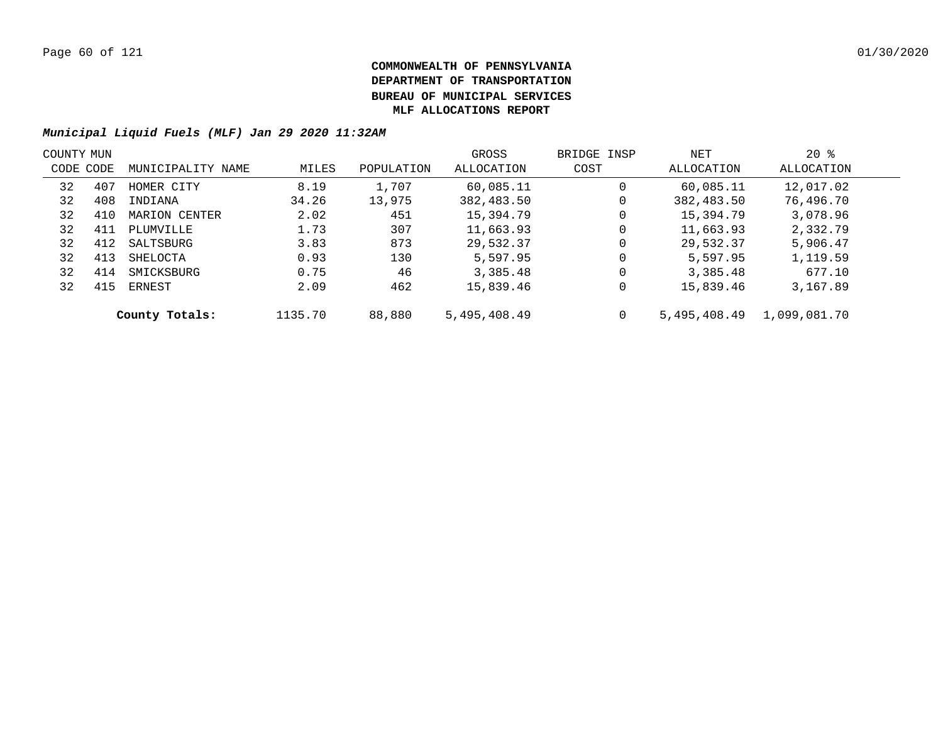|           | COUNTY MUN |                   |         |            | GROSS        | BRIDGE INSP | NET          | $20*$        |  |
|-----------|------------|-------------------|---------|------------|--------------|-------------|--------------|--------------|--|
| CODE CODE |            | MUNICIPALITY NAME | MILES   | POPULATION | ALLOCATION   | COST        | ALLOCATION   | ALLOCATION   |  |
| 32        | 407        | HOMER CITY        | 8.19    | 1,707      | 60,085.11    | $\mathbf 0$ | 60,085.11    | 12,017.02    |  |
| 32        | 408        | INDIANA           | 34.26   | 13,975     | 382,483.50   | 0           | 382,483.50   | 76,496.70    |  |
| 32        | 410        | MARION CENTER     | 2.02    | 451        | 15,394.79    | 0           | 15,394.79    | 3,078.96     |  |
| 32        | 411        | PLUMVILLE         | 1.73    | 307        | 11,663.93    | 0           | 11,663.93    | 2,332.79     |  |
| 32        | 412        | SALTSBURG         | 3.83    | 873        | 29,532.37    | 0           | 29,532.37    | 5,906.47     |  |
| 32        | 413        | SHELOCTA          | 0.93    | 130        | 5,597.95     | $\mathbf 0$ | 5,597.95     | 1,119.59     |  |
| 32        | 414        | SMICKSBURG        | 0.75    | 46         | 3,385.48     | $\mathbf 0$ | 3,385.48     | 677.10       |  |
| 32        | 415        | ERNEST            | 2.09    | 462        | 15,839.46    | 0           | 15,839.46    | 3,167.89     |  |
|           |            | County Totals:    | 1135.70 | 88,880     | 5,495,408.49 | 0           | 5,495,408.49 | 1,099,081.70 |  |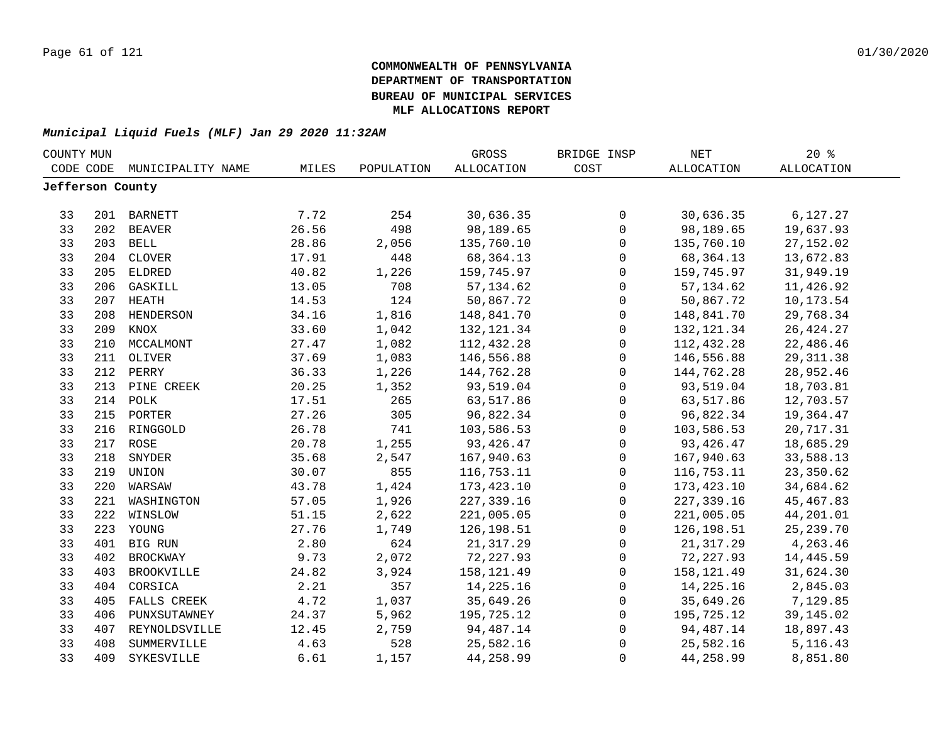| COUNTY MUN       |     |                   |       |            | GROSS             | BRIDGE INSP         | NET               | $20*$             |  |
|------------------|-----|-------------------|-------|------------|-------------------|---------------------|-------------------|-------------------|--|
| CODE CODE        |     | MUNICIPALITY NAME | MILES | POPULATION | <b>ALLOCATION</b> | COST                | <b>ALLOCATION</b> | <b>ALLOCATION</b> |  |
| Jefferson County |     |                   |       |            |                   |                     |                   |                   |  |
|                  |     |                   |       |            |                   |                     |                   |                   |  |
| 33               |     | 201 BARNETT       | 7.72  | 254        | 30,636.35         | 0                   | 30,636.35         | 6,127.27          |  |
| 33               | 202 | <b>BEAVER</b>     | 26.56 | 498        | 98,189.65         | $\mathsf{O}\xspace$ | 98,189.65         | 19,637.93         |  |
| 33               |     | 203 BELL          | 28.86 | 2,056      | 135,760.10        | $\mathsf{O}\xspace$ | 135,760.10        | 27, 152.02        |  |
| 33               | 204 | <b>CLOVER</b>     | 17.91 | 448        | 68, 364. 13       | $\mathsf{O}\xspace$ | 68,364.13         | 13,672.83         |  |
| 33               | 205 | <b>ELDRED</b>     | 40.82 | 1,226      | 159,745.97        | $\mathsf{O}$        | 159,745.97        | 31,949.19         |  |
| 33               | 206 | GASKILL           | 13.05 | 708        | 57, 134.62        | $\mathbf 0$         | 57, 134.62        | 11,426.92         |  |
| 33               | 207 | HEATH             | 14.53 | 124        | 50,867.72         | $\mathbf 0$         | 50,867.72         | 10,173.54         |  |
| 33               | 208 | HENDERSON         | 34.16 | 1,816      | 148,841.70        | $\mathsf{O}$        | 148,841.70        | 29,768.34         |  |
| 33               | 209 | KNOX              | 33.60 | 1,042      | 132, 121.34       | $\mathsf{O}$        | 132, 121.34       | 26, 424. 27       |  |
| 33               | 210 | MCCALMONT         | 27.47 | 1,082      | 112,432.28        | $\mathsf{O}$        | 112,432.28        | 22,486.46         |  |
| 33               | 211 | OLIVER            | 37.69 | 1,083      | 146,556.88        | $\mathbf 0$         | 146,556.88        | 29, 311.38        |  |
| 33               | 212 | PERRY             | 36.33 | 1,226      | 144,762.28        | $\mathbf 0$         | 144,762.28        | 28,952.46         |  |
| 33               | 213 | PINE CREEK        | 20.25 | 1,352      | 93,519.04         | $\mathsf 0$         | 93,519.04         | 18,703.81         |  |
| 33               | 214 | POLK              | 17.51 | 265        | 63,517.86         | $\mathsf 0$         | 63,517.86         | 12,703.57         |  |
| 33               |     | 215 PORTER        | 27.26 | 305        | 96,822.34         | $\mathsf 0$         | 96,822.34         | 19,364.47         |  |
| 33               |     | 216 RINGGOLD      | 26.78 | 741        | 103,586.53        | $\mathbf 0$         | 103,586.53        | 20,717.31         |  |
| 33               |     | 217 ROSE          | 20.78 | 1,255      | 93, 426.47        | $\mathbf 0$         | 93, 426.47        | 18,685.29         |  |
| 33               | 218 | SNYDER            | 35.68 | 2,547      | 167,940.63        | $\mathsf{O}\xspace$ | 167,940.63        | 33,588.13         |  |
| 33               | 219 | UNION             | 30.07 | 855        | 116,753.11        | $\mathbf 0$         | 116,753.11        | 23,350.62         |  |
| 33               | 220 | WARSAW            | 43.78 | 1,424      | 173, 423.10       | $\mathsf{O}$        | 173, 423.10       | 34,684.62         |  |
| 33               | 221 | WASHINGTON        | 57.05 | 1,926      | 227, 339.16       | $\mathbf 0$         | 227, 339.16       | 45, 467.83        |  |
| 33               | 222 | WINSLOW           | 51.15 | 2,622      | 221,005.05        | $\mathbf 0$         | 221,005.05        | 44,201.01         |  |
| 33               |     | 223 YOUNG         | 27.76 | 1,749      | 126,198.51        | $\mathbf 0$         | 126,198.51        | 25, 239. 70       |  |
| 33               |     | 401 BIG RUN       | 2.80  | 624        | 21, 317.29        | $\mathbf 0$         | 21, 317.29        | 4,263.46          |  |
| 33               | 402 | <b>BROCKWAY</b>   | 9.73  | 2,072      | 72, 227.93        | $\mathsf{O}$        | 72, 227.93        | 14,445.59         |  |
| 33               | 403 | <b>BROOKVILLE</b> | 24.82 | 3,924      | 158,121.49        | $\mathsf{O}$        | 158,121.49        | 31,624.30         |  |
| 33               | 404 | CORSICA           | 2.21  | 357        | 14,225.16         | $\mathbf 0$         | 14,225.16         | 2,845.03          |  |
| 33               | 405 | FALLS CREEK       | 4.72  | 1,037      | 35,649.26         | 0                   | 35,649.26         | 7,129.85          |  |
| 33               | 406 | PUNXSUTAWNEY      | 24.37 | 5,962      | 195,725.12        | $\mathsf{O}$        | 195,725.12        | 39,145.02         |  |
| 33               | 407 | REYNOLDSVILLE     | 12.45 | 2,759      | 94,487.14         | 0                   | 94,487.14         | 18,897.43         |  |
| 33               | 408 | SUMMERVILLE       | 4.63  | 528        | 25,582.16         | 0                   | 25,582.16         | 5, 116. 43        |  |
| 33               | 409 | SYKESVILLE        | 6.61  | 1,157      | 44,258.99         | $\mathbf 0$         | 44,258.99         | 8,851.80          |  |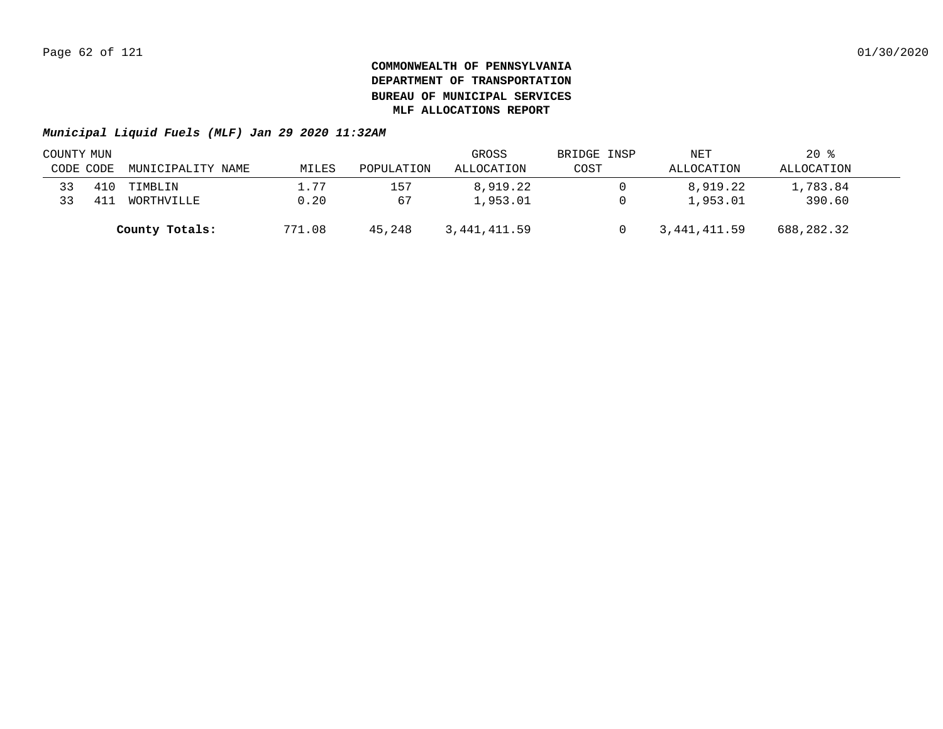|           | COUNTY MUN |                   |        |            | GROSS        | BRIDGE INSP | NET          | $20*$      |  |
|-----------|------------|-------------------|--------|------------|--------------|-------------|--------------|------------|--|
| CODE CODE |            | MUNICIPALITY NAME | MILES  | POPULATION | ALLOCATION   | COST        | ALLOCATION   | ALLOCATION |  |
| 33        | 410        | TIMBLIN           | 1.77   | 157        | 8,919.22     |             | 8,919.22     | 1,783.84   |  |
| 33        | 41.        | WORTHVILLE        | 0.20   | 67         | 1,953.01     |             | 1,953.01     | 390.60     |  |
|           |            | County Totals:    | 771.08 | 45,248     | 3,441,411.59 |             | 3,441,411.59 | 688,282.32 |  |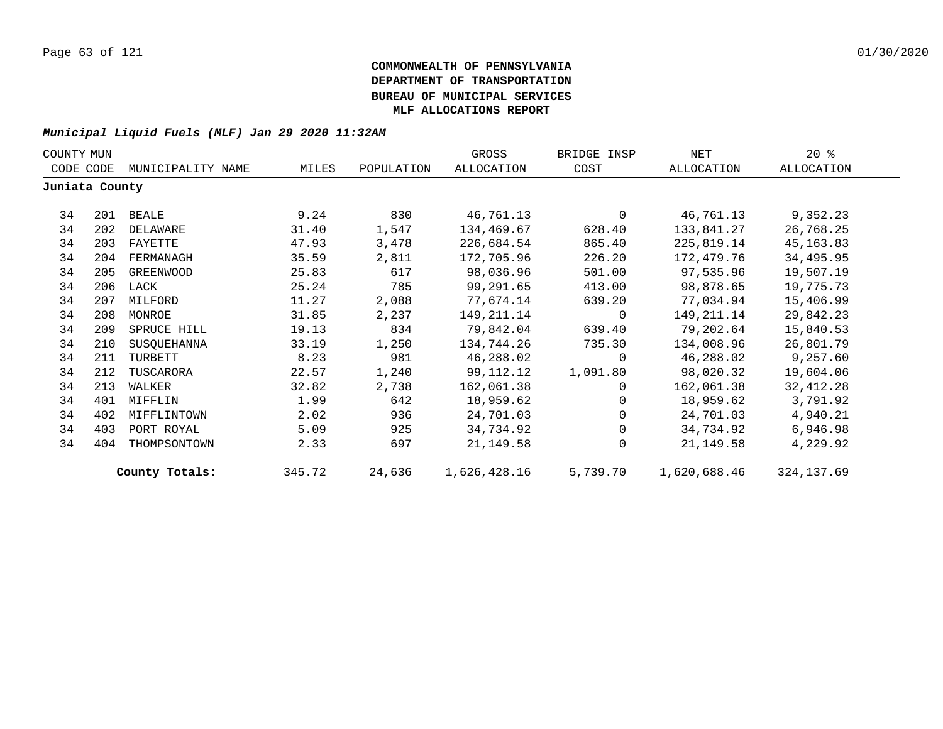| COUNTY MUN     |     |                   |        |            | GROSS        | BRIDGE INSP | NET          | $20*$      |
|----------------|-----|-------------------|--------|------------|--------------|-------------|--------------|------------|
| CODE CODE      |     | MUNICIPALITY NAME | MILES  | POPULATION | ALLOCATION   | COST        | ALLOCATION   | ALLOCATION |
| Juniata County |     |                   |        |            |              |             |              |            |
| 34             |     | 201 BEALE         | 9.24   | 830        | 46,761.13    | $\Omega$    | 46,761.13    | 9,352.23   |
| 34             | 202 | DELAWARE          | 31.40  | 1,547      | 134,469.67   | 628.40      | 133,841.27   | 26,768.25  |
| 34             | 203 | FAYETTE           | 47.93  | 3,478      | 226,684.54   | 865.40      | 225,819.14   | 45, 163.83 |
| 34             | 204 | FERMANAGH         | 35.59  | 2,811      | 172,705.96   | 226.20      | 172,479.76   | 34,495.95  |
| 34             | 205 | GREENWOOD         | 25.83  | 617        | 98,036.96    | 501.00      | 97,535.96    | 19,507.19  |
| 34             |     | 206 LACK          | 25.24  | 785        | 99,291.65    | 413.00      | 98,878.65    | 19,775.73  |
| 34             |     | 207 MILFORD       | 11.27  | 2,088      | 77,674.14    | 639.20      | 77,034.94    | 15,406.99  |
| 34             | 208 | MONROE            | 31.85  | 2,237      | 149,211.14   | 0           | 149,211.14   | 29,842.23  |
| 34             | 209 | SPRUCE HILL       | 19.13  | 834        | 79,842.04    | 639.40      | 79,202.64    | 15,840.53  |
| 34             | 210 | SUSQUEHANNA       | 33.19  | 1,250      | 134,744.26   | 735.30      | 134,008.96   | 26,801.79  |
| 34             | 211 | TURBETT           | 8.23   | 981        | 46,288.02    | 0           | 46,288.02    | 9,257.60   |
| 34             | 212 | TUSCARORA         | 22.57  | 1,240      | 99,112.12    | 1,091.80    | 98,020.32    | 19,604.06  |
| 34             | 213 | WALKER            | 32.82  | 2,738      | 162,061.38   | 0           | 162,061.38   | 32,412.28  |
| 34             | 401 | MIFFLIN           | 1.99   | 642        | 18,959.62    | $\Omega$    | 18,959.62    | 3,791.92   |
| 34             | 402 | MIFFLINTOWN       | 2.02   | 936        | 24,701.03    | $\Omega$    | 24,701.03    | 4,940.21   |
| 34             | 403 | PORT ROYAL        | 5.09   | 925        | 34,734.92    | $\Omega$    | 34,734.92    | 6,946.98   |
| 34             | 404 | THOMPSONTOWN      | 2.33   | 697        | 21, 149.58   | $\Omega$    | 21,149.58    | 4,229.92   |
|                |     | County Totals:    | 345.72 | 24,636     | 1,626,428.16 | 5,739.70    | 1,620,688.46 | 324,137.69 |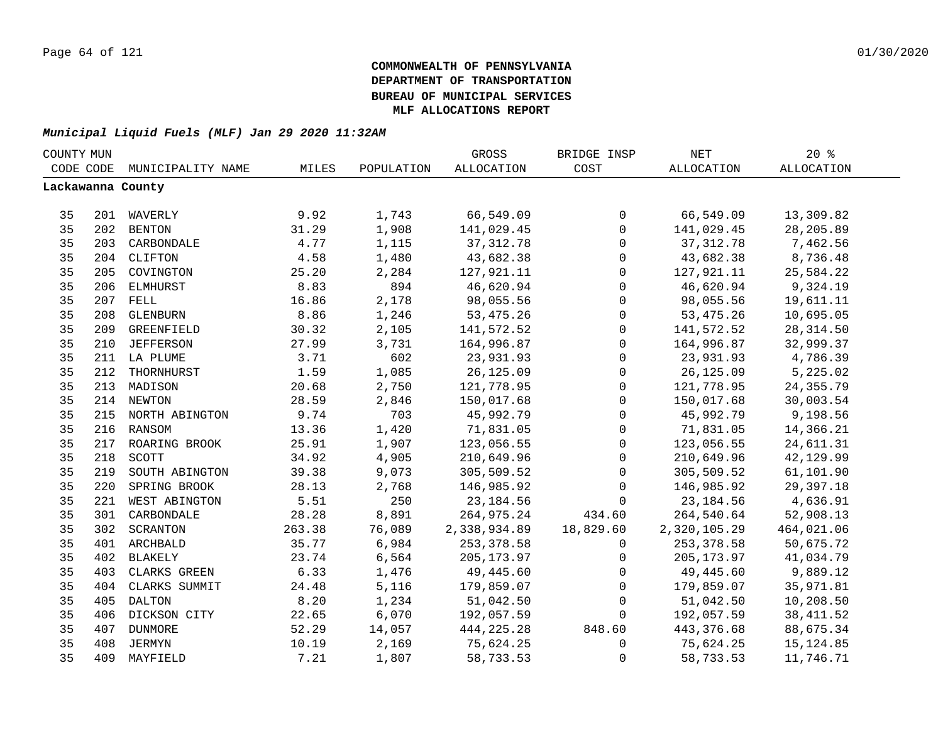| COUNTY MUN |     |                    |        |            | GROSS             | BRIDGE INSP  | NET          | 20%               |  |
|------------|-----|--------------------|--------|------------|-------------------|--------------|--------------|-------------------|--|
| CODE CODE  |     | MUNICIPALITY NAME  | MILES  | POPULATION | <b>ALLOCATION</b> | COST         | ALLOCATION   | <b>ALLOCATION</b> |  |
|            |     | Lackawanna County  |        |            |                   |              |              |                   |  |
|            |     |                    |        |            |                   |              |              |                   |  |
| 35         |     | 201 WAVERLY        | 9.92   | 1,743      | 66,549.09         | 0            | 66,549.09    | 13,309.82         |  |
| 35         |     | 202 BENTON         | 31.29  | 1,908      | 141,029.45        | 0            | 141,029.45   | 28, 205.89        |  |
| 35         |     | 203 CARBONDALE     | 4.77   | 1,115      | 37, 312.78        | 0            | 37, 312.78   | 7,462.56          |  |
| 35         |     | 204 CLIFTON        | 4.58   | 1,480      | 43,682.38         | $\mathsf 0$  | 43,682.38    | 8,736.48          |  |
| 35         | 205 | COVINGTON          | 25.20  | 2,284      | 127,921.11        | 0            | 127,921.11   | 25,584.22         |  |
| 35         | 206 | ELMHURST           | 8.83   | 894        | 46,620.94         | $\mathsf{O}$ | 46,620.94    | 9,324.19          |  |
| 35         |     | 207 FELL           | 16.86  | 2,178      | 98,055.56         | $\mathsf{O}$ | 98,055.56    | 19,611.11         |  |
| 35         | 208 | GLENBURN           | 8.86   | 1,246      | 53, 475. 26       | $\mathsf{O}$ | 53, 475. 26  | 10,695.05         |  |
| 35         | 209 | GREENFIELD         | 30.32  | 2,105      | 141,572.52        | 0            | 141,572.52   | 28, 314.50        |  |
| 35         | 210 | <b>JEFFERSON</b>   | 27.99  | 3,731      | 164,996.87        | $\mathbf 0$  | 164,996.87   | 32,999.37         |  |
| 35         |     | 211 LA PLUME       | 3.71   | 602        | 23,931.93         | $\mathbf 0$  | 23,931.93    | 4,786.39          |  |
| 35         | 212 | THORNHURST         | 1.59   | 1,085      | 26,125.09         | 0            | 26,125.09    | 5,225.02          |  |
| 35         | 213 | MADISON            | 20.68  | 2,750      | 121,778.95        | 0            | 121,778.95   | 24, 355. 79       |  |
| 35         |     | 214 NEWTON         | 28.59  | 2,846      | 150,017.68        | $\mathbf 0$  | 150,017.68   | 30,003.54         |  |
| 35         |     | 215 NORTH ABINGTON | 9.74   | 703        | 45,992.79         | 0            | 45,992.79    | 9,198.56          |  |
| 35         |     | 216 RANSOM         | 13.36  | 1,420      | 71,831.05         | 0            | 71,831.05    | 14,366.21         |  |
| 35         |     | 217 ROARING BROOK  | 25.91  | 1,907      | 123,056.55        | $\mathsf 0$  | 123,056.55   | 24,611.31         |  |
| 35         | 218 | SCOTT              | 34.92  | 4,905      | 210,649.96        | $\mathsf{O}$ | 210,649.96   | 42,129.99         |  |
| 35         | 219 | SOUTH ABINGTON     | 39.38  | 9,073      | 305,509.52        | $\mathsf{O}$ | 305,509.52   | 61,101.90         |  |
| 35         | 220 | SPRING BROOK       | 28.13  | 2,768      | 146,985.92        | 0            | 146,985.92   | 29,397.18         |  |
| 35         | 221 | WEST ABINGTON      | 5.51   | 250        | 23, 184.56        | $\mathbf 0$  | 23, 184.56   | 4,636.91          |  |
| 35         | 301 | CARBONDALE         | 28.28  | 8,891      | 264,975.24        | 434.60       | 264,540.64   | 52,908.13         |  |
| 35         | 302 | SCRANTON           | 263.38 | 76,089     | 2,338,934.89      | 18,829.60    | 2,320,105.29 | 464,021.06        |  |
| 35         |     | 401 ARCHBALD       | 35.77  | 6,984      | 253,378.58        | $\Omega$     | 253,378.58   | 50,675.72         |  |
| 35         | 402 | <b>BLAKELY</b>     | 23.74  | 6,564      | 205,173.97        | 0            | 205,173.97   | 41,034.79         |  |
| 35         | 403 | CLARKS GREEN       | 6.33   | 1,476      | 49,445.60         | $\mathbf 0$  | 49,445.60    | 9,889.12          |  |
| 35         | 404 | CLARKS SUMMIT      | 24.48  | 5,116      | 179,859.07        | $\mathbf 0$  | 179,859.07   | 35,971.81         |  |
| 35         | 405 | DALTON             | 8.20   | 1,234      | 51,042.50         | $\mathbf 0$  | 51,042.50    | 10,208.50         |  |
| 35         | 406 | DICKSON CITY       | 22.65  | 6,070      | 192,057.59        | $\mathbf 0$  | 192,057.59   | 38, 411.52        |  |
| 35         | 407 | <b>DUNMORE</b>     | 52.29  | 14,057     | 444,225.28        | 848.60       | 443,376.68   | 88,675.34         |  |
| 35         | 408 | JERMYN             | 10.19  | 2,169      | 75,624.25         | 0            | 75,624.25    | 15, 124.85        |  |
| 35         |     | 409 MAYFIELD       | 7.21   | 1,807      | 58,733.53         | 0            | 58,733.53    | 11,746.71         |  |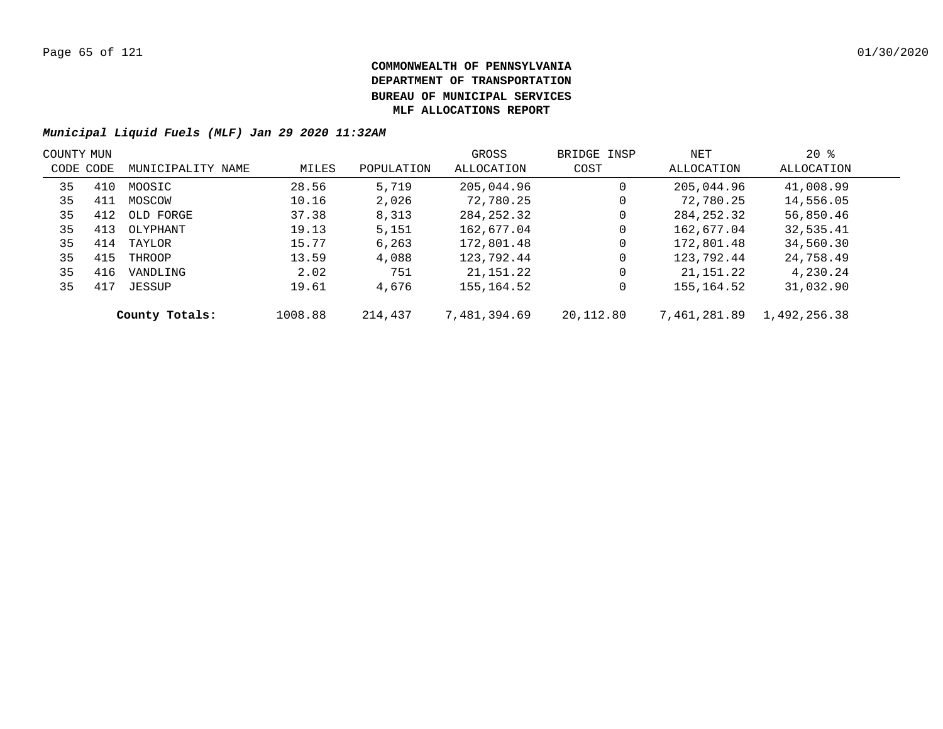| COUNTY MUN |     |                   |         |            | GROSS        | BRIDGE INSP | NET          | $20*$        |  |
|------------|-----|-------------------|---------|------------|--------------|-------------|--------------|--------------|--|
| CODE CODE  |     | MUNICIPALITY NAME | MILES   | POPULATION | ALLOCATION   | COST        | ALLOCATION   | ALLOCATION   |  |
| 35         | 410 | MOOSIC            | 28.56   | 5,719      | 205,044.96   | 0           | 205,044.96   | 41,008.99    |  |
| 35         | 411 | MOSCOW            | 10.16   | 2,026      | 72,780.25    | 0           | 72,780.25    | 14,556.05    |  |
| 35         | 412 | OLD FORGE         | 37.38   | 8,313      | 284,252.32   | 0           | 284, 252. 32 | 56,850.46    |  |
| 35         | 413 | OLYPHANT          | 19.13   | 5,151      | 162,677.04   | 0           | 162,677.04   | 32,535.41    |  |
| 35         | 414 | TAYLOR            | 15.77   | 6,263      | 172,801.48   | 0           | 172,801.48   | 34,560.30    |  |
| 35         | 415 | THROOP            | 13.59   | 4,088      | 123,792.44   | 0           | 123,792.44   | 24,758.49    |  |
| 35         | 416 | VANDLING          | 2.02    | 751        | 21,151.22    | 0           | 21,151.22    | 4,230.24     |  |
| 35         | 417 | JESSUP            | 19.61   | 4,676      | 155,164.52   | 0           | 155,164.52   | 31,032.90    |  |
|            |     | County Totals:    | 1008.88 | 214,437    | 7,481,394.69 | 20,112.80   | 7,461,281.89 | 1,492,256.38 |  |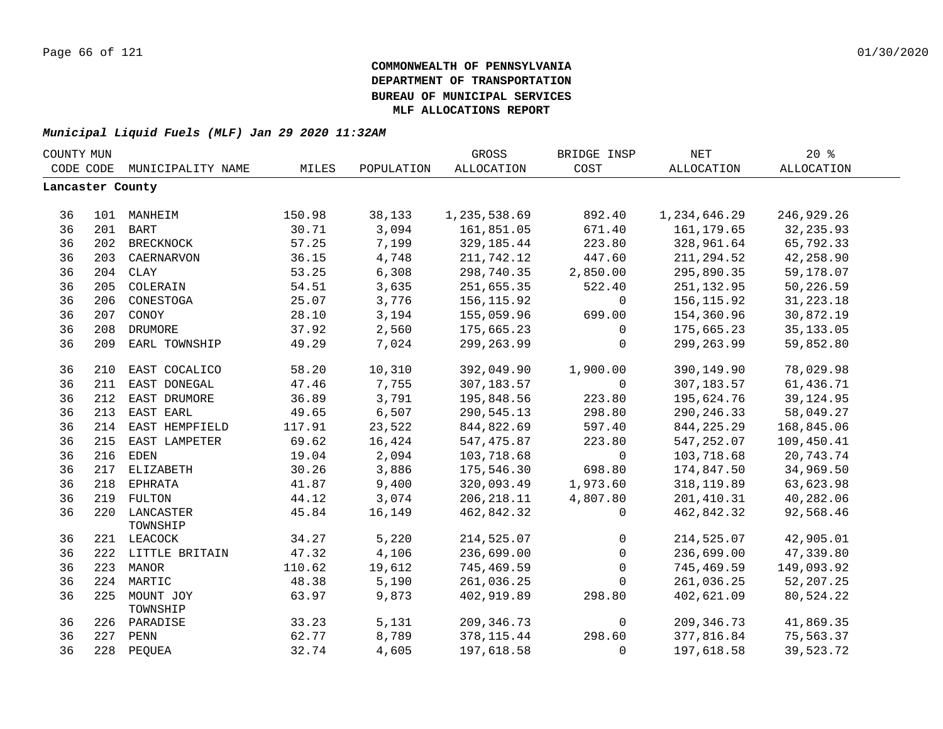| COUNTY MUN       |     |                           |        |            | GROSS        | BRIDGE INSP | <b>NET</b>   | 20%         |  |
|------------------|-----|---------------------------|--------|------------|--------------|-------------|--------------|-------------|--|
| CODE CODE        |     | MUNICIPALITY NAME         | MILES  | POPULATION | ALLOCATION   | COST        | ALLOCATION   | ALLOCATION  |  |
| Lancaster County |     |                           |        |            |              |             |              |             |  |
| 36               |     | 101 MANHEIM               | 150.98 | 38,133     | 1,235,538.69 | 892.40      | 1,234,646.29 | 246,929.26  |  |
| 36               |     | 201 BART                  | 30.71  | 3,094      | 161,851.05   | 671.40      | 161,179.65   | 32, 235.93  |  |
| 36               |     | 202 BRECKNOCK             | 57.25  | 7,199      | 329,185.44   | 223.80      | 328,961.64   | 65,792.33   |  |
| 36               | 203 | CAERNARVON                | 36.15  | 4,748      | 211,742.12   | 447.60      | 211,294.52   | 42,258.90   |  |
| 36               |     | 204 CLAY                  | 53.25  | 6,308      | 298,740.35   | 2,850.00    | 295,890.35   | 59,178.07   |  |
| 36               | 205 | COLERAIN                  | 54.51  | 3,635      | 251,655.35   | 522.40      | 251,132.95   | 50,226.59   |  |
| 36               | 206 | CONESTOGA                 | 25.07  | 3,776      | 156,115.92   | 0           | 156,115.92   | 31, 223. 18 |  |
| 36               | 207 | CONOY                     | 28.10  | 3,194      | 155,059.96   | 699.00      | 154,360.96   | 30,872.19   |  |
| 36               | 208 | DRUMORE                   | 37.92  | 2,560      | 175,665.23   | 0           | 175,665.23   | 35, 133.05  |  |
| 36               |     | 209 EARL TOWNSHIP         | 49.29  | 7,024      | 299, 263.99  | $\mathbf 0$ | 299, 263.99  | 59,852.80   |  |
|                  |     |                           |        |            |              |             |              |             |  |
| 36               | 210 | EAST COCALICO             | 58.20  | 10,310     | 392,049.90   | 1,900.00    | 390,149.90   | 78,029.98   |  |
| 36               | 211 | EAST DONEGAL              | 47.46  | 7,755      | 307,183.57   | $\mathbf 0$ | 307,183.57   | 61,436.71   |  |
| 36               |     | 212 EAST DRUMORE          | 36.89  | 3,791      | 195,848.56   | 223.80      | 195,624.76   | 39,124.95   |  |
| 36               |     | 213 EAST EARL             | 49.65  | 6,507      | 290,545.13   | 298.80      | 290, 246.33  | 58,049.27   |  |
| 36               |     | 214 EAST HEMPFIELD        | 117.91 | 23,522     | 844,822.69   | 597.40      | 844, 225. 29 | 168,845.06  |  |
| 36               | 215 | EAST LAMPETER             | 69.62  | 16,424     | 547,475.87   | 223.80      | 547,252.07   | 109,450.41  |  |
| 36               | 216 | EDEN                      | 19.04  | 2,094      | 103,718.68   | $\mathbf 0$ | 103,718.68   | 20,743.74   |  |
| 36               |     | 217 ELIZABETH             | 30.26  | 3,886      | 175,546.30   | 698.80      | 174,847.50   | 34,969.50   |  |
| 36               |     | 218 EPHRATA               | 41.87  | 9,400      | 320,093.49   | 1,973.60    | 318, 119.89  | 63,623.98   |  |
| 36               |     | 219 FULTON                | 44.12  | 3,074      | 206,218.11   | 4,807.80    | 201,410.31   | 40,282.06   |  |
| 36               |     | 220 LANCASTER             | 45.84  | 16,149     | 462,842.32   | 0           | 462,842.32   | 92,568.46   |  |
|                  |     | TOWNSHIP                  |        |            |              |             |              |             |  |
| 36               |     | 221 LEACOCK               | 34.27  | 5,220      | 214,525.07   | $\mathbf 0$ | 214,525.07   | 42,905.01   |  |
| 36               |     | 222 LITTLE BRITAIN        | 47.32  | 4,106      | 236,699.00   | $\mathbf 0$ | 236,699.00   | 47,339.80   |  |
| 36               |     | 223 MANOR                 | 110.62 | 19,612     | 745,469.59   | $\mathbf 0$ | 745,469.59   | 149,093.92  |  |
| 36               |     | 224 MARTIC                | 48.38  | 5,190      | 261,036.25   | $\Omega$    | 261,036.25   | 52,207.25   |  |
| 36               |     | 225 MOUNT JOY<br>TOWNSHIP | 63.97  | 9,873      | 402,919.89   | 298.80      | 402,621.09   | 80,524.22   |  |
| 36               |     | 226 PARADISE              | 33.23  | 5,131      | 209, 346.73  | 0           | 209, 346.73  | 41,869.35   |  |
| 36               |     | 227 PENN                  | 62.77  | 8,789      | 378, 115.44  | 298.60      | 377,816.84   | 75,563.37   |  |
| 36               |     | 228 PEQUEA                | 32.74  | 4,605      | 197,618.58   | $\mathbf 0$ | 197,618.58   | 39,523.72   |  |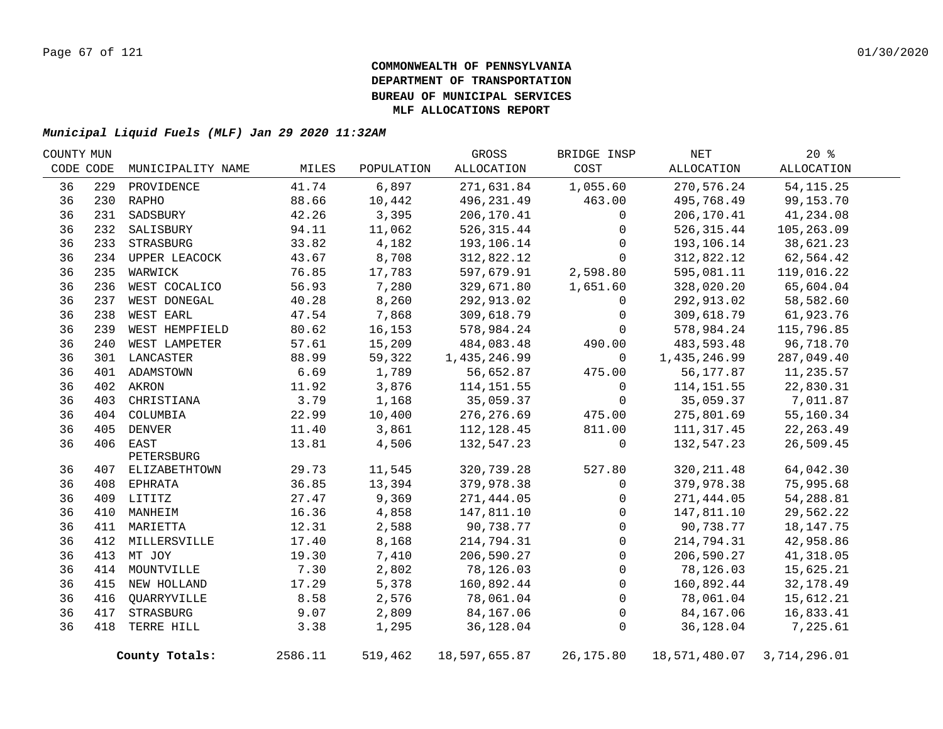| COUNTY MUN |     |                   |         |            | GROSS         | BRIDGE INSP  | NET           | $20*$        |  |
|------------|-----|-------------------|---------|------------|---------------|--------------|---------------|--------------|--|
| CODE CODE  |     | MUNICIPALITY NAME | MILES   | POPULATION | ALLOCATION    | COST         | ALLOCATION    | ALLOCATION   |  |
| 36         | 229 | PROVIDENCE        | 41.74   | 6,897      | 271,631.84    | 1,055.60     | 270,576.24    | 54, 115. 25  |  |
| 36         |     | 230 RAPHO         | 88.66   | 10,442     | 496,231.49    | 463.00       | 495,768.49    | 99,153.70    |  |
| 36         | 231 | SADSBURY          | 42.26   | 3,395      | 206,170.41    | 0            | 206,170.41    | 41,234.08    |  |
| 36         | 232 | SALISBURY         | 94.11   | 11,062     | 526, 315.44   | 0            | 526, 315.44   | 105,263.09   |  |
| 36         |     | 233 STRASBURG     | 33.82   | 4,182      | 193,106.14    | 0            | 193,106.14    | 38,621.23    |  |
| 36         |     | 234 UPPER LEACOCK | 43.67   | 8,708      | 312,822.12    | $\mathbf 0$  | 312,822.12    | 62,564.42    |  |
| 36         | 235 | WARWICK           | 76.85   | 17,783     | 597,679.91    | 2,598.80     | 595,081.11    | 119,016.22   |  |
| 36         | 236 | WEST COCALICO     | 56.93   | 7,280      | 329,671.80    | 1,651.60     | 328,020.20    | 65,604.04    |  |
| 36         | 237 | WEST DONEGAL      | 40.28   | 8,260      | 292,913.02    | 0            | 292,913.02    | 58,582.60    |  |
| 36         | 238 | WEST EARL         | 47.54   | 7,868      | 309,618.79    | 0            | 309,618.79    | 61,923.76    |  |
| 36         | 239 | WEST HEMPFIELD    | 80.62   | 16,153     | 578,984.24    | 0            | 578,984.24    | 115,796.85   |  |
| 36         | 240 | WEST LAMPETER     | 57.61   | 15,209     | 484,083.48    | 490.00       | 483,593.48    | 96,718.70    |  |
| 36         |     | 301 LANCASTER     | 88.99   | 59,322     | 1,435,246.99  | $\mathbf 0$  | 1,435,246.99  | 287,049.40   |  |
| 36         |     | 401 ADAMSTOWN     | 6.69    | 1,789      | 56,652.87     | 475.00       | 56,177.87     | 11,235.57    |  |
| 36         |     | 402 AKRON         | 11.92   | 3,876      | 114, 151.55   | 0            | 114,151.55    | 22,830.31    |  |
| 36         | 403 | CHRISTIANA        | 3.79    | 1,168      | 35,059.37     | $\mathbf 0$  | 35,059.37     | 7,011.87     |  |
| 36         |     | 404 COLUMBIA      | 22.99   | 10,400     | 276, 276.69   | 475.00       | 275,801.69    | 55,160.34    |  |
| 36         |     | 405 DENVER        | 11.40   | 3,861      | 112,128.45    | 811.00       | 111,317.45    | 22, 263.49   |  |
| 36         |     | 406 EAST          | 13.81   | 4,506      | 132,547.23    | $\mathbf 0$  | 132,547.23    | 26,509.45    |  |
|            |     | PETERSBURG        |         |            |               |              |               |              |  |
| 36         |     | 407 ELIZABETHTOWN | 29.73   | 11,545     | 320,739.28    | 527.80       | 320, 211.48   | 64,042.30    |  |
| 36         |     | 408 EPHRATA       | 36.85   | 13,394     | 379,978.38    | 0            | 379,978.38    | 75,995.68    |  |
| 36         |     | 409 LITITZ        | 27.47   | 9,369      | 271,444.05    | 0            | 271,444.05    | 54,288.81    |  |
| 36         |     | 410 MANHEIM       | 16.36   | 4,858      | 147,811.10    | 0            | 147,811.10    | 29,562.22    |  |
| 36         |     | 411 MARIETTA      | 12.31   | 2,588      | 90,738.77     | $\mathbf 0$  | 90,738.77     | 18, 147. 75  |  |
| 36         |     | 412 MILLERSVILLE  | 17.40   | 8,168      | 214,794.31    | 0            | 214,794.31    | 42,958.86    |  |
| 36         |     | 413 MT JOY        | 19.30   | 7,410      | 206,590.27    | $\mathbf 0$  | 206,590.27    | 41,318.05    |  |
| 36         |     | 414 MOUNTVILLE    | 7.30    | 2,802      | 78,126.03     | $\mathbf 0$  | 78,126.03     | 15,625.21    |  |
| 36         |     | 415 NEW HOLLAND   | 17.29   | 5,378      | 160,892.44    | $\mathbf{0}$ | 160,892.44    | 32,178.49    |  |
| 36         | 416 | QUARRYVILLE       | 8.58    | 2,576      | 78,061.04     | $\Omega$     | 78,061.04     | 15,612.21    |  |
| 36         | 417 | STRASBURG         | 9.07    | 2,809      | 84,167.06     | 0            | 84,167.06     | 16,833.41    |  |
| 36         | 418 | TERRE HILL        | 3.38    | 1,295      | 36,128.04     | $\mathsf 0$  | 36,128.04     | 7,225.61     |  |
|            |     | County Totals:    | 2586.11 | 519,462    | 18,597,655.87 | 26, 175.80   | 18,571,480.07 | 3,714,296.01 |  |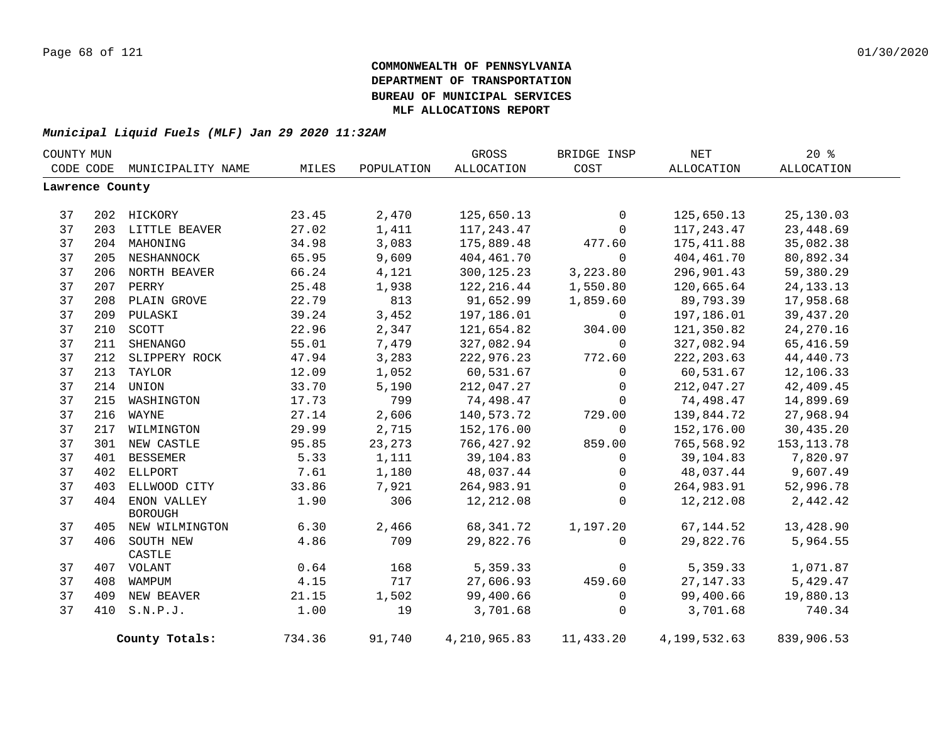| COUNTY MUN      |     |                             |        | GROSS      | BRIDGE INSP    | $\operatorname{NET}$ | 20%          |             |  |
|-----------------|-----|-----------------------------|--------|------------|----------------|----------------------|--------------|-------------|--|
|                 |     | CODE CODE MUNICIPALITY NAME | MILES  | POPULATION | ALLOCATION     | COST                 | ALLOCATION   | ALLOCATION  |  |
| Lawrence County |     |                             |        |            |                |                      |              |             |  |
|                 |     |                             |        |            |                |                      |              |             |  |
| 37              |     | 202 HICKORY                 | 23.45  | 2,470      | 125,650.13     | $\overline{0}$       | 125,650.13   | 25,130.03   |  |
| 37              |     | 203 LITTLE BEAVER           | 27.02  | 1,411      | 117,243.47     | $\mathbf 0$          | 117,243.47   | 23,448.69   |  |
| 37              |     | 204 MAHONING                | 34.98  | 3,083      | 175,889.48     | 477.60               | 175,411.88   | 35,082.38   |  |
| 37              |     | 205 NESHANNOCK              | 65.95  | 9,609      | 404,461.70     | $\Omega$             | 404,461.70   | 80,892.34   |  |
| 37              |     | 206 NORTH BEAVER            | 66.24  | 4,121      | 300, 125.23    | 3,223.80             | 296,901.43   | 59,380.29   |  |
| 37              |     | 207 PERRY                   | 25.48  | 1,938      | 122,216.44     | 1,550.80             | 120,665.64   | 24, 133. 13 |  |
| 37              |     | 208 PLAIN GROVE             | 22.79  | 813        | 91,652.99      | 1,859.60             | 89,793.39    | 17,958.68   |  |
| 37              |     | 209 PULASKI                 | 39.24  | 3,452      | 197,186.01     | $\Omega$             | 197,186.01   | 39,437.20   |  |
| 37              | 210 | SCOTT                       | 22.96  | 2,347      | 121,654.82     | 304.00               | 121,350.82   | 24, 270.16  |  |
| 37              | 211 | SHENANGO                    | 55.01  | 7,479      | 327,082.94     | $\Omega$             | 327,082.94   | 65, 416.59  |  |
| 37              | 212 | SLIPPERY ROCK               | 47.94  | 3,283      | 222,976.23     | 772.60               | 222, 203.63  | 44,440.73   |  |
| 37              | 213 | TAYLOR                      | 12.09  | 1,052      | 60,531.67      | $\mathbf 0$          | 60,531.67    | 12,106.33   |  |
| 37              |     | 214 UNION                   | 33.70  | 5,190      | 212,047.27     | $\overline{0}$       | 212,047.27   | 42,409.45   |  |
| 37              | 215 | WASHINGTON                  | 17.73  | 799        | 74,498.47      | $\mathbf{0}$         | 74,498.47    | 14,899.69   |  |
| 37              | 216 | WAYNE                       | 27.14  | 2,606      | 140,573.72     | 729.00               | 139,844.72   | 27,968.94   |  |
| 37              | 217 | WILMINGTON                  | 29.99  | 2,715      | 152,176.00     | $\mathbf 0$          | 152,176.00   | 30,435.20   |  |
| 37              | 301 | NEW CASTLE                  | 95.85  | 23,273     | 766,427.92     | 859.00               | 765,568.92   | 153, 113.78 |  |
| 37              | 401 | <b>BESSEMER</b>             | 5.33   | 1,111      | 39,104.83      | $\mathbf 0$          | 39,104.83    | 7,820.97    |  |
| 37              | 402 | ELLPORT                     | 7.61   | 1,180      | 48,037.44      | $\mathbf 0$          | 48,037.44    | 9,607.49    |  |
| 37              | 403 | ELLWOOD CITY                | 33.86  | 7,921      | 264,983.91     | $\overline{0}$       | 264,983.91   | 52,996.78   |  |
| 37              |     | 404 ENON VALLEY             | 1.90   | 306        | 12,212.08      | $\mathbf 0$          | 12,212.08    | 2,442.42    |  |
|                 |     | <b>BOROUGH</b>              |        |            |                |                      |              |             |  |
| 37              |     | 405 NEW WILMINGTON          | 6.30   | 2,466      | 68,341.72      | 1,197.20             | 67,144.52    | 13,428.90   |  |
| 37              |     | 406 SOUTH NEW               | 4.86   | 709        | 29,822.76      | $\Omega$             | 29,822.76    | 5,964.55    |  |
|                 |     | CASTLE                      |        |            |                |                      |              |             |  |
| 37              |     | 407 VOLANT                  | 0.64   | 168        | 5,359.33       | $\mathbf{0}$         | 5,359.33     | 1,071.87    |  |
| 37              |     | 408 WAMPUM                  | 4.15   | 717        | 27,606.93      | 459.60               | 27, 147. 33  | 5,429.47    |  |
| 37              |     | 409 NEW BEAVER              | 21.15  | 1,502      | 99,400.66      | $\mathbf 0$          | 99,400.66    | 19,880.13   |  |
| 37              |     | 410 S.N.P.J.                | 1.00   | 19         | 3,701.68       | $\Omega$             | 3,701.68     | 740.34      |  |
|                 |     | County Totals:              | 734.36 | 91,740     | 4, 210, 965.83 | 11,433.20            | 4,199,532.63 | 839,906.53  |  |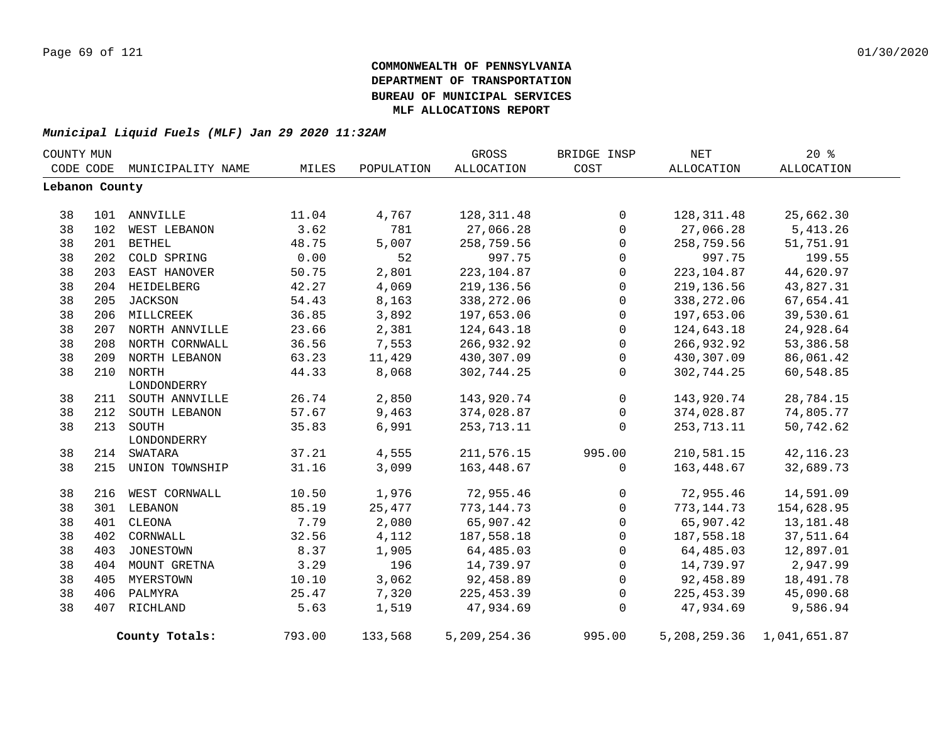| COUNTY MUN     |     |                    |        |            | GROSS             | BRIDGE INSP  | NET          | $20*$        |  |
|----------------|-----|--------------------|--------|------------|-------------------|--------------|--------------|--------------|--|
| CODE CODE      |     | MUNICIPALITY NAME  | MILES  | POPULATION | <b>ALLOCATION</b> | COST         | ALLOCATION   | ALLOCATION   |  |
| Lebanon County |     |                    |        |            |                   |              |              |              |  |
|                |     |                    |        |            |                   |              |              |              |  |
| 38             |     | 101 ANNVILLE       | 11.04  | 4,767      | 128, 311.48       | $\Omega$     | 128,311.48   | 25,662.30    |  |
| 38             | 102 | WEST LEBANON       | 3.62   | 781        | 27,066.28         | $\Omega$     | 27,066.28    | 5,413.26     |  |
| 38             | 201 | <b>BETHEL</b>      | 48.75  | 5,007      | 258,759.56        | $\mathbf 0$  | 258,759.56   | 51,751.91    |  |
| 38             | 202 | COLD SPRING        | 0.00   | 52         | 997.75            | $\mathbf 0$  | 997.75       | 199.55       |  |
| 38             |     | 203 EAST HANOVER   | 50.75  | 2,801      | 223, 104.87       | $\mathbf 0$  | 223, 104.87  | 44,620.97    |  |
| 38             |     | 204 HEIDELBERG     | 42.27  | 4,069      | 219,136.56        | $\mathbf 0$  | 219, 136.56  | 43,827.31    |  |
| 38             |     | 205 JACKSON        | 54.43  | 8,163      | 338,272.06        | $\mathbf 0$  | 338,272.06   | 67,654.41    |  |
| 38             |     | 206 MILLCREEK      | 36.85  | 3,892      | 197,653.06        | $\mathbf 0$  | 197,653.06   | 39,530.61    |  |
| 38             |     | 207 NORTH ANNVILLE | 23.66  | 2,381      | 124,643.18        | $\Omega$     | 124,643.18   | 24,928.64    |  |
| 38             | 208 | NORTH CORNWALL     | 36.56  | 7,553      | 266,932.92        | $\mathbf 0$  | 266,932.92   | 53,386.58    |  |
| 38             | 209 | NORTH LEBANON      | 63.23  | 11,429     | 430,307.09        | $\mathbf 0$  | 430,307.09   | 86,061.42    |  |
| 38             |     | 210 NORTH          | 44.33  | 8,068      | 302,744.25        | $\mathbf{0}$ | 302,744.25   | 60,548.85    |  |
|                |     | LONDONDERRY        |        |            |                   |              |              |              |  |
| 38             |     | 211 SOUTH ANNVILLE | 26.74  | 2,850      | 143,920.74        | $\mathbf 0$  | 143,920.74   | 28,784.15    |  |
| 38             | 212 | SOUTH LEBANON      | 57.67  | 9,463      | 374,028.87        | $\mathbf 0$  | 374,028.87   | 74,805.77    |  |
| 38             | 213 | SOUTH              | 35.83  | 6,991      | 253,713.11        | $\mathbf 0$  | 253,713.11   | 50,742.62    |  |
|                |     | LONDONDERRY        |        |            |                   |              |              |              |  |
| 38             | 214 | SWATARA            | 37.21  | 4,555      | 211,576.15        | 995.00       | 210,581.15   | 42, 116.23   |  |
| 38             | 215 | UNION TOWNSHIP     | 31.16  | 3,099      | 163,448.67        | $\Omega$     | 163,448.67   | 32,689.73    |  |
| 38             | 216 | WEST CORNWALL      | 10.50  | 1,976      | 72,955.46         | 0            | 72,955.46    | 14,591.09    |  |
| 38             | 301 | LEBANON            | 85.19  | 25,477     | 773, 144. 73      | $\mathbf 0$  | 773,144.73   | 154,628.95   |  |
| 38             | 401 | CLEONA             | 7.79   | 2,080      | 65,907.42         | $\Omega$     | 65,907.42    | 13,181.48    |  |
| 38             | 402 | CORNWALL           | 32.56  | 4,112      | 187,558.18        | $\mathbf 0$  | 187,558.18   | 37,511.64    |  |
| 38             | 403 | JONESTOWN          | 8.37   | 1,905      | 64,485.03         | $\mathbf 0$  | 64,485.03    | 12,897.01    |  |
| 38             |     | 404 MOUNT GRETNA   | 3.29   | 196        | 14,739.97         | $\mathbf 0$  | 14,739.97    | 2,947.99     |  |
| 38             |     | 405 MYERSTOWN      | 10.10  | 3,062      | 92,458.89         | $\mathsf{O}$ | 92,458.89    | 18,491.78    |  |
| 38             | 406 | PALMYRA            | 25.47  | 7,320      | 225, 453.39       | $\Omega$     | 225, 453.39  | 45,090.68    |  |
| 38             |     | 407 RICHLAND       | 5.63   | 1,519      | 47,934.69         | $\Omega$     | 47,934.69    | 9,586.94     |  |
|                |     | County Totals:     | 793.00 | 133,568    | 5,209,254.36      | 995.00       | 5,208,259.36 | 1,041,651.87 |  |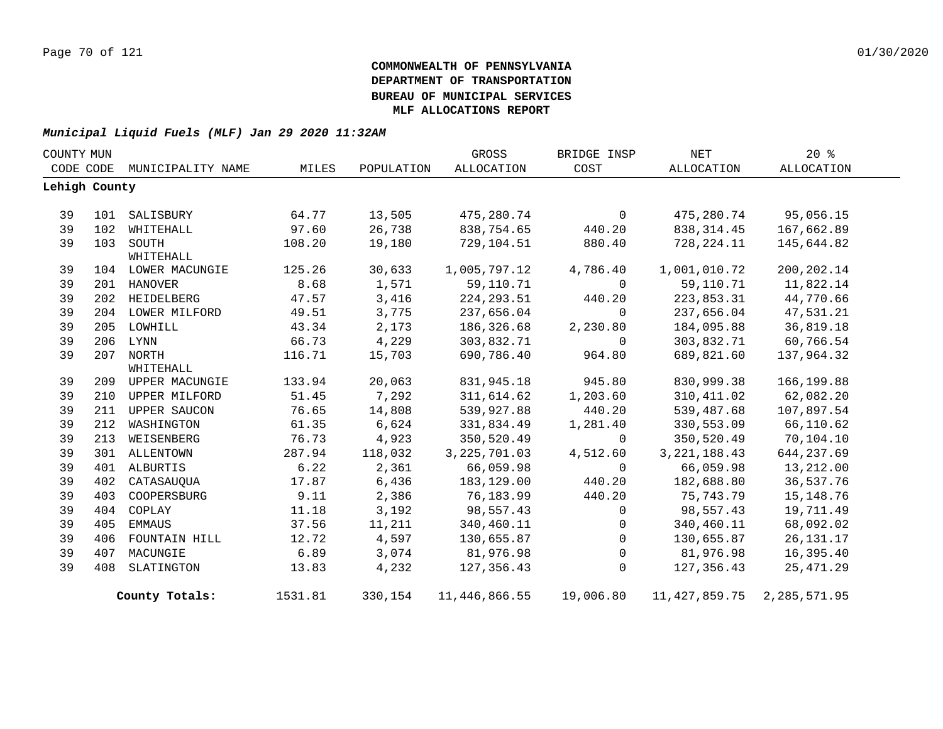| COUNTY MUN |               |                    |         |            | GROSS          | BRIDGE INSP    | NET            | 20%            |  |
|------------|---------------|--------------------|---------|------------|----------------|----------------|----------------|----------------|--|
|            | CODE CODE     | MUNICIPALITY NAME  | MILES   | POPULATION | ALLOCATION     | COST           | ALLOCATION     | ALLOCATION     |  |
|            | Lehigh County |                    |         |            |                |                |                |                |  |
|            |               |                    |         |            |                |                |                |                |  |
| 39         | 101           | SALISBURY          | 64.77   | 13,505     | 475,280.74     | $\overline{0}$ | 475,280.74     | 95,056.15      |  |
| 39         | 102           | WHITEHALL          | 97.60   | 26,738     | 838,754.65     | 440.20         | 838, 314.45    | 167,662.89     |  |
| 39         |               | 103 SOUTH          | 108.20  | 19,180     | 729,104.51     | 880.40         | 728,224.11     | 145,644.82     |  |
|            |               | WHITEHALL          |         |            |                |                |                |                |  |
| 39         |               | 104 LOWER MACUNGIE | 125.26  | 30,633     | 1,005,797.12   | 4,786.40       | 1,001,010.72   | 200, 202. 14   |  |
| 39         |               | 201 HANOVER        | 8.68    | 1,571      | 59,110.71      | $\Omega$       | 59,110.71      | 11,822.14      |  |
| 39         |               | 202 HEIDELBERG     | 47.57   | 3,416      | 224, 293.51    | 440.20         | 223,853.31     | 44,770.66      |  |
| 39         |               | 204 LOWER MILFORD  | 49.51   | 3,775      | 237,656.04     | $\Omega$       | 237,656.04     | 47,531.21      |  |
| 39         |               | 205 LOWHILL        | 43.34   | 2,173      | 186,326.68     | 2,230.80       | 184,095.88     | 36,819.18      |  |
| 39         |               | 206 LYNN           | 66.73   | 4,229      | 303,832.71     | $\Omega$       | 303,832.71     | 60,766.54      |  |
| 39         |               | 207 NORTH          | 116.71  | 15,703     | 690,786.40     | 964.80         | 689,821.60     | 137,964.32     |  |
|            |               | WHITEHALL          |         |            |                |                |                |                |  |
| 39         |               | 209 UPPER MACUNGIE | 133.94  | 20,063     | 831,945.18     | 945.80         | 830,999.38     | 166,199.88     |  |
| 39         |               | 210 UPPER MILFORD  | 51.45   | 7,292      | 311,614.62     | 1,203.60       | 310, 411.02    | 62,082.20      |  |
| 39         |               | 211 UPPER SAUCON   | 76.65   | 14,808     | 539,927.88     | 440.20         | 539,487.68     | 107,897.54     |  |
| 39         | 212           | WASHINGTON         | 61.35   | 6,624      | 331,834.49     | 1,281.40       | 330,553.09     | 66,110.62      |  |
| 39         |               | 213 WEISENBERG     | 76.73   | 4,923      | 350,520.49     | $\Omega$       | 350,520.49     | 70,104.10      |  |
| 39         |               | 301 ALLENTOWN      | 287.94  | 118,032    | 3, 225, 701.03 | 4,512.60       | 3, 221, 188.43 | 644,237.69     |  |
| 39         |               | 401 ALBURTIS       | 6.22    | 2,361      | 66,059.98      | $\Omega$       | 66,059.98      | 13,212.00      |  |
| 39         | 402           | CATASAUQUA         | 17.87   | 6,436      | 183,129.00     | 440.20         | 182,688.80     | 36,537.76      |  |
| 39         | 403           | COOPERSBURG        | 9.11    | 2,386      | 76,183.99      | 440.20         | 75,743.79      | 15,148.76      |  |
| 39         | 404           | COPLAY             | 11.18   | 3,192      | 98,557.43      | $\Omega$       | 98,557.43      | 19,711.49      |  |
| 39         | 405           | EMMAUS             | 37.56   | 11,211     | 340,460.11     | $\mathbf{0}$   | 340,460.11     | 68,092.02      |  |
| 39         | 406           | FOUNTAIN HILL      | 12.72   | 4,597      | 130,655.87     | $\mathbf 0$    | 130,655.87     | 26, 131. 17    |  |
| 39         | 407           | MACUNGIE           | 6.89    | 3,074      | 81,976.98      | $\mathbf 0$    | 81,976.98      | 16,395.40      |  |
| 39         | 408           | SLATINGTON         | 13.83   | 4,232      | 127,356.43     | $\Omega$       | 127,356.43     | 25,471.29      |  |
|            |               | County Totals:     | 1531.81 | 330,154    | 11,446,866.55  | 19,006.80      | 11,427,859.75  | 2, 285, 571.95 |  |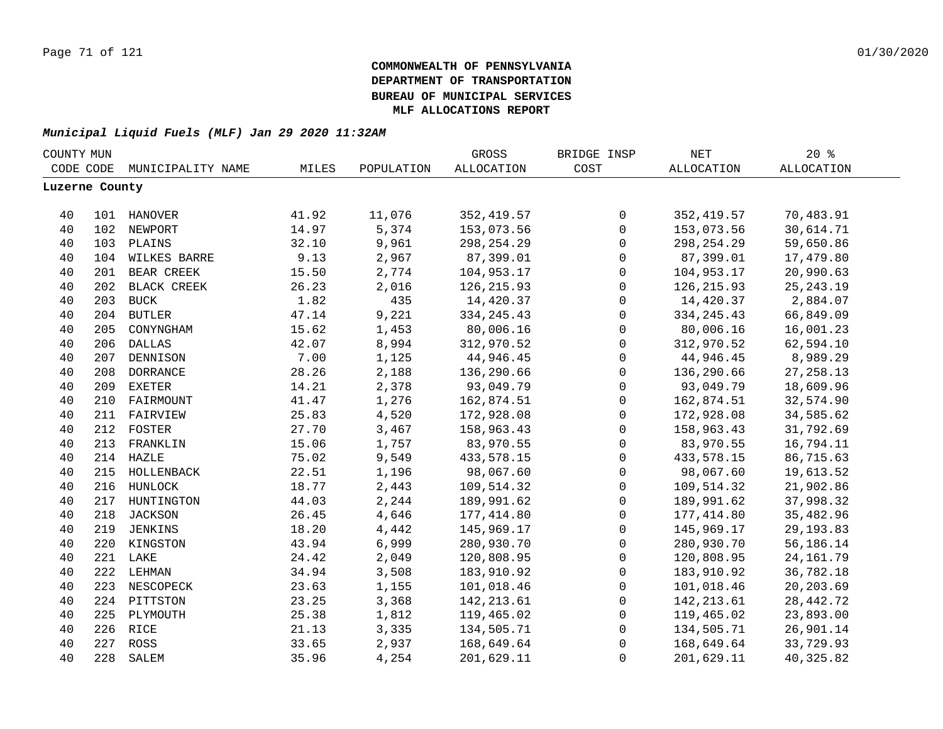| COUNTY MUN     |     |                   |       |            | GROSS             | BRIDGE INSP         | $\operatorname{NET}$ | 20%               |  |
|----------------|-----|-------------------|-------|------------|-------------------|---------------------|----------------------|-------------------|--|
| CODE CODE      |     | MUNICIPALITY NAME | MILES | POPULATION | <b>ALLOCATION</b> | COST                | <b>ALLOCATION</b>    | <b>ALLOCATION</b> |  |
| Luzerne County |     |                   |       |            |                   |                     |                      |                   |  |
|                |     |                   |       |            |                   |                     |                      |                   |  |
| 40             |     | 101 HANOVER       | 41.92 | 11,076     | 352, 419.57       | 0                   | 352, 419.57          | 70,483.91         |  |
| 40             |     | 102 NEWPORT       | 14.97 | 5,374      | 153,073.56        | $\mathsf{O}\xspace$ | 153,073.56           | 30,614.71         |  |
| 40             |     | 103 PLAINS        | 32.10 | 9,961      | 298, 254. 29      | $\mathbf 0$         | 298, 254. 29         | 59,650.86         |  |
| 40             |     | 104 WILKES BARRE  | 9.13  | 2,967      | 87,399.01         | $\mathbf 0$         | 87,399.01            | 17,479.80         |  |
| 40             |     | 201 BEAR CREEK    | 15.50 | 2,774      | 104,953.17        | $\mathsf{O}\xspace$ | 104,953.17           | 20,990.63         |  |
| 40             |     | 202 BLACK CREEK   | 26.23 | 2,016      | 126, 215.93       | $\mathsf{O}$        | 126, 215.93          | 25, 243. 19       |  |
| 40             |     | 203 BUCK          | 1.82  | 435        | 14,420.37         | $\mathbf 0$         | 14,420.37            | 2,884.07          |  |
| 40             |     | 204 BUTLER        | 47.14 | 9,221      | 334, 245. 43      | $\mathbf 0$         | 334, 245. 43         | 66,849.09         |  |
| 40             | 205 | CONYNGHAM         | 15.62 | 1,453      | 80,006.16         | $\mathbf 0$         | 80,006.16            | 16,001.23         |  |
| 40             | 206 | <b>DALLAS</b>     | 42.07 | 8,994      | 312,970.52        | $\mathsf{O}\xspace$ | 312,970.52           | 62,594.10         |  |
| 40             | 207 | DENNISON          | 7.00  | 1,125      | 44,946.45         | $\mathbf 0$         | 44,946.45            | 8,989.29          |  |
| 40             | 208 | <b>DORRANCE</b>   | 28.26 | 2,188      | 136,290.66        | $\mathbf 0$         | 136,290.66           | 27, 258.13        |  |
| 40             | 209 | <b>EXETER</b>     | 14.21 | 2,378      | 93,049.79         | 0                   | 93,049.79            | 18,609.96         |  |
| 40             | 210 | FAIRMOUNT         | 41.47 | 1,276      | 162,874.51        | $\mathbf 0$         | 162,874.51           | 32,574.90         |  |
| 40             |     | 211 FAIRVIEW      | 25.83 | 4,520      | 172,928.08        | $\mathbf 0$         | 172,928.08           | 34,585.62         |  |
| 40             |     | 212 FOSTER        | 27.70 | 3,467      | 158,963.43        | $\mathbf 0$         | 158,963.43           | 31,792.69         |  |
| 40             |     | 213 FRANKLIN      | 15.06 | 1,757      | 83,970.55         | $\mathsf{O}\xspace$ | 83,970.55            | 16,794.11         |  |
| 40             |     | 214 HAZLE         | 75.02 | 9,549      | 433,578.15        | $\mathbf 0$         | 433, 578. 15         | 86,715.63         |  |
| 40             |     | 215 HOLLENBACK    | 22.51 | 1,196      | 98,067.60         | $\mathsf{O}\xspace$ | 98,067.60            | 19,613.52         |  |
| 40             |     | 216 HUNLOCK       | 18.77 | 2,443      | 109,514.32        | $\mathsf{O}$        | 109,514.32           | 21,902.86         |  |
| 40             |     | 217 HUNTINGTON    | 44.03 | 2,244      | 189,991.62        | $\mathbf 0$         | 189,991.62           | 37,998.32         |  |
| 40             |     | 218 JACKSON       | 26.45 | 4,646      | 177,414.80        | $\mathbf 0$         | 177,414.80           | 35,482.96         |  |
| 40             |     | 219 JENKINS       | 18.20 | 4,442      | 145,969.17        | $\mathbf 0$         | 145,969.17           | 29, 193.83        |  |
| 40             |     | 220 KINGSTON      | 43.94 | 6,999      | 280,930.70        | $\mathbf 0$         | 280,930.70           | 56,186.14         |  |
| 40             |     | 221 LAKE          | 24.42 | 2,049      | 120,808.95        | $\mathbf 0$         | 120,808.95           | 24, 161.79        |  |
| 40             |     | 222 LEHMAN        | 34.94 | 3,508      | 183,910.92        | $\mathbf 0$         | 183,910.92           | 36,782.18         |  |
| 40             | 223 | NESCOPECK         | 23.63 | 1,155      | 101,018.46        | $\mathbf 0$         | 101,018.46           | 20,203.69         |  |
| 40             |     | 224 PITTSTON      | 23.25 | 3,368      | 142, 213.61       | $\mathsf{O}$        | 142,213.61           | 28, 442. 72       |  |
| 40             | 225 | PLYMOUTH          | 25.38 | 1,812      | 119,465.02        | $\mathbf 0$         | 119,465.02           | 23,893.00         |  |
| 40             |     | 226 RICE          | 21.13 | 3,335      | 134,505.71        | 0                   | 134,505.71           | 26,901.14         |  |
| 40             |     | 227 ROSS          | 33.65 | 2,937      | 168,649.64        | $\mathsf 0$         | 168,649.64           | 33,729.93         |  |
| 40             | 228 | SALEM             | 35.96 | 4,254      | 201,629.11        | $\mathbf 0$         | 201,629.11           | 40,325.82         |  |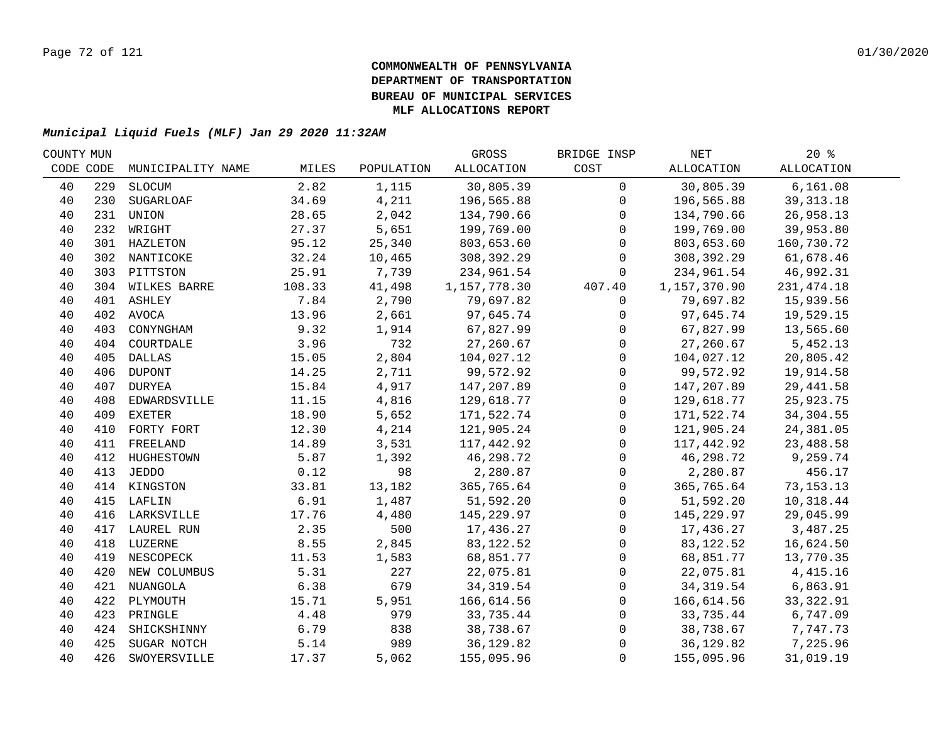| COUNTY MUN |     |                   |        |            | GROSS        | BRIDGE INSP  | NET          | 20%               |  |
|------------|-----|-------------------|--------|------------|--------------|--------------|--------------|-------------------|--|
| CODE CODE  |     | MUNICIPALITY NAME | MILES  | POPULATION | ALLOCATION   | COST         | ALLOCATION   | <b>ALLOCATION</b> |  |
| 40         | 229 | SLOCUM            | 2.82   | 1,115      | 30,805.39    | $\mathbf 0$  | 30,805.39    | 6, 161.08         |  |
| 40         | 230 | SUGARLOAF         | 34.69  | 4,211      | 196,565.88   | $\mathbf 0$  | 196,565.88   | 39, 313. 18       |  |
| 40         | 231 | UNION             | 28.65  | 2,042      | 134,790.66   | $\mathbf 0$  | 134,790.66   | 26,958.13         |  |
| 40         |     | 232 WRIGHT        | 27.37  | 5,651      | 199,769.00   | $\mathbf 0$  | 199,769.00   | 39,953.80         |  |
| 40         |     | 301 HAZLETON      | 95.12  | 25,340     | 803,653.60   | $\mathbf 0$  | 803,653.60   | 160,730.72        |  |
| 40         |     | 302 NANTICOKE     | 32.24  | 10,465     | 308,392.29   | $\mathsf{O}$ | 308,392.29   | 61,678.46         |  |
| 40         |     | 303 PITTSTON      | 25.91  | 7,739      | 234,961.54   | $\mathbf 0$  | 234,961.54   | 46,992.31         |  |
| 40         |     | 304 WILKES BARRE  | 108.33 | 41,498     | 1,157,778.30 | 407.40       | 1,157,370.90 | 231, 474.18       |  |
| 40         |     | 401 ASHLEY        | 7.84   | 2,790      | 79,697.82    | 0            | 79,697.82    | 15,939.56         |  |
| 40         |     | 402 AVOCA         | 13.96  | 2,661      | 97,645.74    | 0            | 97,645.74    | 19,529.15         |  |
| 40         | 403 | CONYNGHAM         | 9.32   | 1,914      | 67,827.99    | $\mathbf 0$  | 67,827.99    | 13,565.60         |  |
| 40         | 404 | COURTDALE         | 3.96   | 732        | 27,260.67    | $\mathbf 0$  | 27,260.67    | 5,452.13          |  |
| 40         | 405 | DALLAS            | 15.05  | 2,804      | 104,027.12   | $\mathsf{O}$ | 104,027.12   | 20,805.42         |  |
| 40         | 406 | <b>DUPONT</b>     | 14.25  | 2,711      | 99,572.92    | $\mathsf{O}$ | 99,572.92    | 19,914.58         |  |
| 40         | 407 | DURYEA            | 15.84  | 4,917      | 147,207.89   | $\mathbf 0$  | 147,207.89   | 29, 441.58        |  |
| 40         | 408 | EDWARDSVILLE      | 11.15  | 4,816      | 129,618.77   | $\mathbf 0$  | 129,618.77   | 25,923.75         |  |
| 40         | 409 | EXETER            | 18.90  | 5,652      | 171,522.74   | $\mathbf 0$  | 171,522.74   | 34,304.55         |  |
| 40         |     | 410 FORTY FORT    | 12.30  | 4,214      | 121,905.24   | $\mathsf{O}$ | 121,905.24   | 24,381.05         |  |
| 40         |     | 411 FREELAND      | 14.89  | 3,531      | 117,442.92   | $\mathbf 0$  | 117,442.92   | 23,488.58         |  |
| 40         |     | 412 HUGHESTOWN    | 5.87   | 1,392      | 46,298.72    | $\mathsf{O}$ | 46,298.72    | 9,259.74          |  |
| 40         |     | 413 JEDDO         | 0.12   | 98         | 2,280.87     | 0            | 2,280.87     | 456.17            |  |
| 40         |     | 414 KINGSTON      | 33.81  | 13,182     | 365,765.64   | $\mathsf{O}$ | 365,765.64   | 73, 153. 13       |  |
| 40         |     | 415 LAFLIN        | 6.91   | 1,487      | 51,592.20    | $\mathbf 0$  | 51,592.20    | 10,318.44         |  |
| 40         |     | 416 LARKSVILLE    | 17.76  | 4,480      | 145,229.97   | $\mathbf 0$  | 145,229.97   | 29,045.99         |  |
| 40         |     | 417 LAUREL RUN    | 2.35   | 500        | 17,436.27    | $\mathbf 0$  | 17,436.27    | 3,487.25          |  |
| 40         |     | 418 LUZERNE       | 8.55   | 2,845      | 83, 122.52   | $\mathbf 0$  | 83,122.52    | 16,624.50         |  |
| 40         |     | 419 NESCOPECK     | 11.53  | 1,583      | 68,851.77    | $\mathbf 0$  | 68,851.77    | 13,770.35         |  |
| 40         |     | 420 NEW COLUMBUS  | 5.31   | 227        | 22,075.81    | $\mathbf 0$  | 22,075.81    | 4,415.16          |  |
| 40         |     | 421 NUANGOLA      | 6.38   | 679        | 34, 319.54   | $\mathbf 0$  | 34,319.54    | 6,863.91          |  |
| 40         |     | 422 PLYMOUTH      | 15.71  | 5,951      | 166,614.56   | $\mathsf{O}$ | 166,614.56   | 33, 322.91        |  |
| 40         |     | 423 PRINGLE       | 4.48   | 979        | 33,735.44    | $\mathbf 0$  | 33,735.44    | 6,747.09          |  |
| 40         |     | 424 SHICKSHINNY   | 6.79   | 838        | 38,738.67    | 0            | 38,738.67    | 7,747.73          |  |
| 40         | 425 | SUGAR NOTCH       | 5.14   | 989        | 36, 129.82   | 0            | 36,129.82    | 7,225.96          |  |
| 40         | 426 | SWOYERSVILLE      | 17.37  | 5,062      | 155,095.96   | $\mathbf 0$  | 155,095.96   | 31,019.19         |  |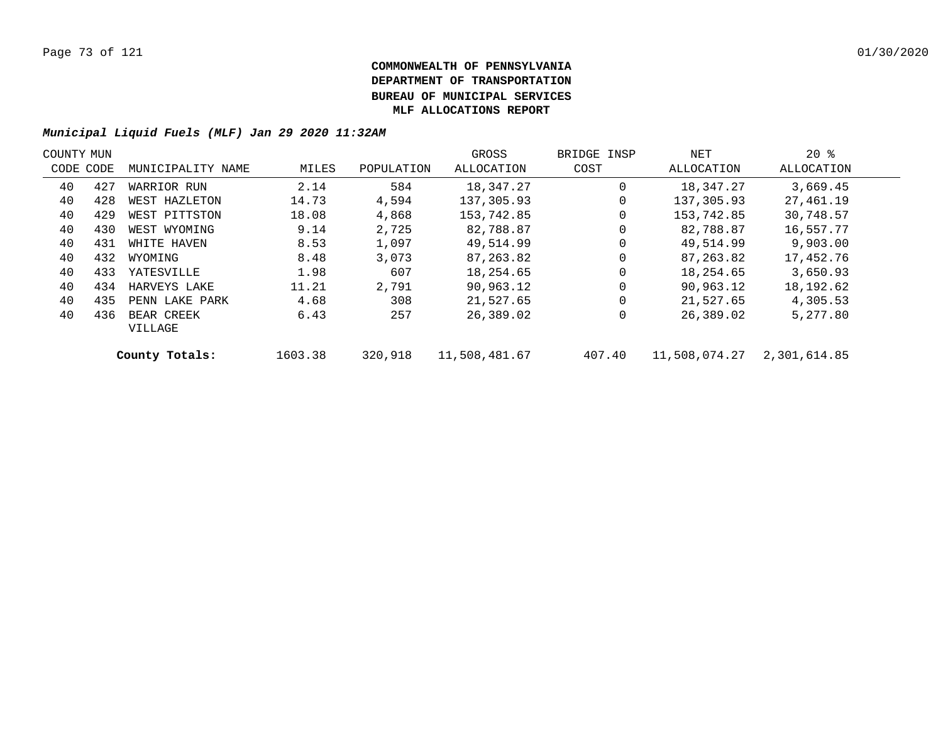| COUNTY MUN |           |                   |         |            | GROSS         | BRIDGE INSP | NET           | $20*$        |  |
|------------|-----------|-------------------|---------|------------|---------------|-------------|---------------|--------------|--|
|            | CODE CODE | MUNICIPALITY NAME | MILES   | POPULATION | ALLOCATION    | COST        | ALLOCATION    | ALLOCATION   |  |
| 40         | 427       | WARRIOR RUN       | 2.14    | 584        | 18,347.27     | 0           | 18,347.27     | 3,669.45     |  |
| 40         | 428       | WEST HAZLETON     | 14.73   | 4,594      | 137,305.93    | 0           | 137,305.93    | 27,461.19    |  |
| 40         | 429       | WEST PITTSTON     | 18.08   | 4,868      | 153,742.85    | 0           | 153,742.85    | 30,748.57    |  |
| 40         | 430       | WEST WYOMING      | 9.14    | 2,725      | 82,788.87     | 0           | 82,788.87     | 16,557.77    |  |
| 40         | 431       | WHITE HAVEN       | 8.53    | 1,097      | 49,514.99     | 0           | 49,514.99     | 9,903.00     |  |
| 40         | 432       | WYOMING           | 8.48    | 3,073      | 87,263.82     | $\Omega$    | 87,263.82     | 17,452.76    |  |
| 40         | 433       | YATESVILLE        | 1.98    | 607        | 18,254.65     | 0           | 18,254.65     | 3,650.93     |  |
| 40         | 434       | HARVEYS LAKE      | 11.21   | 2,791      | 90,963.12     | $\Omega$    | 90,963.12     | 18,192.62    |  |
| 40         | 435       | PENN LAKE PARK    | 4.68    | 308        | 21,527.65     | 0           | 21,527.65     | 4,305.53     |  |
| 40         | 436       | BEAR CREEK        | 6.43    | 257        | 26,389.02     | 0           | 26,389.02     | 5,277.80     |  |
|            |           | VILLAGE           |         |            |               |             |               |              |  |
|            |           | County Totals:    | 1603.38 | 320,918    | 11,508,481.67 | 407.40      | 11,508,074.27 | 2,301,614.85 |  |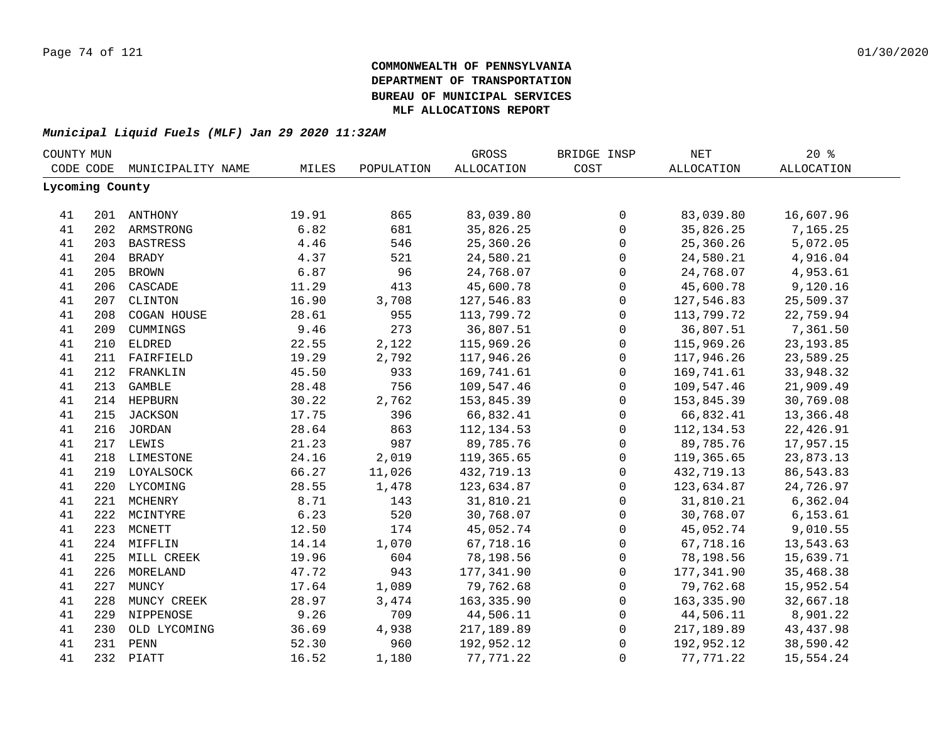| COUNTY MUN |                 |                   |       |            | GROSS             | BRIDGE INSP  | $\operatorname{NET}$ | 20%               |  |
|------------|-----------------|-------------------|-------|------------|-------------------|--------------|----------------------|-------------------|--|
|            | CODE CODE       | MUNICIPALITY NAME | MILES | POPULATION | <b>ALLOCATION</b> | COST         | <b>ALLOCATION</b>    | <b>ALLOCATION</b> |  |
|            | Lycoming County |                   |       |            |                   |              |                      |                   |  |
| 41         |                 | 201 ANTHONY       | 19.91 | 865        | 83,039.80         | 0            | 83,039.80            | 16,607.96         |  |
| 41         |                 | 202 ARMSTRONG     | 6.82  | 681        | 35,826.25         | $\mathsf{O}$ | 35,826.25            | 7,165.25          |  |
| 41         |                 | 203 BASTRESS      | 4.46  | 546        | 25,360.26         | $\mathsf 0$  | 25,360.26            | 5,072.05          |  |
| 41         |                 | 204 BRADY         | 4.37  | 521        | 24,580.21         | $\mathsf 0$  | 24,580.21            | 4,916.04          |  |
| 41         | 205             | <b>BROWN</b>      | 6.87  | 96         | 24,768.07         | $\mathsf{O}$ | 24,768.07            | 4,953.61          |  |
| 41         | 206             | CASCADE           | 11.29 | 413        | 45,600.78         | $\mathsf{O}$ | 45,600.78            | 9,120.16          |  |
|            |                 |                   | 16.90 |            |                   |              |                      |                   |  |
| 41         | 207             | CLINTON           |       | 3,708      | 127,546.83        | $\mathsf{O}$ | 127,546.83           | 25,509.37         |  |
| 41         | 208             | COGAN HOUSE       | 28.61 | 955        | 113,799.72        | $\mathbf 0$  | 113,799.72           | 22,759.94         |  |
| 41         | 209             | CUMMINGS          | 9.46  | 273        | 36,807.51         | 0            | 36,807.51            | 7,361.50          |  |
| 41         | 210             | <b>ELDRED</b>     | 22.55 | 2,122      | 115,969.26        | 0            | 115,969.26           | 23, 193.85        |  |
| 41         |                 | 211 FAIRFIELD     | 19.29 | 2,792      | 117,946.26        | 0            | 117,946.26           | 23,589.25         |  |
| 41         | 212             | FRANKLIN          | 45.50 | 933        | 169,741.61        | $\mathsf{O}$ | 169,741.61           | 33,948.32         |  |
| 41         | 213             | <b>GAMBLE</b>     | 28.48 | 756        | 109,547.46        | $\mathsf 0$  | 109,547.46           | 21,909.49         |  |
| 41         |                 | 214 HEPBURN       | 30.22 | 2,762      | 153,845.39        | $\mathsf 0$  | 153,845.39           | 30,769.08         |  |
| 41         | 215             | JACKSON           | 17.75 | 396        | 66,832.41         | $\mathsf 0$  | 66,832.41            | 13,366.48         |  |
| 41         |                 | 216 JORDAN        | 28.64 | 863        | 112, 134.53       | $\mathsf 0$  | 112, 134.53          | 22,426.91         |  |
| 41         |                 | 217 LEWIS         | 21.23 | 987        | 89,785.76         | $\mathsf 0$  | 89,785.76            | 17,957.15         |  |
| 41         |                 | 218 LIMESTONE     | 24.16 | 2,019      | 119,365.65        | $\mathsf 0$  | 119,365.65           | 23,873.13         |  |
| 41         |                 | 219 LOYALSOCK     | 66.27 | 11,026     | 432,719.13        | $\mathsf 0$  | 432,719.13           | 86, 543.83        |  |
| 41         |                 | 220 LYCOMING      | 28.55 | 1,478      | 123,634.87        | 0            | 123,634.87           | 24,726.97         |  |
| 41         |                 | 221 MCHENRY       | 8.71  | 143        | 31,810.21         | 0            | 31,810.21            | 6,362.04          |  |
| 41         |                 | 222 MCINTYRE      | 6.23  | 520        | 30,768.07         | $\mathsf{O}$ | 30,768.07            | 6, 153.61         |  |
| 41         |                 | 223 MCNETT        | 12.50 | 174        | 45,052.74         | $\mathsf 0$  | 45,052.74            | 9,010.55          |  |
| 41         |                 | 224 MIFFLIN       | 14.14 | 1,070      | 67,718.16         | 0            | 67,718.16            | 13,543.63         |  |
| 41         |                 | 225 MILL CREEK    | 19.96 | 604        | 78,198.56         | 0            | 78,198.56            | 15,639.71         |  |
| 41         | 226             | MORELAND          | 47.72 | 943        | 177,341.90        | $\mathbf 0$  | 177,341.90           | 35,468.38         |  |
| 41         | 227             | MUNCY             | 17.64 | 1,089      | 79,762.68         | 0            | 79,762.68            | 15,952.54         |  |
| 41         | 228             | MUNCY CREEK       | 28.97 | 3,474      | 163,335.90        | 0            | 163,335.90           | 32,667.18         |  |
| 41         |                 | 229 NIPPENOSE     | 9.26  | 709        | 44,506.11         | 0            | 44,506.11            | 8,901.22          |  |
| 41         | 230             | OLD LYCOMING      | 36.69 | 4,938      | 217,189.89        | 0            | 217,189.89           | 43, 437.98        |  |
| 41         |                 | 231 PENN          | 52.30 | 960        | 192,952.12        | 0            | 192,952.12           | 38,590.42         |  |
| 41         |                 | 232 PIATT         | 16.52 | 1,180      | 77, 771.22        | $\mathbf 0$  | 77, 771.22           | 15,554.24         |  |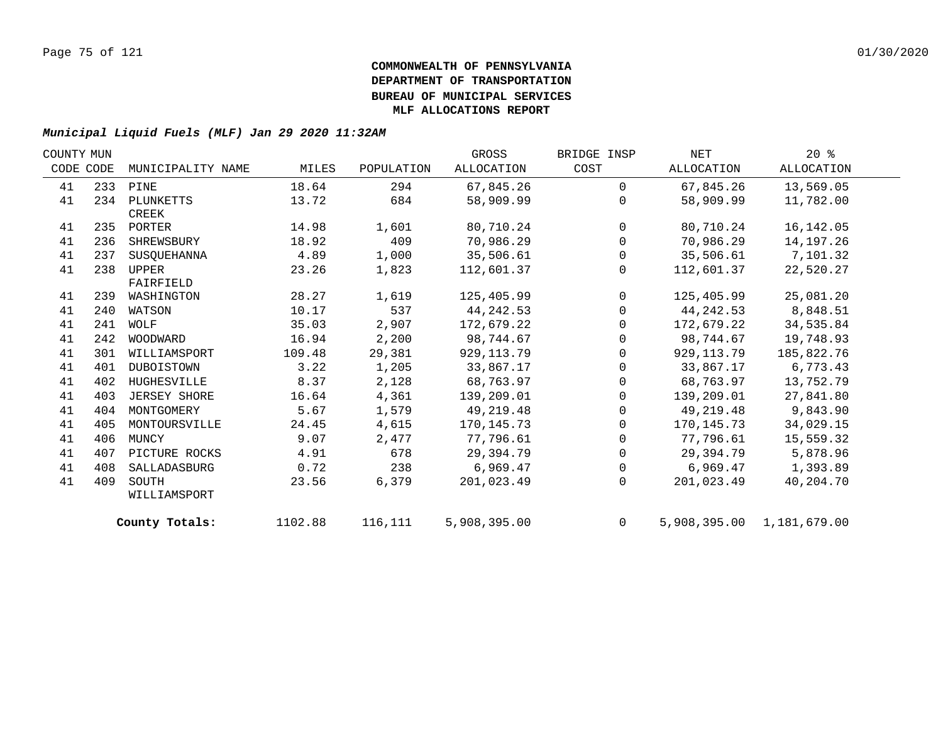| COUNTY MUN |     |                   |         |            | GROSS        | BRIDGE INSP    | NET          | $20*$                     |  |
|------------|-----|-------------------|---------|------------|--------------|----------------|--------------|---------------------------|--|
| CODE CODE  |     | MUNICIPALITY NAME | MILES   | POPULATION | ALLOCATION   | COST           | ALLOCATION   | ALLOCATION                |  |
| 41         |     | 233 PINE          | 18.64   | 294        | 67,845.26    | $\Omega$       | 67,845.26    | 13,569.05                 |  |
| 41         | 234 | PLUNKETTS         | 13.72   | 684        | 58,909.99    | $\Omega$       | 58,909.99    | 11,782.00                 |  |
|            |     | CREEK             |         |            |              |                |              |                           |  |
| 41         |     | 235 PORTER        | 14.98   | 1,601      | 80,710.24    | $\mathbf 0$    | 80,710.24    | 16, 142.05                |  |
| 41         | 236 | SHREWSBURY        | 18.92   | 409        | 70,986.29    | $\mathbf 0$    | 70,986.29    | 14,197.26                 |  |
| 41         | 237 | SUSOUEHANNA       | 4.89    | 1,000      | 35,506.61    | $\mathbf 0$    | 35,506.61    | 7,101.32                  |  |
| 41         | 238 | UPPER             | 23.26   | 1,823      | 112,601.37   | $\mathbf{0}$   | 112,601.37   | 22,520.27                 |  |
|            |     | FAIRFIELD         |         |            |              |                |              |                           |  |
| 41         | 239 | WASHINGTON        | 28.27   | 1,619      | 125,405.99   | $\mathsf{O}$   | 125,405.99   | 25,081.20                 |  |
| 41         | 240 | WATSON            | 10.17   | 537        | 44, 242.53   | $\mathbf 0$    | 44, 242.53   | 8,848.51                  |  |
| 41         | 241 | WOLF              | 35.03   | 2,907      | 172,679.22   | $\mathbf 0$    | 172,679.22   | 34,535.84                 |  |
| 41         |     | 242 WOODWARD      | 16.94   | 2,200      | 98,744.67    | $\Omega$       | 98,744.67    | 19,748.93                 |  |
| 41         | 301 | WILLIAMSPORT      | 109.48  | 29,381     | 929, 113.79  | $\Omega$       | 929,113.79   | 185,822.76                |  |
| 41         | 401 | DUBOISTOWN        | 3.22    | 1,205      | 33,867.17    | $\mathbf 0$    | 33,867.17    | 6,773.43                  |  |
| 41         | 402 | HUGHESVILLE       | 8.37    | 2,128      | 68,763.97    | 0              | 68,763.97    | 13,752.79                 |  |
| 41         | 403 | JERSEY SHORE      | 16.64   | 4,361      | 139,209.01   | $\mathbf 0$    | 139,209.01   | 27,841.80                 |  |
| 41         | 404 | MONTGOMERY        | 5.67    | 1,579      | 49, 219. 48  | $\mathbf 0$    | 49,219.48    | 9,843.90                  |  |
| 41         | 405 | MONTOURSVILLE     | 24.45   | 4,615      | 170,145.73   | $\Omega$       | 170, 145. 73 | 34,029.15                 |  |
| 41         | 406 | MUNCY             | 9.07    | 2,477      | 77,796.61    | 0              | 77,796.61    | 15,559.32                 |  |
| 41         | 407 | PICTURE ROCKS     | 4.91    | 678        | 29,394.79    | 0              | 29,394.79    | 5,878.96                  |  |
| 41         | 408 | SALLADASBURG      | 0.72    | 238        | 6,969.47     | 0              | 6,969.47     | 1,393.89                  |  |
| 41         | 409 | SOUTH             | 23.56   | 6,379      | 201,023.49   | $\Omega$       | 201,023.49   | 40,204.70                 |  |
|            |     | WILLIAMSPORT      |         |            |              |                |              |                           |  |
|            |     | County Totals:    | 1102.88 | 116,111    | 5,908,395.00 | $\overline{0}$ |              | 5,908,395.00 1,181,679.00 |  |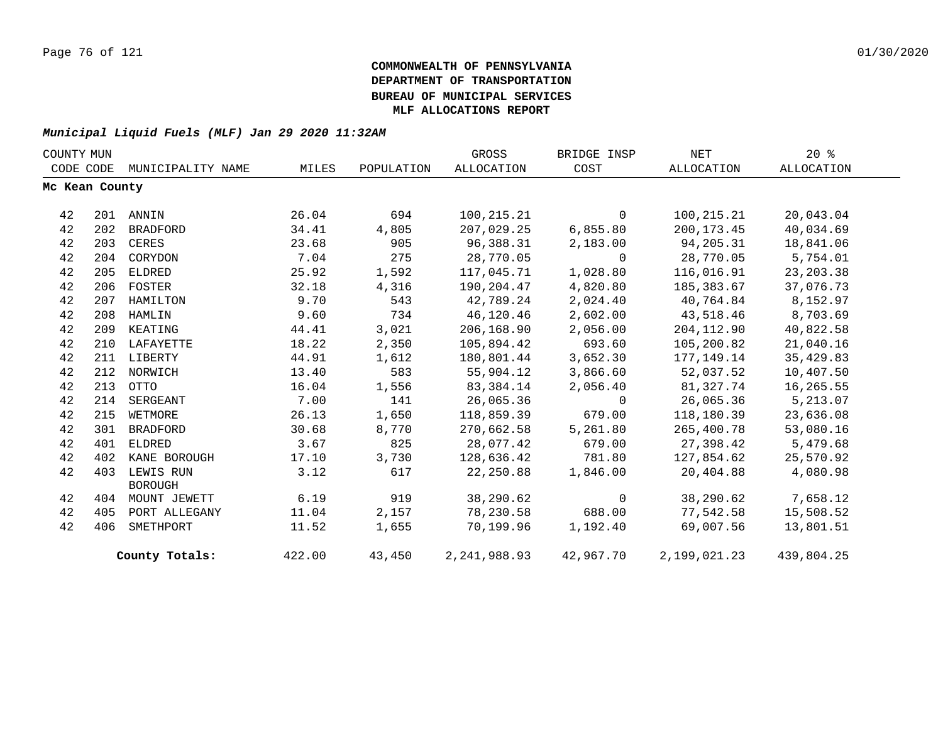|           | COUNTY MUN     |                             |        |            | GROSS             | BRIDGE INSP    | NET          | $20*$      |  |
|-----------|----------------|-----------------------------|--------|------------|-------------------|----------------|--------------|------------|--|
| CODE CODE |                | MUNICIPALITY NAME           | MILES  | POPULATION | <b>ALLOCATION</b> | COST           | ALLOCATION   | ALLOCATION |  |
|           | Mc Kean County |                             |        |            |                   |                |              |            |  |
| 42        |                | 201 ANNIN                   | 26.04  | 694        | 100,215.21        | $\mathbf{0}$   | 100,215.21   | 20,043.04  |  |
| 42        | 202            | BRADFORD                    | 34.41  | 4,805      | 207,029.25        | 6,855.80       | 200,173.45   | 40,034.69  |  |
| 42        |                | 203 CERES                   | 23.68  | 905        | 96,388.31         | 2,183.00       | 94,205.31    | 18,841.06  |  |
| 42        | 204            | CORYDON                     | 7.04   | 275        | 28,770.05         | $\overline{0}$ | 28,770.05    | 5,754.01   |  |
| 42        | 205            | ELDRED                      | 25.92  | 1,592      | 117,045.71        | 1,028.80       | 116,016.91   | 23, 203.38 |  |
| 42        | 206            | FOSTER                      | 32.18  | 4,316      | 190,204.47        | 4,820.80       | 185,383.67   | 37,076.73  |  |
| 42        | 207            | HAMILTON                    | 9.70   | 543        | 42,789.24         | 2,024.40       | 40,764.84    | 8,152.97   |  |
| 42        |                | 208 HAMLIN                  | 9.60   | 734        | 46,120.46         | 2,602.00       | 43,518.46    | 8,703.69   |  |
| 42        |                | 209 KEATING                 | 44.41  | 3,021      | 206,168.90        | 2,056.00       | 204,112.90   | 40,822.58  |  |
| 42        |                | 210 LAFAYETTE               | 18.22  | 2,350      | 105,894.42        | 693.60         | 105,200.82   | 21,040.16  |  |
| 42        |                | 211 LIBERTY                 | 44.91  | 1,612      | 180,801.44        | 3,652.30       | 177,149.14   | 35,429.83  |  |
| 42        |                | 212 NORWICH                 | 13.40  | 583        | 55,904.12         | 3,866.60       | 52,037.52    | 10,407.50  |  |
| 42        |                | 213 OTTO                    | 16.04  | 1,556      | 83,384.14         | 2,056.40       | 81,327.74    | 16,265.55  |  |
| 42        | 214            | SERGEANT                    | 7.00   | 141        | 26,065.36         | $\overline{0}$ | 26,065.36    | 5,213.07   |  |
| 42        | 215            | WETMORE                     | 26.13  | 1,650      | 118,859.39        | 679.00         | 118,180.39   | 23,636.08  |  |
| 42        | 301            | BRADFORD                    | 30.68  | 8,770      | 270,662.58        | 5,261.80       | 265,400.78   | 53,080.16  |  |
| 42        | 401            | ELDRED                      | 3.67   | 825        | 28,077.42         | 679.00         | 27,398.42    | 5,479.68   |  |
| 42        | 402            | KANE BOROUGH                | 17.10  | 3,730      | 128,636.42        | 781.80         | 127,854.62   | 25,570.92  |  |
| 42        | 403            | LEWIS RUN<br><b>BOROUGH</b> | 3.12   | 617        | 22,250.88         | 1,846.00       | 20,404.88    | 4,080.98   |  |
| 42        |                | 404 MOUNT JEWETT            | 6.19   | 919        | 38,290.62         | $\overline{0}$ | 38,290.62    | 7,658.12   |  |
| 42        | 405            | PORT ALLEGANY               | 11.04  | 2,157      | 78,230.58         | 688.00         | 77,542.58    | 15,508.52  |  |
| 42        | 406            | SMETHPORT                   | 11.52  | 1,655      | 70,199.96         | 1,192.40       | 69,007.56    | 13,801.51  |  |
|           |                | County Totals:              | 422.00 | 43,450     | 2, 241, 988.93    | 42,967.70      | 2,199,021.23 | 439,804.25 |  |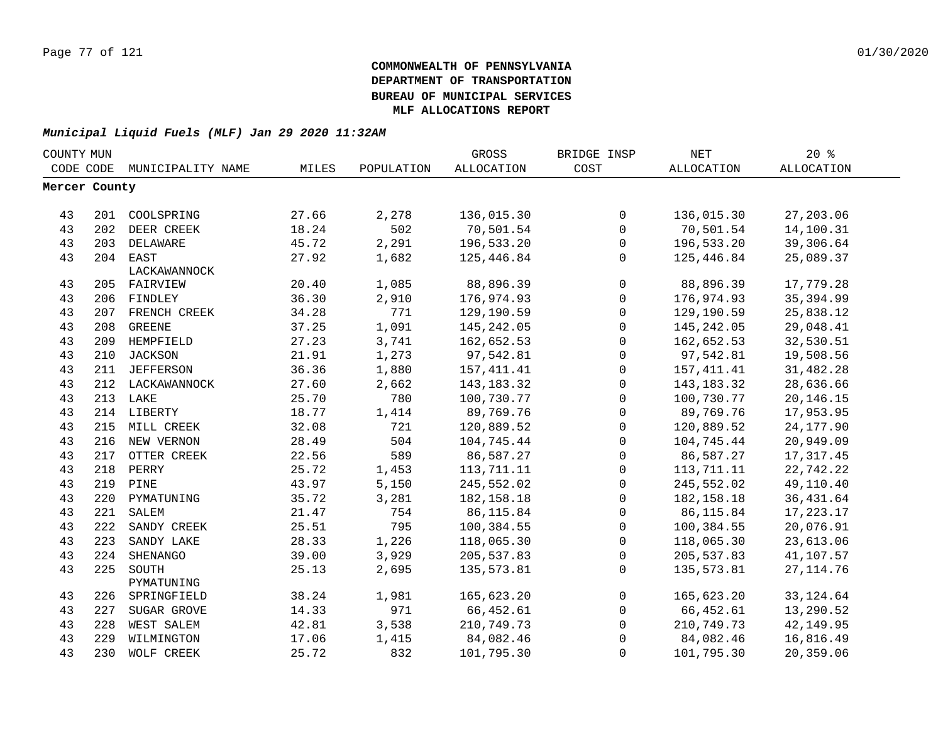| COUNTY MUN    |     |                   |       |            | GROSS        | BRIDGE INSP  | NET          | $20*$             |  |
|---------------|-----|-------------------|-------|------------|--------------|--------------|--------------|-------------------|--|
| CODE CODE     |     | MUNICIPALITY NAME | MILES | POPULATION | ALLOCATION   | COST         | ALLOCATION   | <b>ALLOCATION</b> |  |
| Mercer County |     |                   |       |            |              |              |              |                   |  |
|               |     |                   |       |            |              |              |              |                   |  |
| 43            | 201 | COOLSPRING        | 27.66 | 2,278      | 136,015.30   | $\mathbf 0$  | 136,015.30   | 27,203.06         |  |
| 43            | 202 | DEER CREEK        | 18.24 | 502        | 70,501.54    | $\mathbf 0$  | 70,501.54    | 14,100.31         |  |
| 43            |     | 203 DELAWARE      | 45.72 | 2,291      | 196,533.20   | 0            | 196,533.20   | 39,306.64         |  |
| 43            |     | 204 EAST          | 27.92 | 1,682      | 125,446.84   | 0            | 125,446.84   | 25,089.37         |  |
|               |     | LACKAWANNOCK      |       |            |              |              |              |                   |  |
| 43            |     | 205 FAIRVIEW      | 20.40 | 1,085      | 88,896.39    | $\mathbf 0$  | 88,896.39    | 17,779.28         |  |
| 43            |     | 206 FINDLEY       | 36.30 | 2,910      | 176,974.93   | $\mathbf 0$  | 176,974.93   | 35, 394.99        |  |
| 43            |     | 207 FRENCH CREEK  | 34.28 | 771        | 129,190.59   | 0            | 129,190.59   | 25,838.12         |  |
| 43            | 208 | GREENE            | 37.25 | 1,091      | 145, 242.05  | $\mathbf 0$  | 145, 242.05  | 29,048.41         |  |
| 43            |     | 209 HEMPFIELD     | 27.23 | 3,741      | 162,652.53   | $\mathsf{O}$ | 162,652.53   | 32,530.51         |  |
| 43            | 210 | <b>JACKSON</b>    | 21.91 | 1,273      | 97,542.81    | $\mathsf{O}$ | 97,542.81    | 19,508.56         |  |
| 43            | 211 | <b>JEFFERSON</b>  | 36.36 | 1,880      | 157, 411.41  | $\mathbf 0$  | 157, 411.41  | 31,482.28         |  |
| 43            |     | 212 LACKAWANNOCK  | 27.60 | 2,662      | 143, 183. 32 | $\mathbf 0$  | 143,183.32   | 28,636.66         |  |
| 43            |     | 213 LAKE          | 25.70 | 780        | 100,730.77   | $\mathbf 0$  | 100,730.77   | 20, 146. 15       |  |
| 43            |     | 214 LIBERTY       | 18.77 | 1,414      | 89,769.76    | $\mathbf 0$  | 89,769.76    | 17,953.95         |  |
| 43            | 215 | MILL CREEK        | 32.08 | 721        | 120,889.52   | $\mathsf{O}$ | 120,889.52   | 24, 177.90        |  |
| 43            | 216 | NEW VERNON        | 28.49 | 504        | 104,745.44   | $\mathbf 0$  | 104,745.44   | 20,949.09         |  |
| 43            | 217 | OTTER CREEK       | 22.56 | 589        | 86,587.27    | $\mathbf 0$  | 86,587.27    | 17, 317.45        |  |
| 43            | 218 | PERRY             | 25.72 | 1,453      | 113,711.11   | 0            | 113,711.11   | 22,742.22         |  |
| 43            |     | 219 PINE          | 43.97 | 5,150      | 245,552.02   | 0            | 245,552.02   | 49,110.40         |  |
| 43            | 220 | PYMATUNING        | 35.72 | 3,281      | 182, 158. 18 | $\mathbf 0$  | 182, 158. 18 | 36, 431.64        |  |
| 43            | 221 | SALEM             | 21.47 | 754        | 86, 115.84   | $\mathsf{O}$ | 86, 115.84   | 17, 223. 17       |  |
| 43            | 222 | SANDY CREEK       | 25.51 | 795        | 100,384.55   | $\mathsf{O}$ | 100,384.55   | 20,076.91         |  |
| 43            | 223 | SANDY LAKE        | 28.33 | 1,226      | 118,065.30   | $\mathbf 0$  | 118,065.30   | 23,613.06         |  |
| 43            | 224 | SHENANGO          | 39.00 | 3,929      | 205,537.83   | $\mathbf 0$  | 205,537.83   | 41,107.57         |  |
| 43            | 225 | SOUTH             | 25.13 | 2,695      | 135,573.81   | $\mathbf 0$  | 135,573.81   | 27, 114.76        |  |
|               |     | PYMATUNING        |       |            |              |              |              |                   |  |
| 43            | 226 | SPRINGFIELD       | 38.24 | 1,981      | 165,623.20   | $\mathbf 0$  | 165,623.20   | 33, 124.64        |  |
| 43            | 227 | SUGAR GROVE       | 14.33 | 971        | 66,452.61    | $\mathbf{0}$ | 66,452.61    | 13,290.52         |  |
| 43            | 228 | WEST SALEM        | 42.81 | 3,538      | 210,749.73   | $\mathsf{O}$ | 210,749.73   | 42, 149.95        |  |
| 43            | 229 | WILMINGTON        | 17.06 | 1,415      | 84,082.46    | $\mathbf 0$  | 84,082.46    | 16,816.49         |  |
| 43            | 230 | WOLF CREEK        | 25.72 | 832        | 101,795.30   | 0            | 101,795.30   | 20,359.06         |  |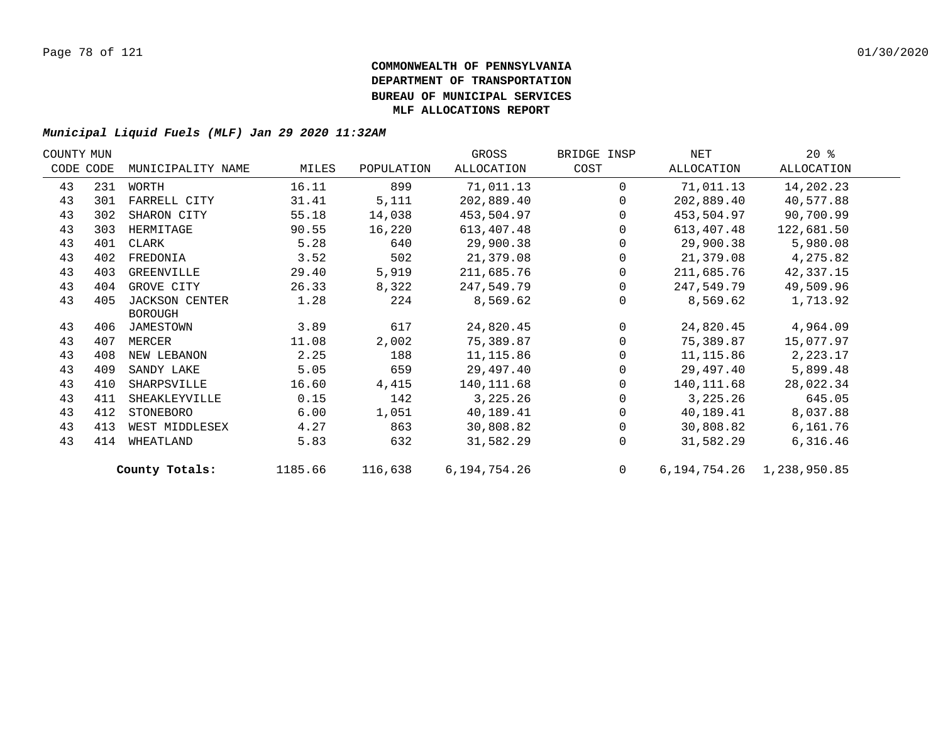| COUNTY MUN |           |                       |         |            | GROSS        | BRIDGE INSP    | NET        | $20*$                           |  |
|------------|-----------|-----------------------|---------|------------|--------------|----------------|------------|---------------------------------|--|
|            | CODE CODE | MUNICIPALITY NAME     | MILES   | POPULATION | ALLOCATION   | COST           | ALLOCATION | ALLOCATION                      |  |
| 43         | 231       | WORTH                 | 16.11   | 899        | 71,011.13    | $\Omega$       | 71,011.13  | 14,202.23                       |  |
| 43         | 301       | FARRELL CITY          | 31.41   | 5,111      | 202,889.40   | $\Omega$       | 202,889.40 | 40,577.88                       |  |
| 43         | 302       | SHARON CITY           | 55.18   | 14,038     | 453,504.97   | $\Omega$       | 453,504.97 | 90,700.99                       |  |
| 43         | 303       | HERMITAGE             | 90.55   | 16,220     | 613,407.48   | $\Omega$       | 613,407.48 | 122,681.50                      |  |
| 43         | 401       | CLARK                 | 5.28    | 640        | 29,900.38    | $\Omega$       | 29,900.38  | 5,980.08                        |  |
| 43         | 402       | FREDONIA              | 3.52    | 502        | 21,379.08    | 0              | 21,379.08  | 4,275.82                        |  |
| 43         | 403       | GREENVILLE            | 29.40   | 5,919      | 211,685.76   | 0              | 211,685.76 | 42,337.15                       |  |
| 43         | 404       | GROVE CITY            | 26.33   | 8,322      | 247,549.79   | $\Omega$       | 247,549.79 | 49,509.96                       |  |
| 43         | 405       | <b>JACKSON CENTER</b> | 1.28    | 224        | 8,569.62     | $\Omega$       | 8,569.62   | 1,713.92                        |  |
|            |           | <b>BOROUGH</b>        |         |            |              |                |            |                                 |  |
| 43         | 406       | JAMESTOWN             | 3.89    | 617        | 24,820.45    | $\Omega$       | 24,820.45  | 4,964.09                        |  |
| 43         | 407       | MERCER                | 11.08   | 2,002      | 75,389.87    | $\Omega$       | 75,389.87  | 15,077.97                       |  |
| 43         | 408       | NEW LEBANON           | 2.25    | 188        | 11,115.86    | 0              | 11,115.86  | 2,223.17                        |  |
| 43         | 409       | SANDY LAKE            | 5.05    | 659        | 29,497.40    | $\Omega$       | 29,497.40  | 5,899.48                        |  |
| 43         | 410       | SHARPSVILLE           | 16.60   | 4,415      | 140,111.68   | $\Omega$       | 140,111.68 | 28,022.34                       |  |
| 43         | 411       | SHEAKLEYVILLE         | 0.15    | 142        | 3,225.26     | $\Omega$       | 3,225.26   | 645.05                          |  |
| 43         | 412       | STONEBORO             | 6.00    | 1,051      | 40,189.41    | $\Omega$       | 40,189.41  | 8,037.88                        |  |
| 43         | 413       | WEST MIDDLESEX        | 4.27    | 863        | 30,808.82    | $\Omega$       | 30,808.82  | 6,161.76                        |  |
| 43         | 414       | WHEATLAND             | 5.83    | 632        | 31,582.29    | $\Omega$       | 31,582.29  | 6,316.46                        |  |
|            |           | County Totals:        | 1185.66 | 116,638    | 6,194,754.26 | $\overline{0}$ |            | 6, 194, 754. 26 1, 238, 950. 85 |  |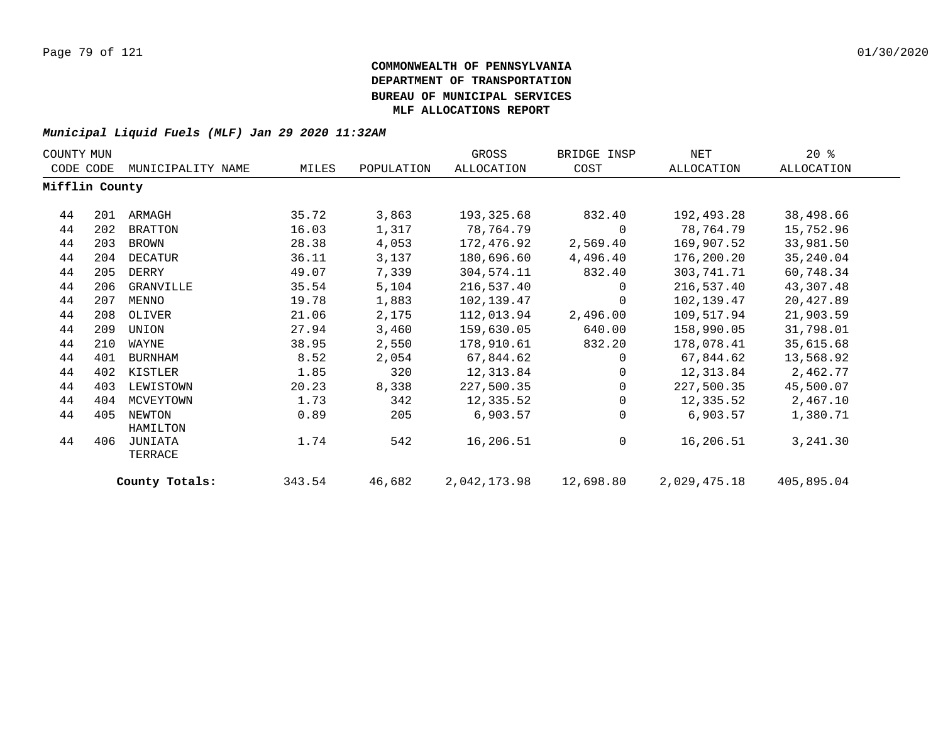| COUNTY MUN     |     |                    |        |            | GROSS        | BRIDGE INSP | NET          | $20*$      |
|----------------|-----|--------------------|--------|------------|--------------|-------------|--------------|------------|
| CODE CODE      |     | MUNICIPALITY NAME  | MILES  | POPULATION | ALLOCATION   | COST        | ALLOCATION   | ALLOCATION |
| Mifflin County |     |                    |        |            |              |             |              |            |
| 44             | 201 | ARMAGH             | 35.72  | 3,863      | 193,325.68   | 832.40      | 192,493.28   | 38,498.66  |
| 44             | 202 | <b>BRATTON</b>     | 16.03  | 1,317      | 78,764.79    | 0           | 78,764.79    | 15,752.96  |
| 44             | 203 | BROWN              | 28.38  | 4,053      | 172,476.92   | 2,569.40    | 169,907.52   | 33,981.50  |
| 44             | 204 | DECATUR            | 36.11  | 3,137      | 180,696.60   | 4,496.40    | 176,200.20   | 35, 240.04 |
| 44             | 205 | DERRY              | 49.07  | 7,339      | 304,574.11   | 832.40      | 303,741.71   | 60,748.34  |
| 44             | 206 | GRANVILLE          | 35.54  | 5,104      | 216,537.40   | 0           | 216,537.40   | 43,307.48  |
| 44             | 207 | MENNO              | 19.78  | 1,883      | 102,139.47   | $\mathbf 0$ | 102,139.47   | 20,427.89  |
| 44             | 208 | OLIVER             | 21.06  | 2,175      | 112,013.94   | 2,496.00    | 109,517.94   | 21,903.59  |
| 44             | 209 | UNION              | 27.94  | 3,460      | 159,630.05   | 640.00      | 158,990.05   | 31,798.01  |
| 44             | 210 | WAYNE              | 38.95  | 2,550      | 178,910.61   | 832.20      | 178,078.41   | 35,615.68  |
| 44             | 401 | BURNHAM            | 8.52   | 2,054      | 67,844.62    | $\Omega$    | 67,844.62    | 13,568.92  |
| 44             | 402 | KISTLER            | 1.85   | 320        | 12,313.84    | $\Omega$    | 12,313.84    | 2,462.77   |
| 44             | 403 | LEWISTOWN          | 20.23  | 8,338      | 227,500.35   | 0           | 227,500.35   | 45,500.07  |
| 44             | 404 | MCVEYTOWN          | 1.73   | 342        | 12,335.52    | 0           | 12,335.52    | 2,467.10   |
| 44             | 405 | NEWTON<br>HAMILTON | 0.89   | 205        | 6,903.57     | 0           | 6,903.57     | 1,380.71   |
| 44             | 406 | JUNIATA<br>TERRACE | 1.74   | 542        | 16,206.51    | 0           | 16,206.51    | 3,241.30   |
|                |     | County Totals:     | 343.54 | 46,682     | 2,042,173.98 | 12,698.80   | 2,029,475.18 | 405,895.04 |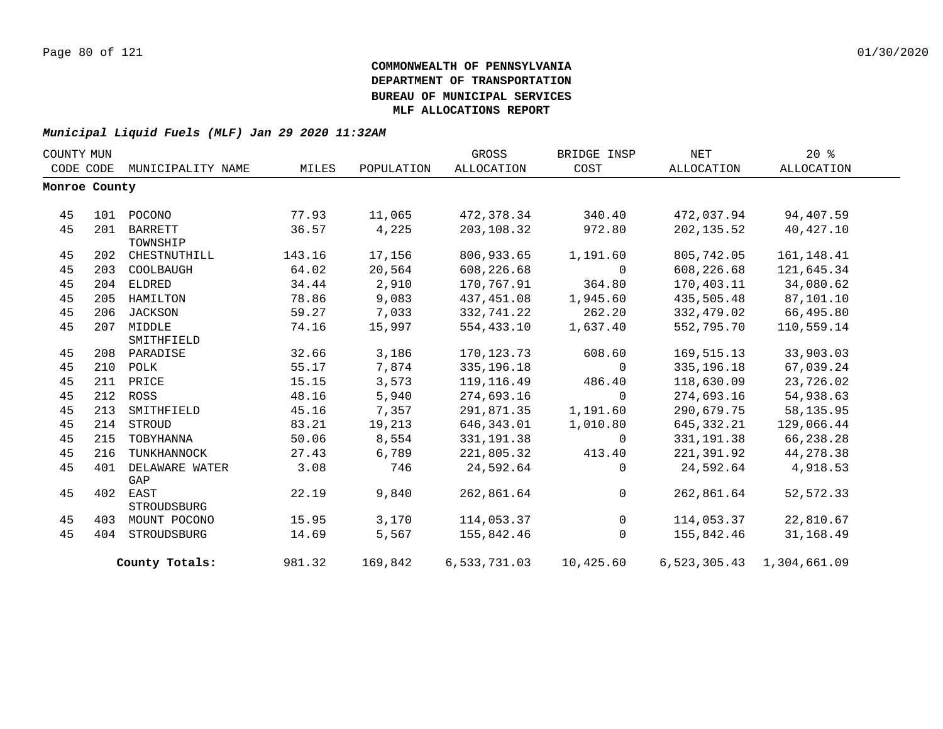| COUNTY MUN    |     |                   |        |            | GROSS        | BRIDGE INSP | NET          | $20*$                     |  |
|---------------|-----|-------------------|--------|------------|--------------|-------------|--------------|---------------------------|--|
| CODE CODE     |     | MUNICIPALITY NAME | MILES  | POPULATION | ALLOCATION   | COST        | ALLOCATION   | ALLOCATION                |  |
| Monroe County |     |                   |        |            |              |             |              |                           |  |
|               |     |                   |        |            |              |             |              |                           |  |
| 45            | 101 | POCONO            | 77.93  | 11,065     | 472,378.34   | 340.40      | 472,037.94   | 94,407.59                 |  |
| 45            | 201 | <b>BARRETT</b>    | 36.57  | 4,225      | 203,108.32   | 972.80      | 202, 135.52  | 40,427.10                 |  |
|               |     | TOWNSHIP          |        |            |              |             |              |                           |  |
| 45            | 202 | CHESTNUTHILL      | 143.16 | 17,156     | 806,933.65   | 1,191.60    | 805,742.05   | 161, 148.41               |  |
| 45            | 203 | COOLBAUGH         | 64.02  | 20,564     | 608,226.68   | $\Omega$    | 608,226.68   | 121,645.34                |  |
| 45            | 204 | ELDRED            | 34.44  | 2,910      | 170,767.91   | 364.80      | 170,403.11   | 34,080.62                 |  |
| 45            | 205 | HAMILTON          | 78.86  | 9,083      | 437,451.08   | 1,945.60    | 435,505.48   | 87,101.10                 |  |
| 45            | 206 | JACKSON           | 59.27  | 7,033      | 332,741.22   | 262.20      | 332,479.02   | 66,495.80                 |  |
| 45            |     | 207 MIDDLE        | 74.16  | 15,997     | 554,433.10   | 1,637.40    | 552,795.70   | 110,559.14                |  |
|               |     | SMITHFIELD        |        |            |              |             |              |                           |  |
| 45            | 208 | PARADISE          | 32.66  | 3,186      | 170, 123. 73 | 608.60      | 169,515.13   | 33,903.03                 |  |
| 45            |     | 210 POLK          | 55.17  | 7,874      | 335, 196. 18 | $\Omega$    | 335, 196. 18 | 67,039.24                 |  |
| 45            |     | 211 PRICE         | 15.15  | 3,573      | 119,116.49   | 486.40      | 118,630.09   | 23,726.02                 |  |
| 45            |     | 212 ROSS          | 48.16  | 5,940      | 274,693.16   | $\mathbf 0$ | 274,693.16   | 54,938.63                 |  |
| 45            | 213 | SMITHFIELD        | 45.16  | 7,357      | 291,871.35   | 1,191.60    | 290,679.75   | 58, 135.95                |  |
| 45            |     | 214 STROUD        | 83.21  | 19,213     | 646,343.01   | 1,010.80    | 645,332.21   | 129,066.44                |  |
| 45            | 215 | TOBYHANNA         | 50.06  | 8,554      | 331, 191.38  | $\Omega$    | 331, 191.38  | 66,238.28                 |  |
| 45            | 216 | TUNKHANNOCK       | 27.43  | 6,789      | 221,805.32   | 413.40      | 221,391.92   | 44,278.38                 |  |
| 45            | 401 | DELAWARE WATER    | 3.08   | 746        | 24,592.64    | $\Omega$    | 24,592.64    | 4,918.53                  |  |
|               |     | GAP               |        |            |              |             |              |                           |  |
| 45            |     | 402 EAST          | 22.19  | 9,840      | 262,861.64   | $\Omega$    | 262,861.64   | 52,572.33                 |  |
|               |     | STROUDSBURG       |        |            |              |             |              |                           |  |
| 45            |     | 403 MOUNT POCONO  | 15.95  | 3,170      | 114,053.37   | 0           | 114,053.37   | 22,810.67                 |  |
| 45            |     | 404 STROUDSBURG   | 14.69  | 5,567      | 155,842.46   | $\Omega$    | 155,842.46   | 31,168.49                 |  |
|               |     | County Totals:    | 981.32 | 169,842    | 6,533,731.03 | 10,425.60   |              | 6,523,305.43 1,304,661.09 |  |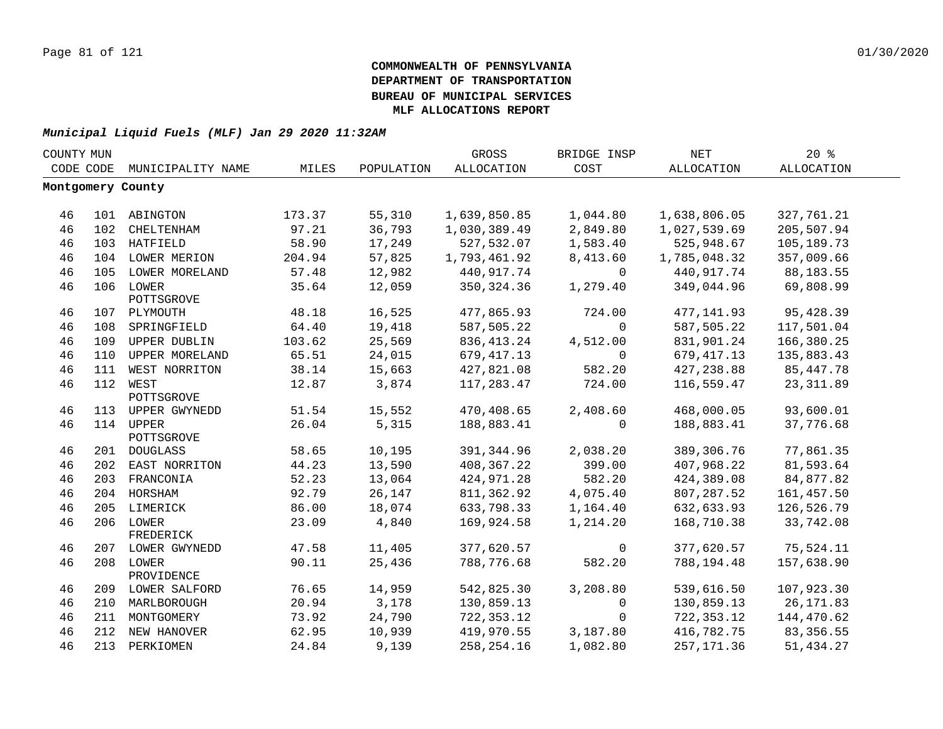| COUNTY MUN |     |                         |        |            | GROSS             | BRIDGE INSP | <b>NET</b>   | 20%         |  |
|------------|-----|-------------------------|--------|------------|-------------------|-------------|--------------|-------------|--|
| CODE CODE  |     | MUNICIPALITY NAME       | MILES  | POPULATION | <b>ALLOCATION</b> | COST        | ALLOCATION   | ALLOCATION  |  |
|            |     | Montgomery County       |        |            |                   |             |              |             |  |
|            |     |                         |        |            |                   |             |              |             |  |
| 46         |     | 101 ABINGTON            | 173.37 | 55,310     | 1,639,850.85      | 1,044.80    | 1,638,806.05 | 327,761.21  |  |
| 46         |     | 102 CHELTENHAM          | 97.21  | 36,793     | 1,030,389.49      | 2,849.80    | 1,027,539.69 | 205,507.94  |  |
| 46         |     | 103 HATFIELD            | 58.90  | 17,249     | 527,532.07        | 1,583.40    | 525,948.67   | 105,189.73  |  |
| 46         |     | 104 LOWER MERION        | 204.94 | 57,825     | 1,793,461.92      | 8,413.60    | 1,785,048.32 | 357,009.66  |  |
| 46         |     | 105 LOWER MORELAND      | 57.48  | 12,982     | 440,917.74        | $\Omega$    | 440,917.74   | 88,183.55   |  |
| 46         |     | 106 LOWER<br>POTTSGROVE | 35.64  | 12,059     | 350, 324.36       | 1,279.40    | 349,044.96   | 69,808.99   |  |
| 46         |     | 107 PLYMOUTH            | 48.18  | 16,525     | 477,865.93        | 724.00      | 477, 141.93  | 95,428.39   |  |
| 46         | 108 | SPRINGFIELD             | 64.40  | 19,418     | 587,505.22        | $\Omega$    | 587,505.22   | 117,501.04  |  |
| 46         | 109 | UPPER DUBLIN            | 103.62 | 25,569     | 836, 413.24       | 4,512.00    | 831,901.24   | 166,380.25  |  |
| 46         | 110 | UPPER MORELAND          | 65.51  | 24,015     | 679, 417.13       | $\mathbf 0$ | 679, 417.13  | 135,883.43  |  |
| 46         |     | 111 WEST NORRITON       | 38.14  | 15,663     | 427,821.08        | 582.20      | 427, 238.88  | 85, 447. 78 |  |
| 46         |     | 112 WEST                | 12.87  | 3,874      | 117,283.47        | 724.00      | 116,559.47   | 23, 311.89  |  |
|            |     | POTTSGROVE              |        |            |                   |             |              |             |  |
| 46         |     | 113 UPPER GWYNEDD       | 51.54  | 15,552     | 470,408.65        | 2,408.60    | 468,000.05   | 93,600.01   |  |
| 46         |     | 114 UPPER<br>POTTSGROVE | 26.04  | 5,315      | 188,883.41        | 0           | 188,883.41   | 37,776.68   |  |
| 46         |     | 201 DOUGLASS            | 58.65  | 10,195     | 391, 344.96       | 2,038.20    | 389, 306. 76 | 77,861.35   |  |
| 46         |     | 202 EAST NORRITON       | 44.23  | 13,590     | 408, 367.22       | 399.00      | 407,968.22   | 81,593.64   |  |
| 46         |     | 203 FRANCONIA           | 52.23  | 13,064     | 424,971.28        | 582.20      | 424,389.08   | 84,877.82   |  |
| 46         |     | 204 HORSHAM             | 92.79  | 26,147     | 811,362.92        | 4,075.40    | 807,287.52   | 161,457.50  |  |
| 46         |     | 205 LIMERICK            | 86.00  | 18,074     | 633,798.33        | 1,164.40    | 632,633.93   | 126,526.79  |  |
| 46         |     | 206 LOWER<br>FREDERICK  | 23.09  | 4,840      | 169,924.58        | 1,214.20    | 168,710.38   | 33,742.08   |  |
| 46         |     | 207 LOWER GWYNEDD       | 47.58  | 11,405     | 377,620.57        | 0           | 377,620.57   | 75,524.11   |  |
| 46         |     | 208 LOWER<br>PROVIDENCE | 90.11  | 25,436     | 788,776.68        | 582.20      | 788,194.48   | 157,638.90  |  |
| 46         |     | 209 LOWER SALFORD       | 76.65  | 14,959     | 542,825.30        | 3,208.80    | 539,616.50   | 107,923.30  |  |
| 46         |     | 210 MARLBOROUGH         | 20.94  | 3,178      | 130,859.13        | $\mathbf 0$ | 130,859.13   | 26, 171.83  |  |
| 46         |     | 211 MONTGOMERY          | 73.92  | 24,790     | 722,353.12        | $\mathbf 0$ | 722,353.12   | 144,470.62  |  |
| 46         |     | 212 NEW HANOVER         | 62.95  | 10,939     | 419,970.55        | 3,187.80    | 416,782.75   | 83, 356.55  |  |
| 46         |     | 213 PERKIOMEN           | 24.84  | 9,139      | 258, 254. 16      | 1,082.80    | 257, 171.36  | 51,434.27   |  |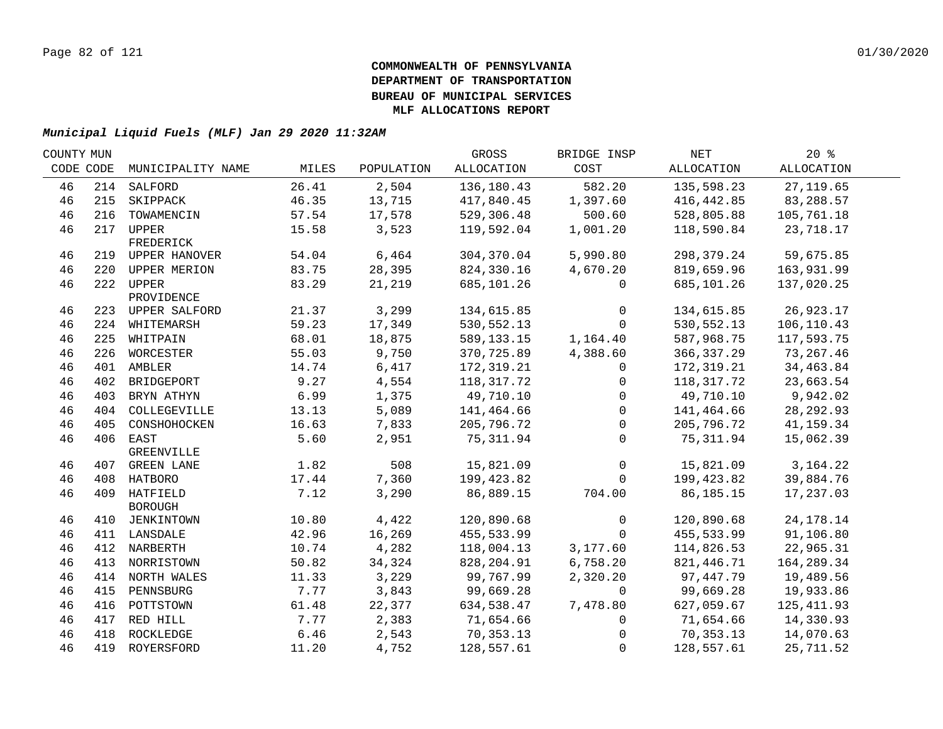| COUNTY MUN |                   |                                                                                                                                                                                                                                                                                                                                                   |                                                                               | GROSS                                                                                       | BRIDGE INSP                                                                                                                   | NET                                                                                  | $20*$                                                                                                                         |                                                                                                                            |
|------------|-------------------|---------------------------------------------------------------------------------------------------------------------------------------------------------------------------------------------------------------------------------------------------------------------------------------------------------------------------------------------------|-------------------------------------------------------------------------------|---------------------------------------------------------------------------------------------|-------------------------------------------------------------------------------------------------------------------------------|--------------------------------------------------------------------------------------|-------------------------------------------------------------------------------------------------------------------------------|----------------------------------------------------------------------------------------------------------------------------|
| CODE CODE  | MUNICIPALITY NAME | MILES                                                                                                                                                                                                                                                                                                                                             | POPULATION                                                                    | ALLOCATION                                                                                  | COST                                                                                                                          | ALLOCATION                                                                           | ALLOCATION                                                                                                                    |                                                                                                                            |
|            |                   | 26.41                                                                                                                                                                                                                                                                                                                                             | 2,504                                                                         | 136,180.43                                                                                  | 582.20                                                                                                                        | 135,598.23                                                                           | 27, 119.65                                                                                                                    |                                                                                                                            |
|            | SKIPPACK          | 46.35                                                                                                                                                                                                                                                                                                                                             | 13,715                                                                        | 417,840.45                                                                                  | 1,397.60                                                                                                                      | 416,442.85                                                                           | 83,288.57                                                                                                                     |                                                                                                                            |
| 216        | TOWAMENCIN        | 57.54                                                                                                                                                                                                                                                                                                                                             | 17,578                                                                        | 529,306.48                                                                                  | 500.60                                                                                                                        | 528,805.88                                                                           | 105,761.18                                                                                                                    |                                                                                                                            |
|            |                   | 15.58                                                                                                                                                                                                                                                                                                                                             | 3,523                                                                         | 119,592.04                                                                                  | 1,001.20                                                                                                                      | 118,590.84                                                                           | 23,718.17                                                                                                                     |                                                                                                                            |
|            | FREDERICK         |                                                                                                                                                                                                                                                                                                                                                   |                                                                               |                                                                                             |                                                                                                                               |                                                                                      |                                                                                                                               |                                                                                                                            |
|            |                   | 54.04                                                                                                                                                                                                                                                                                                                                             |                                                                               | 304,370.04                                                                                  | 5,990.80                                                                                                                      | 298,379.24                                                                           | 59,675.85                                                                                                                     |                                                                                                                            |
|            |                   |                                                                                                                                                                                                                                                                                                                                                   |                                                                               |                                                                                             |                                                                                                                               |                                                                                      |                                                                                                                               |                                                                                                                            |
|            |                   | 83.29                                                                                                                                                                                                                                                                                                                                             | 21,219                                                                        | 685,101.26                                                                                  | 0                                                                                                                             | 685,101.26                                                                           | 137,020.25                                                                                                                    |                                                                                                                            |
|            | PROVIDENCE        |                                                                                                                                                                                                                                                                                                                                                   |                                                                               |                                                                                             |                                                                                                                               |                                                                                      |                                                                                                                               |                                                                                                                            |
|            |                   |                                                                                                                                                                                                                                                                                                                                                   |                                                                               |                                                                                             | 0                                                                                                                             |                                                                                      |                                                                                                                               |                                                                                                                            |
|            |                   |                                                                                                                                                                                                                                                                                                                                                   |                                                                               |                                                                                             | $\mathbf 0$                                                                                                                   |                                                                                      |                                                                                                                               |                                                                                                                            |
|            |                   |                                                                                                                                                                                                                                                                                                                                                   |                                                                               |                                                                                             |                                                                                                                               |                                                                                      |                                                                                                                               |                                                                                                                            |
|            |                   |                                                                                                                                                                                                                                                                                                                                                   |                                                                               |                                                                                             |                                                                                                                               |                                                                                      |                                                                                                                               |                                                                                                                            |
|            |                   | 14.74                                                                                                                                                                                                                                                                                                                                             | 6,417                                                                         | 172, 319.21                                                                                 | $\mathbf 0$                                                                                                                   | 172,319.21                                                                           | 34,463.84                                                                                                                     |                                                                                                                            |
| 402        | BRIDGEPORT        | 9.27                                                                                                                                                                                                                                                                                                                                              | 4,554                                                                         | 118,317.72                                                                                  | 0                                                                                                                             | 118,317.72                                                                           | 23,663.54                                                                                                                     |                                                                                                                            |
| 403        | BRYN ATHYN        | 6.99                                                                                                                                                                                                                                                                                                                                              | 1,375                                                                         | 49,710.10                                                                                   | $\mathbf 0$                                                                                                                   | 49,710.10                                                                            | 9,942.02                                                                                                                      |                                                                                                                            |
| 404        | COLLEGEVILLE      | 13.13                                                                                                                                                                                                                                                                                                                                             | 5,089                                                                         | 141,464.66                                                                                  | $\Omega$                                                                                                                      | 141,464.66                                                                           | 28, 292.93                                                                                                                    |                                                                                                                            |
| 405        | CONSHOHOCKEN      | 16.63                                                                                                                                                                                                                                                                                                                                             | 7,833                                                                         | 205,796.72                                                                                  | $\Omega$                                                                                                                      | 205,796.72                                                                           | 41,159.34                                                                                                                     |                                                                                                                            |
|            |                   | 5.60                                                                                                                                                                                                                                                                                                                                              | 2,951                                                                         | 75, 311.94                                                                                  | $\Omega$                                                                                                                      | 75, 311.94                                                                           | 15,062.39                                                                                                                     |                                                                                                                            |
|            | GREENVILLE        |                                                                                                                                                                                                                                                                                                                                                   |                                                                               |                                                                                             |                                                                                                                               |                                                                                      |                                                                                                                               |                                                                                                                            |
|            |                   | 1.82                                                                                                                                                                                                                                                                                                                                              | 508                                                                           | 15,821.09                                                                                   | $\mathbf 0$                                                                                                                   | 15,821.09                                                                            | 3,164.22                                                                                                                      |                                                                                                                            |
|            |                   | 17.44                                                                                                                                                                                                                                                                                                                                             | 7,360                                                                         | 199,423.82                                                                                  | $\Omega$                                                                                                                      | 199,423.82                                                                           | 39,884.76                                                                                                                     |                                                                                                                            |
|            |                   | 7.12                                                                                                                                                                                                                                                                                                                                              | 3,290                                                                         | 86,889.15                                                                                   | 704.00                                                                                                                        | 86,185.15                                                                            | 17,237.03                                                                                                                     |                                                                                                                            |
|            | <b>BOROUGH</b>    |                                                                                                                                                                                                                                                                                                                                                   |                                                                               |                                                                                             |                                                                                                                               |                                                                                      |                                                                                                                               |                                                                                                                            |
|            |                   |                                                                                                                                                                                                                                                                                                                                                   |                                                                               |                                                                                             |                                                                                                                               |                                                                                      |                                                                                                                               |                                                                                                                            |
|            |                   |                                                                                                                                                                                                                                                                                                                                                   |                                                                               |                                                                                             |                                                                                                                               |                                                                                      |                                                                                                                               |                                                                                                                            |
|            |                   |                                                                                                                                                                                                                                                                                                                                                   |                                                                               |                                                                                             |                                                                                                                               |                                                                                      |                                                                                                                               |                                                                                                                            |
|            |                   |                                                                                                                                                                                                                                                                                                                                                   |                                                                               |                                                                                             |                                                                                                                               |                                                                                      |                                                                                                                               |                                                                                                                            |
|            |                   | 11.33                                                                                                                                                                                                                                                                                                                                             | 3,229                                                                         | 99,767.99                                                                                   | 2,320.20                                                                                                                      | 97,447.79                                                                            | 19,489.56                                                                                                                     |                                                                                                                            |
| 415        | PENNSBURG         | 7.77                                                                                                                                                                                                                                                                                                                                              | 3,843                                                                         | 99,669.28                                                                                   | $\Omega$                                                                                                                      | 99,669.28                                                                            | 19,933.86                                                                                                                     |                                                                                                                            |
| 416        | POTTSTOWN         | 61.48                                                                                                                                                                                                                                                                                                                                             | 22,377                                                                        | 634,538.47                                                                                  | 7,478.80                                                                                                                      | 627,059.67                                                                           | 125, 411.93                                                                                                                   |                                                                                                                            |
| 417        | RED HILL          | 7.77                                                                                                                                                                                                                                                                                                                                              | 2,383                                                                         | 71,654.66                                                                                   | 0                                                                                                                             | 71,654.66                                                                            | 14,330.93                                                                                                                     |                                                                                                                            |
| 418        | ROCKLEDGE         | 6.46                                                                                                                                                                                                                                                                                                                                              | 2,543                                                                         | 70,353.13                                                                                   | $\Omega$                                                                                                                      | 70,353.13                                                                            | 14,070.63                                                                                                                     |                                                                                                                            |
|            |                   | 11.20                                                                                                                                                                                                                                                                                                                                             | 4,752                                                                         | 128,557.61                                                                                  | $\mathbf 0$                                                                                                                   | 128,557.61                                                                           | 25,711.52                                                                                                                     |                                                                                                                            |
|            |                   | 214 SALFORD<br>215<br>217 UPPER<br>219 UPPER HANOVER<br>220 UPPER MERION<br>222 UPPER<br>223 UPPER SALFORD<br>224 WHITEMARSH<br>225 WHITPAIN<br>226 WORCESTER<br>401 AMBLER<br>406 EAST<br>407 GREEN LANE<br>408 HATBORO<br>409 HATFIELD<br>410 JENKINTOWN<br>411 LANSDALE<br>412 NARBERTH<br>413 NORRISTOWN<br>414 NORTH WALES<br>419 ROYERSFORD | 83.75<br>21.37<br>59.23<br>68.01<br>55.03<br>10.80<br>42.96<br>10.74<br>50.82 | 6,464<br>28,395<br>3,299<br>17,349<br>18,875<br>9,750<br>4,422<br>16,269<br>4,282<br>34,324 | 824,330.16<br>134,615.85<br>530, 552.13<br>589, 133. 15<br>370,725.89<br>120,890.68<br>455,533.99<br>118,004.13<br>828,204.91 | 4,670.20<br>1,164.40<br>4,388.60<br>$\mathsf{O}$<br>$\Omega$<br>3,177.60<br>6,758.20 | 819,659.96<br>134,615.85<br>530, 552.13<br>587,968.75<br>366, 337.29<br>120,890.68<br>455,533.99<br>114,826.53<br>821, 446.71 | 163,931.99<br>26,923.17<br>106, 110.43<br>117,593.75<br>73, 267.46<br>24, 178. 14<br>91,106.80<br>22,965.31<br>164, 289.34 |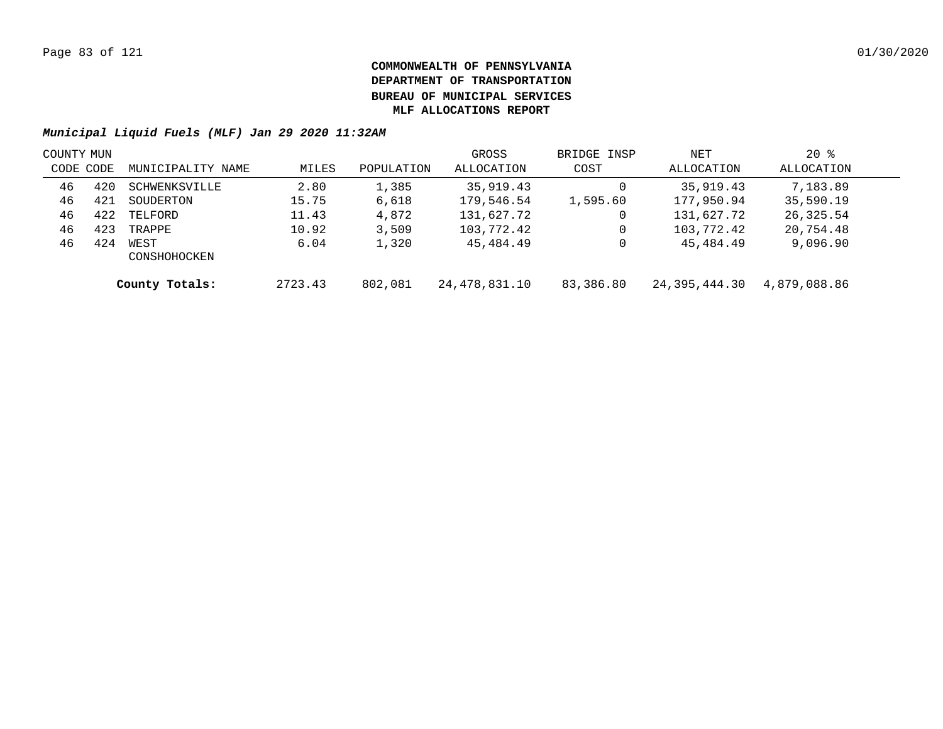|           | COUNTY MUN |                      |         |            | GROSS         | BRIDGE INSP | NET           | $20*$        |  |
|-----------|------------|----------------------|---------|------------|---------------|-------------|---------------|--------------|--|
| CODE CODE |            | MUNICIPALITY NAME    | MILES   | POPULATION | ALLOCATION    | COST        | ALLOCATION    | ALLOCATION   |  |
| 46        | 420        | SCHWENKSVILLE        | 2.80    | 1,385      | 35,919.43     |             | 35,919.43     | 7,183.89     |  |
| 46        | 421        | SOUDERTON            | 15.75   | 6,618      | 179,546.54    | 1,595.60    | 177,950.94    | 35,590.19    |  |
| 46        | 422        | TELFORD              | 11.43   | 4,872      | 131,627.72    | 0           | 131,627.72    | 26,325.54    |  |
| 46        | 423        | TRAPPE               | 10.92   | 3,509      | 103,772.42    |             | 103,772.42    | 20,754.48    |  |
| 46        | 424        | WEST<br>CONSHOHOCKEN | 6.04    | 1,320      | 45,484.49     |             | 45,484.49     | 9,096.90     |  |
|           |            | County Totals:       | 2723.43 | 802,081    | 24,478,831.10 | 83,386.80   | 24,395,444.30 | 4,879,088.86 |  |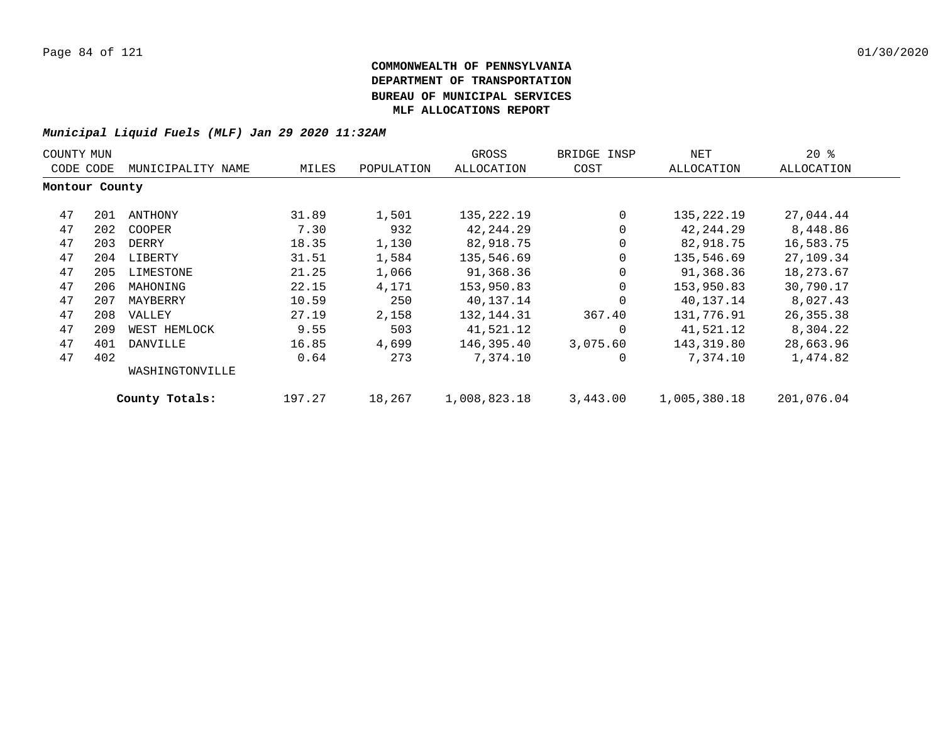| COUNTY MUN     |     |                   |        |            | GROSS        | BRIDGE INSP | NET               | $20*$      |  |
|----------------|-----|-------------------|--------|------------|--------------|-------------|-------------------|------------|--|
| CODE CODE      |     | MUNICIPALITY NAME | MILES  | POPULATION | ALLOCATION   | COST        | <b>ALLOCATION</b> | ALLOCATION |  |
| Montour County |     |                   |        |            |              |             |                   |            |  |
| 47             | 201 | ANTHONY           | 31.89  | 1,501      | 135,222.19   | $\Omega$    | 135,222.19        | 27,044.44  |  |
| 47             | 202 | COOPER            | 7.30   | 932        | 42,244.29    | $\Omega$    | 42, 244. 29       | 8,448.86   |  |
| 47             | 203 | DERRY             | 18.35  | 1,130      | 82,918.75    | 0           | 82,918.75         | 16,583.75  |  |
| 47             | 204 | LIBERTY           | 31.51  | 1,584      | 135,546.69   | 0           | 135,546.69        | 27,109.34  |  |
| 47             | 205 | LIMESTONE         | 21.25  | 1,066      | 91,368.36    | 0           | 91,368.36         | 18,273.67  |  |
| 47             | 206 | MAHONING          | 22.15  | 4,171      | 153,950.83   | 0           | 153,950.83        | 30,790.17  |  |
| 47             | 207 | MAYBERRY          | 10.59  | 250        | 40,137.14    | 0           | 40,137.14         | 8,027.43   |  |
| 47             | 208 | VALLEY            | 27.19  | 2,158      | 132, 144. 31 | 367.40      | 131,776.91        | 26,355.38  |  |
| 47             | 209 | WEST HEMLOCK      | 9.55   | 503        | 41,521.12    | 0           | 41,521.12         | 8,304.22   |  |
| 47             | 401 | DANVILLE          | 16.85  | 4,699      | 146,395.40   | 3,075.60    | 143,319.80        | 28,663.96  |  |
| 47             | 402 |                   | 0.64   | 273        | 7,374.10     | 0           | 7,374.10          | 1,474.82   |  |
|                |     | WASHINGTONVILLE   |        |            |              |             |                   |            |  |
|                |     | County Totals:    | 197.27 | 18,267     | 1,008,823.18 | 3,443.00    | 1,005,380.18      | 201,076.04 |  |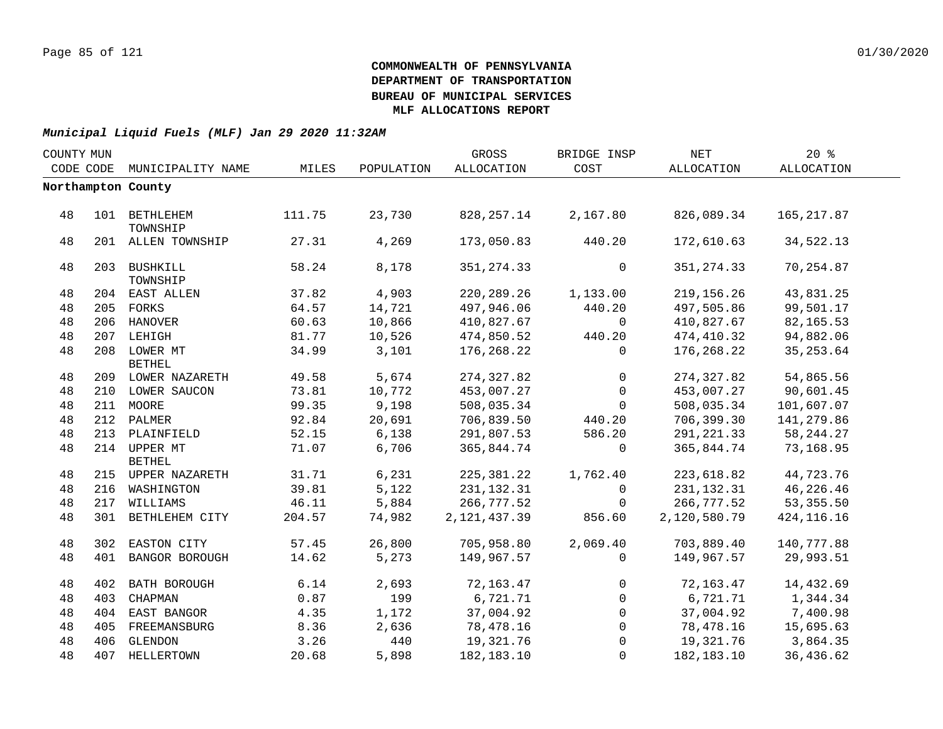| COUNTY MUN |           |                               |        |            | GROSS          | BRIDGE INSP  | $\operatorname{NET}$ | 20%          |  |
|------------|-----------|-------------------------------|--------|------------|----------------|--------------|----------------------|--------------|--|
|            | CODE CODE | MUNICIPALITY NAME             | MILES  | POPULATION | ALLOCATION     | COST         | ALLOCATION           | ALLOCATION   |  |
|            |           | Northampton County            |        |            |                |              |                      |              |  |
|            |           |                               |        |            |                |              |                      |              |  |
| 48         |           | 101 BETHLEHEM<br>TOWNSHIP     | 111.75 | 23,730     | 828, 257. 14   | 2,167.80     | 826,089.34           | 165, 217.87  |  |
| 48         |           | 201 ALLEN TOWNSHIP            | 27.31  | 4,269      | 173,050.83     | 440.20       | 172,610.63           | 34,522.13    |  |
| 48         |           | 203 BUSHKILL<br>TOWNSHIP      | 58.24  | 8,178      | 351, 274.33    | $\mathbf 0$  | 351, 274.33          | 70,254.87    |  |
| 48         |           | 204 EAST ALLEN                | 37.82  | 4,903      | 220, 289. 26   | 1,133.00     | 219, 156. 26         | 43,831.25    |  |
| 48         |           | 205 FORKS                     | 64.57  | 14,721     | 497,946.06     | 440.20       | 497,505.86           | 99,501.17    |  |
| 48         |           | 206 HANOVER                   | 60.63  | 10,866     | 410,827.67     | $\mathbf 0$  | 410,827.67           | 82,165.53    |  |
| 48         |           | 207 LEHIGH                    | 81.77  | 10,526     | 474,850.52     | 440.20       | 474,410.32           | 94,882.06    |  |
| 48         |           | 208 LOWER MT<br><b>BETHEL</b> | 34.99  | 3,101      | 176,268.22     | $\Omega$     | 176,268.22           | 35, 253.64   |  |
| 48         |           | 209 LOWER NAZARETH            | 49.58  | 5,674      | 274, 327.82    | $\mathbf 0$  | 274, 327.82          | 54,865.56    |  |
| 48         |           | 210 LOWER SAUCON              | 73.81  | 10,772     | 453,007.27     | $\mathbf 0$  | 453,007.27           | 90,601.45    |  |
| 48         |           | 211 MOORE                     | 99.35  | 9,198      | 508,035.34     | $\mathbf 0$  | 508,035.34           | 101,607.07   |  |
| 48         |           | 212 PALMER                    | 92.84  | 20,691     | 706,839.50     | 440.20       | 706,399.30           | 141,279.86   |  |
| 48         |           | 213 PLAINFIELD                | 52.15  | 6,138      | 291,807.53     | 586.20       | 291, 221.33          | 58, 244.27   |  |
| 48         |           | 214 UPPER MT<br><b>BETHEL</b> | 71.07  | 6,706      | 365,844.74     | $\mathbf 0$  | 365,844.74           | 73,168.95    |  |
| 48         |           | 215 UPPER NAZARETH            | 31.71  | 6,231      | 225, 381.22    | 1,762.40     | 223,618.82           | 44,723.76    |  |
| 48         |           | 216 WASHINGTON                | 39.81  | 5,122      | 231, 132.31    | $\mathbf 0$  | 231, 132.31          | 46,226.46    |  |
| 48         |           | 217 WILLIAMS                  | 46.11  | 5,884      | 266,777.52     | 0            | 266,777.52           | 53, 355.50   |  |
| 48         |           | 301 BETHLEHEM CITY            | 204.57 | 74,982     | 2, 121, 437.39 | 856.60       | 2,120,580.79         | 424, 116. 16 |  |
| 48         |           | 302 EASTON CITY               | 57.45  | 26,800     | 705,958.80     | 2,069.40     | 703,889.40           | 140,777.88   |  |
| 48         |           | 401 BANGOR BOROUGH            | 14.62  | 5,273      | 149,967.57     | 0            | 149,967.57           | 29,993.51    |  |
| 48         |           | 402 BATH BOROUGH              | 6.14   | 2,693      | 72,163.47      | $\mathbf{0}$ | 72,163.47            | 14,432.69    |  |
| 48         | 403       | CHAPMAN                       | 0.87   | 199        | 6,721.71       | $\mathbf{0}$ | 6,721.71             | 1,344.34     |  |
| 48         |           | 404 EAST BANGOR               | 4.35   | 1,172      | 37,004.92      | $\mathbf{0}$ | 37,004.92            | 7,400.98     |  |
| 48         |           | 405 FREEMANSBURG              | 8.36   | 2,636      | 78,478.16      | $\mathbf{0}$ | 78,478.16            | 15,695.63    |  |
| 48         |           | 406 GLENDON                   | 3.26   | 440        | 19,321.76      | $\mathbf{0}$ | 19,321.76            | 3,864.35     |  |
| 48         |           | 407 HELLERTOWN                | 20.68  | 5,898      | 182, 183. 10   | $\mathbf{0}$ | 182,183.10           | 36,436.62    |  |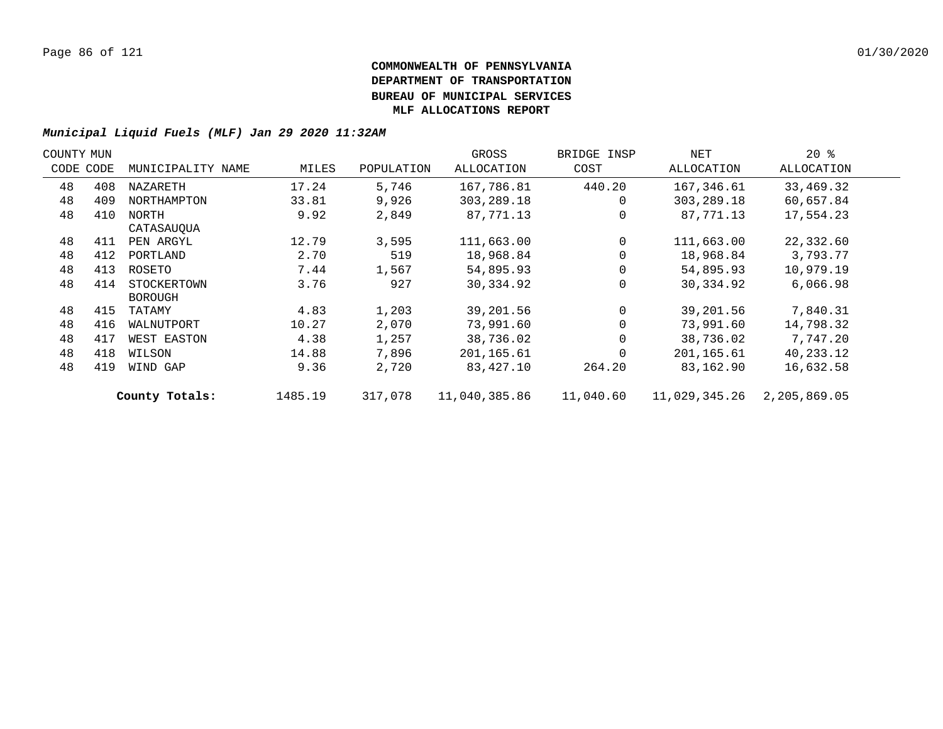| COUNTY MUN |           |                   |         |            | GROSS         | BRIDGE INSP | NET           | $20*$        |  |
|------------|-----------|-------------------|---------|------------|---------------|-------------|---------------|--------------|--|
|            | CODE CODE | MUNICIPALITY NAME | MILES   | POPULATION | ALLOCATION    | COST        | ALLOCATION    | ALLOCATION   |  |
| 48         | 408       | NAZARETH          | 17.24   | 5,746      | 167,786.81    | 440.20      | 167,346.61    | 33,469.32    |  |
| 48         | 409       | NORTHAMPTON       | 33.81   | 9,926      | 303, 289. 18  |             | 303,289.18    | 60,657.84    |  |
| 48         | 410       | NORTH             | 9.92    | 2,849      | 87,771.13     |             | 87,771.13     | 17,554.23    |  |
|            |           | CATASAUQUA        |         |            |               |             |               |              |  |
| 48         | 411       | PEN ARGYL         | 12.79   | 3,595      | 111,663.00    | $\Omega$    | 111,663.00    | 22,332.60    |  |
| 48         | 412       | PORTLAND          | 2.70    | 519        | 18,968.84     |             | 18,968.84     | 3,793.77     |  |
| 48         | 413       | ROSETO            | 7.44    | 1,567      | 54,895.93     |             | 54,895.93     | 10,979.19    |  |
| 48         | 414       | STOCKERTOWN       | 3.76    | 927        | 30,334.92     |             | 30,334.92     | 6,066.98     |  |
|            |           | <b>BOROUGH</b>    |         |            |               |             |               |              |  |
| 48         | 415       | TATAMY            | 4.83    | 1,203      | 39,201.56     |             | 39,201.56     | 7,840.31     |  |
| 48         | 416       | WALNUTPORT        | 10.27   | 2,070      | 73,991.60     |             | 73,991.60     | 14,798.32    |  |
| 48         | 417       | WEST EASTON       | 4.38    | 1,257      | 38,736.02     |             | 38,736.02     | 7,747.20     |  |
| 48         | 418       | WILSON            | 14.88   | 7,896      | 201,165.61    |             | 201,165.61    | 40,233.12    |  |
| 48         | 419       | WIND GAP          | 9.36    | 2,720      | 83,427.10     | 264.20      | 83,162.90     | 16,632.58    |  |
|            |           | County Totals:    | 1485.19 | 317,078    | 11,040,385.86 | 11,040.60   | 11,029,345.26 | 2,205,869.05 |  |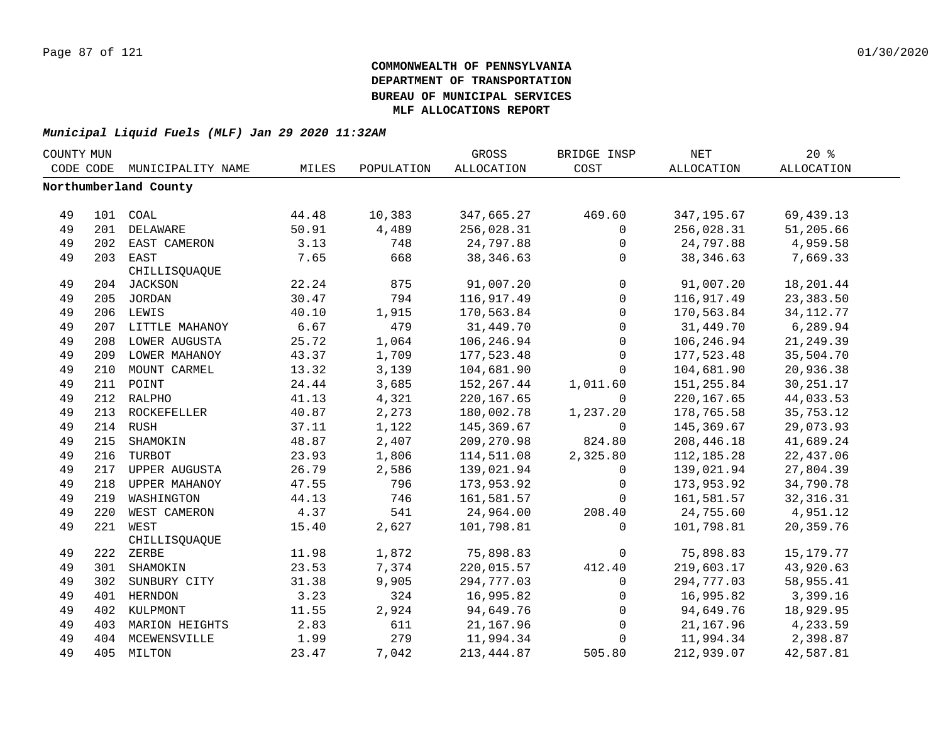| COUNTY MUN |     |                       |       |            | GROSS             | BRIDGE INSP  | <b>NET</b>  | $20*$             |  |
|------------|-----|-----------------------|-------|------------|-------------------|--------------|-------------|-------------------|--|
| CODE CODE  |     | MUNICIPALITY NAME     | MILES | POPULATION | <b>ALLOCATION</b> | COST         | ALLOCATION  | <b>ALLOCATION</b> |  |
|            |     | Northumberland County |       |            |                   |              |             |                   |  |
|            |     |                       |       |            |                   |              |             |                   |  |
| 49         |     | 101 COAL              | 44.48 | 10,383     | 347,665.27        | 469.60       | 347,195.67  | 69,439.13         |  |
| 49         |     | 201 DELAWARE          | 50.91 | 4,489      | 256,028.31        | $\mathbf 0$  | 256,028.31  | 51,205.66         |  |
| 49         |     | 202 EAST CAMERON      | 3.13  | 748        | 24,797.88         | 0            | 24,797.88   | 4,959.58          |  |
| 49         |     | 203 EAST              | 7.65  | 668        | 38, 346.63        | 0            | 38, 346.63  | 7,669.33          |  |
|            |     | CHILLISQUAQUE         |       |            |                   |              |             |                   |  |
| 49         |     | 204 JACKSON           | 22.24 | 875        | 91,007.20         | $\mathsf{O}$ | 91,007.20   | 18,201.44         |  |
| 49         |     | 205 JORDAN            | 30.47 | 794        | 116,917.49        | $\mathsf{O}$ | 116,917.49  | 23, 383.50        |  |
| 49         |     | 206 LEWIS             | 40.10 | 1,915      | 170,563.84        | $\mathsf{O}$ | 170,563.84  | 34, 112. 77       |  |
| 49         |     | 207 LITTLE MAHANOY    | 6.67  | 479        | 31,449.70         | $\mathbf 0$  | 31,449.70   | 6,289.94          |  |
| 49         | 208 | LOWER AUGUSTA         | 25.72 | 1,064      | 106,246.94        | 0            | 106,246.94  | 21, 249.39        |  |
| 49         | 209 | LOWER MAHANOY         | 43.37 | 1,709      | 177,523.48        | $\mathsf{O}$ | 177,523.48  | 35,504.70         |  |
| 49         |     | 210 MOUNT CARMEL      | 13.32 | 3,139      | 104,681.90        | $\Omega$     | 104,681.90  | 20,936.38         |  |
| 49         |     | 211 POINT             | 24.44 | 3,685      | 152, 267.44       | 1,011.60     | 151,255.84  | 30, 251. 17       |  |
| 49         |     | 212 RALPHO            | 41.13 | 4,321      | 220, 167.65       | $\mathbf 0$  | 220, 167.65 | 44,033.53         |  |
| 49         |     | 213 ROCKEFELLER       | 40.87 | 2,273      | 180,002.78        | 1,237.20     | 178,765.58  | 35,753.12         |  |
| 49         |     | 214 RUSH              | 37.11 | 1,122      | 145,369.67        | 0            | 145,369.67  | 29,073.93         |  |
| 49         |     | 215 SHAMOKIN          | 48.87 | 2,407      | 209,270.98        | 824.80       | 208, 446.18 | 41,689.24         |  |
| 49         |     | 216 TURBOT            | 23.93 | 1,806      | 114,511.08        | 2,325.80     | 112,185.28  | 22,437.06         |  |
| 49         |     | 217 UPPER AUGUSTA     | 26.79 | 2,586      | 139,021.94        | 0            | 139,021.94  | 27,804.39         |  |
| 49         |     | 218 UPPER MAHANOY     | 47.55 | 796        | 173,953.92        | 0            | 173,953.92  | 34,790.78         |  |
| 49         | 219 | WASHINGTON            | 44.13 | 746        | 161,581.57        | $\Omega$     | 161,581.57  | 32, 316.31        |  |
| 49         | 220 | WEST CAMERON          | 4.37  | 541        | 24,964.00         | 208.40       | 24,755.60   | 4,951.12          |  |
| 49         |     | 221 WEST              | 15.40 | 2,627      | 101,798.81        | $\Omega$     | 101,798.81  | 20,359.76         |  |
|            |     | CHILLISQUAQUE         |       |            |                   |              |             |                   |  |
| 49         |     | 222 ZERBE             | 11.98 | 1,872      | 75,898.83         | $\mathbf 0$  | 75,898.83   | 15, 179. 77       |  |
| 49         |     | 301 SHAMOKIN          | 23.53 | 7,374      | 220,015.57        | 412.40       | 219,603.17  | 43,920.63         |  |
| 49         |     | 302 SUNBURY CITY      | 31.38 | 9,905      | 294,777.03        | $\mathbf 0$  | 294,777.03  | 58,955.41         |  |
| 49         |     | 401 HERNDON           | 3.23  | 324        | 16,995.82         | $\mathbf 0$  | 16,995.82   | 3,399.16          |  |
| 49         |     | 402 KULPMONT          | 11.55 | 2,924      | 94,649.76         | $\mathsf{O}$ | 94,649.76   | 18,929.95         |  |
| 49         | 403 | MARION HEIGHTS        | 2.83  | 611        | 21,167.96         | $\mathsf{O}$ | 21,167.96   | 4,233.59          |  |
| 49         |     | 404 MCEWENSVILLE      | 1.99  | 279        | 11,994.34         | 0            | 11,994.34   | 2,398.87          |  |
| 49         |     | 405 MILTON            | 23.47 | 7,042      | 213, 444.87       | 505.80       | 212,939.07  | 42,587.81         |  |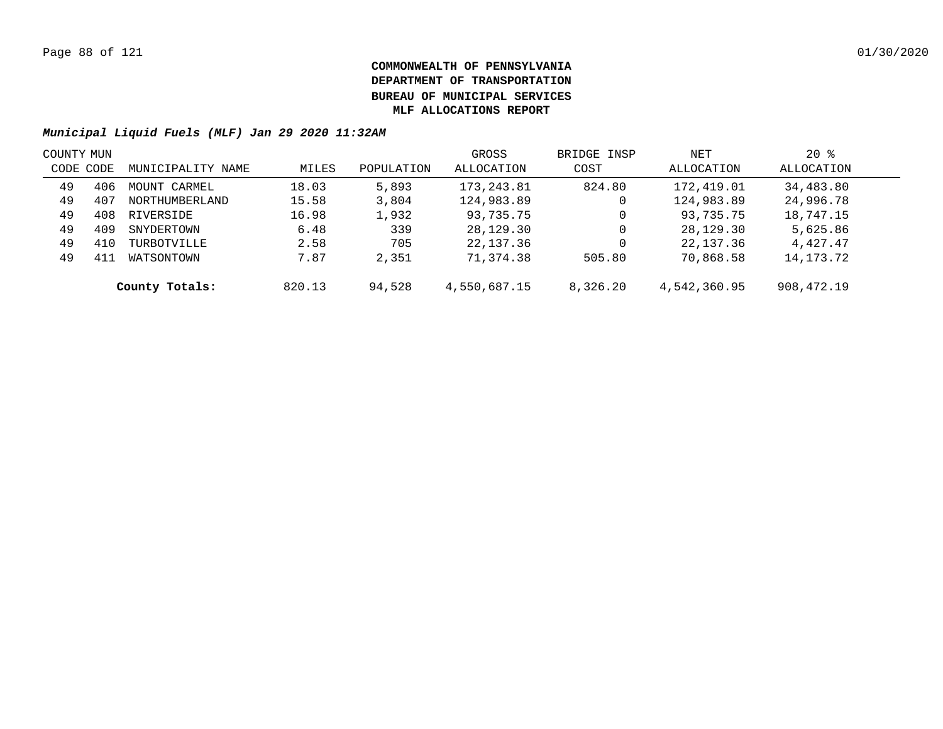|           | COUNTY MUN |                   |        |            | GROSS        | BRIDGE INSP | NET          | $20*$      |  |
|-----------|------------|-------------------|--------|------------|--------------|-------------|--------------|------------|--|
| CODE CODE |            | MUNICIPALITY NAME | MILES  | POPULATION | ALLOCATION   | COST        | ALLOCATION   | ALLOCATION |  |
| 49        | 406        | MOUNT CARMEL      | 18.03  | 5,893      | 173,243.81   | 824.80      | 172,419.01   | 34,483.80  |  |
| 49        | 407        | NORTHUMBERLAND    | 15.58  | 3,804      | 124,983.89   | 0           | 124,983.89   | 24,996.78  |  |
| 49        | 408        | RIVERSIDE         | 16.98  | 1,932      | 93,735.75    | 0           | 93,735.75    | 18,747.15  |  |
| 49        | 409        | SNYDERTOWN        | 6.48   | 339        | 28,129.30    | 0           | 28,129.30    | 5,625.86   |  |
| 49        | 410        | TURBOTVILLE       | 2.58   | 705        | 22,137.36    | 0           | 22,137.36    | 4,427.47   |  |
| 49        | 411        | WATSONTOWN        | 7.87   | 2,351      | 71,374.38    | 505.80      | 70,868.58    | 14,173.72  |  |
|           |            | County Totals:    | 820.13 | 94,528     | 4,550,687.15 | 8,326.20    | 4,542,360.95 | 908,472.19 |  |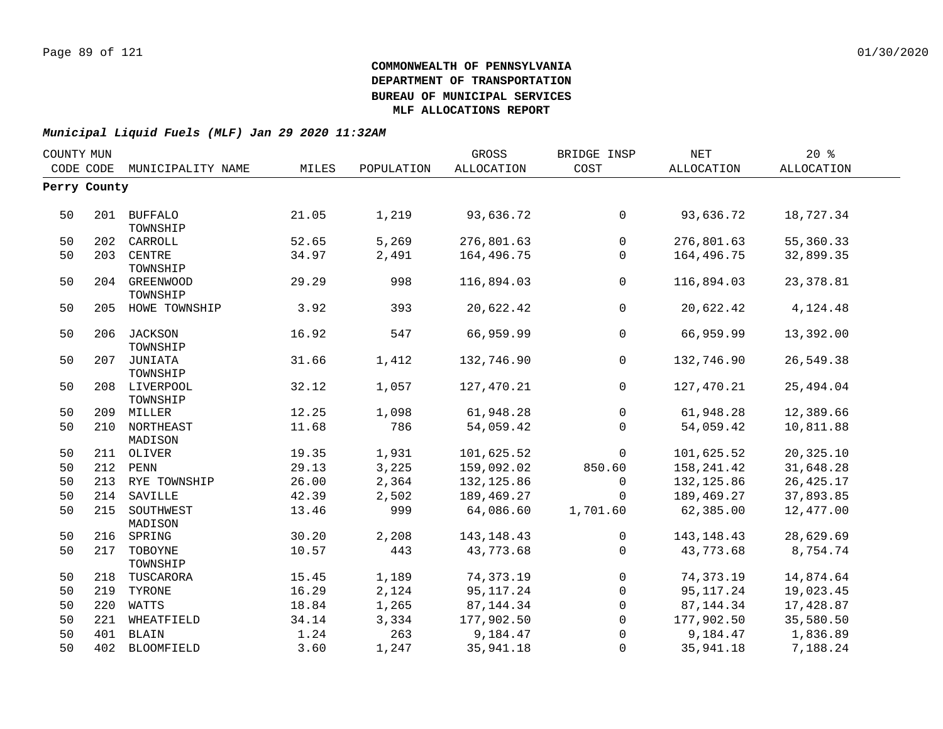| COUNTY MUN |              |                           |                |                | GROSS                      | BRIDGE INSP    | <b>NET</b>               | 20%               |
|------------|--------------|---------------------------|----------------|----------------|----------------------------|----------------|--------------------------|-------------------|
|            | CODE CODE    | MUNICIPALITY NAME         | MILES          | POPULATION     | ALLOCATION                 | COST           | ALLOCATION               | <b>ALLOCATION</b> |
|            | Perry County |                           |                |                |                            |                |                          |                   |
|            |              |                           |                |                |                            |                |                          |                   |
| 50         |              | 201 BUFFALO<br>TOWNSHIP   | 21.05          | 1,219          | 93,636.72                  | $\overline{0}$ | 93,636.72                | 18,727.34         |
| 50         | 202          | CARROLL                   | 52.65          | 5,269          | 276,801.63                 | $\mathsf{O}$   | 276,801.63               | 55,360.33         |
| 50         | 203          | CENTRE                    | 34.97          | 2,491          | 164,496.75                 | $\mathbf 0$    | 164,496.75               | 32,899.35         |
|            |              | TOWNSHIP                  |                |                |                            |                |                          |                   |
| 50         |              | 204 GREENWOOD<br>TOWNSHIP | 29.29          | 998            | 116,894.03                 | $\overline{0}$ | 116,894.03               | 23, 378.81        |
| 50         |              | 205 HOWE TOWNSHIP         | 3.92           | 393            | 20,622.42                  | $\overline{0}$ | 20,622.42                | 4,124.48          |
| 50         |              | 206 JACKSON<br>TOWNSHIP   | 16.92          | 547            | 66,959.99                  | $\mathbf{0}$   | 66,959.99                | 13,392.00         |
| 50         |              | 207 JUNIATA<br>TOWNSHIP   | 31.66          | 1,412          | 132,746.90                 | $\overline{0}$ | 132,746.90               | 26,549.38         |
| 50         |              | 208 LIVERPOOL<br>TOWNSHIP | 32.12          | 1,057          | 127,470.21                 | $\overline{0}$ | 127,470.21               | 25,494.04         |
| 50         |              | 209 MILLER                | 12.25          | 1,098          | 61,948.28                  | $\overline{0}$ | 61,948.28                | 12,389.66         |
| 50         |              | 210 NORTHEAST             | 11.68          | 786            | 54,059.42                  | $\Omega$       | 54,059.42                | 10,811.88         |
|            |              | MADISON                   |                |                |                            |                |                          |                   |
| 50         |              | 211 OLIVER                | 19.35          | 1,931          | 101,625.52                 | $\overline{0}$ | 101,625.52               | 20,325.10         |
| 50         |              | 212 PENN                  | 29.13          | 3,225          | 159,092.02                 | 850.60         | 158,241.42               | 31,648.28         |
| 50         |              | 213 RYE TOWNSHIP          | 26.00          | 2,364          | 132, 125.86                | $\mathbf 0$    | 132, 125.86              | 26, 425.17        |
| 50         |              | 214 SAVILLE               | 42.39          | 2,502          | 189,469.27                 | $\Omega$       | 189,469.27               | 37,893.85         |
| 50         |              | 215 SOUTHWEST<br>MADISON  | 13.46          | 999            | 64,086.60                  | 1,701.60       | 62,385.00                | 12,477.00         |
| 50         |              | 216 SPRING                | 30.20          | 2,208          | 143, 148. 43               | $\mathbf{0}$   | 143, 148. 43             | 28,629.69         |
| 50         | 217          | TOBOYNE                   | 10.57          | 443            | 43,773.68                  | $\Omega$       | 43,773.68                | 8,754.74          |
|            |              | TOWNSHIP                  |                |                |                            | $\mathsf{O}$   |                          |                   |
| 50         | 218          | TUSCARORA                 | 15.45<br>16.29 | 1,189<br>2,124 | 74, 373. 19<br>95, 117. 24 |                | 74,373.19<br>95, 117. 24 | 14,874.64         |
| 50         | 219          | TYRONE                    |                |                |                            | $\overline{0}$ |                          | 19,023.45         |
| 50         |              | 220 WATTS                 | 18.84          | 1,265          | 87, 144.34                 | $\overline{0}$ | 87, 144.34               | 17,428.87         |
| 50         | 221          | WHEATFIELD                | 34.14          | 3,334          | 177,902.50                 | $\overline{0}$ | 177,902.50               | 35,580.50         |
| 50         |              | 401 BLAIN                 | 1.24           | 263            | 9,184.47                   | $\mathbf 0$    | 9,184.47                 | 1,836.89          |
| 50         |              | 402 BLOOMFIELD            | 3.60           | 1,247          | 35,941.18                  | $\Omega$       | 35,941.18                | 7,188.24          |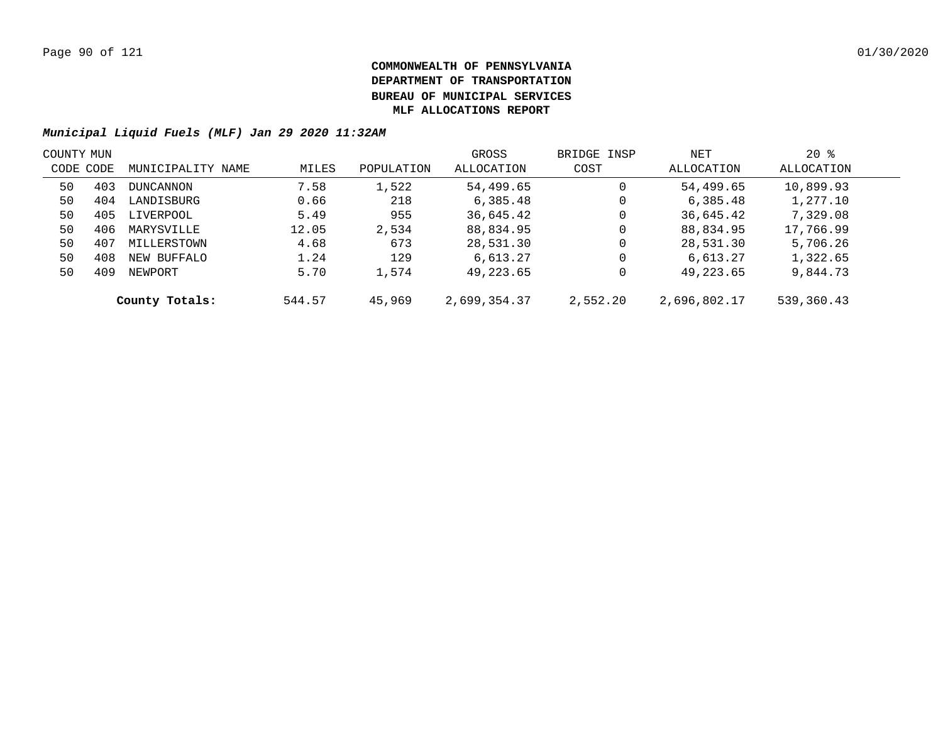|           | COUNTY MUN |                   |        |            | GROSS        | BRIDGE INSP | NET          | $20*$      |  |
|-----------|------------|-------------------|--------|------------|--------------|-------------|--------------|------------|--|
| CODE CODE |            | MUNICIPALITY NAME | MILES  | POPULATION | ALLOCATION   | COST        | ALLOCATION   | ALLOCATION |  |
| 50        | 403        | <b>DUNCANNON</b>  | 7.58   | 1,522      | 54,499.65    | 0           | 54,499.65    | 10,899.93  |  |
| 50        | 404        | LANDISBURG        | 0.66   | 218        | 6,385.48     | 0           | 6,385.48     | 1,277.10   |  |
| 50        | 405        | LIVERPOOL         | 5.49   | 955        | 36,645.42    | 0           | 36,645.42    | 7,329.08   |  |
| 50        | 406        | MARYSVILLE        | 12.05  | 2,534      | 88,834.95    | 0           | 88,834.95    | 17,766.99  |  |
| 50        | 407        | MILLERSTOWN       | 4.68   | 673        | 28,531.30    | 0           | 28,531.30    | 5,706.26   |  |
| 50        | 408        | NEW BUFFALO       | 1.24   | 129        | 6,613.27     | 0           | 6,613.27     | 1,322.65   |  |
| 50        | 409        | NEWPORT           | 5.70   | 1,574      | 49,223.65    | 0           | 49,223.65    | 9,844.73   |  |
|           |            | County Totals:    | 544.57 | 45,969     | 2,699,354.37 | 2,552.20    | 2,696,802.17 | 539,360.43 |  |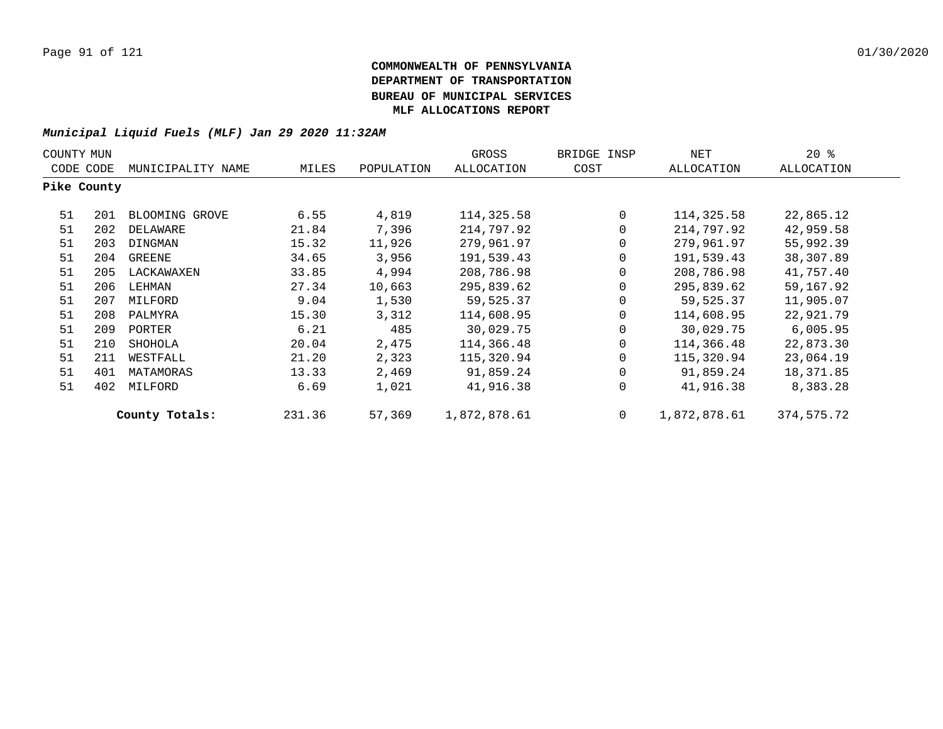| COUNTY MUN  |     |                   |        |            |              | GROSS       | BRIDGE INSP  | NET        | $20*$ |
|-------------|-----|-------------------|--------|------------|--------------|-------------|--------------|------------|-------|
| CODE CODE   |     | MUNICIPALITY NAME | MILES  | POPULATION | ALLOCATION   | COST        | ALLOCATION   | ALLOCATION |       |
| Pike County |     |                   |        |            |              |             |              |            |       |
| 51          | 201 | BLOOMING GROVE    | 6.55   | 4,819      | 114,325.58   | $\mathbf 0$ | 114,325.58   | 22,865.12  |       |
| 51          | 202 | DELAWARE          | 21.84  | 7,396      | 214,797.92   | 0           | 214,797.92   | 42,959.58  |       |
| 51          | 203 | DINGMAN           | 15.32  | 11,926     | 279,961.97   | 0           | 279,961.97   | 55,992.39  |       |
| 51          | 204 | GREENE            | 34.65  | 3,956      | 191,539.43   | 0           | 191,539.43   | 38,307.89  |       |
| 51          | 205 | LACKAWAXEN        | 33.85  | 4,994      | 208,786.98   | 0           | 208,786.98   | 41,757.40  |       |
| 51          | 206 | LEHMAN            | 27.34  | 10,663     | 295,839.62   | 0           | 295,839.62   | 59,167.92  |       |
| 51          | 207 | MILFORD           | 9.04   | 1,530      | 59,525.37    | 0           | 59,525.37    | 11,905.07  |       |
| 51          | 208 | PALMYRA           | 15.30  | 3,312      | 114,608.95   | $\Omega$    | 114,608.95   | 22,921.79  |       |
| 51          | 209 | PORTER            | 6.21   | 485        | 30,029.75    | 0           | 30,029.75    | 6,005.95   |       |
| 51          | 210 | SHOHOLA           | 20.04  | 2,475      | 114,366.48   | $\Omega$    | 114,366.48   | 22,873.30  |       |
| 51          | 211 | WESTFALL          | 21.20  | 2,323      | 115,320.94   | $\Omega$    | 115,320.94   | 23,064.19  |       |
| 51          | 401 | MATAMORAS         | 13.33  | 2,469      | 91,859.24    | 0           | 91,859.24    | 18,371.85  |       |
| 51          | 402 | MILFORD           | 6.69   | 1,021      | 41,916.38    | 0           | 41,916.38    | 8,383.28   |       |
|             |     | County Totals:    | 231.36 | 57,369     | 1,872,878.61 | $\mathbf 0$ | 1,872,878.61 | 374,575.72 |       |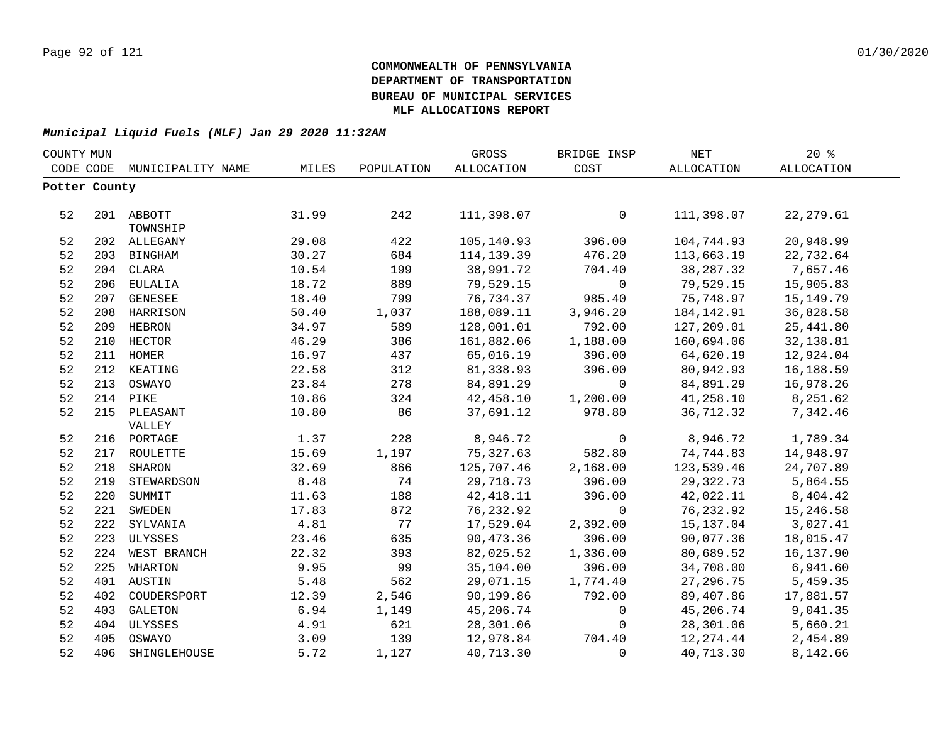|               | COUNTY MUN |                   |       |            | GROSS      | BRIDGE INSP  | <b>NET</b> | 20%         |
|---------------|------------|-------------------|-------|------------|------------|--------------|------------|-------------|
| CODE CODE     |            | MUNICIPALITY NAME | MILES | POPULATION | ALLOCATION | COST         | ALLOCATION | ALLOCATION  |
| Potter County |            |                   |       |            |            |              |            |             |
|               |            |                   |       |            |            |              |            |             |
| 52            |            | 201 ABBOTT        | 31.99 | 242        | 111,398.07 | 0            | 111,398.07 | 22, 279.61  |
|               |            | TOWNSHIP          |       |            |            |              |            |             |
| 52            |            | 202 ALLEGANY      | 29.08 | 422        | 105,140.93 | 396.00       | 104,744.93 | 20,948.99   |
| 52            |            | 203 BINGHAM       | 30.27 | 684        | 114,139.39 | 476.20       | 113,663.19 | 22,732.64   |
| 52            |            | 204 CLARA         | 10.54 | 199        | 38,991.72  | 704.40       | 38, 287.32 | 7,657.46    |
| 52            |            | 206 EULALIA       | 18.72 | 889        | 79,529.15  | $\mathsf{O}$ | 79,529.15  | 15,905.83   |
| 52            |            | 207 GENESEE       | 18.40 | 799        | 76,734.37  | 985.40       | 75,748.97  | 15, 149. 79 |
| 52            |            | 208 HARRISON      | 50.40 | 1,037      | 188,089.11 | 3,946.20     | 184,142.91 | 36,828.58   |
| 52            |            | 209 HEBRON        | 34.97 | 589        | 128,001.01 | 792.00       | 127,209.01 | 25, 441.80  |
| 52            |            | 210 HECTOR        | 46.29 | 386        | 161,882.06 | 1,188.00     | 160,694.06 | 32,138.81   |
| 52            |            | 211 HOMER         | 16.97 | 437        | 65,016.19  | 396.00       | 64,620.19  | 12,924.04   |
| 52            |            | 212 KEATING       | 22.58 | 312        | 81,338.93  | 396.00       | 80,942.93  | 16,188.59   |
| 52            | 213        | OSWAYO            | 23.84 | 278        | 84,891.29  | $\mathbf 0$  | 84,891.29  | 16,978.26   |
| 52            | 214        | PIKE              | 10.86 | 324        | 42,458.10  | 1,200.00     | 41,258.10  | 8,251.62    |
| 52            |            | 215 PLEASANT      | 10.80 | 86         | 37,691.12  | 978.80       | 36,712.32  | 7,342.46    |
|               |            | VALLEY            |       |            |            |              |            |             |
| 52            |            | 216 PORTAGE       | 1.37  | 228        | 8,946.72   | 0            | 8,946.72   | 1,789.34    |
| 52            |            | 217 ROULETTE      | 15.69 | 1,197      | 75,327.63  | 582.80       | 74,744.83  | 14,948.97   |
| 52            | 218        | SHARON            | 32.69 | 866        | 125,707.46 | 2,168.00     | 123,539.46 | 24,707.89   |
| 52            |            | 219 STEWARDSON    | 8.48  | 74         | 29,718.73  | 396.00       | 29,322.73  | 5,864.55    |
| 52            |            | 220 SUMMIT        | 11.63 | 188        | 42, 418.11 | 396.00       | 42,022.11  | 8,404.42    |
| 52            |            | 221 SWEDEN        | 17.83 | 872        | 76,232.92  | $\mathbf 0$  | 76,232.92  | 15,246.58   |
| 52            |            | 222 SYLVANIA      | 4.81  | 77         | 17,529.04  | 2,392.00     | 15, 137.04 | 3,027.41    |
| 52            |            | 223 ULYSSES       | 23.46 | 635        | 90,473.36  | 396.00       | 90,077.36  | 18,015.47   |
| 52            |            | 224 WEST BRANCH   | 22.32 | 393        | 82,025.52  | 1,336.00     | 80,689.52  | 16,137.90   |
| 52            |            | 225 WHARTON       | 9.95  | 99         | 35,104.00  | 396.00       | 34,708.00  | 6,941.60    |
| 52            |            | 401 AUSTIN        | 5.48  | 562        | 29,071.15  | 1,774.40     | 27, 296.75 | 5,459.35    |
| 52            |            | 402 COUDERSPORT   | 12.39 | 2,546      | 90,199.86  | 792.00       | 89,407.86  | 17,881.57   |
| 52            |            | 403 GALETON       | 6.94  | 1,149      | 45,206.74  | 0            | 45,206.74  | 9,041.35    |
| 52            |            | 404 ULYSSES       | 4.91  | 621        | 28,301.06  | 0            | 28,301.06  | 5,660.21    |
| 52            |            | 405 OSWAYO        | 3.09  | 139        | 12,978.84  | 704.40       | 12,274.44  | 2,454.89    |
| 52            |            | 406 SHINGLEHOUSE  | 5.72  | 1,127      | 40,713.30  | $\mathbf 0$  | 40,713.30  | 8,142.66    |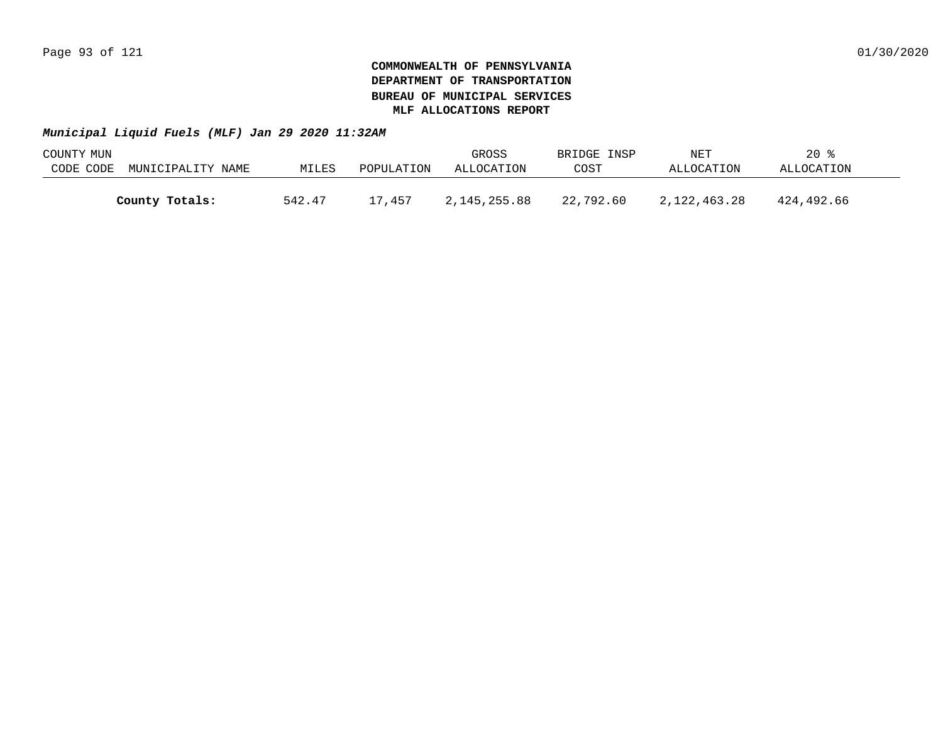| COUNTY MUN |                   |        |            | GROSS        | BRIDGE INSP | NET          | $20*$      |  |
|------------|-------------------|--------|------------|--------------|-------------|--------------|------------|--|
| CODE CODE  | MUNICIPALITY NAME | MILES  | POPULATION | ALLOCATION   | COST        | ALLOCATION   | ALLOCATION |  |
|            |                   |        |            |              |             |              |            |  |
|            | County Totals:    | 542.47 | 17,457     | 2,145,255.88 | 22,792.60   | 2,122,463.28 | 424,492.66 |  |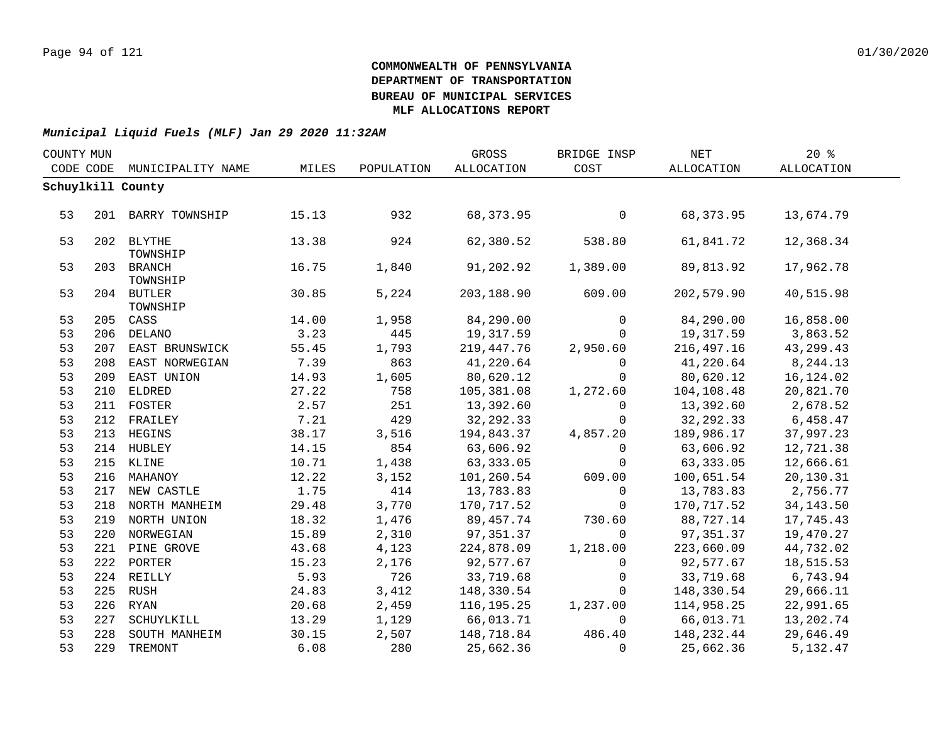| COUNTY MUN |     |                        |       |            | GROSS      | BRIDGE INSP | NET         | 20%        |  |
|------------|-----|------------------------|-------|------------|------------|-------------|-------------|------------|--|
| CODE CODE  |     | MUNICIPALITY NAME      | MILES | POPULATION | ALLOCATION | COST        | ALLOCATION  | ALLOCATION |  |
|            |     | Schuylkill County      |       |            |            |             |             |            |  |
|            |     |                        |       |            |            |             |             |            |  |
| 53         |     | 201 BARRY TOWNSHIP     | 15.13 | 932        | 68, 373.95 | $\mathbf 0$ | 68, 373.95  | 13,674.79  |  |
|            |     |                        |       |            |            |             |             |            |  |
| 53         |     | 202 BLYTHE             | 13.38 | 924        | 62,380.52  | 538.80      | 61,841.72   | 12,368.34  |  |
|            |     | TOWNSHIP               |       |            |            |             |             |            |  |
| 53         |     | 203 BRANCH<br>TOWNSHIP | 16.75 | 1,840      | 91,202.92  | 1,389.00    | 89,813.92   | 17,962.78  |  |
| 53         |     | 204 BUTLER             | 30.85 | 5,224      | 203,188.90 | 609.00      | 202,579.90  | 40,515.98  |  |
|            |     | TOWNSHIP               |       |            |            |             |             |            |  |
| 53         |     | 205 CASS               | 14.00 | 1,958      | 84,290.00  | $\Omega$    | 84,290.00   | 16,858.00  |  |
| 53         |     | 206 DELANO             | 3.23  | 445        | 19,317.59  | $\Omega$    | 19,317.59   | 3,863.52   |  |
| 53         |     | 207 EAST BRUNSWICK     | 55.45 | 1,793      | 219,447.76 | 2,950.60    | 216,497.16  | 43,299.43  |  |
| 53         | 208 | EAST NORWEGIAN         | 7.39  | 863        | 41,220.64  | $\Omega$    | 41,220.64   | 8,244.13   |  |
| 53         | 209 | EAST UNION             | 14.93 | 1,605      | 80,620.12  | $\mathbf 0$ | 80,620.12   | 16,124.02  |  |
| 53         |     | 210 ELDRED             | 27.22 | 758        | 105,381.08 | 1,272.60    | 104,108.48  | 20,821.70  |  |
| 53         |     | 211 FOSTER             | 2.57  | 251        | 13,392.60  | $\mathbf 0$ | 13,392.60   | 2,678.52   |  |
| 53         |     | 212 FRAILEY            | 7.21  | 429        | 32, 292.33 | $\mathbf 0$ | 32, 292. 33 | 6,458.47   |  |
| 53         |     | 213 HEGINS             | 38.17 | 3,516      | 194,843.37 | 4,857.20    | 189,986.17  | 37,997.23  |  |
| 53         |     | 214 HUBLEY             | 14.15 | 854        | 63,606.92  | $\Omega$    | 63,606.92   | 12,721.38  |  |
| 53         |     | 215 KLINE              | 10.71 | 1,438      | 63,333.05  | $\mathbf 0$ | 63, 333.05  | 12,666.61  |  |
| 53         |     | 216 MAHANOY            | 12.22 | 3,152      | 101,260.54 | 609.00      | 100,651.54  | 20,130.31  |  |
| 53         |     | 217 NEW CASTLE         | 1.75  | 414        | 13,783.83  | $\mathbf 0$ | 13,783.83   | 2,756.77   |  |
| 53         |     | 218 NORTH MANHEIM      | 29.48 | 3,770      | 170,717.52 | $\Omega$    | 170,717.52  | 34, 143.50 |  |
| 53         |     | 219 NORTH UNION        | 18.32 | 1,476      | 89,457.74  | 730.60      | 88,727.14   | 17,745.43  |  |
| 53         |     | 220 NORWEGIAN          | 15.89 | 2,310      | 97,351.37  | $\Omega$    | 97,351.37   | 19,470.27  |  |
| 53         |     | 221 PINE GROVE         | 43.68 | 4,123      | 224,878.09 | 1,218.00    | 223,660.09  | 44,732.02  |  |
| 53         |     | 222 PORTER             | 15.23 | 2,176      | 92,577.67  | $\mathbf 0$ | 92,577.67   | 18,515.53  |  |
| 53         |     | 224 REILLY             | 5.93  | 726        | 33,719.68  | 0           | 33,719.68   | 6,743.94   |  |
| 53         |     | 225 RUSH               | 24.83 | 3,412      | 148,330.54 | $\Omega$    | 148,330.54  | 29,666.11  |  |
| 53         |     | 226 RYAN               | 20.68 | 2,459      | 116,195.25 | 1,237.00    | 114,958.25  | 22,991.65  |  |
| 53         | 227 | SCHUYLKILL             | 13.29 | 1,129      | 66,013.71  | $\Omega$    | 66,013.71   | 13,202.74  |  |
| 53         | 228 | SOUTH MANHEIM          | 30.15 | 2,507      | 148,718.84 | 486.40      | 148,232.44  | 29,646.49  |  |
| 53         |     | 229 TREMONT            | 6.08  | 280        | 25,662.36  | $\Omega$    | 25,662.36   | 5,132.47   |  |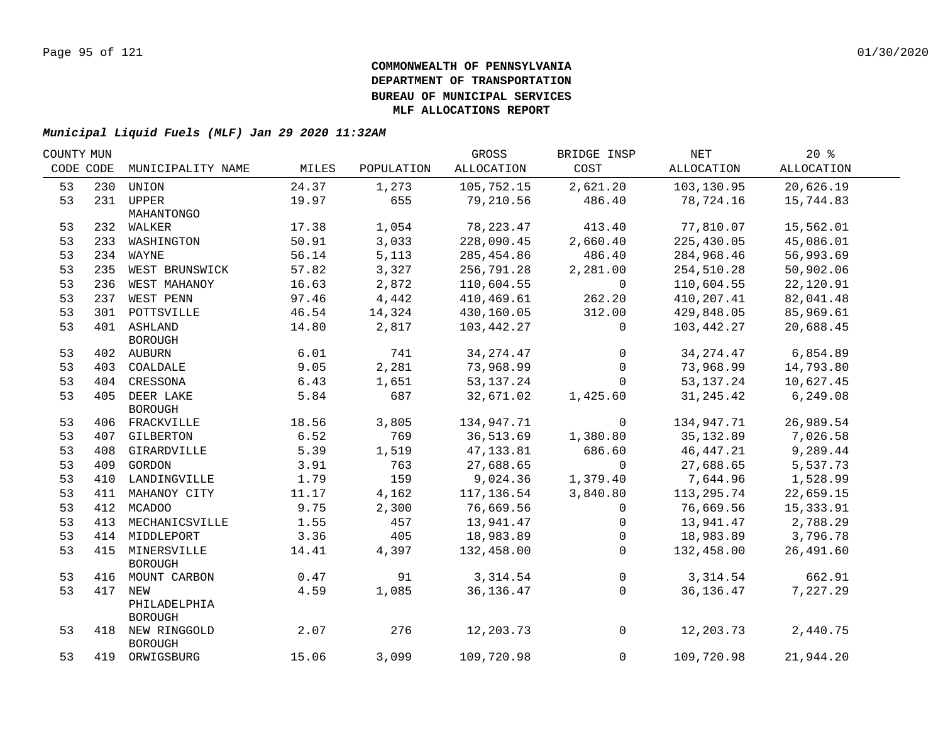| COUNTY MUN |     |                                    |       |            | GROSS       | BRIDGE INSP        | NET         | 20%        |  |
|------------|-----|------------------------------------|-------|------------|-------------|--------------------|-------------|------------|--|
| CODE CODE  |     | MUNICIPALITY NAME                  | MILES | POPULATION | ALLOCATION  | COST               | ALLOCATION  | ALLOCATION |  |
| 53         | 230 | UNION                              | 24.37 | 1,273      | 105,752.15  | 2,621.20           | 103,130.95  | 20,626.19  |  |
| 53         |     | 231 UPPER                          | 19.97 | 655        | 79,210.56   | 486.40             | 78,724.16   | 15,744.83  |  |
|            |     | MAHANTONGO                         |       |            |             |                    |             |            |  |
| 53         |     | 232 WALKER                         | 17.38 | 1,054      | 78, 223.47  | 413.40             | 77,810.07   | 15,562.01  |  |
| 53         |     | 233 WASHINGTON                     | 50.91 | 3,033      | 228,090.45  | 2,660.40           | 225,430.05  | 45,086.01  |  |
| 53         |     | 234 WAYNE                          | 56.14 | 5,113      | 285,454.86  | 486.40             | 284,968.46  | 56,993.69  |  |
| 53         |     | 235 WEST BRUNSWICK                 | 57.82 | 3,327      | 256,791.28  | 2,281.00           | 254,510.28  | 50,902.06  |  |
| 53         |     | 236 WEST MAHANOY                   | 16.63 | 2,872      | 110,604.55  | $\Omega$           | 110,604.55  | 22,120.91  |  |
| 53         |     | 237 WEST PENN                      | 97.46 | 4,442      | 410,469.61  | 262.20             | 410,207.41  | 82,041.48  |  |
| 53         |     | 301 POTTSVILLE                     | 46.54 | 14,324     | 430,160.05  | 312.00             | 429,848.05  | 85,969.61  |  |
| 53         |     | 401 ASHLAND                        | 14.80 | 2,817      | 103,442.27  | $\mathbf{0}$       | 103,442.27  | 20,688.45  |  |
|            |     | BOROUGH                            |       |            |             |                    |             |            |  |
| 53         |     | 402 AUBURN                         | 6.01  | 741        | 34, 274. 47 | $\mathbf{0}$       | 34,274.47   | 6,854.89   |  |
| 53         |     | 403 COALDALE                       | 9.05  | 2,281      | 73,968.99   | $\overline{0}$     | 73,968.99   | 14,793.80  |  |
| 53         |     | 404 CRESSONA                       | 6.43  | 1,651      | 53, 137. 24 | $\mathbf 0$        | 53,137.24   | 10,627.45  |  |
| 53         |     | 405 DEER LAKE                      | 5.84  | 687        | 32,671.02   | 1,425.60           | 31, 245. 42 | 6,249.08   |  |
|            |     | <b>BOROUGH</b>                     |       |            |             |                    |             |            |  |
| 53         |     | 406 FRACKVILLE                     | 18.56 | 3,805      | 134,947.71  | $\overline{0}$     | 134,947.71  | 26,989.54  |  |
| 53         |     | 407 GILBERTON                      | 6.52  | 769        |             | 36,513.69 1,380.80 | 35,132.89   | 7,026.58   |  |
| 53         |     | 408 GIRARDVILLE                    | 5.39  | 1,519      | 47,133.81   | 686.60             | 46,447.21   | 9,289.44   |  |
| 53         |     | 409 GORDON                         | 3.91  | 763        | 27,688.65   | $\overline{0}$     | 27,688.65   | 5,537.73   |  |
| 53         |     | 410 LANDINGVILLE                   | 1.79  | 159        | 9,024.36    | 1,379.40           | 7,644.96    | 1,528.99   |  |
| 53         |     | 411 MAHANOY CITY                   | 11.17 | 4,162      | 117,136.54  | 3,840.80           | 113,295.74  | 22,659.15  |  |
| 53         |     | 412 MCADOO                         | 9.75  | 2,300      | 76,669.56   | $\mathbf{0}$       | 76,669.56   | 15, 333.91 |  |
| 53         | 413 | MECHANICSVILLE                     | 1.55  | 457        | 13,941.47   | $\mathsf{O}$       | 13,941.47   | 2,788.29   |  |
| 53         |     | 414 MIDDLEPORT                     | 3.36  | 405        | 18,983.89   | $\overline{0}$     | 18,983.89   | 3,796.78   |  |
| 53         | 415 | MINERSVILLE                        | 14.41 | 4,397      | 132,458.00  | $\Omega$           | 132,458.00  | 26,491.60  |  |
|            |     | <b>BOROUGH</b>                     |       |            |             |                    |             |            |  |
| 53         |     | 416 MOUNT CARBON                   | 0.47  | 91         | 3,314.54    | $\overline{0}$     | 3,314.54    | 662.91     |  |
| 53         | 417 | NEW                                | 4.59  | 1,085      | 36, 136. 47 | $\overline{0}$     | 36,136.47   | 7,227.29   |  |
|            |     | PHILADELPHIA                       |       |            |             |                    |             |            |  |
|            |     | <b>BOROUGH</b>                     |       |            |             |                    |             |            |  |
| 53         |     | 418 NEW RINGGOLD<br><b>BOROUGH</b> | 2.07  | 276        | 12,203.73   | $\overline{0}$     | 12,203.73   | 2,440.75   |  |
| 53         |     | 419 ORWIGSBURG                     | 15.06 | 3,099      | 109,720.98  | $\mathbf{0}$       | 109,720.98  | 21,944.20  |  |
|            |     |                                    |       |            |             |                    |             |            |  |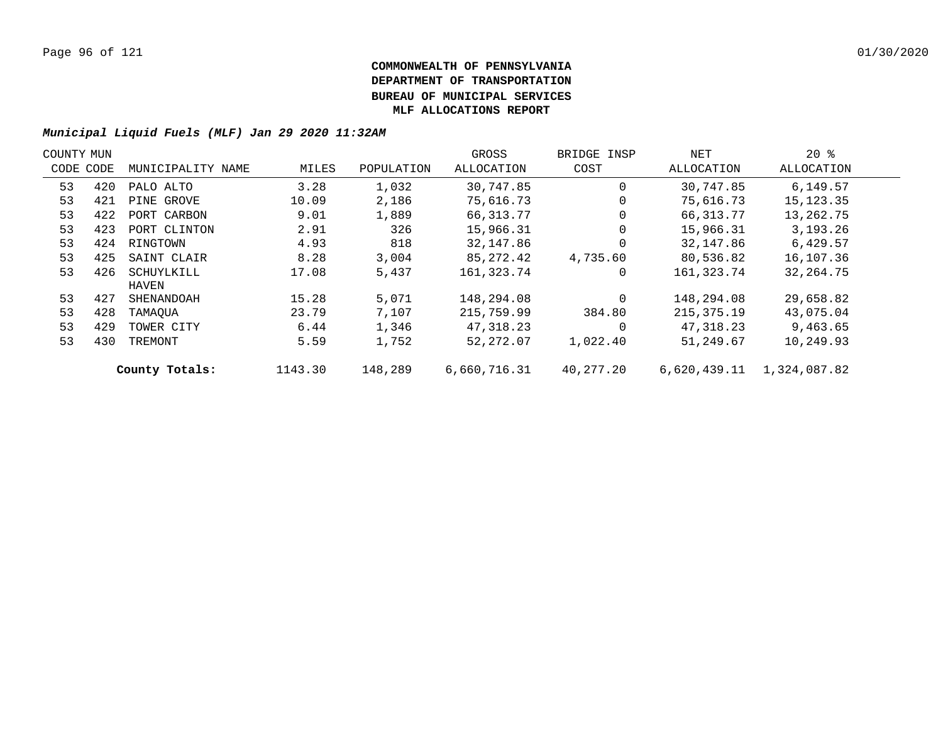| COUNTY MUN |     |                   |         |            | GROSS        | BRIDGE INSP | NET          | $20*$        |  |
|------------|-----|-------------------|---------|------------|--------------|-------------|--------------|--------------|--|
| CODE CODE  |     | MUNICIPALITY NAME | MILES   | POPULATION | ALLOCATION   | COST        | ALLOCATION   | ALLOCATION   |  |
| 53         | 420 | PALO ALTO         | 3.28    | 1,032      | 30,747.85    | $\Omega$    | 30,747.85    | 6,149.57     |  |
| 53         | 421 | PINE GROVE        | 10.09   | 2,186      | 75,616.73    |             | 75,616.73    | 15,123.35    |  |
| 53         | 422 | PORT CARBON       | 9.01    | 1,889      | 66,313.77    | 0           | 66,313.77    | 13,262.75    |  |
| 53         | 423 | PORT CLINTON      | 2.91    | 326        | 15,966.31    | $\Omega$    | 15,966.31    | 3,193.26     |  |
| 53         | 424 | RINGTOWN          | 4.93    | 818        | 32,147.86    |             | 32,147.86    | 6,429.57     |  |
| 53         | 425 | SAINT CLAIR       | 8.28    | 3,004      | 85,272.42    | 4,735.60    | 80,536.82    | 16,107.36    |  |
| 53         | 426 | SCHUYLKILL        | 17.08   | 5,437      | 161,323.74   | 0           | 161,323.74   | 32, 264. 75  |  |
|            |     | HAVEN             |         |            |              |             |              |              |  |
| 53         | 427 | SHENANDOAH        | 15.28   | 5,071      | 148,294.08   | $\Omega$    | 148,294.08   | 29,658.82    |  |
| 53         | 428 | TAMAOUA           | 23.79   | 7,107      | 215,759.99   | 384.80      | 215, 375. 19 | 43,075.04    |  |
| 53         | 429 | TOWER CITY        | 6.44    | 1,346      | 47,318.23    | $\Omega$    | 47,318.23    | 9,463.65     |  |
| 53         | 430 | TREMONT           | 5.59    | 1,752      | 52,272.07    | 1,022.40    | 51,249.67    | 10,249.93    |  |
|            |     | County Totals:    | 1143.30 | 148,289    | 6,660,716.31 | 40,277.20   | 6,620,439.11 | 1,324,087.82 |  |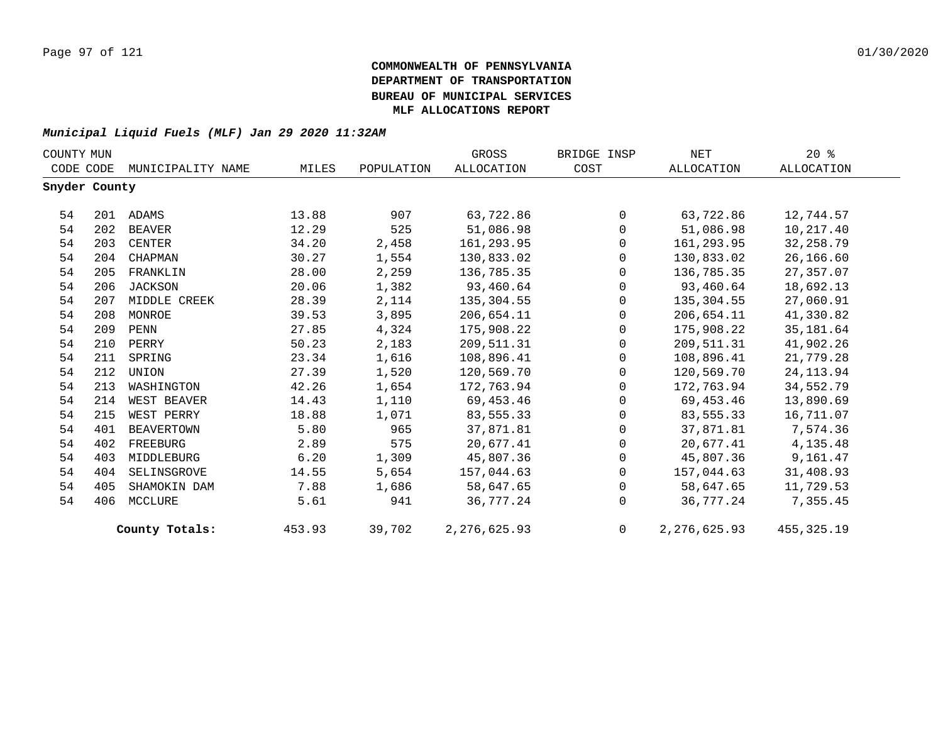|               | COUNTY MUN |                   |        |            |                | BRIDGE INSP  | NET            | $20*$        |
|---------------|------------|-------------------|--------|------------|----------------|--------------|----------------|--------------|
| CODE CODE     |            | MUNICIPALITY NAME | MILES  | POPULATION | ALLOCATION     | COST         | ALLOCATION     | ALLOCATION   |
| Snyder County |            |                   |        |            |                |              |                |              |
| 54            |            | 201 ADAMS         | 13.88  | 907        | 63,722.86      | $\Omega$     | 63,722.86      | 12,744.57    |
| 54            | 202        | BEAVER            | 12.29  | 525        | 51,086.98      | $\mathbf 0$  | 51,086.98      | 10,217.40    |
| 54            | 203        | CENTER            | 34.20  | 2,458      | 161,293.95     | $\mathbf{0}$ | 161,293.95     | 32, 258.79   |
| 54            | 204        | CHAPMAN           | 30.27  | 1,554      | 130,833.02     | $\Omega$     | 130,833.02     | 26,166.60    |
| 54            | 205        | FRANKLIN          | 28.00  | 2,259      | 136,785.35     | $\Omega$     | 136,785.35     | 27,357.07    |
| 54            | 206        | JACKSON           | 20.06  | 1,382      | 93,460.64      | $\mathbf{0}$ | 93,460.64      | 18,692.13    |
| 54            | 207        | MIDDLE CREEK      | 28.39  | 2,114      | 135,304.55     | $\mathbf{0}$ | 135,304.55     | 27,060.91    |
| 54            | 208        | MONROE            | 39.53  | 3,895      | 206,654.11     | $\Omega$     | 206,654.11     | 41,330.82    |
| 54            | 209        | PENN              | 27.85  | 4,324      | 175,908.22     | $\Omega$     | 175,908.22     | 35,181.64    |
| 54            | 210        | PERRY             | 50.23  | 2,183      | 209,511.31     | $\mathbf 0$  | 209,511.31     | 41,902.26    |
| 54            | 211        | SPRING            | 23.34  | 1,616      | 108,896.41     | $\mathbf{0}$ | 108,896.41     | 21,779.28    |
| 54            | 212        | UNION             | 27.39  | 1,520      | 120,569.70     | $\Omega$     | 120,569.70     | 24, 113.94   |
| 54            | 213        | WASHINGTON        | 42.26  | 1,654      | 172,763.94     | $\Omega$     | 172,763.94     | 34,552.79    |
| 54            | 214        | WEST BEAVER       | 14.43  | 1,110      | 69,453.46      | $\mathbf{0}$ | 69,453.46      | 13,890.69    |
| 54            | 215        | WEST PERRY        | 18.88  | 1,071      | 83,555.33      | $\mathbf{0}$ | 83,555.33      | 16,711.07    |
| 54            | 401        | BEAVERTOWN        | 5.80   | 965        | 37,871.81      | $\Omega$     | 37,871.81      | 7,574.36     |
| 54            | 402        | FREEBURG          | 2.89   | 575        | 20,677.41      | $\Omega$     | 20,677.41      | 4,135.48     |
| 54            | 403        | MIDDLEBURG        | 6.20   | 1,309      | 45,807.36      | $\mathbf{0}$ | 45,807.36      | 9,161.47     |
| 54            | 404        | SELINSGROVE       | 14.55  | 5,654      | 157,044.63     | $\Omega$     | 157,044.63     | 31,408.93    |
| 54            | 405        | SHAMOKIN DAM      | 7.88   | 1,686      | 58,647.65      | $\Omega$     | 58,647.65      | 11,729.53    |
| 54            | 406        | MCCLURE           | 5.61   | 941        | 36,777.24      | $\Omega$     | 36,777.24      | 7,355.45     |
|               |            | County Totals:    | 453.93 | 39,702     | 2, 276, 625.93 | $\Omega$     | 2, 276, 625.93 | 455, 325. 19 |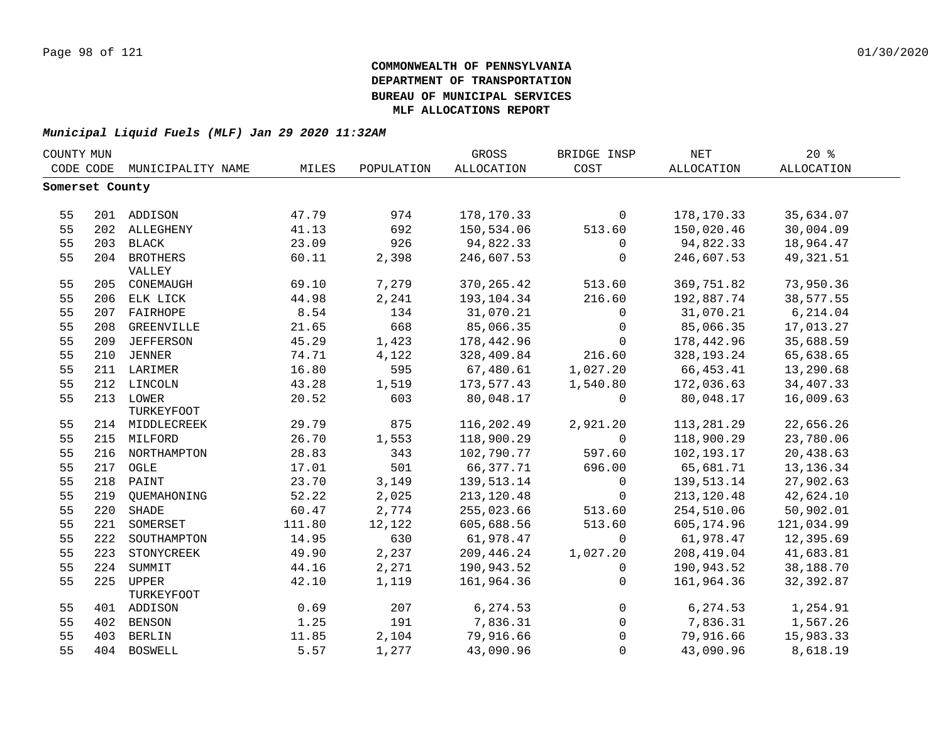| COUNTY MUN      |     |                   |        |            | GROSS       | BRIDGE INSP | <b>NET</b>   | 20%         |  |
|-----------------|-----|-------------------|--------|------------|-------------|-------------|--------------|-------------|--|
| CODE CODE       |     | MUNICIPALITY NAME | MILES  | POPULATION | ALLOCATION  | COST        | ALLOCATION   | ALLOCATION  |  |
| Somerset County |     |                   |        |            |             |             |              |             |  |
|                 |     |                   |        |            |             |             |              |             |  |
| 55              |     | 201 ADDISON       | 47.79  | 974        | 178,170.33  | $\mathbf 0$ | 178,170.33   | 35,634.07   |  |
| 55              |     | 202 ALLEGHENY     | 41.13  | 692        | 150,534.06  | 513.60      | 150,020.46   | 30,004.09   |  |
| 55              |     | 203 BLACK         | 23.09  | 926        | 94,822.33   | $\mathbf 0$ | 94,822.33    | 18,964.47   |  |
| 55              |     | 204 BROTHERS      | 60.11  | 2,398      | 246,607.53  | $\mathbf 0$ | 246,607.53   | 49, 321.51  |  |
|                 |     | VALLEY            |        |            |             |             |              |             |  |
| 55              |     | 205 CONEMAUGH     | 69.10  | 7,279      | 370, 265.42 | 513.60      | 369,751.82   | 73,950.36   |  |
| 55              |     | 206 ELK LICK      | 44.98  | 2,241      | 193,104.34  | 216.60      | 192,887.74   | 38,577.55   |  |
| 55              | 207 | FAIRHOPE          | 8.54   | 134        | 31,070.21   | 0           | 31,070.21    | 6,214.04    |  |
| 55              | 208 | GREENVILLE        | 21.65  | 668        | 85,066.35   | $\mathbf 0$ | 85,066.35    | 17,013.27   |  |
| 55              | 209 | <b>JEFFERSON</b>  | 45.29  | 1,423      | 178,442.96  | $\mathbf 0$ | 178,442.96   | 35,688.59   |  |
| 55              | 210 | JENNER            | 74.71  | 4,122      | 328,409.84  | 216.60      | 328, 193. 24 | 65,638.65   |  |
| 55              |     | 211 LARIMER       | 16.80  | 595        | 67,480.61   | 1,027.20    | 66,453.41    | 13,290.68   |  |
| 55              |     | 212 LINCOLN       | 43.28  | 1,519      | 173,577.43  | 1,540.80    | 172,036.63   | 34,407.33   |  |
| 55              |     | 213 LOWER         | 20.52  | 603        | 80,048.17   | $\mathbf 0$ | 80,048.17    | 16,009.63   |  |
|                 |     | TURKEYFOOT        |        |            |             |             |              |             |  |
| 55              |     | 214 MIDDLECREEK   | 29.79  | 875        | 116,202.49  | 2,921.20    | 113,281.29   | 22,656.26   |  |
| 55              |     | 215 MILFORD       | 26.70  | 1,553      | 118,900.29  | $\Omega$    | 118,900.29   | 23,780.06   |  |
| 55              |     | 216 NORTHAMPTON   | 28.83  | 343        | 102,790.77  | 597.60      | 102,193.17   | 20,438.63   |  |
| 55              | 217 | OGLE              | 17.01  | 501        | 66, 377. 71 | 696.00      | 65,681.71    | 13, 136. 34 |  |
| 55              |     | 218 PAINT         | 23.70  | 3,149      | 139,513.14  | $\mathbf 0$ | 139,513.14   | 27,902.63   |  |
| 55              |     | 219 QUEMAHONING   | 52.22  | 2,025      | 213, 120.48 | $\mathbf 0$ | 213, 120.48  | 42,624.10   |  |
| 55              | 220 | SHADE             | 60.47  | 2,774      | 255,023.66  | 513.60      | 254,510.06   | 50,902.01   |  |
| 55              | 221 | SOMERSET          | 111.80 | 12,122     | 605,688.56  | 513.60      | 605,174.96   | 121,034.99  |  |
| 55              | 222 | SOUTHAMPTON       | 14.95  | 630        | 61,978.47   | $\Omega$    | 61,978.47    | 12,395.69   |  |
| 55              | 223 | STONYCREEK        | 49.90  | 2,237      | 209,446.24  | 1,027.20    | 208,419.04   | 41,683.81   |  |
| 55              | 224 | SUMMIT            | 44.16  | 2,271      | 190,943.52  | 0           | 190,943.52   | 38,188.70   |  |
| 55              |     | 225 UPPER         | 42.10  | 1,119      | 161,964.36  | $\mathbf 0$ | 161,964.36   | 32,392.87   |  |
|                 |     | TURKEYFOOT        |        |            |             |             |              |             |  |
| 55              |     | 401 ADDISON       | 0.69   | 207        | 6,274.53    | $\mathbf 0$ | 6,274.53     | 1,254.91    |  |
| 55              |     | 402 BENSON        | 1.25   | 191        | 7,836.31    | $\mathbf 0$ | 7,836.31     | 1,567.26    |  |
| 55              | 403 | BERLIN            | 11.85  | 2,104      | 79,916.66   | $\Omega$    | 79,916.66    | 15,983.33   |  |
| 55              |     | 404 BOSWELL       | 5.57   | 1,277      | 43,090.96   | $\Omega$    | 43,090.96    | 8,618.19    |  |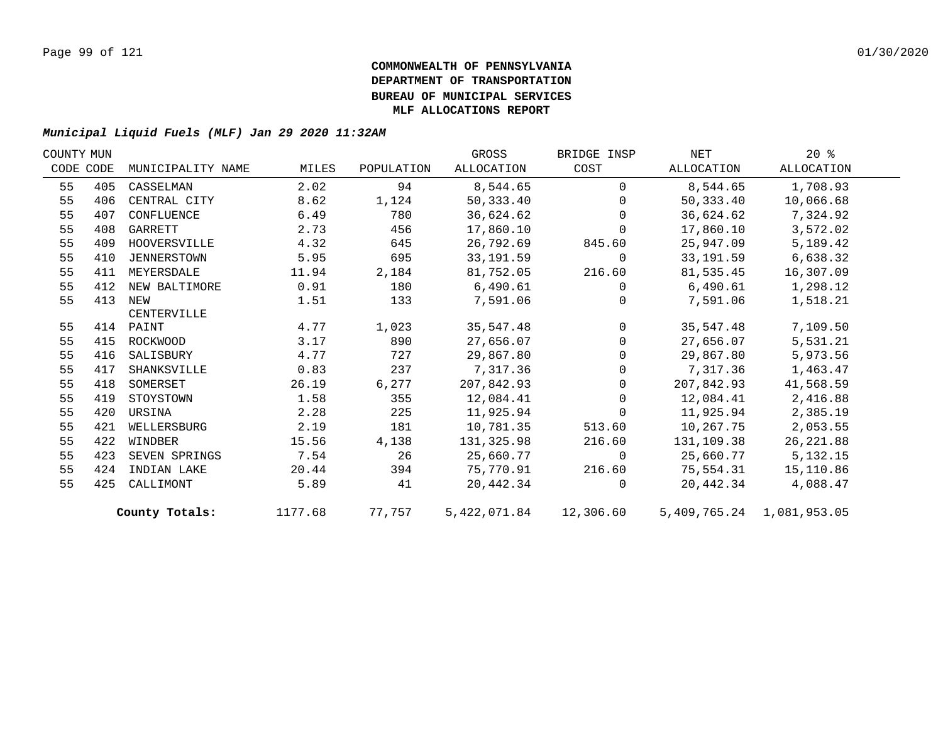| COUNTY MUN |           |                   |         |            | GROSS      | BRIDGE INSP                   | NET                       | $20*$      |  |
|------------|-----------|-------------------|---------|------------|------------|-------------------------------|---------------------------|------------|--|
|            | CODE CODE | MUNICIPALITY NAME | MILES   | POPULATION | ALLOCATION | COST                          | ALLOCATION                | ALLOCATION |  |
| 55         | 405       | CASSELMAN         | 2.02    | 94         | 8,544.65   | $\Omega$                      | 8,544.65                  | 1,708.93   |  |
| 55         | 406       | CENTRAL CITY      | 8.62    | 1,124      | 50,333.40  | $\Omega$                      | 50,333.40                 | 10,066.68  |  |
| 55         | 407       | CONFLUENCE        | 6.49    | 780        | 36,624.62  | $\Omega$                      | 36,624.62                 | 7,324.92   |  |
| 55         | 408       | GARRETT           | 2.73    | 456        | 17,860.10  | $\Omega$                      | 17,860.10                 | 3,572.02   |  |
| 55         | 409       | HOOVERSVILLE      | 4.32    | 645        | 26,792.69  | 845.60                        | 25,947.09                 | 5,189.42   |  |
| 55         | 410       | JENNERSTOWN       | 5.95    | 695        | 33,191.59  | $\overline{0}$                | 33,191.59                 | 6,638.32   |  |
| 55         | 411       | MEYERSDALE        | 11.94   | 2,184      | 81,752.05  | 216.60                        | 81,535.45                 | 16,307.09  |  |
| 55         | 412       | NEW BALTIMORE     | 0.91    | 180        | 6,490.61   | $\mathbf 0$                   | 6,490.61                  | 1,298.12   |  |
| 55         | 413       | NEW               | 1.51    | 133        | 7,591.06   | $\Omega$                      | 7,591.06                  | 1,518.21   |  |
|            |           | CENTERVILLE       |         |            |            |                               |                           |            |  |
| 55         |           | 414 PAINT         | 4.77    | 1,023      | 35,547.48  | $\overline{0}$                | 35,547.48                 | 7,109.50   |  |
| 55         | 415       | ROCKWOOD          | 3.17    | 890        | 27,656.07  | $\mathsf{O}$                  | 27,656.07                 | 5,531.21   |  |
| 55         | 416       | SALISBURY         | 4.77    | 727        | 29,867.80  | $\Omega$                      | 29,867.80                 | 5,973.56   |  |
| 55         | 417       | SHANKSVILLE       | 0.83    | 237        | 7,317.36   | $\Omega$                      | 7,317.36                  | 1,463.47   |  |
| 55         | 418       | SOMERSET          | 26.19   | 6,277      | 207,842.93 | $\Omega$                      | 207,842.93                | 41,568.59  |  |
| 55         | 419       | STOYSTOWN         | 1.58    | 355        | 12,084.41  | $\mathbf 0$                   | 12,084.41                 | 2,416.88   |  |
| 55         | 420       | URSINA            | 2.28    | 225        | 11,925.94  | $\mathbf 0$                   | 11,925.94                 | 2,385.19   |  |
| 55         | 421       | WELLERSBURG       | 2.19    | 181        | 10,781.35  | 513.60                        | 10,267.75                 | 2,053.55   |  |
| 55         | 422       | WINDBER           | 15.56   | 4,138      | 131,325.98 | 216.60                        | 131,109.38                | 26, 221.88 |  |
| 55         | 423       | SEVEN SPRINGS     | 7.54    | 26         | 25,660.77  | $\overline{0}$                | 25,660.77                 | 5,132.15   |  |
| 55         | 424       | INDIAN LAKE       | 20.44   | 394        | 75,770.91  | 216.60                        | 75,554.31                 | 15,110.86  |  |
| 55         | 425       | CALLIMONT         | 5.89    | 41         | 20,442.34  | $\Omega$                      | 20,442.34                 | 4,088.47   |  |
|            |           | County Totals:    | 1177.68 |            |            | 77,757 5,422,071.84 12,306.60 | 5,409,765.24 1,081,953.05 |            |  |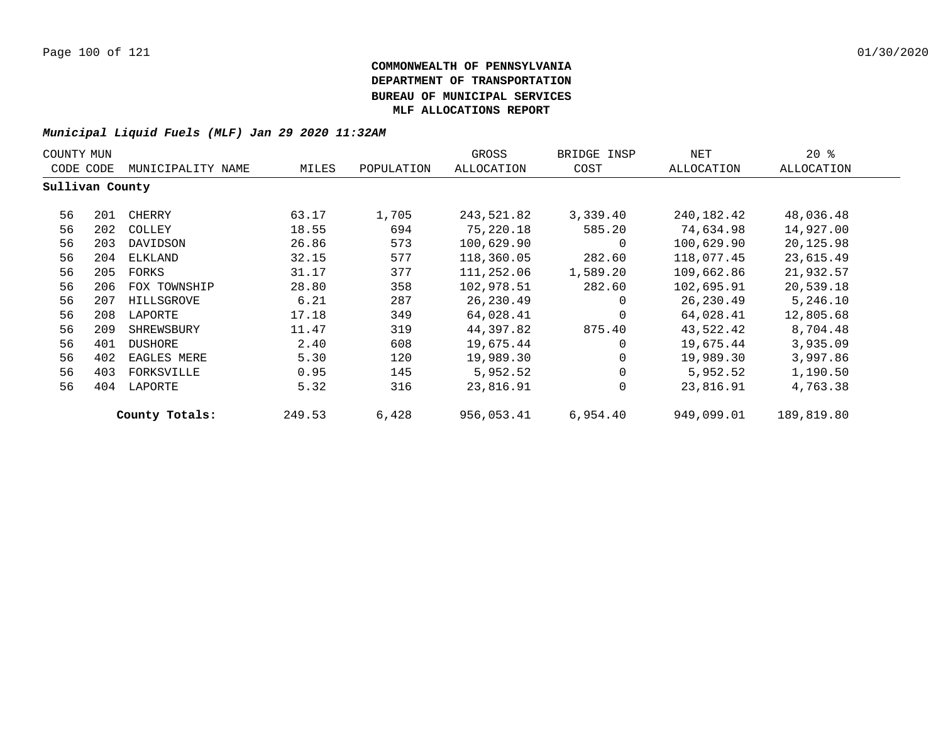| COUNTY MUN      |                                |                |        |            | GROSS      | BRIDGE INSP  | NET        | $20*$      |
|-----------------|--------------------------------|----------------|--------|------------|------------|--------------|------------|------------|
|                 | CODE CODE<br>MUNICIPALITY NAME |                | MILES  | POPULATION | ALLOCATION | COST         | ALLOCATION | ALLOCATION |
| Sullivan County |                                |                |        |            |            |              |            |            |
| 56              | 201                            | CHERRY         | 63.17  | 1,705      | 243,521.82 | 3,339.40     | 240,182.42 | 48,036.48  |
| 56              | 202                            | COLLEY         | 18.55  | 694        | 75,220.18  | 585.20       | 74,634.98  | 14,927.00  |
| 56              | 203                            | DAVIDSON       | 26.86  | 573        | 100,629.90 | 0            | 100,629.90 | 20,125.98  |
| 56              | 204                            | ELKLAND        | 32.15  | 577        | 118,360.05 | 282.60       | 118,077.45 | 23,615.49  |
| 56              | 205                            | FORKS          | 31.17  | 377        | 111,252.06 | 1,589.20     | 109,662.86 | 21,932.57  |
| 56              | 206                            | FOX TOWNSHIP   | 28.80  | 358        | 102,978.51 | 282.60       | 102,695.91 | 20,539.18  |
| 56              | 207                            | HILLSGROVE     | 6.21   | 287        | 26,230.49  | 0            | 26,230.49  | 5,246.10   |
| 56              | 208                            | LAPORTE        | 17.18  | 349        | 64,028.41  | 0            | 64,028.41  | 12,805.68  |
| 56              | 209                            | SHREWSBURY     | 11.47  | 319        | 44,397.82  | 875.40       | 43,522.42  | 8,704.48   |
| 56              | 401                            | DUSHORE        | 2.40   | 608        | 19,675.44  | $\Omega$     | 19,675.44  | 3,935.09   |
| 56              | 402                            | EAGLES MERE    | 5.30   | 120        | 19,989.30  | 0            | 19,989.30  | 3,997.86   |
| 56              | 403                            | FORKSVILLE     | 0.95   | 145        | 5,952.52   | $\mathbf{0}$ | 5,952.52   | 1,190.50   |
| 56              | 404                            | LAPORTE        | 5.32   | 316        | 23,816.91  | $\mathbf{0}$ | 23,816.91  | 4,763.38   |
|                 |                                | County Totals: | 249.53 | 6,428      | 956,053.41 | 6,954.40     | 949,099.01 | 189,819.80 |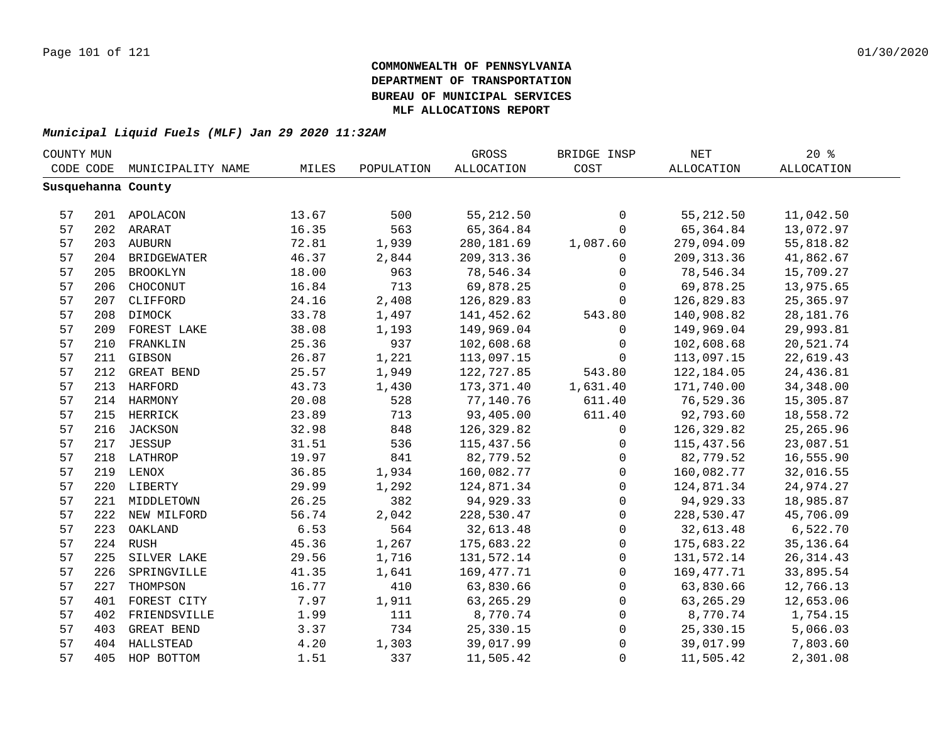| COUNTY MUN |           |                    |       |            | GROSS       | BRIDGE INSP | $\operatorname{NET}$ | 20%         |  |
|------------|-----------|--------------------|-------|------------|-------------|-------------|----------------------|-------------|--|
|            | CODE CODE | MUNICIPALITY NAME  | MILES | POPULATION | ALLOCATION  | COST        | <b>ALLOCATION</b>    | ALLOCATION  |  |
|            |           | Susquehanna County |       |            |             |             |                      |             |  |
|            |           |                    |       |            |             |             |                      |             |  |
| 57         |           | 201 APOLACON       | 13.67 | 500        | 55, 212.50  | 0           | 55, 212.50           | 11,042.50   |  |
| 57         |           | 202 ARARAT         | 16.35 | 563        | 65,364.84   | $\mathbf 0$ | 65,364.84            | 13,072.97   |  |
| 57         |           | 203 AUBURN         | 72.81 | 1,939      | 280, 181.69 | 1,087.60    | 279,094.09           | 55,818.82   |  |
| 57         |           | 204 BRIDGEWATER    | 46.37 | 2,844      | 209, 313.36 | 0           | 209, 313.36          | 41,862.67   |  |
| 57         | 205       | BROOKLYN           | 18.00 | 963        | 78,546.34   | 0           | 78,546.34            | 15,709.27   |  |
| 57         |           | 206 CHOCONUT       | 16.84 | 713        | 69,878.25   | $\mathbf 0$ | 69,878.25            | 13,975.65   |  |
| 57         | 207       | CLIFFORD           | 24.16 | 2,408      | 126,829.83  | $\Omega$    | 126,829.83           | 25, 365.97  |  |
| 57         | 208       | DIMOCK             | 33.78 | 1,497      | 141,452.62  | 543.80      | 140,908.82           | 28, 181. 76 |  |
| 57         | 209       | FOREST LAKE        | 38.08 | 1,193      | 149,969.04  | 0           | 149,969.04           | 29,993.81   |  |
| 57         | 210       | FRANKLIN           | 25.36 | 937        | 102,608.68  | $\mathbf 0$ | 102,608.68           | 20,521.74   |  |
| 57         | 211       | GIBSON             | 26.87 | 1,221      | 113,097.15  | $\mathbf 0$ | 113,097.15           | 22,619.43   |  |
| 57         | 212       | GREAT BEND         | 25.57 | 1,949      | 122,727.85  | 543.80      | 122, 184.05          | 24,436.81   |  |
| 57         |           | 213 HARFORD        | 43.73 | 1,430      | 173,371.40  | 1,631.40    | 171,740.00           | 34, 348.00  |  |
| 57         |           | 214 HARMONY        | 20.08 | 528        | 77,140.76   | 611.40      | 76,529.36            | 15,305.87   |  |
| 57         |           | 215 HERRICK        | 23.89 | 713        | 93,405.00   | 611.40      | 92,793.60            | 18,558.72   |  |
| 57         |           | 216 JACKSON        | 32.98 | 848        | 126,329.82  | 0           | 126,329.82           | 25, 265.96  |  |
| 57         |           | 217 JESSUP         | 31.51 | 536        | 115,437.56  | 0           | 115,437.56           | 23,087.51   |  |
| 57         |           | 218 LATHROP        | 19.97 | 841        | 82,779.52   | 0           | 82,779.52            | 16,555.90   |  |
| 57         |           | 219 LENOX          | 36.85 | 1,934      | 160,082.77  | 0           | 160,082.77           | 32,016.55   |  |
| 57         |           | 220 LIBERTY        | 29.99 | 1,292      | 124,871.34  | $\mathbf 0$ | 124,871.34           | 24,974.27   |  |
| 57         |           | 221 MIDDLETOWN     | 26.25 | 382        | 94,929.33   | $\mathbf 0$ | 94,929.33            | 18,985.87   |  |
| 57         |           | 222 NEW MILFORD    | 56.74 | 2,042      | 228,530.47  | $\mathbf 0$ | 228,530.47           | 45,706.09   |  |
| 57         | 223       | OAKLAND            | 6.53  | 564        | 32,613.48   | $\mathbf 0$ | 32,613.48            | 6,522.70    |  |
| 57         |           | 224 RUSH           | 45.36 | 1,267      | 175,683.22  | 0           | 175,683.22           | 35, 136.64  |  |
| 57         | 225       | SILVER LAKE        | 29.56 | 1,716      | 131,572.14  | $\mathbf 0$ | 131,572.14           | 26, 314.43  |  |
| 57         | 226       | SPRINGVILLE        | 41.35 | 1,641      | 169,477.71  | $\mathbf 0$ | 169,477.71           | 33,895.54   |  |
| 57         | 227       | THOMPSON           | 16.77 | 410        | 63,830.66   | $\mathbf 0$ | 63,830.66            | 12,766.13   |  |
| 57         | 401       | FOREST CITY        | 7.97  | 1,911      | 63, 265. 29 | 0           | 63, 265. 29          | 12,653.06   |  |
| 57         | 402       | FRIENDSVILLE       | 1.99  | 111        | 8,770.74    | 0           | 8,770.74             | 1,754.15    |  |
| 57         | 403       | GREAT BEND         | 3.37  | 734        | 25,330.15   | 0           | 25,330.15            | 5,066.03    |  |
| 57         |           | 404 HALLSTEAD      | 4.20  | 1,303      | 39,017.99   | $\mathsf 0$ | 39,017.99            | 7,803.60    |  |
| 57         | 405       | HOP BOTTOM         | 1.51  | 337        | 11,505.42   | $\mathsf 0$ | 11,505.42            | 2,301.08    |  |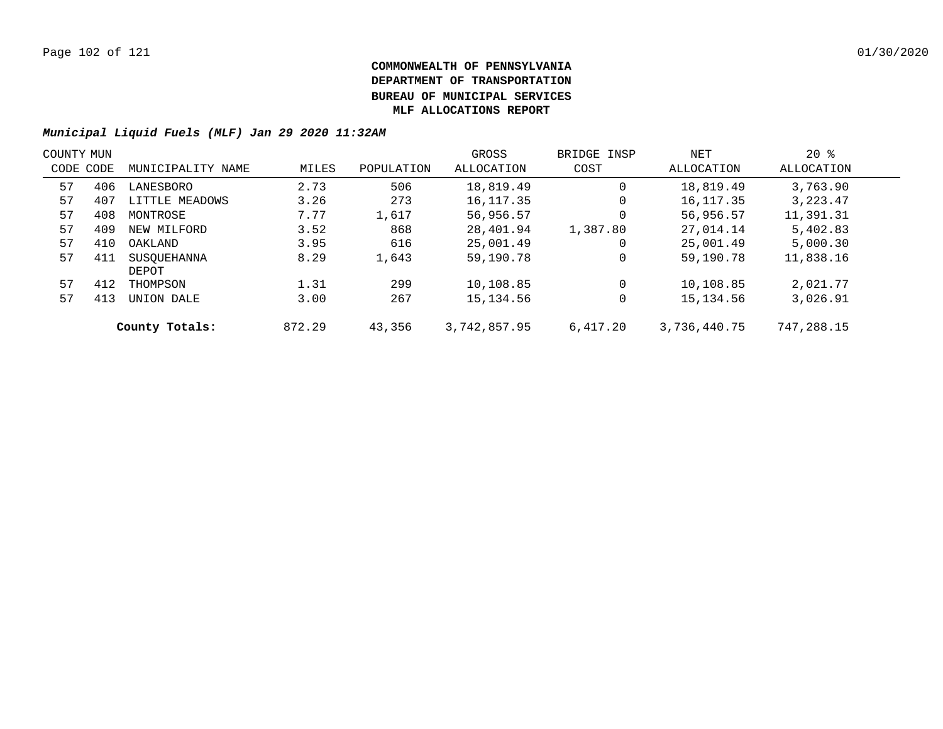| COUNTY MUN |     |                   |        |            | GROSS        | BRIDGE INSP | NET          | $20*$      |  |
|------------|-----|-------------------|--------|------------|--------------|-------------|--------------|------------|--|
| CODE CODE  |     | MUNICIPALITY NAME | MILES  | POPULATION | ALLOCATION   | COST        | ALLOCATION   | ALLOCATION |  |
| 57         | 406 | LANESBORO         | 2.73   | 506        | 18,819.49    | 0           | 18,819.49    | 3,763.90   |  |
| 57         | 407 | LITTLE MEADOWS    | 3.26   | 273        | 16,117.35    | 0           | 16,117.35    | 3,223.47   |  |
| 57         | 408 | MONTROSE          | 7.77   | 1,617      | 56,956.57    | 0           | 56,956.57    | 11,391.31  |  |
| 57         | 409 | NEW MILFORD       | 3.52   | 868        | 28,401.94    | 1,387.80    | 27,014.14    | 5,402.83   |  |
| 57         | 410 | OAKLAND           | 3.95   | 616        | 25,001.49    | 0           | 25,001.49    | 5,000.30   |  |
| 57         | 411 | SUSOUEHANNA       | 8.29   | 1,643      | 59,190.78    | 0           | 59,190.78    | 11,838.16  |  |
|            |     | DEPOT             |        |            |              |             |              |            |  |
| 57         | 412 | THOMPSON          | 1.31   | 299        | 10,108.85    | $\Omega$    | 10,108.85    | 2,021.77   |  |
| 57         | 413 | UNION DALE        | 3.00   | 267        | 15,134.56    | 0           | 15, 134.56   | 3,026.91   |  |
|            |     | County Totals:    | 872.29 | 43,356     | 3,742,857.95 | 6.417.20    | 3,736,440.75 | 747,288.15 |  |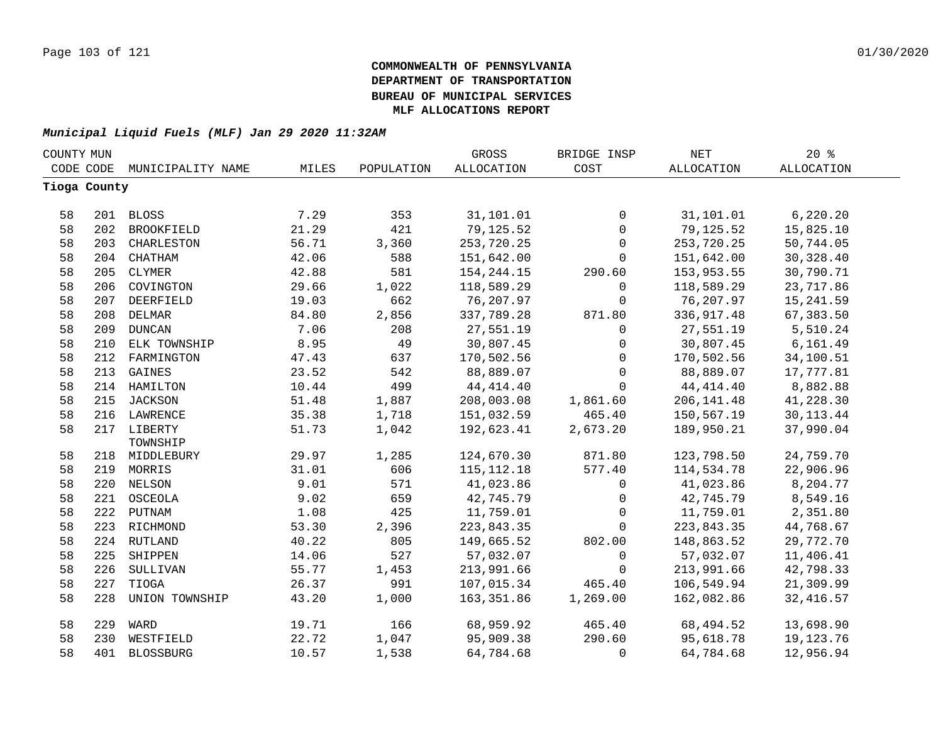| COUNTY MUN   |     |                   |       |            | <b>GROSS</b>      | BRIDGE INSP  | <b>NET</b>        | 20%         |  |
|--------------|-----|-------------------|-------|------------|-------------------|--------------|-------------------|-------------|--|
| CODE CODE    |     | MUNICIPALITY NAME | MILES | POPULATION | <b>ALLOCATION</b> | COST         | <b>ALLOCATION</b> | ALLOCATION  |  |
| Tioga County |     |                   |       |            |                   |              |                   |             |  |
|              |     |                   |       |            |                   |              |                   |             |  |
| 58           |     | 201 BLOSS         | 7.29  | 353        | 31,101.01         | 0            | 31,101.01         | 6, 220.20   |  |
| 58           |     | 202 BROOKFIELD    | 21.29 | 421        | 79,125.52         | $\mathsf{O}$ | 79,125.52         | 15,825.10   |  |
| 58           |     | 203 CHARLESTON    | 56.71 | 3,360      | 253,720.25        | $\mathsf{O}$ | 253,720.25        | 50,744.05   |  |
| 58           |     | 204 CHATHAM       | 42.06 | 588        | 151,642.00        | 0            | 151,642.00        | 30, 328.40  |  |
| 58           | 205 | CLYMER            | 42.88 | 581        | 154, 244. 15      | 290.60       | 153,953.55        | 30,790.71   |  |
| 58           | 206 | COVINGTON         | 29.66 | 1,022      | 118,589.29        | $\mathbf{0}$ | 118,589.29        | 23,717.86   |  |
| 58           | 207 | DEERFIELD         | 19.03 | 662        | 76,207.97         | 0            | 76,207.97         | 15,241.59   |  |
| 58           | 208 | <b>DELMAR</b>     | 84.80 | 2,856      | 337,789.28        | 871.80       | 336,917.48        | 67,383.50   |  |
| 58           | 209 | <b>DUNCAN</b>     | 7.06  | 208        | 27,551.19         | $\mathbf 0$  | 27,551.19         | 5,510.24    |  |
| 58           | 210 | ELK TOWNSHIP      | 8.95  | 49         | 30,807.45         | 0            | 30,807.45         | 6, 161.49   |  |
| 58           | 212 | FARMINGTON        | 47.43 | 637        | 170,502.56        | $\mathbf 0$  | 170,502.56        | 34,100.51   |  |
| 58           | 213 | GAINES            | 23.52 | 542        | 88,889.07         | $\mathbf 0$  | 88,889.07         | 17,777.81   |  |
| 58           |     | 214 HAMILTON      | 10.44 | 499        | 44, 414. 40       | $\mathbf 0$  | 44, 414.40        | 8,882.88    |  |
| 58           |     | 215 JACKSON       | 51.48 | 1,887      | 208,003.08        | 1,861.60     | 206, 141.48       | 41,228.30   |  |
| 58           |     | 216 LAWRENCE      | 35.38 | 1,718      | 151,032.59        | 465.40       | 150,567.19        | 30, 113. 44 |  |
| 58           |     | 217 LIBERTY       | 51.73 | 1,042      | 192,623.41        | 2,673.20     | 189,950.21        | 37,990.04   |  |
|              |     | TOWNSHIP          |       |            |                   |              |                   |             |  |
| 58           |     | 218 MIDDLEBURY    | 29.97 | 1,285      | 124,670.30        | 871.80       | 123,798.50        | 24,759.70   |  |
| 58           |     | 219 MORRIS        | 31.01 | 606        | 115, 112. 18      | 577.40       | 114,534.78        | 22,906.96   |  |
| 58           |     | 220 NELSON        | 9.01  | 571        | 41,023.86         | $\mathsf{O}$ | 41,023.86         | 8,204.77    |  |
| 58           |     | 221 OSCEOLA       | 9.02  | 659        | 42,745.79         | $\mathsf{O}$ | 42,745.79         | 8,549.16    |  |
| 58           |     | 222 PUTNAM        | 1.08  | 425        | 11,759.01         | $\mathbf 0$  | 11,759.01         | 2,351.80    |  |
| 58           |     | 223 RICHMOND      | 53.30 | 2,396      | 223,843.35        | $\mathbf 0$  | 223,843.35        | 44,768.67   |  |
| 58           |     | 224 RUTLAND       | 40.22 | 805        | 149,665.52        | 802.00       | 148,863.52        | 29,772.70   |  |
| 58           | 225 | SHIPPEN           | 14.06 | 527        | 57,032.07         | $\mathbf 0$  | 57,032.07         | 11,406.41   |  |
| 58           | 226 | SULLIVAN          | 55.77 | 1,453      | 213,991.66        | 0            | 213,991.66        | 42,798.33   |  |
| 58           | 227 | TIOGA             | 26.37 | 991        | 107,015.34        | 465.40       | 106,549.94        | 21,309.99   |  |
| 58           | 228 | UNION TOWNSHIP    | 43.20 | 1,000      | 163,351.86        | 1,269.00     | 162,082.86        | 32, 416.57  |  |
| 58           | 229 | WARD              | 19.71 | 166        | 68,959.92         | 465.40       | 68,494.52         | 13,698.90   |  |
| 58           | 230 | WESTFIELD         | 22.72 | 1,047      | 95,909.38         | 290.60       | 95,618.78         | 19,123.76   |  |
| 58           |     | 401 BLOSSBURG     | 10.57 | 1,538      | 64,784.68         | 0            | 64,784.68         | 12,956.94   |  |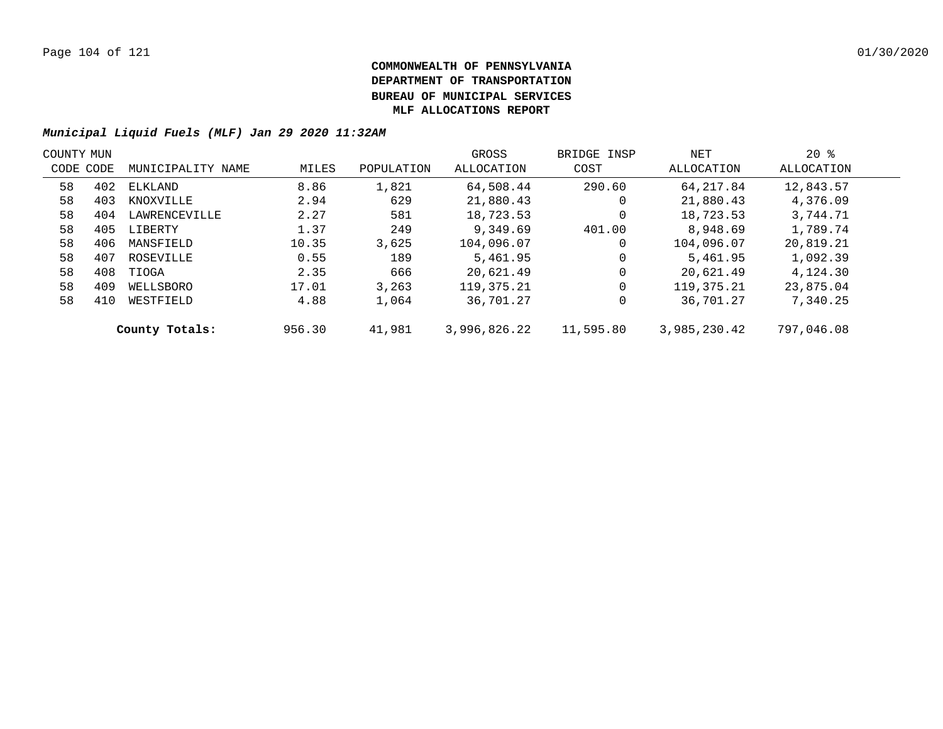| COUNTY MUN |           |                   |        |            | GROSS        | BRIDGE INSP | NET          | $20*$      |  |
|------------|-----------|-------------------|--------|------------|--------------|-------------|--------------|------------|--|
|            | CODE CODE | MUNICIPALITY NAME | MILES  | POPULATION | ALLOCATION   | COST        | ALLOCATION   | ALLOCATION |  |
| 58         | 402       | ELKLAND           | 8.86   | 1,821      | 64,508.44    | 290.60      | 64, 217.84   | 12,843.57  |  |
| 58         | 403       | KNOXVILLE         | 2.94   | 629        | 21,880.43    | 0           | 21,880.43    | 4,376.09   |  |
| 58         | 404       | LAWRENCEVILLE     | 2.27   | 581        | 18,723.53    | 0           | 18,723.53    | 3,744.71   |  |
| 58         | 405       | LIBERTY           | 1.37   | 249        | 9,349.69     | 401.00      | 8,948.69     | 1,789.74   |  |
| 58         | 406       | MANSFIELD         | 10.35  | 3,625      | 104,096.07   | 0           | 104,096.07   | 20,819.21  |  |
| 58         | 407       | ROSEVILLE         | 0.55   | 189        | 5,461.95     | 0           | 5,461.95     | 1,092.39   |  |
| 58         | 408       | TIOGA             | 2.35   | 666        | 20,621.49    | 0           | 20,621.49    | 4,124.30   |  |
| 58         | 409       | WELLSBORO         | 17.01  | 3,263      | 119,375.21   | 0           | 119, 375. 21 | 23,875.04  |  |
| 58         | 410       | WESTFIELD         | 4.88   | 1,064      | 36,701.27    | 0           | 36,701.27    | 7,340.25   |  |
|            |           | County Totals:    | 956.30 | 41,981     | 3,996,826.22 | 11,595.80   | 3,985,230.42 | 797,046.08 |  |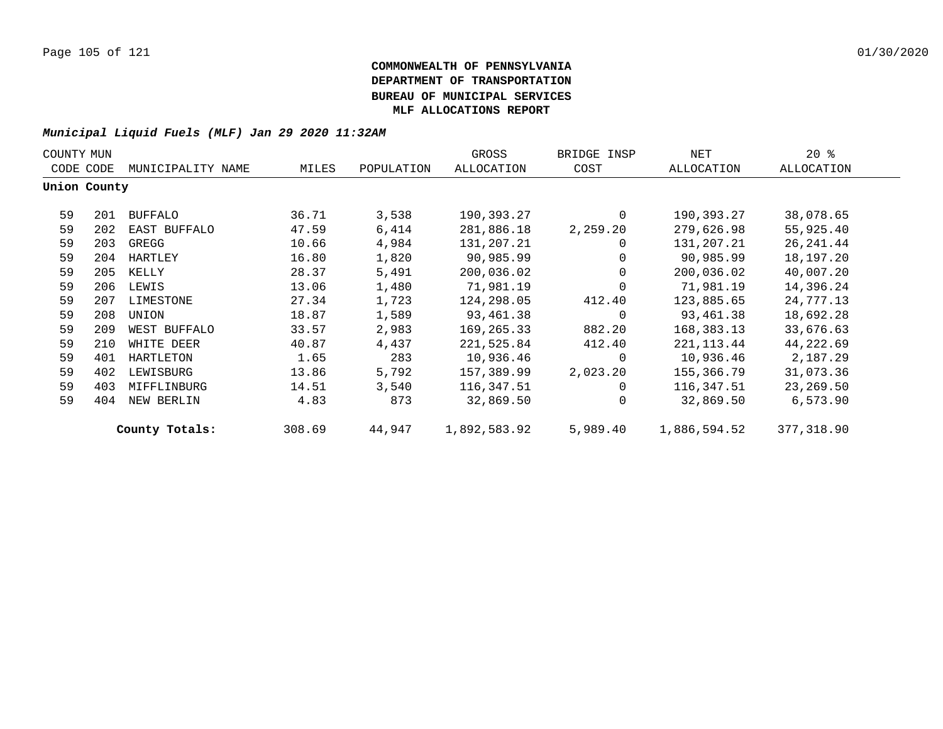| COUNTY MUN |              |                   |        |            | GROSS        | BRIDGE INSP | NET          | $20*$             |  |
|------------|--------------|-------------------|--------|------------|--------------|-------------|--------------|-------------------|--|
|            | CODE CODE    | MUNICIPALITY NAME | MILES  | POPULATION | ALLOCATION   | COST        | ALLOCATION   | <b>ALLOCATION</b> |  |
|            | Union County |                   |        |            |              |             |              |                   |  |
| 59         | 201          | <b>BUFFALO</b>    | 36.71  | 3,538      | 190,393.27   | $\Omega$    | 190,393.27   | 38,078.65         |  |
| 59         | 202          | EAST BUFFALO      | 47.59  | 6,414      | 281,886.18   | 2,259.20    | 279,626.98   | 55,925.40         |  |
| 59         | 203          | GREGG             | 10.66  | 4,984      | 131,207.21   | 0           | 131,207.21   | 26, 241.44        |  |
| 59         | 204          | HARTLEY           | 16.80  | 1,820      | 90,985.99    |             | 90,985.99    | 18,197.20         |  |
| 59         | 205          | KELLY             | 28.37  | 5,491      | 200,036.02   | $\Omega$    | 200,036.02   | 40,007.20         |  |
| 59         | 206          | LEWIS             | 13.06  | 1,480      | 71,981.19    |             | 71,981.19    | 14,396.24         |  |
| 59         | 207          | LIMESTONE         | 27.34  | 1,723      | 124,298.05   | 412.40      | 123,885.65   | 24,777.13         |  |
| 59         | 208          | UNION             | 18.87  | 1,589      | 93,461.38    | $\Omega$    | 93,461.38    | 18,692.28         |  |
| 59         | 209          | WEST BUFFALO      | 33.57  | 2,983      | 169,265.33   | 882.20      | 168,383.13   | 33,676.63         |  |
| 59         | 210          | WHITE DEER        | 40.87  | 4,437      | 221,525.84   | 412.40      | 221, 113.44  | 44,222.69         |  |
| 59         | 401          | HARTLETON         | 1.65   | 283        | 10,936.46    | $\Omega$    | 10,936.46    | 2,187.29          |  |
| 59         | 402          | LEWISBURG         | 13.86  | 5,792      | 157,389.99   | 2,023.20    | 155,366.79   | 31,073.36         |  |
| 59         | 403          | MIFFLINBURG       | 14.51  | 3,540      | 116,347.51   | $\Omega$    | 116,347.51   | 23,269.50         |  |
| 59         | 404          | NEW BERLIN        | 4.83   | 873        | 32,869.50    | $\Omega$    | 32,869.50    | 6,573.90          |  |
|            |              | County Totals:    | 308.69 | 44,947     | 1,892,583.92 | 5,989.40    | 1,886,594.52 | 377,318.90        |  |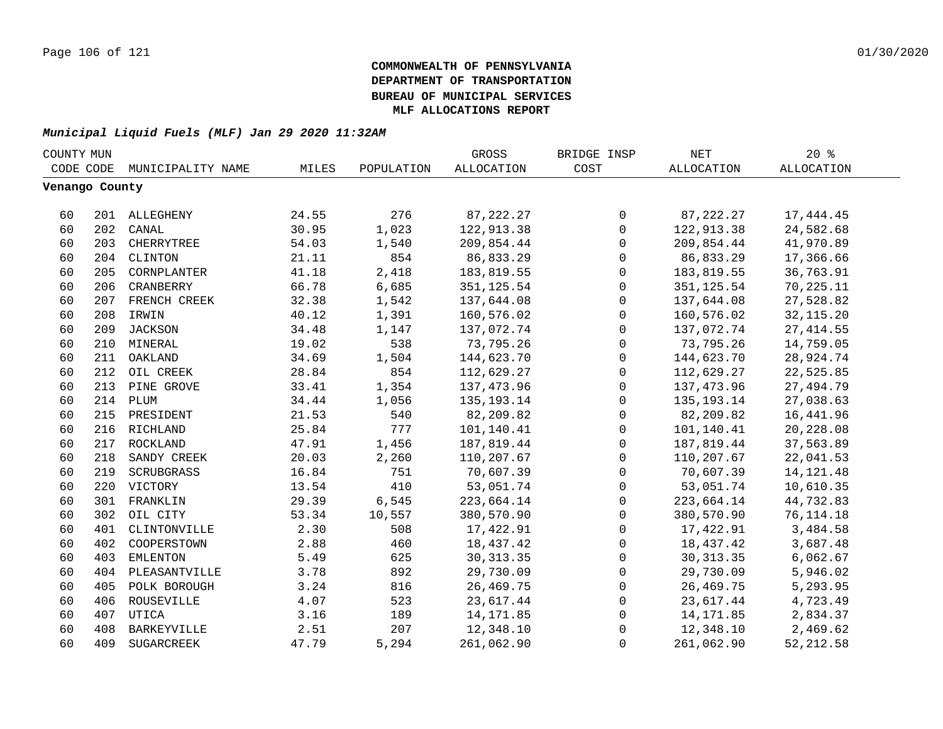| COUNTY MUN     |     |                    |       |            | GROSS             | BRIDGE INSP  | NET               | 20%               |  |
|----------------|-----|--------------------|-------|------------|-------------------|--------------|-------------------|-------------------|--|
| CODE CODE      |     | MUNICIPALITY NAME  | MILES | POPULATION | <b>ALLOCATION</b> | COST         | <b>ALLOCATION</b> | <b>ALLOCATION</b> |  |
| Venango County |     |                    |       |            |                   |              |                   |                   |  |
|                |     |                    |       |            |                   |              |                   |                   |  |
| 60             |     | 201 ALLEGHENY      | 24.55 | 276        | 87, 222. 27       | 0            | 87, 222. 27       | 17, 444.45        |  |
| 60             | 202 | CANAL              | 30.95 | 1,023      | 122,913.38        | $\mathbf 0$  | 122,913.38        | 24,582.68         |  |
| 60             | 203 | CHERRYTREE         | 54.03 | 1,540      | 209,854.44        | $\mathbf 0$  | 209,854.44        | 41,970.89         |  |
| 60             | 204 | CLINTON            | 21.11 | 854        | 86,833.29         | $\mathbf 0$  | 86,833.29         | 17,366.66         |  |
| 60             | 205 | CORNPLANTER        | 41.18 | 2,418      | 183,819.55        | 0            | 183,819.55        | 36,763.91         |  |
| 60             | 206 | CRANBERRY          | 66.78 | 6,685      | 351, 125.54       | $\mathsf 0$  | 351, 125.54       | 70,225.11         |  |
| 60             |     | 207 FRENCH CREEK   | 32.38 | 1,542      | 137,644.08        | $\mathsf 0$  | 137,644.08        | 27,528.82         |  |
| 60             |     | 208 IRWIN          | 40.12 | 1,391      | 160,576.02        | $\mathsf 0$  | 160,576.02        | 32, 115.20        |  |
| 60             |     | 209 JACKSON        | 34.48 | 1,147      | 137,072.74        | 0            | 137,072.74        | 27, 414.55        |  |
| 60             |     | 210 MINERAL        | 19.02 | 538        | 73,795.26         | 0            | 73,795.26         | 14,759.05         |  |
| 60             | 211 | OAKLAND            | 34.69 | 1,504      | 144,623.70        | 0            | 144,623.70        | 28,924.74         |  |
| 60             | 212 | OIL CREEK          | 28.84 | 854        | 112,629.27        | 0            | 112,629.27        | 22,525.85         |  |
| 60             | 213 | PINE GROVE         | 33.41 | 1,354      | 137,473.96        | 0            | 137,473.96        | 27,494.79         |  |
| 60             |     | 214 PLUM           | 34.44 | 1,056      | 135, 193. 14      | 0            | 135, 193. 14      | 27,038.63         |  |
| 60             |     | 215 PRESIDENT      | 21.53 | 540        | 82,209.82         | 0            | 82,209.82         | 16,441.96         |  |
| 60             |     | 216 RICHLAND       | 25.84 | 777        | 101,140.41        | $\mathsf{O}$ | 101,140.41        | 20,228.08         |  |
| 60             | 217 | ROCKLAND           | 47.91 | 1,456      | 187,819.44        | 0            | 187,819.44        | 37,563.89         |  |
| 60             | 218 | SANDY CREEK        | 20.03 | 2,260      | 110,207.67        | $\mathbf 0$  | 110,207.67        | 22,041.53         |  |
| 60             | 219 | SCRUBGRASS         | 16.84 | 751        | 70,607.39         | $\mathbf 0$  | 70,607.39         | 14, 121. 48       |  |
| 60             | 220 | VICTORY            | 13.54 | 410        | 53,051.74         | $\mathbf 0$  | 53,051.74         | 10,610.35         |  |
| 60             | 301 | FRANKLIN           | 29.39 | 6,545      | 223,664.14        | $\mathbf 0$  | 223,664.14        | 44,732.83         |  |
| 60             | 302 | OIL CITY           | 53.34 | 10,557     | 380,570.90        | $\mathsf 0$  | 380,570.90        | 76, 114. 18       |  |
| 60             |     | 401 CLINTONVILLE   | 2.30  | 508        | 17,422.91         | $\mathsf 0$  | 17,422.91         | 3,484.58          |  |
| 60             | 402 | COOPERSTOWN        | 2.88  | 460        | 18,437.42         | $\mathsf{O}$ | 18,437.42         | 3,687.48          |  |
| 60             | 403 | <b>EMLENTON</b>    | 5.49  | 625        | 30, 313.35        | $\mathbf 0$  | 30, 313.35        | 6,062.67          |  |
| 60             | 404 | PLEASANTVILLE      | 3.78  | 892        | 29,730.09         | $\mathbf 0$  | 29,730.09         | 5,946.02          |  |
| 60             | 405 | POLK BOROUGH       | 3.24  | 816        | 26, 469. 75       | $\mathbf 0$  | 26,469.75         | 5,293.95          |  |
| 60             | 406 | ROUSEVILLE         | 4.07  | 523        | 23,617.44         | 0            | 23,617.44         | 4,723.49          |  |
| 60             | 407 | UTICA              | 3.16  | 189        | 14, 171.85        | 0            | 14,171.85         | 2,834.37          |  |
| 60             | 408 | <b>BARKEYVILLE</b> | 2.51  | 207        | 12,348.10         | 0            | 12,348.10         | 2,469.62          |  |
| 60             | 409 | SUGARCREEK         | 47.79 | 5,294      | 261,062.90        | $\mathbf{0}$ | 261,062.90        | 52, 212.58        |  |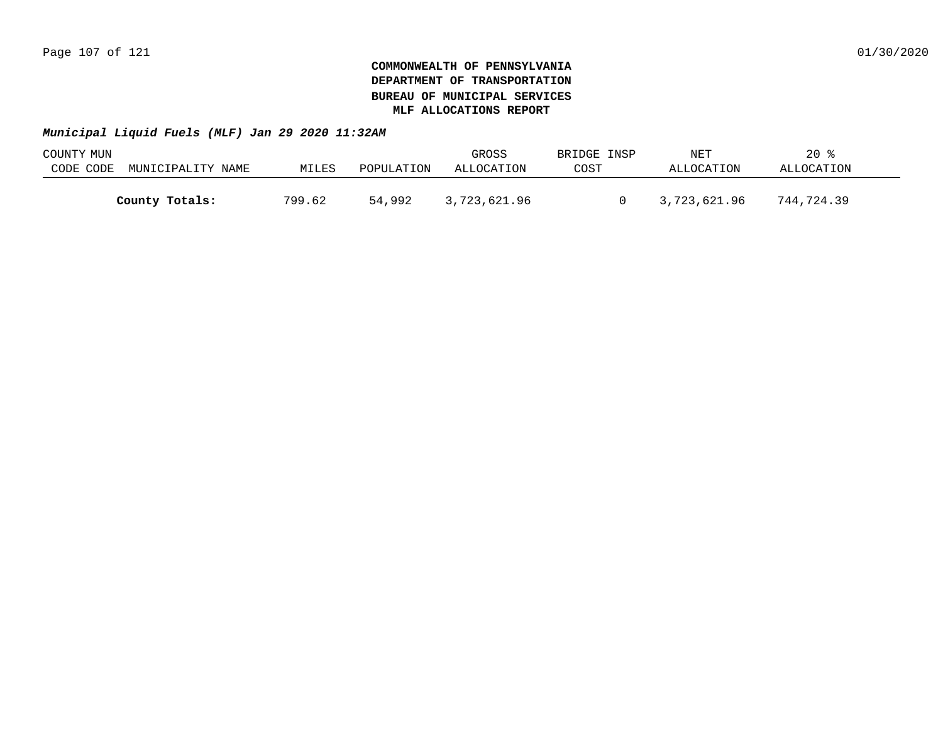| COUNTY MUN |                   |        |            | GROSS        | BRIDGE INSP | NET          | $20*$      |  |
|------------|-------------------|--------|------------|--------------|-------------|--------------|------------|--|
| CODE CODE  | MUNICIPALITY NAME | MILES  | POPULATION | ALLOCATION   | COST        | ALLOCATION   | ALLOCATION |  |
|            |                   |        |            |              |             |              |            |  |
|            | County Totals:    | 799.62 | 54,992     | 3,723,621.96 |             | 3,723,621.96 | 744,724.39 |  |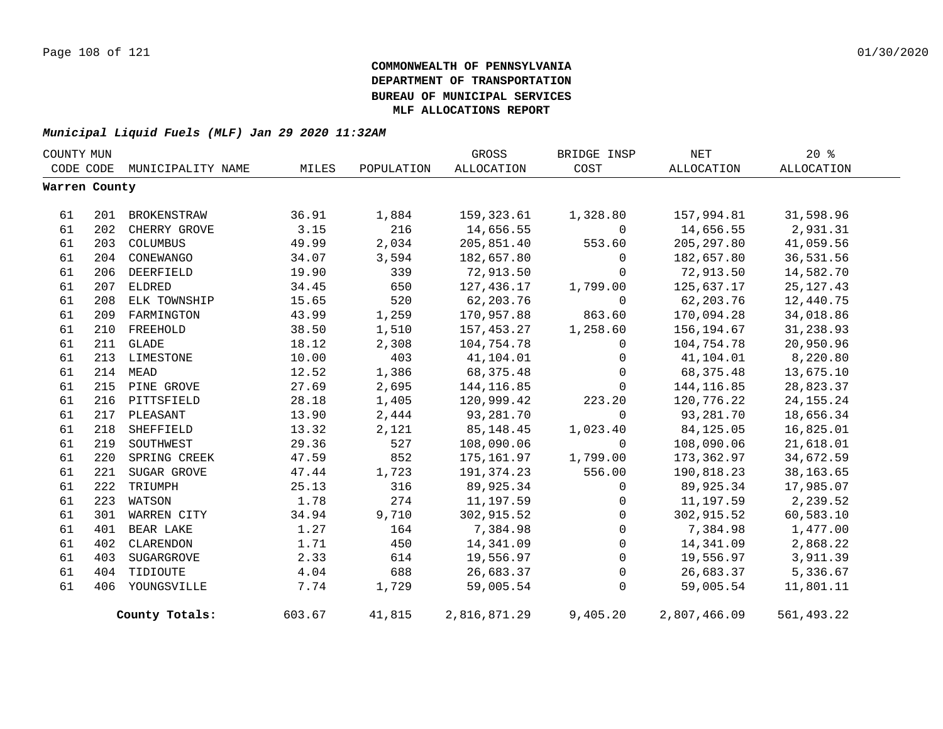| COUNTY MUN    |     |                             |        |            | GROSS        | BRIDGE INSP    | NET          | $20*$       |  |
|---------------|-----|-----------------------------|--------|------------|--------------|----------------|--------------|-------------|--|
|               |     | CODE CODE MUNICIPALITY NAME | MILES  | POPULATION | ALLOCATION   | COST           | ALLOCATION   | ALLOCATION  |  |
| Warren County |     |                             |        |            |              |                |              |             |  |
| 61            | 201 | BROKENSTRAW                 | 36.91  | 1,884      | 159,323.61   | 1,328.80       | 157,994.81   | 31,598.96   |  |
| 61            | 202 | CHERRY GROVE                | 3.15   | 216        | 14,656.55    | $\mathsf{O}$   | 14,656.55    | 2,931.31    |  |
| 61            | 203 | COLUMBUS                    | 49.99  | 2,034      | 205,851.40   | 553.60         | 205, 297.80  | 41,059.56   |  |
| 61            | 204 | CONEWANGO                   | 34.07  | 3,594      | 182,657.80   | $\mathbf 0$    | 182,657.80   | 36,531.56   |  |
| 61            | 206 | DEERFIELD                   | 19.90  | 339        | 72,913.50    | $\Omega$       | 72,913.50    | 14,582.70   |  |
| 61            | 207 | ELDRED                      | 34.45  | 650        | 127,436.17   | 1,799.00       | 125,637.17   | 25, 127. 43 |  |
| 61            | 208 | ELK TOWNSHIP                | 15.65  | 520        | 62,203.76    | $\mathbf 0$    | 62,203.76    | 12,440.75   |  |
| 61            | 209 | FARMINGTON                  | 43.99  | 1,259      | 170,957.88   | 863.60         | 170,094.28   | 34,018.86   |  |
| 61            | 210 | FREEHOLD                    | 38.50  | 1,510      | 157,453.27   | 1,258.60       | 156,194.67   | 31,238.93   |  |
| 61            |     | 211 GLADE                   | 18.12  | 2,308      | 104,754.78   | $\mathbf 0$    | 104,754.78   | 20,950.96   |  |
| 61            |     | 213 LIMESTONE               | 10.00  | 403        | 41,104.01    | $\mathbf 0$    | 41,104.01    | 8,220.80    |  |
| 61            | 214 | MEAD                        | 12.52  | 1,386      | 68, 375. 48  | $\Omega$       | 68,375.48    | 13,675.10   |  |
| 61            |     | 215 PINE GROVE              | 27.69  | 2,695      | 144, 116.85  | $\Omega$       | 144,116.85   | 28,823.37   |  |
| 61            |     | 216 PITTSFIELD              | 28.18  | 1,405      | 120,999.42   | 223.20         | 120,776.22   | 24, 155. 24 |  |
| 61            |     | 217 PLEASANT                | 13.90  | 2,444      | 93,281.70    | $\Omega$       | 93,281.70    | 18,656.34   |  |
| 61            | 218 | SHEFFIELD                   | 13.32  | 2,121      | 85,148.45    | 1,023.40       | 84,125.05    | 16,825.01   |  |
| 61            | 219 | SOUTHWEST                   | 29.36  | 527        | 108,090.06   | $\Omega$       | 108,090.06   | 21,618.01   |  |
| 61            | 220 | SPRING CREEK                | 47.59  | 852        | 175,161.97   | 1,799.00       | 173,362.97   | 34,672.59   |  |
| 61            | 221 | SUGAR GROVE                 | 47.44  | 1,723      | 191,374.23   | 556.00         | 190,818.23   | 38, 163.65  |  |
| 61            | 222 | TRIUMPH                     | 25.13  | 316        | 89,925.34    | $\mathbf 0$    | 89,925.34    | 17,985.07   |  |
| 61            | 223 | WATSON                      | 1.78   | 274        | 11,197.59    | $\mathsf{O}$   | 11,197.59    | 2,239.52    |  |
| 61            | 301 | WARREN CITY                 | 34.94  | 9,710      | 302,915.52   | $\mathbf 0$    | 302,915.52   | 60,583.10   |  |
| 61            | 401 | BEAR LAKE                   | 1.27   | 164        | 7,384.98     | $\overline{0}$ | 7,384.98     | 1,477.00    |  |
| 61            | 402 | CLARENDON                   | 1.71   | 450        | 14,341.09    | $\mathbf 0$    | 14,341.09    | 2,868.22    |  |
| 61            | 403 | SUGARGROVE                  | 2.33   | 614        | 19,556.97    | $\mathbb O$    | 19,556.97    | 3,911.39    |  |
| 61            | 404 | TIDIOUTE                    | 4.04   | 688        | 26,683.37    | $\mathbb O$    | 26,683.37    | 5,336.67    |  |
| 61            |     | 406 YOUNGSVILLE             | 7.74   | 1,729      | 59,005.54    | $\mathbf 0$    | 59,005.54    | 11,801.11   |  |
|               |     | County Totals:              | 603.67 | 41,815     | 2,816,871.29 | 9,405.20       | 2,807,466.09 | 561,493.22  |  |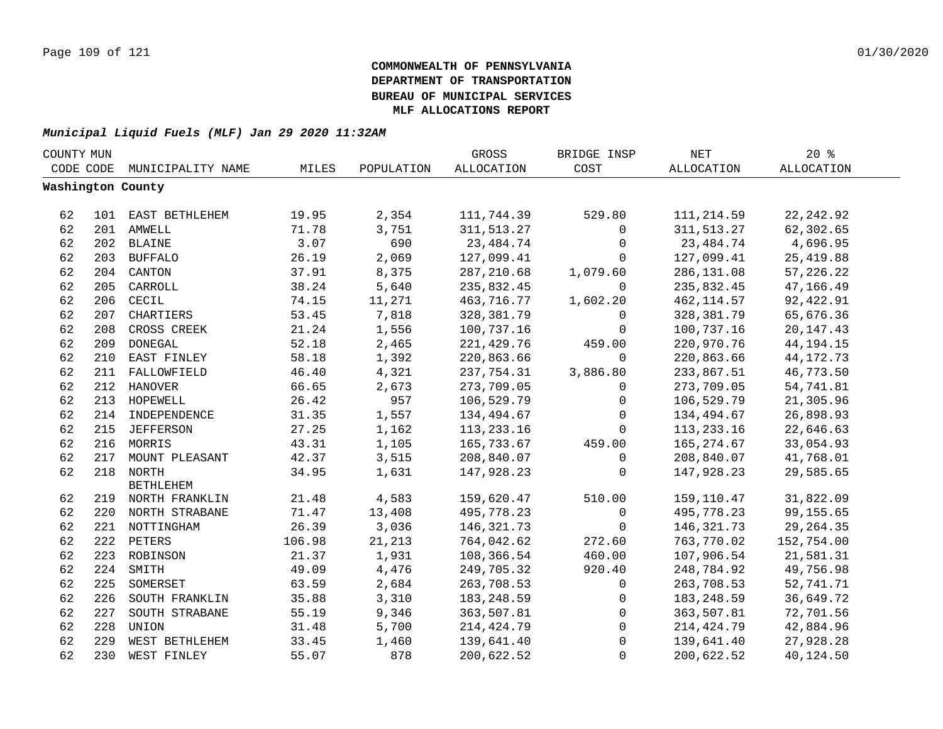| COUNTY MUN |     |                    |        |            | GROSS             | BRIDGE INSP  | <b>NET</b>   | $20*$       |  |
|------------|-----|--------------------|--------|------------|-------------------|--------------|--------------|-------------|--|
| CODE CODE  |     | MUNICIPALITY NAME  | MILES  | POPULATION | <b>ALLOCATION</b> | COST         | ALLOCATION   | ALLOCATION  |  |
|            |     | Washington County  |        |            |                   |              |              |             |  |
|            |     |                    |        |            |                   |              |              |             |  |
| 62         |     | 101 EAST BETHLEHEM | 19.95  | 2,354      | 111,744.39        | 529.80       | 111,214.59   | 22, 242.92  |  |
| 62         |     | 201 AMWELL         | 71.78  | 3,751      | 311, 513.27       | $\mathbf{0}$ | 311, 513.27  | 62,302.65   |  |
| 62         | 202 | <b>BLAINE</b>      | 3.07   | 690        | 23, 484. 74       | 0            | 23, 484. 74  | 4,696.95    |  |
| 62         | 203 | <b>BUFFALO</b>     | 26.19  | 2,069      | 127,099.41        | 0            | 127,099.41   | 25, 419.88  |  |
| 62         | 204 | CANTON             | 37.91  | 8,375      | 287, 210.68       | 1,079.60     | 286, 131.08  | 57,226.22   |  |
| 62         | 205 | CARROLL            | 38.24  | 5,640      | 235,832.45        | $\Omega$     | 235,832.45   | 47,166.49   |  |
| 62         | 206 | CECIL              | 74.15  | 11,271     | 463,716.77        | 1,602.20     | 462, 114.57  | 92, 422.91  |  |
| 62         | 207 | CHARTIERS          | 53.45  | 7,818      | 328, 381.79       | 0            | 328, 381.79  | 65,676.36   |  |
| 62         | 208 | CROSS CREEK        | 21.24  | 1,556      | 100,737.16        | 0            | 100,737.16   | 20, 147. 43 |  |
| 62         | 209 | <b>DONEGAL</b>     | 52.18  | 2,465      | 221, 429.76       | 459.00       | 220,970.76   | 44, 194. 15 |  |
| 62         | 210 | EAST FINLEY        | 58.18  | 1,392      | 220,863.66        | $\mathbf 0$  | 220,863.66   | 44, 172. 73 |  |
| 62         |     | 211 FALLOWFIELD    | 46.40  | 4,321      | 237,754.31        | 3,886.80     | 233,867.51   | 46,773.50   |  |
| 62         |     | 212 HANOVER        | 66.65  | 2,673      | 273,709.05        | $\mathbf{0}$ | 273,709.05   | 54,741.81   |  |
| 62         |     | 213 HOPEWELL       | 26.42  | 957        | 106,529.79        | 0            | 106,529.79   | 21,305.96   |  |
| 62         |     | 214 INDEPENDENCE   | 31.35  | 1,557      | 134,494.67        | 0            | 134,494.67   | 26,898.93   |  |
| 62         |     | 215 JEFFERSON      | 27.25  | 1,162      | 113, 233. 16      | $\mathbf 0$  | 113, 233. 16 | 22,646.63   |  |
| 62         |     | 216 MORRIS         | 43.31  | 1,105      | 165,733.67        | 459.00       | 165, 274.67  | 33,054.93   |  |
| 62         | 217 | MOUNT PLEASANT     | 42.37  | 3,515      | 208,840.07        | $\Omega$     | 208,840.07   | 41,768.01   |  |
| 62         |     | 218 NORTH          | 34.95  | 1,631      | 147,928.23        | $\Omega$     | 147,928.23   | 29,585.65   |  |
|            |     | <b>BETHLEHEM</b>   |        |            |                   |              |              |             |  |
| 62         |     | 219 NORTH FRANKLIN | 21.48  | 4,583      | 159,620.47        | 510.00       | 159,110.47   | 31,822.09   |  |
| 62         |     | 220 NORTH STRABANE | 71.47  | 13,408     | 495,778.23        | $\mathsf{O}$ | 495,778.23   | 99,155.65   |  |
| 62         |     | 221 NOTTINGHAM     | 26.39  | 3,036      | 146, 321. 73      | $\mathbf 0$  | 146, 321. 73 | 29, 264.35  |  |
| 62         |     | 222 PETERS         | 106.98 | 21,213     | 764,042.62        | 272.60       | 763,770.02   | 152,754.00  |  |
| 62         |     | 223 ROBINSON       | 21.37  | 1,931      | 108,366.54        | 460.00       | 107,906.54   | 21,581.31   |  |
| 62         | 224 | SMITH              | 49.09  | 4,476      | 249,705.32        | 920.40       | 248,784.92   | 49,756.98   |  |
| 62         | 225 | SOMERSET           | 63.59  | 2,684      | 263,708.53        | $\mathbf 0$  | 263,708.53   | 52,741.71   |  |
| 62         | 226 | SOUTH FRANKLIN     | 35.88  | 3,310      | 183, 248.59       | 0            | 183,248.59   | 36,649.72   |  |
| 62         | 227 | SOUTH STRABANE     | 55.19  | 9,346      | 363,507.81        | $\mathbf 0$  | 363,507.81   | 72,701.56   |  |
| 62         | 228 | UNION              | 31.48  | 5,700      | 214, 424.79       | $\mathbf 0$  | 214,424.79   | 42,884.96   |  |
| 62         | 229 | WEST BETHLEHEM     | 33.45  | 1,460      | 139,641.40        | $\mathbf 0$  | 139,641.40   | 27,928.28   |  |
| 62         | 230 | WEST FINLEY        | 55.07  | 878        | 200,622.52        | $\Omega$     | 200,622.52   | 40,124.50   |  |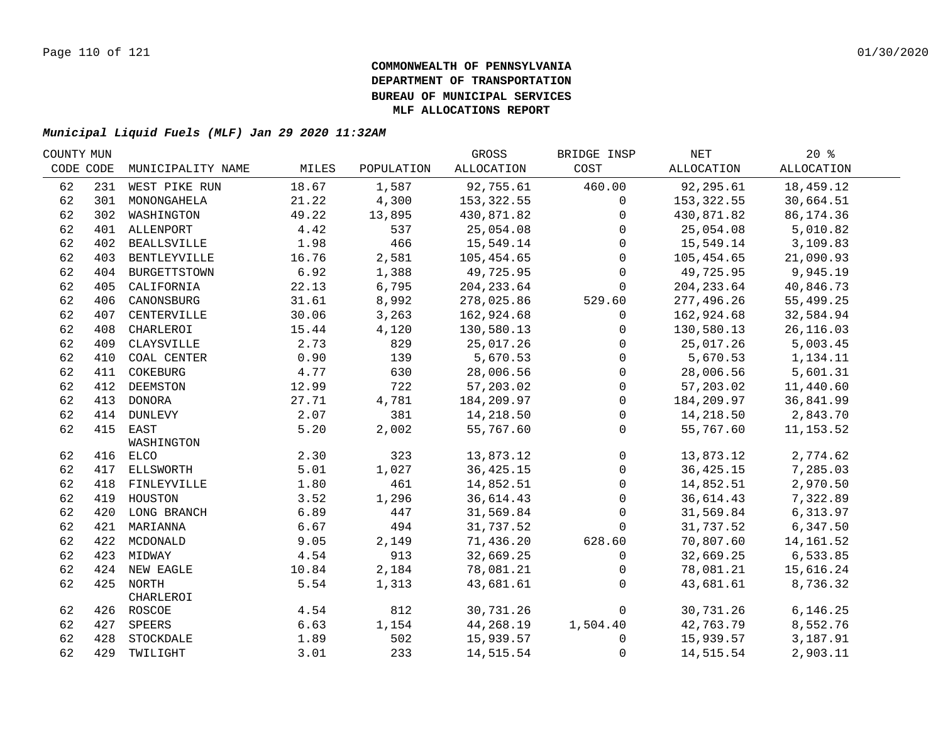| COUNTY MUN |     |                   |       |            | GROSS       | BRIDGE INSP  | NET         | $20*$      |  |
|------------|-----|-------------------|-------|------------|-------------|--------------|-------------|------------|--|
| CODE CODE  |     | MUNICIPALITY NAME | MILES | POPULATION | ALLOCATION  | COST         | ALLOCATION  | ALLOCATION |  |
| 62         |     | 231 WEST PIKE RUN | 18.67 | 1,587      | 92,755.61   | 460.00       | 92,295.61   | 18,459.12  |  |
| 62         |     | 301 MONONGAHELA   | 21.22 | 4,300      | 153,322.55  | $\mathbf{0}$ | 153,322.55  | 30,664.51  |  |
| 62         |     | 302 WASHINGTON    | 49.22 | 13,895     | 430,871.82  | $\mathbf 0$  | 430,871.82  | 86, 174.36 |  |
| 62         |     | 401 ALLENPORT     | 4.42  | 537        | 25,054.08   | $\Omega$     | 25,054.08   | 5,010.82   |  |
| 62         |     | 402 BEALLSVILLE   | 1.98  | 466        | 15,549.14   | $\mathbf 0$  | 15,549.14   | 3,109.83   |  |
| 62         |     | 403 BENTLEYVILLE  | 16.76 | 2,581      | 105,454.65  | $\mathbf 0$  | 105,454.65  | 21,090.93  |  |
| 62         |     | 404 BURGETTSTOWN  | 6.92  | 1,388      | 49,725.95   | $\mathbf 0$  | 49,725.95   | 9,945.19   |  |
| 62         | 405 | CALIFORNIA        | 22.13 | 6,795      | 204, 233.64 | $\mathbf 0$  | 204, 233.64 | 40,846.73  |  |
| 62         | 406 | CANONSBURG        | 31.61 | 8,992      | 278,025.86  | 529.60       | 277,496.26  | 55,499.25  |  |
| 62         | 407 | CENTERVILLE       | 30.06 | 3,263      | 162,924.68  | $\mathbf 0$  | 162,924.68  | 32,584.94  |  |
| 62         | 408 | CHARLEROI         | 15.44 | 4,120      | 130,580.13  | $\mathbf{0}$ | 130,580.13  | 26, 116.03 |  |
| 62         | 409 | CLAYSVILLE        | 2.73  | 829        | 25,017.26   | $\Omega$     | 25,017.26   | 5,003.45   |  |
| 62         | 410 | COAL CENTER       | 0.90  | 139        | 5,670.53    | $\mathbf{0}$ | 5,670.53    | 1,134.11   |  |
| 62         | 411 | COKEBURG          | 4.77  | 630        | 28,006.56   | $\mathbf 0$  | 28,006.56   | 5,601.31   |  |
| 62         | 412 | DEEMSTON          | 12.99 | 722        | 57,203.02   | $\mathbf 0$  | 57,203.02   | 11,440.60  |  |
| 62         |     | 413 DONORA        | 27.71 | 4,781      | 184,209.97  | $\mathbf{0}$ | 184,209.97  | 36,841.99  |  |
| 62         |     | 414 DUNLEVY       | 2.07  | 381        | 14,218.50   | $\mathbf 0$  | 14,218.50   | 2,843.70   |  |
| 62         |     | 415 EAST          | 5.20  | 2,002      | 55,767.60   | $\mathbf 0$  | 55,767.60   | 11, 153.52 |  |
|            |     | WASHINGTON        |       |            |             |              |             |            |  |
| 62         |     | 416 ELCO          | 2.30  | 323        | 13,873.12   | $\mathbf 0$  | 13,873.12   | 2,774.62   |  |
| 62         |     | 417 ELLSWORTH     | 5.01  | 1,027      | 36, 425. 15 | $\mathbf 0$  | 36, 425. 15 | 7,285.03   |  |
| 62         |     | 418 FINLEYVILLE   | 1.80  | 461        | 14,852.51   | $\mathbf 0$  | 14,852.51   | 2,970.50   |  |
| 62         |     | 419 HOUSTON       | 3.52  | 1,296      | 36,614.43   | $\mathbf{0}$ | 36,614.43   | 7,322.89   |  |
| 62         |     | 420 LONG BRANCH   | 6.89  | 447        | 31,569.84   | $\mathbf 0$  | 31,569.84   | 6,313.97   |  |
| 62         |     | 421 MARIANNA      | 6.67  | 494        | 31,737.52   | $\Omega$     | 31,737.52   | 6,347.50   |  |
| 62         |     | 422 MCDONALD      | 9.05  | 2,149      | 71,436.20   | 628.60       | 70,807.60   | 14, 161.52 |  |
| 62         |     | 423 MIDWAY        | 4.54  | 913        | 32,669.25   | $\mathbf 0$  | 32,669.25   | 6,533.85   |  |
| 62         |     | 424 NEW EAGLE     | 10.84 | 2,184      | 78,081.21   | $\Omega$     | 78,081.21   | 15,616.24  |  |
| 62         |     | 425 NORTH         | 5.54  | 1,313      | 43,681.61   | $\mathbf{0}$ | 43,681.61   | 8,736.32   |  |
|            |     | CHARLEROI         |       |            |             |              |             |            |  |
| 62         |     | 426 ROSCOE        | 4.54  | 812        | 30,731.26   | $\mathbf 0$  | 30,731.26   | 6, 146.25  |  |
| 62         |     | 427 SPEERS        | 6.63  | 1,154      | 44,268.19   | 1,504.40     | 42,763.79   | 8,552.76   |  |
| 62         |     | 428 STOCKDALE     | 1.89  | 502        | 15,939.57   | $\Omega$     | 15,939.57   | 3,187.91   |  |
| 62         |     | 429 TWILIGHT      | 3.01  | 233        | 14,515.54   | 0            | 14,515.54   | 2,903.11   |  |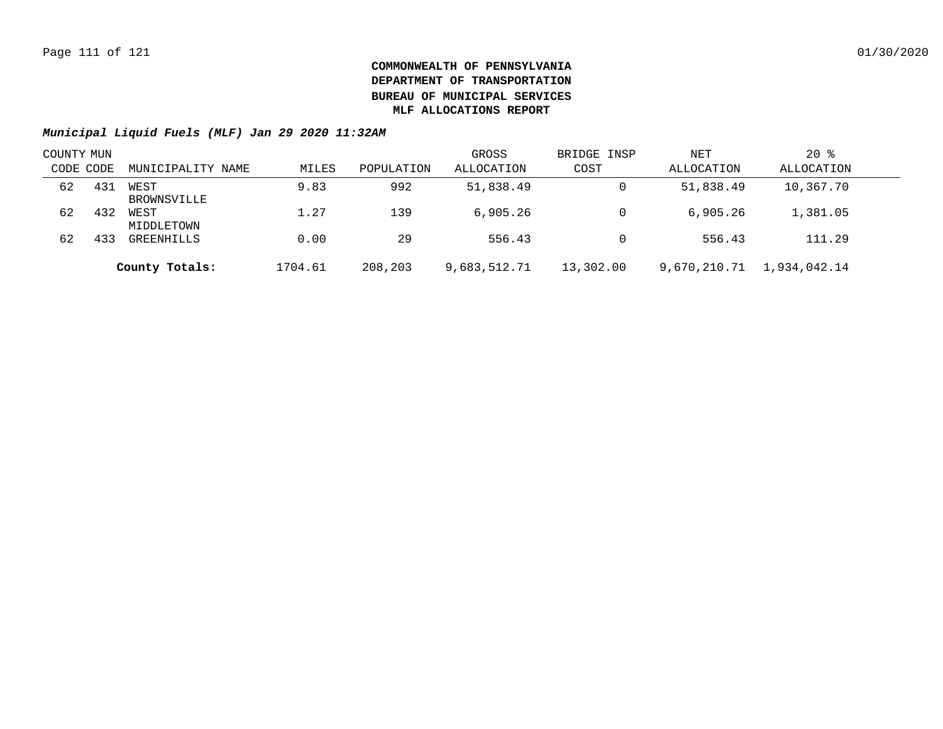| COUNTY MUN |     |                     |         |            | GROSS        | BRIDGE INSP | NET        | $20$ %                    |  |
|------------|-----|---------------------|---------|------------|--------------|-------------|------------|---------------------------|--|
| CODE CODE  |     | MUNICIPALITY NAME   | MILES   | POPULATION | ALLOCATION   | COST        | ALLOCATION | ALLOCATION                |  |
| 62         | 431 | WEST<br>BROWNSVILLE | 9.83    | 992        | 51,838.49    | 0           | 51,838.49  | 10,367.70                 |  |
| 62         | 432 | WEST<br>MIDDLETOWN  | 1.27    | 139        | 6,905.26     |             | 6.905.26   | 1,381.05                  |  |
| 62         | 433 | GREENHILLS          | 0.00    | 29         | 556.43       |             | 556.43     | 111.29                    |  |
|            |     | County Totals:      | 1704.61 | 208,203    | 9,683,512.71 | 13,302.00   |            | 9,670,210.71 1,934,042.14 |  |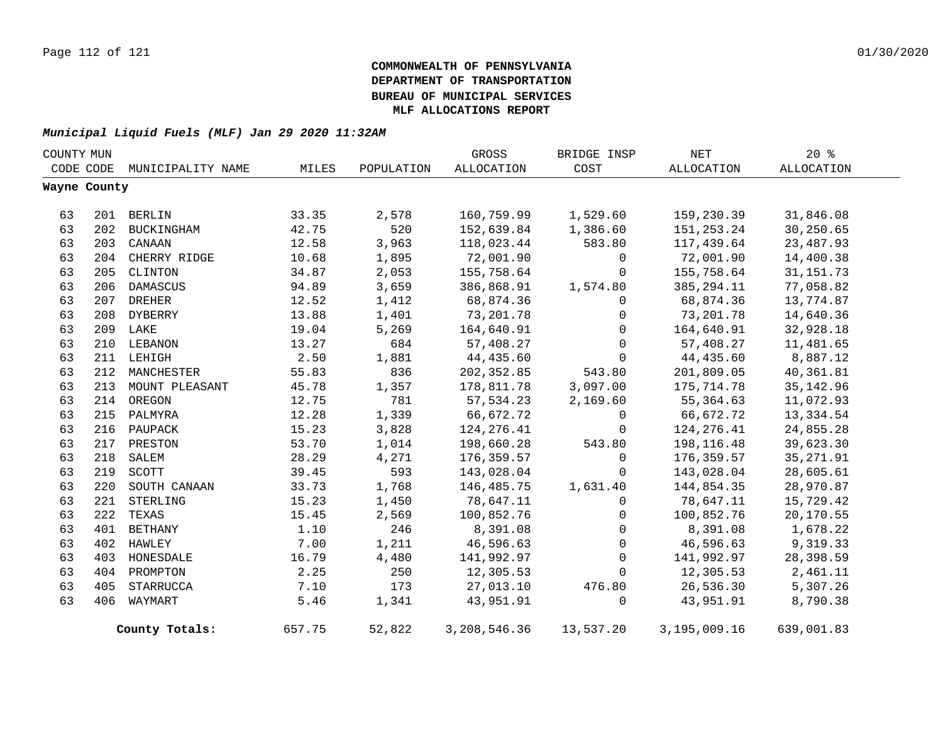| COUNTY MUN |              |                    |        |            | GROSS        | BRIDGE INSP | NET          | $20*$       |  |
|------------|--------------|--------------------|--------|------------|--------------|-------------|--------------|-------------|--|
|            | CODE CODE    | MUNICIPALITY NAME  | MILES  | POPULATION | ALLOCATION   | COST        | ALLOCATION   | ALLOCATION  |  |
|            | Wayne County |                    |        |            |              |             |              |             |  |
|            |              |                    |        |            |              |             |              |             |  |
| 63         |              | 201 BERLIN         | 33.35  | 2,578      | 160,759.99   | 1,529.60    | 159,230.39   | 31,846.08   |  |
| 63         | 202          | BUCKINGHAM         | 42.75  | 520        | 152,639.84   | 1,386.60    | 151,253.24   | 30,250.65   |  |
| 63         |              | 203 CANAAN         | 12.58  | 3,963      | 118,023.44   | 583.80      | 117,439.64   | 23, 487.93  |  |
| 63         |              | 204 CHERRY RIDGE   | 10.68  | 1,895      | 72,001.90    | 0           | 72,001.90    | 14,400.38   |  |
| 63         |              | 205 CLINTON        | 34.87  | 2,053      | 155,758.64   | $\mathbf 0$ | 155,758.64   | 31, 151. 73 |  |
| 63         |              | 206 DAMASCUS       | 94.89  | 3,659      | 386,868.91   | 1,574.80    | 385, 294. 11 | 77,058.82   |  |
| 63         |              | 207 DREHER         | 12.52  | 1,412      | 68,874.36    | 0           | 68,874.36    | 13,774.87   |  |
| 63         |              | 208 DYBERRY        | 13.88  | 1,401      | 73,201.78    | 0           | 73,201.78    | 14,640.36   |  |
| 63         |              | 209 LAKE           | 19.04  | 5,269      | 164,640.91   | $\mathbf 0$ | 164,640.91   | 32,928.18   |  |
| 63         | 210          | LEBANON            | 13.27  | 684        | 57,408.27    | $\mathbf 0$ | 57,408.27    | 11,481.65   |  |
| 63         |              | 211 LEHIGH         | 2.50   | 1,881      | 44,435.60    | $\mathbf 0$ | 44,435.60    | 8,887.12    |  |
| 63         | 212          | MANCHESTER         | 55.83  | 836        | 202,352.85   | 543.80      | 201,809.05   | 40,361.81   |  |
| 63         |              | 213 MOUNT PLEASANT | 45.78  | 1,357      | 178,811.78   | 3,097.00    | 175,714.78   | 35, 142.96  |  |
| 63         |              | 214 OREGON         | 12.75  | 781        | 57, 534.23   | 2,169.60    | 55,364.63    | 11,072.93   |  |
| 63         |              | 215 PALMYRA        | 12.28  | 1,339      | 66,672.72    | 0           | 66,672.72    | 13, 334.54  |  |
| 63         |              | 216 PAUPACK        | 15.23  | 3,828      | 124, 276.41  | 0           | 124, 276.41  | 24,855.28   |  |
| 63         | 217          | PRESTON            | 53.70  | 1,014      | 198,660.28   | 543.80      | 198,116.48   | 39,623.30   |  |
| 63         | 218          | SALEM              | 28.29  | 4,271      | 176,359.57   | 0           | 176,359.57   | 35, 271.91  |  |
| 63         |              | 219 SCOTT          | 39.45  | 593        | 143,028.04   | $\mathbf 0$ | 143,028.04   | 28,605.61   |  |
| 63         | 220          | SOUTH CANAAN       | 33.73  | 1,768      | 146,485.75   | 1,631.40    | 144,854.35   | 28,970.87   |  |
| 63         | 221          | STERLING           | 15.23  | 1,450      | 78,647.11    | $\mathbf 0$ | 78,647.11    | 15,729.42   |  |
| 63         | 222          | TEXAS              | 15.45  | 2,569      | 100,852.76   | $\mathbf 0$ | 100,852.76   | 20,170.55   |  |
| 63         | 401          | BETHANY            | 1.10   | 246        | 8,391.08     | 0           | 8,391.08     | 1,678.22    |  |
| 63         |              | 402 HAWLEY         | 7.00   | 1,211      | 46,596.63    | 0           | 46,596.63    | 9,319.33    |  |
| 63         |              | 403 HONESDALE      | 16.79  | 4,480      | 141,992.97   | 0           | 141,992.97   | 28,398.59   |  |
| 63         |              | 404 PROMPTON       | 2.25   | 250        | 12,305.53    | 0           | 12,305.53    | 2,461.11    |  |
| 63         | 405          | STARRUCCA          | 7.10   | 173        | 27,013.10    | 476.80      | 26,536.30    | 5,307.26    |  |
| 63         | 406          | WAYMART            | 5.46   | 1,341      | 43,951.91    | 0           | 43,951.91    | 8,790.38    |  |
|            |              | County Totals:     | 657.75 | 52,822     | 3,208,546.36 | 13,537.20   | 3,195,009.16 | 639,001.83  |  |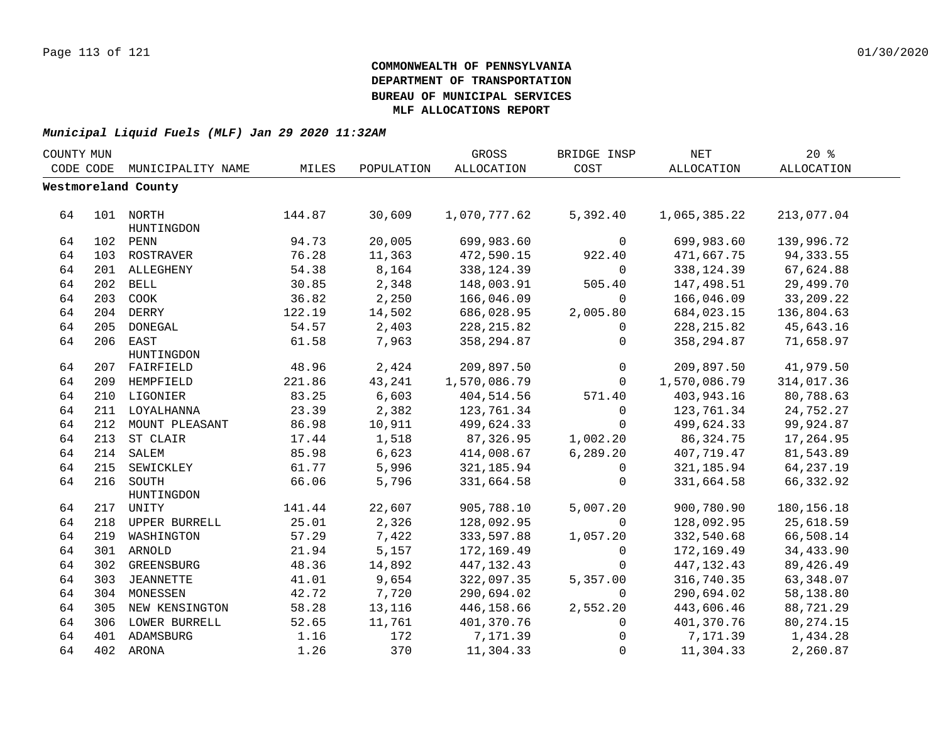| COUNTY MUN |     |                     |        |            | GROSS        | BRIDGE INSP  | NET               | 20%               |  |
|------------|-----|---------------------|--------|------------|--------------|--------------|-------------------|-------------------|--|
| CODE CODE  |     | MUNICIPALITY NAME   | MILES  | POPULATION | ALLOCATION   | COST         | <b>ALLOCATION</b> | <b>ALLOCATION</b> |  |
|            |     | Westmoreland County |        |            |              |              |                   |                   |  |
|            |     |                     |        |            |              |              |                   |                   |  |
| 64         |     | 101 NORTH           | 144.87 | 30,609     | 1,070,777.62 | 5,392.40     | 1,065,385.22      | 213,077.04        |  |
|            |     | HUNTINGDON          |        |            |              |              |                   |                   |  |
| 64         |     | 102 PENN            | 94.73  | 20,005     | 699,983.60   | 0            | 699,983.60        | 139,996.72        |  |
| 64         |     | 103 ROSTRAVER       | 76.28  | 11,363     | 472,590.15   | 922.40       | 471,667.75        | 94, 333.55        |  |
| 64         |     | 201 ALLEGHENY       | 54.38  | 8,164      | 338,124.39   | $\mathbf 0$  | 338, 124.39       | 67,624.88         |  |
| 64         | 202 | BELL                | 30.85  | 2,348      | 148,003.91   | 505.40       | 147,498.51        | 29,499.70         |  |
| 64         | 203 | COOK                | 36.82  | 2,250      | 166,046.09   | $\Omega$     | 166,046.09        | 33,209.22         |  |
| 64         |     | 204 DERRY           | 122.19 | 14,502     | 686,028.95   | 2,005.80     | 684,023.15        | 136,804.63        |  |
| 64         | 205 | DONEGAL             | 54.57  | 2,403      | 228, 215.82  | $\mathbf{0}$ | 228, 215.82       | 45,643.16         |  |
| 64         | 206 | EAST                | 61.58  | 7,963      | 358, 294.87  | 0            | 358,294.87        | 71,658.97         |  |
|            |     | HUNTINGDON          |        |            |              |              |                   |                   |  |
| 64         |     | 207 FAIRFIELD       | 48.96  | 2,424      | 209,897.50   | 0            | 209,897.50        | 41,979.50         |  |
| 64         |     | 209 HEMPFIELD       | 221.86 | 43,241     | 1,570,086.79 | $\Omega$     | 1,570,086.79      | 314,017.36        |  |
| 64         | 210 | LIGONIER            | 83.25  | 6,603      | 404,514.56   | 571.40       | 403,943.16        | 80,788.63         |  |
| 64         |     | 211 LOYALHANNA      | 23.39  | 2,382      | 123,761.34   | $\mathbf{0}$ | 123,761.34        | 24,752.27         |  |
| 64         |     | 212 MOUNT PLEASANT  | 86.98  | 10,911     | 499,624.33   | $\Omega$     | 499,624.33        | 99,924.87         |  |
| 64         |     | 213 ST CLAIR        | 17.44  | 1,518      | 87,326.95    | 1,002.20     | 86, 324. 75       | 17,264.95         |  |
| 64         |     | 214 SALEM           | 85.98  | 6,623      | 414,008.67   | 6, 289.20    | 407,719.47        | 81,543.89         |  |
| 64         |     | 215 SEWICKLEY       | 61.77  | 5,996      | 321, 185.94  | 0            | 321, 185.94       | 64, 237. 19       |  |
| 64         |     | 216 SOUTH           | 66.06  | 5,796      | 331,664.58   | 0            | 331,664.58        | 66,332.92         |  |
|            |     | HUNTINGDON          |        |            |              |              |                   |                   |  |
| 64         |     | 217 UNITY           | 141.44 | 22,607     | 905,788.10   | 5,007.20     | 900,780.90        | 180, 156. 18      |  |
| 64         |     | 218 UPPER BURRELL   | 25.01  | 2,326      | 128,092.95   | $\mathbf 0$  | 128,092.95        | 25,618.59         |  |
| 64         | 219 | WASHINGTON          | 57.29  | 7,422      | 333,597.88   | 1,057.20     | 332,540.68        | 66,508.14         |  |
| 64         |     | 301 ARNOLD          | 21.94  | 5,157      | 172,169.49   | 0            | 172,169.49        | 34,433.90         |  |
| 64         | 302 | GREENSBURG          | 48.36  | 14,892     | 447, 132. 43 | $\Omega$     | 447, 132.43       | 89, 426.49        |  |
| 64         | 303 | JEANNETTE           | 41.01  | 9,654      | 322,097.35   | 5,357.00     | 316,740.35        | 63,348.07         |  |
| 64         | 304 | MONESSEN            | 42.72  | 7,720      | 290,694.02   | $\mathbf 0$  | 290,694.02        | 58,138.80         |  |
| 64         | 305 | NEW KENSINGTON      | 58.28  | 13,116     | 446,158.66   | 2,552.20     | 443,606.46        | 88,721.29         |  |
| 64         | 306 | LOWER BURRELL       | 52.65  | 11,761     | 401,370.76   | 0            | 401,370.76        | 80, 274. 15       |  |
| 64         |     | 401 ADAMSBURG       | 1.16   | 172        | 7,171.39     | 0            | 7,171.39          | 1,434.28          |  |
| 64         |     | 402 ARONA           | 1.26   | 370        | 11,304.33    | $\mathbf 0$  | 11,304.33         | 2,260.87          |  |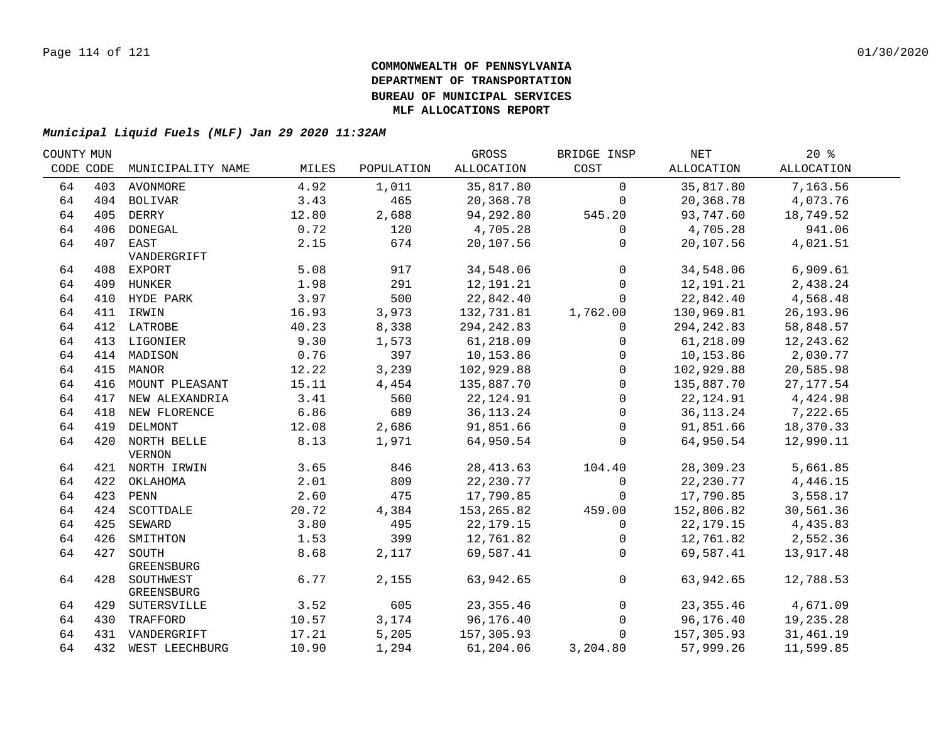| COUNTY MUN |           |                    |       |            | GROSS       | BRIDGE INSP  | NET         | $20*$      |  |
|------------|-----------|--------------------|-------|------------|-------------|--------------|-------------|------------|--|
|            | CODE CODE | MUNICIPALITY NAME  | MILES | POPULATION | ALLOCATION  | COST         | ALLOCATION  | ALLOCATION |  |
| 64         |           | 403 AVONMORE       | 4.92  | 1,011      | 35,817.80   | $\mathbf 0$  | 35,817.80   | 7,163.56   |  |
| 64         |           | 404 BOLIVAR        | 3.43  | 465        | 20,368.78   | 0            | 20,368.78   | 4,073.76   |  |
| 64         |           | 405 DERRY          | 12.80 | 2,688      | 94,292.80   | 545.20       | 93,747.60   | 18,749.52  |  |
| 64         |           | 406 DONEGAL        | 0.72  | 120        | 4,705.28    | $\mathbf 0$  | 4,705.28    | 941.06     |  |
| 64         |           | 407 EAST           | 2.15  | 674        | 20,107.56   | 0            | 20,107.56   | 4,021.51   |  |
|            |           | VANDERGRIFT        |       |            |             |              |             |            |  |
| 64         |           | 408 EXPORT         | 5.08  | 917        | 34,548.06   | $\mathbf 0$  | 34,548.06   | 6,909.61   |  |
| 64         |           | 409 HUNKER         | 1.98  | 291        | 12,191.21   | $\mathsf{O}$ | 12,191.21   | 2,438.24   |  |
| 64         |           | 410 HYDE PARK      | 3.97  | 500        | 22,842.40   | $\mathbf 0$  | 22,842.40   | 4,568.48   |  |
| 64         |           | 411 IRWIN          | 16.93 | 3,973      | 132,731.81  | 1,762.00     | 130,969.81  | 26, 193.96 |  |
| 64         |           | 412 LATROBE        | 40.23 | 8,338      | 294, 242.83 | $\mathbf{0}$ | 294, 242.83 | 58,848.57  |  |
| 64         |           | 413 LIGONIER       | 9.30  | 1,573      | 61,218.09   | $\mathbf{0}$ | 61,218.09   | 12,243.62  |  |
| 64         |           | 414 MADISON        | 0.76  | 397        | 10,153.86   | $\mathbf{0}$ | 10,153.86   | 2,030.77   |  |
| 64         | 415       | MANOR              | 12.22 | 3,239      | 102,929.88  | $\mathbf 0$  | 102,929.88  | 20,585.98  |  |
| 64         | 416       | MOUNT PLEASANT     | 15.11 | 4,454      | 135,887.70  | $\Omega$     | 135,887.70  | 27, 177.54 |  |
| 64         | 417       | NEW ALEXANDRIA     | 3.41  | 560        | 22, 124.91  | $\Omega$     | 22, 124.91  | 4,424.98   |  |
| 64         |           | 418 NEW FLORENCE   | 6.86  | 689        | 36, 113. 24 | $\mathbf 0$  | 36, 113. 24 | 7,222.65   |  |
| 64         |           | 419 DELMONT        | 12.08 | 2,686      | 91,851.66   | $\mathbf 0$  | 91,851.66   | 18,370.33  |  |
| 64         |           | 420 NORTH BELLE    | 8.13  | 1,971      | 64,950.54   | $\mathbf 0$  | 64,950.54   | 12,990.11  |  |
|            |           | <b>VERNON</b>      |       |            |             |              |             |            |  |
| 64         |           | 421 NORTH IRWIN    | 3.65  | 846        | 28, 413.63  | 104.40       | 28,309.23   | 5,661.85   |  |
| 64         |           | 422 OKLAHOMA       | 2.01  | 809        | 22, 230.77  | $\mathsf{O}$ | 22, 230.77  | 4,446.15   |  |
| 64         |           | 423 PENN           | 2.60  | 475        | 17,790.85   | $\mathbf 0$  | 17,790.85   | 3,558.17   |  |
| 64         |           | 424 SCOTTDALE      | 20.72 | 4,384      | 153,265.82  | 459.00       | 152,806.82  | 30,561.36  |  |
| 64         |           | 425 SEWARD         | 3.80  | 495        | 22, 179. 15 | $\mathbf 0$  | 22,179.15   | 4,435.83   |  |
| 64         |           | 426 SMITHTON       | 1.53  | 399        | 12,761.82   | $\mathbf{0}$ | 12,761.82   | 2,552.36   |  |
| 64         | 427       | SOUTH              | 8.68  | 2,117      | 69,587.41   | $\mathbf 0$  | 69,587.41   | 13,917.48  |  |
|            |           | GREENSBURG         |       |            |             |              |             |            |  |
| 64         |           | 428 SOUTHWEST      | 6.77  | 2,155      | 63,942.65   | $\mathbf 0$  | 63,942.65   | 12,788.53  |  |
|            |           | GREENSBURG         |       |            |             |              |             |            |  |
| 64         |           | 429 SUTERSVILLE    | 3.52  | 605        | 23, 355.46  | 0            | 23, 355.46  | 4,671.09   |  |
| 64         |           | 430 TRAFFORD       | 10.57 | 3,174      | 96,176.40   | $\mathbf 0$  | 96,176.40   | 19,235.28  |  |
| 64         |           | 431 VANDERGRIFT    | 17.21 | 5,205      | 157,305.93  | $\mathbf 0$  | 157,305.93  | 31,461.19  |  |
| 64         |           | 432 WEST LEECHBURG | 10.90 | 1,294      | 61,204.06   | 3,204.80     | 57,999.26   | 11,599.85  |  |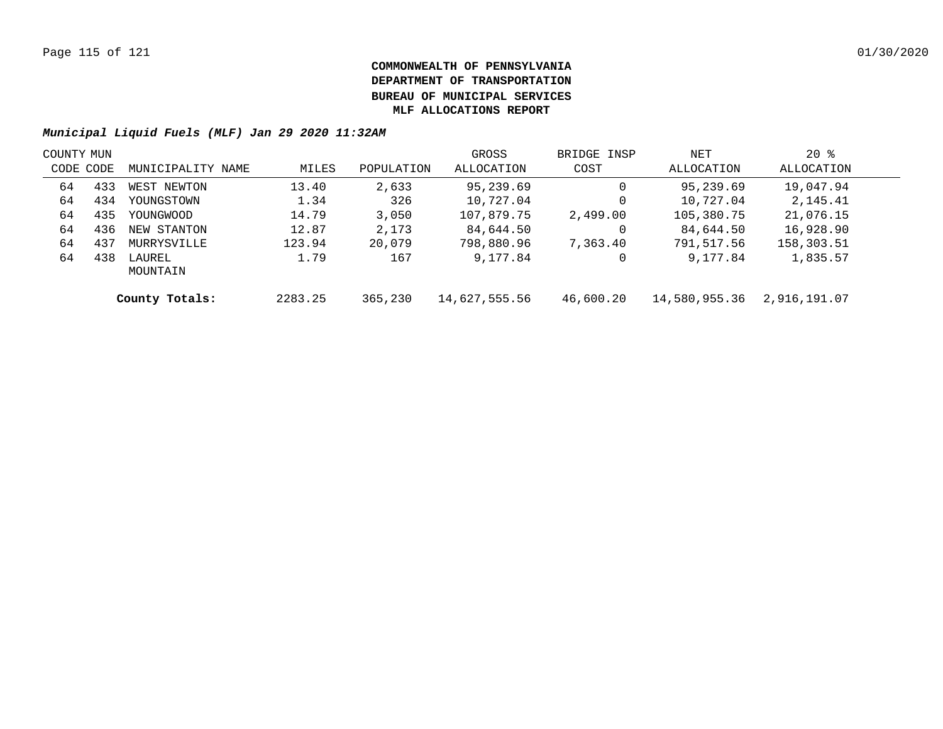| COUNTY MUN |     |                    |         |            | GROSS         | BRIDGE INSP | NET           | $20*$        |  |
|------------|-----|--------------------|---------|------------|---------------|-------------|---------------|--------------|--|
| CODE CODE  |     | MUNICIPALITY NAME  | MILES   | POPULATION | ALLOCATION    | COST        | ALLOCATION    | ALLOCATION   |  |
| 64         | 433 | WEST NEWTON        | 13.40   | 2,633      | 95,239.69     |             | 95,239.69     | 19,047.94    |  |
| 64         | 434 | YOUNGSTOWN         | 1.34    | 326        | 10,727.04     |             | 10,727.04     | 2,145.41     |  |
| 64         | 435 | YOUNGWOOD          | 14.79   | 3,050      | 107,879.75    | 2,499.00    | 105,380.75    | 21,076.15    |  |
| 64         | 436 | NEW STANTON        | 12.87   | 2,173      | 84,644.50     |             | 84,644.50     | 16,928.90    |  |
| 64         | 437 | MURRYSVILLE        | 123.94  | 20,079     | 798,880.96    | 7,363.40    | 791,517.56    | 158,303.51   |  |
| 64         | 438 | LAUREL<br>MOUNTAIN | 1.79    | 167        | 9,177.84      |             | 9,177.84      | 1,835.57     |  |
|            |     | County Totals:     | 2283.25 | 365,230    | 14,627,555.56 | 46,600.20   | 14,580,955.36 | 2,916,191.07 |  |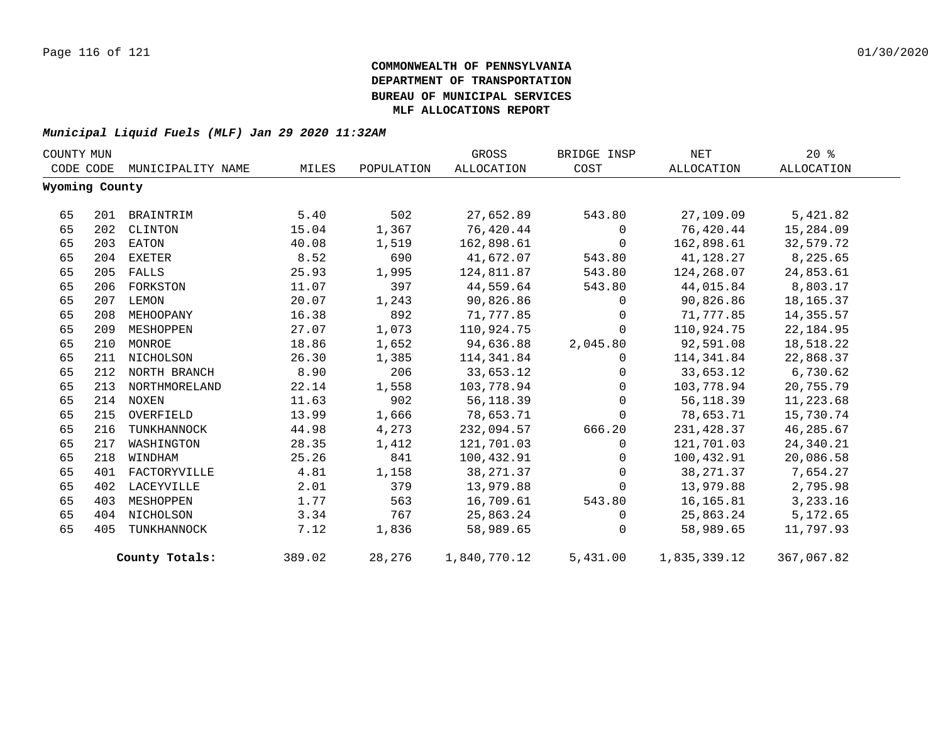| COUNTY MUN |                |                   |        |            | GROSS        | BRIDGE INSP | NET          | $20*$      |
|------------|----------------|-------------------|--------|------------|--------------|-------------|--------------|------------|
|            | CODE CODE      | MUNICIPALITY NAME | MILES  | POPULATION | ALLOCATION   | COST        | ALLOCATION   | ALLOCATION |
|            | Wyoming County |                   |        |            |              |             |              |            |
| 65         |                | 201 BRAINTRIM     | 5.40   | 502        | 27,652.89    | 543.80      | 27,109.09    | 5,421.82   |
| 65         | 202            | CLINTON           | 15.04  | 1,367      | 76,420.44    | $\mathbf 0$ | 76,420.44    | 15,284.09  |
| 65         |                | 203 EATON         | 40.08  | 1,519      | 162,898.61   | $\Omega$    | 162,898.61   | 32,579.72  |
| 65         | 204            | EXETER            | 8.52   | 690        | 41,672.07    | 543.80      | 41,128.27    | 8,225.65   |
| 65         | 205            | FALLS             | 25.93  | 1,995      | 124,811.87   | 543.80      | 124,268.07   | 24,853.61  |
| 65         | 206            | FORKSTON          | 11.07  | 397        | 44,559.64    | 543.80      | 44,015.84    | 8,803.17   |
| 65         | 207            | LEMON             | 20.07  | 1,243      | 90,826.86    | $\mathbf 0$ | 90,826.86    | 18,165.37  |
| 65         | 208            | MEHOOPANY         | 16.38  | 892        | 71,777.85    | $\Omega$    | 71,777.85    | 14,355.57  |
| 65         | 209            | MESHOPPEN         | 27.07  | 1,073      | 110,924.75   | $\Omega$    | 110,924.75   | 22,184.95  |
| 65         | 210            | MONROE            | 18.86  | 1,652      | 94,636.88    | 2,045.80    | 92,591.08    | 18,518.22  |
| 65         | 211            | NICHOLSON         | 26.30  | 1,385      | 114,341.84   | $\Omega$    | 114,341.84   | 22,868.37  |
| 65         |                | 212 NORTH BRANCH  | 8.90   | 206        | 33,653.12    | $\Omega$    | 33,653.12    | 6,730.62   |
| 65         |                | 213 NORTHMORELAND | 22.14  | 1,558      | 103,778.94   | $\Omega$    | 103,778.94   | 20,755.79  |
| 65         |                | 214 NOXEN         | 11.63  | 902        | 56,118.39    | $\Omega$    | 56,118.39    | 11,223.68  |
| 65         | 215            | OVERFIELD         | 13.99  | 1,666      | 78,653.71    | $\Omega$    | 78,653.71    | 15,730.74  |
| 65         | 216            | TUNKHANNOCK       | 44.98  | 4,273      | 232,094.57   | 666.20      | 231,428.37   | 46,285.67  |
| 65         | 217            | WASHINGTON        | 28.35  | 1,412      | 121,701.03   | $\Omega$    | 121,701.03   | 24,340.21  |
| 65         | 218            | WINDHAM           | 25.26  | 841        | 100,432.91   | $\mathbf 0$ | 100,432.91   | 20,086.58  |
| 65         | 401            | FACTORYVILLE      | 4.81   | 1,158      | 38, 271.37   | $\Omega$    | 38,271.37    | 7,654.27   |
| 65         | 402            | LACEYVILLE        | 2.01   | 379        | 13,979.88    | $\mathbf 0$ | 13,979.88    | 2,795.98   |
| 65         | 403            | MESHOPPEN         | 1.77   | 563        | 16,709.61    | 543.80      | 16,165.81    | 3,233.16   |
| 65         | 404            | NICHOLSON         | 3.34   | 767        | 25,863.24    | $\Omega$    | 25,863.24    | 5,172.65   |
| 65         | 405            | TUNKHANNOCK       | 7.12   | 1,836      | 58,989.65    | $\Omega$    | 58,989.65    | 11,797.93  |
|            |                | County Totals:    | 389.02 | 28,276     | 1,840,770.12 | 5,431.00    | 1,835,339.12 | 367,067.82 |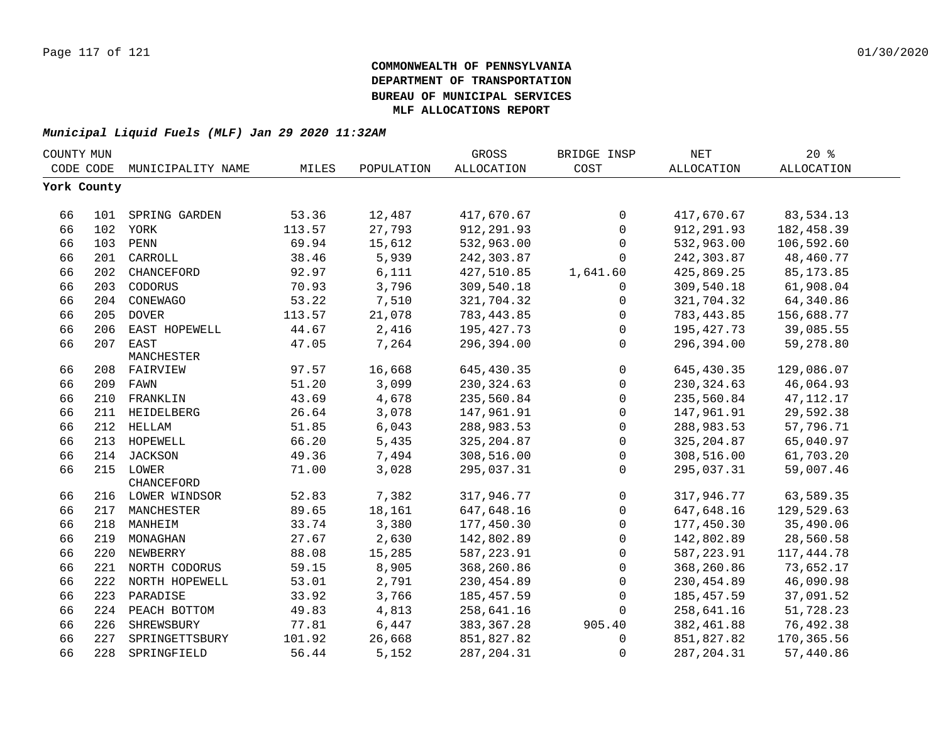| COUNTY MUN  |     |                    |        |            | GROSS        | BRIDGE INSP  | <b>NET</b>        | $20*$             |  |
|-------------|-----|--------------------|--------|------------|--------------|--------------|-------------------|-------------------|--|
| CODE CODE   |     | MUNICIPALITY NAME  | MILES  | POPULATION | ALLOCATION   | COST         | <b>ALLOCATION</b> | <b>ALLOCATION</b> |  |
| York County |     |                    |        |            |              |              |                   |                   |  |
|             |     |                    |        |            |              |              |                   |                   |  |
| 66          |     | 101 SPRING GARDEN  | 53.36  | 12,487     | 417,670.67   | $\mathsf{O}$ | 417,670.67        | 83,534.13         |  |
| 66          |     | 102 YORK           | 113.57 | 27,793     | 912,291.93   | $\mathsf{O}$ | 912,291.93        | 182,458.39        |  |
| 66          |     | 103 PENN           | 69.94  | 15,612     | 532,963.00   | 0            | 532,963.00        | 106,592.60        |  |
| 66          | 201 | CARROLL            | 38.46  | 5,939      | 242,303.87   | 0            | 242,303.87        | 48,460.77         |  |
| 66          | 202 | CHANCEFORD         | 92.97  | 6,111      | 427,510.85   | 1,641.60     | 425,869.25        | 85, 173.85        |  |
| 66          | 203 | CODORUS            | 70.93  | 3,796      | 309,540.18   | 0            | 309,540.18        | 61,908.04         |  |
| 66          |     | 204 CONEWAGO       | 53.22  | 7,510      | 321,704.32   | $\mathbf 0$  | 321,704.32        | 64,340.86         |  |
| 66          | 205 | <b>DOVER</b>       | 113.57 | 21,078     | 783,443.85   | 0            | 783,443.85        | 156,688.77        |  |
| 66          | 206 | EAST HOPEWELL      | 44.67  | 2,416      | 195, 427. 73 | 0            | 195,427.73        | 39,085.55         |  |
| 66          | 207 | EAST               | 47.05  | 7,264      | 296,394.00   | $\Omega$     | 296,394.00        | 59,278.80         |  |
|             |     | MANCHESTER         |        |            |              |              |                   |                   |  |
| 66          |     | 208 FAIRVIEW       | 97.57  | 16,668     | 645,430.35   | $\mathsf{O}$ | 645,430.35        | 129,086.07        |  |
| 66          |     | 209 FAWN           | 51.20  | 3,099      | 230, 324.63  | $\mathsf{O}$ | 230, 324.63       | 46,064.93         |  |
| 66          |     | 210 FRANKLIN       | 43.69  | 4,678      | 235,560.84   | $\mathsf{O}$ | 235,560.84        | 47, 112. 17       |  |
| 66          | 211 | HEIDELBERG         | 26.64  | 3,078      | 147,961.91   | 0            | 147,961.91        | 29,592.38         |  |
| 66          |     | 212 HELLAM         | 51.85  | 6,043      | 288,983.53   | $\mathsf{O}$ | 288,983.53        | 57,796.71         |  |
| 66          |     | 213 HOPEWELL       | 66.20  | 5,435      | 325, 204.87  | $\mathsf{O}$ | 325, 204.87       | 65,040.97         |  |
| 66          |     | 214 JACKSON        | 49.36  | 7,494      | 308,516.00   | 0            | 308,516.00        | 61,703.20         |  |
| 66          |     | 215 LOWER          | 71.00  | 3,028      | 295,037.31   | $\mathbf 0$  | 295,037.31        | 59,007.46         |  |
|             |     | CHANCEFORD         |        |            |              |              |                   |                   |  |
| 66          |     | 216 LOWER WINDSOR  | 52.83  | 7,382      | 317,946.77   | $\mathsf{O}$ | 317,946.77        | 63,589.35         |  |
| 66          |     | 217 MANCHESTER     | 89.65  | 18,161     | 647,648.16   | $\mathsf{O}$ | 647,648.16        | 129,529.63        |  |
| 66          |     | 218 MANHEIM        | 33.74  | 3,380      | 177,450.30   | $\mathbf 0$  | 177,450.30        | 35,490.06         |  |
| 66          |     | 219 MONAGHAN       | 27.67  | 2,630      | 142,802.89   | $\mathbf 0$  | 142,802.89        | 28,560.58         |  |
| 66          |     | 220 NEWBERRY       | 88.08  | 15,285     | 587, 223.91  | $\mathbf 0$  | 587,223.91        | 117,444.78        |  |
| 66          |     | 221 NORTH CODORUS  | 59.15  | 8,905      | 368,260.86   | $\mathbf 0$  | 368,260.86        | 73,652.17         |  |
| 66          |     | 222 NORTH HOPEWELL | 53.01  | 2,791      | 230,454.89   | $\mathsf{O}$ | 230,454.89        | 46,090.98         |  |
| 66          |     | 223 PARADISE       | 33.92  | 3,766      | 185,457.59   | $\mathbf 0$  | 185,457.59        | 37,091.52         |  |
| 66          |     | 224 PEACH BOTTOM   | 49.83  | 4,813      | 258,641.16   | 0            | 258,641.16        | 51,728.23         |  |
| 66          | 226 | SHREWSBURY         | 77.81  | 6,447      | 383, 367. 28 | 905.40       | 382,461.88        | 76,492.38         |  |
| 66          | 227 | SPRINGETTSBURY     | 101.92 | 26,668     | 851,827.82   | 0            | 851,827.82        | 170,365.56        |  |
| 66          |     | 228 SPRINGFIELD    | 56.44  | 5,152      | 287, 204.31  | 0            | 287, 204.31       | 57,440.86         |  |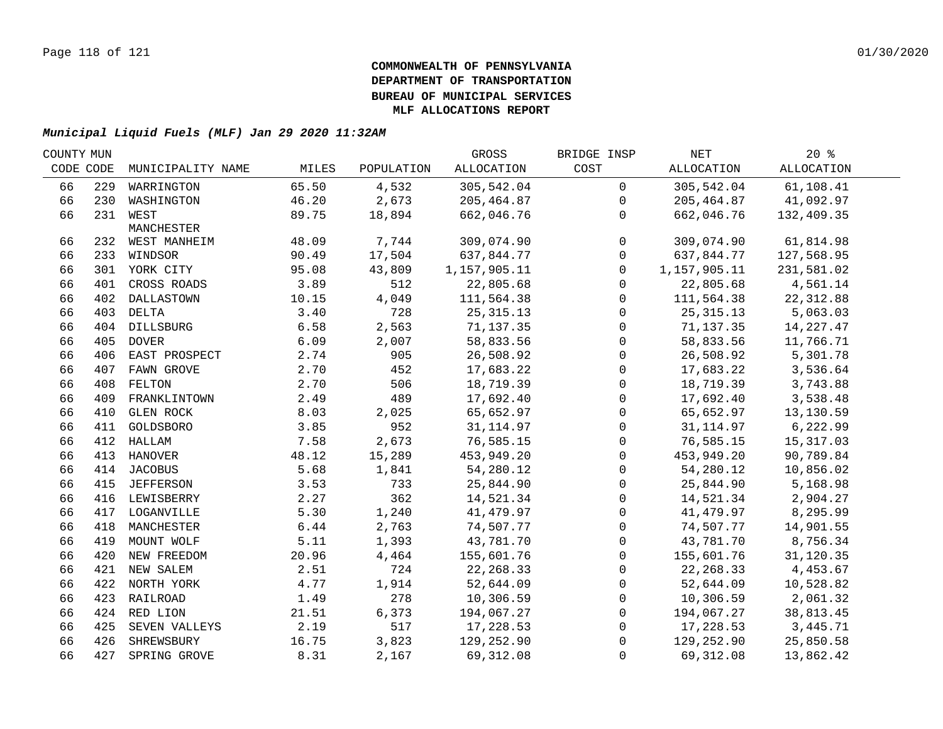| COUNTY MUN |                   |                                                                                                                                                                                                                                                                                                                                                                                                                                                              |                | GROSS                     | BRIDGE INSP                | NET          | 20%               |                                                                  |
|------------|-------------------|--------------------------------------------------------------------------------------------------------------------------------------------------------------------------------------------------------------------------------------------------------------------------------------------------------------------------------------------------------------------------------------------------------------------------------------------------------------|----------------|---------------------------|----------------------------|--------------|-------------------|------------------------------------------------------------------|
| CODE CODE  | MUNICIPALITY NAME | MILES                                                                                                                                                                                                                                                                                                                                                                                                                                                        | POPULATION     | ALLOCATION                | COST                       | ALLOCATION   | <b>ALLOCATION</b> |                                                                  |
| 229        | WARRINGTON        | 65.50                                                                                                                                                                                                                                                                                                                                                                                                                                                        | 4,532          | 305,542.04                | $\mathsf{O}$               | 305,542.04   | 61,108.41         |                                                                  |
|            |                   | 46.20                                                                                                                                                                                                                                                                                                                                                                                                                                                        | 2,673          | 205,464.87                | $\mathbf 0$                | 205, 464.87  |                   |                                                                  |
|            |                   | 89.75                                                                                                                                                                                                                                                                                                                                                                                                                                                        | 18,894         | 662,046.76                | $\Omega$                   | 662,046.76   | 132,409.35        |                                                                  |
|            | MANCHESTER        |                                                                                                                                                                                                                                                                                                                                                                                                                                                              |                |                           |                            |              |                   |                                                                  |
|            |                   | 48.09                                                                                                                                                                                                                                                                                                                                                                                                                                                        | 7,744          | 309,074.90                | $\mathbf 0$                | 309,074.90   | 61,814.98         |                                                                  |
|            |                   |                                                                                                                                                                                                                                                                                                                                                                                                                                                              |                |                           | $\mathbf 0$                |              |                   |                                                                  |
|            |                   |                                                                                                                                                                                                                                                                                                                                                                                                                                                              |                |                           | $\Omega$                   | 1,157,905.11 | 231,581.02        |                                                                  |
|            | CROSS ROADS       | 3.89                                                                                                                                                                                                                                                                                                                                                                                                                                                         | 512            | 22,805.68                 | $\mathbf{0}$               | 22,805.68    | 4,561.14          |                                                                  |
|            |                   | 10.15                                                                                                                                                                                                                                                                                                                                                                                                                                                        |                | 111,564.38                | $\mathbf 0$                | 111,564.38   | 22, 312.88        |                                                                  |
|            |                   | 3.40                                                                                                                                                                                                                                                                                                                                                                                                                                                         | 728            | 25, 315. 13               | 0                          | 25, 315. 13  | 5,063.03          |                                                                  |
|            |                   | 6.58                                                                                                                                                                                                                                                                                                                                                                                                                                                         | 2,563          | 71,137.35                 | 0                          |              | 14,227.47         |                                                                  |
|            |                   | 6.09                                                                                                                                                                                                                                                                                                                                                                                                                                                         | 2,007          | 58,833.56                 | $\mathsf{O}\xspace$        | 58,833.56    | 11,766.71         |                                                                  |
|            |                   | 2.74                                                                                                                                                                                                                                                                                                                                                                                                                                                         | 905            | 26,508.92                 | $\mathsf{O}$               | 26,508.92    | 5,301.78          |                                                                  |
| 407        |                   | 2.70                                                                                                                                                                                                                                                                                                                                                                                                                                                         | 452            | 17,683.22                 | $\mathsf{O}$               | 17,683.22    | 3,536.64          |                                                                  |
| 408        | FELTON            | 2.70                                                                                                                                                                                                                                                                                                                                                                                                                                                         | 506            | 18,719.39                 | $\mathsf{O}$               | 18,719.39    | 3,743.88          |                                                                  |
| 409        | FRANKLINTOWN      | 2.49                                                                                                                                                                                                                                                                                                                                                                                                                                                         | 489            | 17,692.40                 | $\mathbf 0$                | 17,692.40    | 3,538.48          |                                                                  |
| 410        | <b>GLEN ROCK</b>  | 8.03                                                                                                                                                                                                                                                                                                                                                                                                                                                         | 2,025          | 65,652.97                 | $\mathbf 0$                | 65,652.97    | 13,130.59         |                                                                  |
| 411        | GOLDSBORO         | 3.85                                                                                                                                                                                                                                                                                                                                                                                                                                                         | 952            | 31, 114.97                | $\mathbf 0$                | 31,114.97    | 6,222.99          |                                                                  |
|            | HALLAM            | 7.58                                                                                                                                                                                                                                                                                                                                                                                                                                                         | 2,673          | 76,585.15                 | $\mathbf 0$                | 76,585.15    | 15, 317.03        |                                                                  |
|            | HANOVER           | 48.12                                                                                                                                                                                                                                                                                                                                                                                                                                                        | 15,289         | 453,949.20                | $\mathbf 0$                | 453,949.20   | 90,789.84         |                                                                  |
|            |                   | 5.68                                                                                                                                                                                                                                                                                                                                                                                                                                                         | 1,841          | 54,280.12                 | 0                          | 54,280.12    | 10,856.02         |                                                                  |
|            |                   | 3.53                                                                                                                                                                                                                                                                                                                                                                                                                                                         | 733            | 25,844.90                 | 0                          | 25,844.90    | 5,168.98          |                                                                  |
|            |                   | 2.27                                                                                                                                                                                                                                                                                                                                                                                                                                                         | 362            | 14,521.34                 | $\mathsf{O}$               | 14,521.34    | 2,904.27          |                                                                  |
|            |                   | 5.30                                                                                                                                                                                                                                                                                                                                                                                                                                                         | 1,240          | 41,479.97                 | 0                          | 41,479.97    | 8,295.99          |                                                                  |
|            |                   | 6.44                                                                                                                                                                                                                                                                                                                                                                                                                                                         | 2,763          | 74,507.77                 | $\mathbf 0$                | 74,507.77    | 14,901.55         |                                                                  |
|            |                   | 5.11                                                                                                                                                                                                                                                                                                                                                                                                                                                         | 1,393          | 43,781.70                 | $\mathbf 0$                | 43,781.70    | 8,756.34          |                                                                  |
|            |                   | 20.96                                                                                                                                                                                                                                                                                                                                                                                                                                                        | 4,464          | 155,601.76                | $\mathbf 0$                | 155,601.76   | 31,120.35         |                                                                  |
|            |                   | 2.51                                                                                                                                                                                                                                                                                                                                                                                                                                                         | 724            | 22, 268.33                | $\mathbf 0$                | 22, 268.33   | 4,453.67          |                                                                  |
|            |                   | 4.77                                                                                                                                                                                                                                                                                                                                                                                                                                                         | 1,914          | 52,644.09                 | $\mathbf 0$                | 52,644.09    | 10,528.82         |                                                                  |
|            |                   | 1.49                                                                                                                                                                                                                                                                                                                                                                                                                                                         | 278            | 10,306.59                 | $\mathbf 0$                | 10,306.59    | 2,061.32          |                                                                  |
|            |                   | 21.51                                                                                                                                                                                                                                                                                                                                                                                                                                                        | 6,373          | 194,067.27                | $\mathbf 0$                |              | 38,813.45         |                                                                  |
|            |                   | 2.19                                                                                                                                                                                                                                                                                                                                                                                                                                                         | 517            | 17,228.53                 | $\mathbf 0$                | 17,228.53    | 3, 445. 71        |                                                                  |
|            |                   | 16.75                                                                                                                                                                                                                                                                                                                                                                                                                                                        | 3,823          | 129,252.90                | $\Omega$                   |              | 25,850.58         |                                                                  |
|            |                   | 8.31                                                                                                                                                                                                                                                                                                                                                                                                                                                         | 2,167          | 69,312.08                 | $\Omega$                   | 69, 312.08   | 13,862.42         |                                                                  |
|            |                   | 230 WASHINGTON<br>231 WEST<br>232 WEST MANHEIM<br>233 WINDSOR<br>301 YORK CITY<br>401<br>402 DALLASTOWN<br>403 DELTA<br>404 DILLSBURG<br>405 DOVER<br>406 EAST PROSPECT<br>FAWN GROVE<br>412<br>413<br>414 JACOBUS<br>415 JEFFERSON<br>416 LEWISBERRY<br>417 LOGANVILLE<br>418 MANCHESTER<br>419 MOUNT WOLF<br>420 NEW FREEDOM<br>421 NEW SALEM<br>422 NORTH YORK<br>423 RAILROAD<br>424 RED LION<br>425 SEVEN VALLEYS<br>426 SHREWSBURY<br>427 SPRING GROVE | 90.49<br>95.08 | 17,504<br>43,809<br>4,049 | 637,844.77<br>1,157,905.11 |              | 637,844.77        | 41,092.97<br>127,568.95<br>71,137.35<br>194,067.27<br>129,252.90 |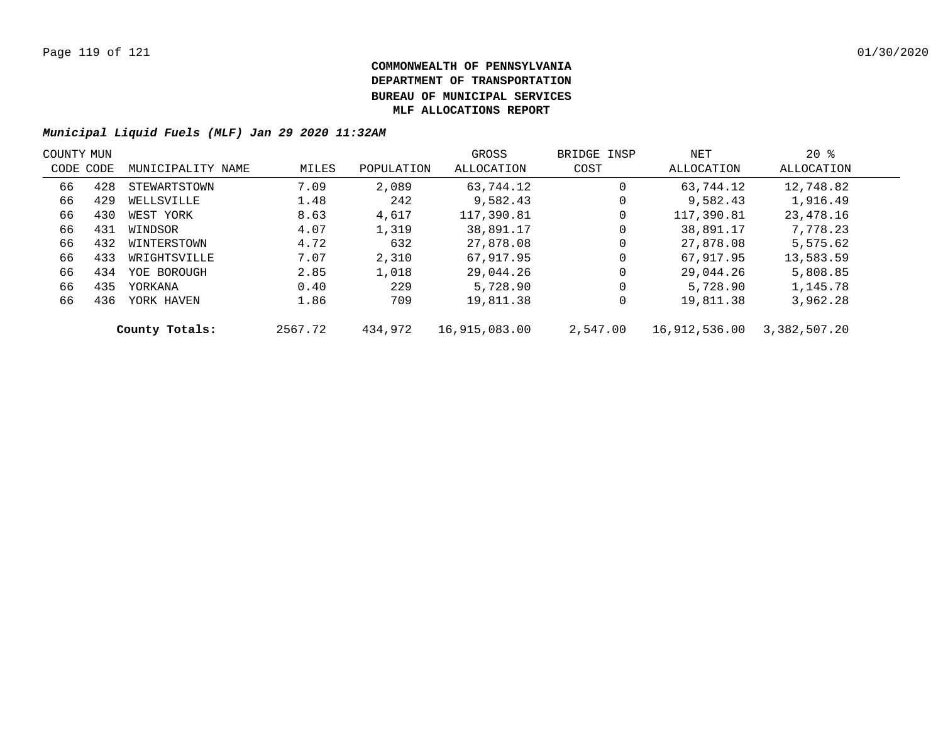| COUNTY MUN |           |                   |         |            | GROSS         | BRIDGE INSP | NET           | $20*$        |  |
|------------|-----------|-------------------|---------|------------|---------------|-------------|---------------|--------------|--|
|            | CODE CODE | MUNICIPALITY NAME | MILES   | POPULATION | ALLOCATION    | COST        | ALLOCATION    | ALLOCATION   |  |
| 66         | 428       | STEWARTSTOWN      | 7.09    | 2,089      | 63,744.12     | 0           | 63,744.12     | 12,748.82    |  |
| 66         | 429       | WELLSVILLE        | 1.48    | 242        | 9,582.43      | 0           | 9,582.43      | 1,916.49     |  |
| 66         | 430       | WEST YORK         | 8.63    | 4,617      | 117,390.81    | 0           | 117,390.81    | 23,478.16    |  |
| 66         | 431       | WINDSOR           | 4.07    | 1,319      | 38,891.17     | 0           | 38,891.17     | 7,778.23     |  |
| 66         | 432       | WINTERSTOWN       | 4.72    | 632        | 27,878.08     | 0           | 27,878.08     | 5,575.62     |  |
| 66         | 433       | WRIGHTSVILLE      | 7.07    | 2,310      | 67,917.95     | 0           | 67,917.95     | 13,583.59    |  |
| 66         | 434       | YOE BOROUGH       | 2.85    | 1,018      | 29,044.26     | 0           | 29,044.26     | 5,808.85     |  |
| 66         | 435       | YORKANA           | 0.40    | 229        | 5,728.90      | 0           | 5,728.90      | 1,145.78     |  |
| 66         | 436       | YORK HAVEN        | 1.86    | 709        | 19,811.38     | 0           | 19,811.38     | 3,962.28     |  |
|            |           | County Totals:    | 2567.72 | 434,972    | 16,915,083.00 | 2,547.00    | 16,912,536.00 | 3,382,507.20 |  |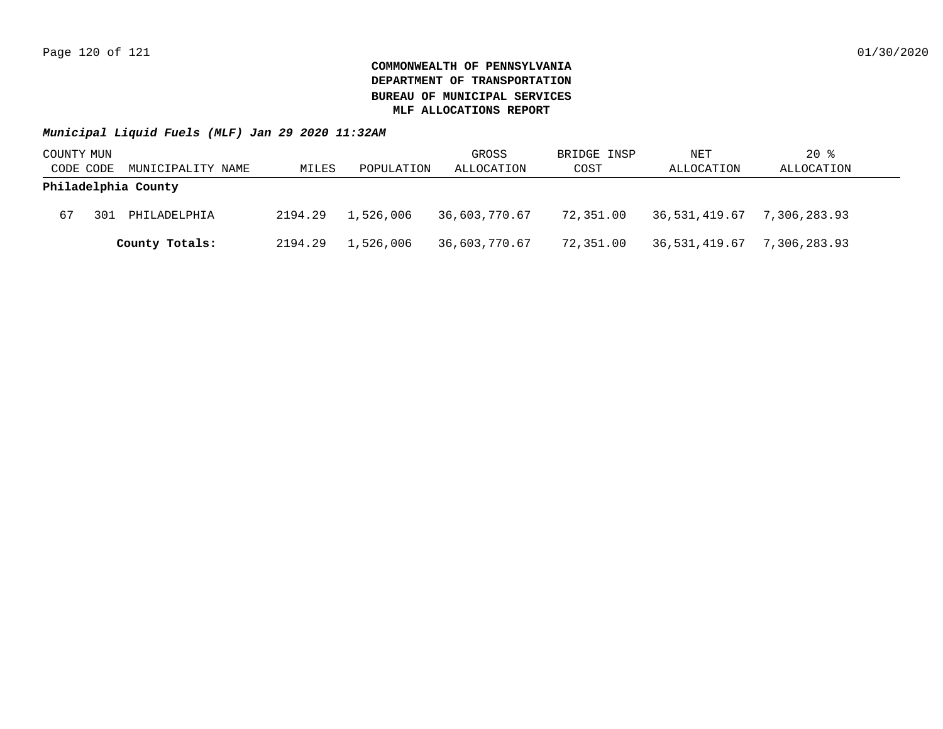| COUNTY MUN          |     |                   |         |            | GROSS         | BRIDGE INSP | NET                        | $20$ %     |
|---------------------|-----|-------------------|---------|------------|---------------|-------------|----------------------------|------------|
| CODE CODE           |     | MUNICIPALITY NAME | MILES   | POPULATION | ALLOCATION    | COST        | ALLOCATION                 | ALLOCATION |
| Philadelphia County |     |                   |         |            |               |             |                            |            |
| 67                  | 301 | PHILADELPHIA      | 2194.29 | 1,526,006  | 36,603,770.67 | 72,351.00   | 36,531,419.67 7,306,283.93 |            |
|                     |     | County Totals:    | 2194.29 | 1,526,006  | 36,603,770.67 | 72,351.00   | 36,531,419.67 7,306,283.93 |            |